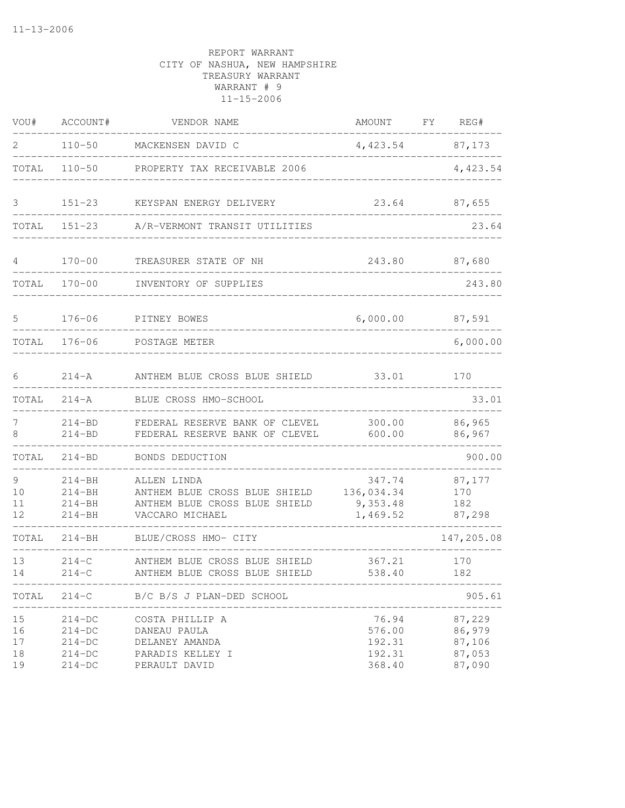| VOU#                       | ACCOUNT#                                                 | VENDOR NAME                                                                                      | AMOUNT                                        | FY | REG#                                           |
|----------------------------|----------------------------------------------------------|--------------------------------------------------------------------------------------------------|-----------------------------------------------|----|------------------------------------------------|
| 2                          | $110 - 50$                                               | MACKENSEN DAVID C                                                                                | 4,423.54 87,173                               |    |                                                |
| TOTAL                      | $110 - 50$                                               | PROPERTY TAX RECEIVABLE 2006                                                                     |                                               |    | 4,423.54                                       |
| 3                          | $151 - 23$                                               | KEYSPAN ENERGY DELIVERY                                                                          | 23.64                                         |    | 87,655                                         |
| TOTAL                      | $151 - 23$                                               | A/R-VERMONT TRANSIT UTILITIES                                                                    |                                               |    | 23.64                                          |
| 4                          | $170 - 00$                                               | TREASURER STATE OF NH                                                                            | 243.80                                        |    | 87,680                                         |
| TOTAL                      | $170 - 00$                                               | INVENTORY OF SUPPLIES                                                                            |                                               |    | 243.80                                         |
| 5                          | $176 - 06$                                               | PITNEY BOWES                                                                                     | 6,000.00                                      |    | 87,591                                         |
| TOTAL                      | $176 - 06$                                               | POSTAGE METER                                                                                    |                                               |    | 6,000.00                                       |
| 6                          | $214 - A$                                                | ANTHEM BLUE CROSS BLUE SHIELD                                                                    | 33.01                                         |    | 170                                            |
| TOTAL                      | $214 - A$                                                | BLUE CROSS HMO-SCHOOL                                                                            |                                               |    | 33.01                                          |
| 7<br>8                     | $214 - BD$<br>$214 - BD$                                 | FEDERAL RESERVE BANK OF CLEVEL<br>FEDERAL RESERVE BANK OF CLEVEL                                 | 300.00<br>600.00                              |    | 86,965<br>86,967                               |
| TOTAL                      | $214 - BD$                                               | BONDS DEDUCTION                                                                                  |                                               |    | 900.00                                         |
| 9<br>10<br>11<br>12        | $214 - BH$<br>$214 - BH$<br>$214 - BH$<br>$214 - BH$     | ALLEN LINDA<br>ANTHEM BLUE CROSS BLUE SHIELD<br>ANTHEM BLUE CROSS BLUE SHIELD<br>VACCARO MICHAEL | 347.74<br>136,034.34<br>9,353.48<br>1,469.52  |    | 87,177<br>170<br>182<br>87,298                 |
| TOTAL                      | $214 - BH$                                               | BLUE/CROSS HMO- CITY                                                                             |                                               |    | 147,205.08                                     |
| 13<br>14                   | $214 - C$<br>$214-C$                                     | ANTHEM BLUE CROSS BLUE SHIELD<br>ANTHEM BLUE CROSS BLUE SHIELD                                   | 367.21<br>538.40                              |    | 170<br>182                                     |
| TOTAL                      | $214-C$                                                  | B/C B/S J PLAN-DED SCHOOL                                                                        |                                               |    | 905.61                                         |
| 15<br>16<br>17<br>18<br>19 | $214-DC$<br>$214-DC$<br>$214-DC$<br>$214-DC$<br>$214-DC$ | COSTA PHILLIP A<br>DANEAU PAULA<br>DELANEY AMANDA<br>PARADIS KELLEY I<br>PERAULT DAVID           | 76.94<br>576.00<br>192.31<br>192.31<br>368.40 |    | 87,229<br>86,979<br>87,106<br>87,053<br>87,090 |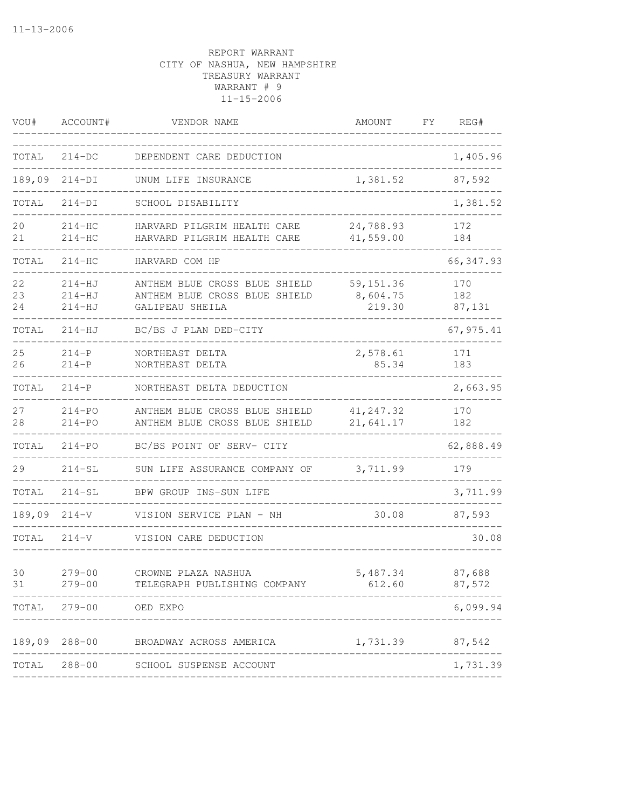| VOU#           | ACCOUNT#                           | VENDOR NAME                                                                       | <b>AMOUNT</b>                    | FΥ | REG#                 |
|----------------|------------------------------------|-----------------------------------------------------------------------------------|----------------------------------|----|----------------------|
| TOTAL          | $214-DC$                           | DEPENDENT CARE DEDUCTION                                                          |                                  |    | 1,405.96             |
| 189,09         | $214-DI$                           | UNUM LIFE INSURANCE                                                               | 1,381.52                         |    | 87,592               |
| TOTAL          | 214-DI                             | SCHOOL DISABILITY                                                                 |                                  |    | 1,381.52             |
| 20<br>21       | $214 - HC$<br>$214-HC$             | HARVARD PILGRIM HEALTH CARE<br>HARVARD PILGRIM HEALTH CARE                        | 24,788.93<br>41,559.00           |    | 172<br>184           |
| TOTAL          | $214-HC$                           | HARVARD COM HP                                                                    |                                  |    | 66, 347.93           |
| 22<br>23<br>24 | $214-HJ$<br>$214 - HJ$<br>$214-HJ$ | ANTHEM BLUE CROSS BLUE SHIELD<br>ANTHEM BLUE CROSS BLUE SHIELD<br>GALIPEAU SHEILA | 59, 151.36<br>8,604.75<br>219.30 |    | 170<br>182<br>87,131 |
| TOTAL          | $214-HJ$                           | BC/BS J PLAN DED-CITY                                                             |                                  |    | 67, 975.41           |
| 25<br>26       | $214-P$<br>$214-P$                 | NORTHEAST DELTA<br>NORTHEAST DELTA                                                | 2,578.61<br>85.34                |    | 171<br>183           |
| TOTAL          | $214-P$                            | NORTHEAST DELTA DEDUCTION                                                         |                                  |    | 2,663.95             |
| 27<br>28       | $214 - PQ$<br>$214 - PQ$           | ANTHEM BLUE CROSS BLUE SHIELD<br>ANTHEM BLUE CROSS BLUE SHIELD                    | 41, 247.32<br>21,641.17          |    | 170<br>182           |
| TOTAL          | $214 - PQ$                         | BC/BS POINT OF SERV- CITY                                                         |                                  |    | 62,888.49            |
| 29             | $214-SL$                           | SUN LIFE ASSURANCE COMPANY OF                                                     | 3,711.99                         |    | 179                  |
| TOTAL          | $214-SL$                           | BPW GROUP INS-SUN LIFE                                                            |                                  |    | 3,711.99             |
| 189,09         | $214-V$                            | VISION SERVICE PLAN - NH                                                          | 30.08                            |    | 87,593               |
| TOTAL          | $214 - V$                          | VISION CARE DEDUCTION                                                             |                                  |    | 30.08                |
| 30<br>31       | $279 - 00$<br>$279 - 00$           | CROWNE PLAZA NASHUA<br>TELEGRAPH PUBLISHING COMPANY                               | 5,487.34<br>612.60               |    | 87,688<br>87,572     |
| TOTAL          | $279 - 00$                         | OED EXPO                                                                          |                                  |    | 6,099.94             |
|                | 189,09 288-00                      | BROADWAY ACROSS AMERICA                                                           | 1,731.39                         |    | 87,542               |
| TOTAL          |                                    | 288-00 SCHOOL SUSPENSE ACCOUNT                                                    |                                  |    | 1,731.39             |
|                |                                    |                                                                                   |                                  |    |                      |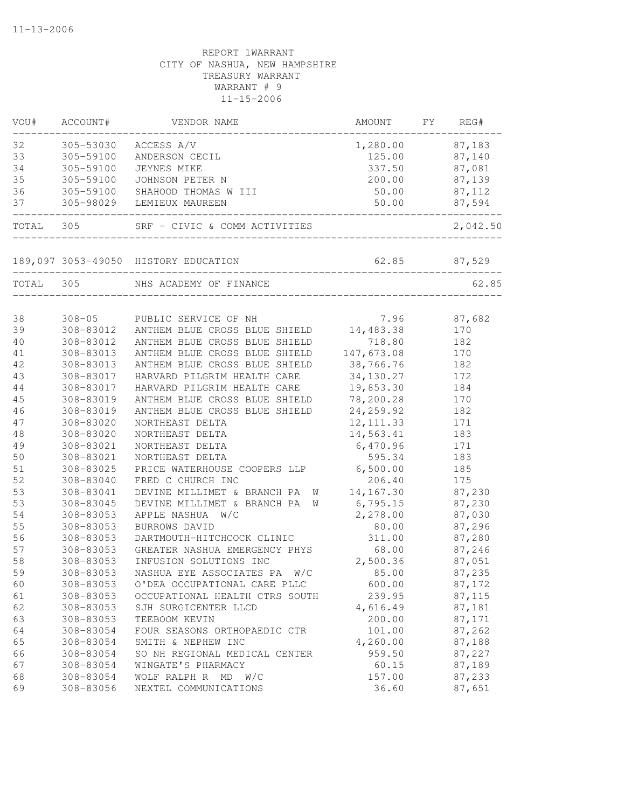| VOU#      | ACCOUNT#  | VENDOR NAME                              | AMOUNT     | FY | REG#         |
|-----------|-----------|------------------------------------------|------------|----|--------------|
| 32        | 305-53030 | ACCESS A/V                               | 1,280.00   |    | 87,183       |
| 33        | 305-59100 | ANDERSON CECIL                           | 125.00     |    | 87,140       |
| 34        | 305-59100 | JEYNES MIKE                              | 337.50     |    | 87,081       |
| 35        | 305-59100 | JOHNSON PETER N                          | 200.00     |    | 87,139       |
| 36        | 305-59100 | SHAHOOD THOMAS W III                     | 50.00      |    | 87,112       |
| 37        | 305-98029 | LEMIEUX MAUREEN                          | 50.00      |    | 87,594       |
| TOTAL 305 |           | SRF - CIVIC & COMM ACTIVITIES            |            |    | 2,042.50     |
|           |           | 189,097 3053-49050 HISTORY EDUCATION     |            |    | 62.85 87,529 |
| TOTAL     | 305       | NHS ACADEMY OF FINANCE                   |            |    | 62.85        |
|           |           |                                          |            |    |              |
| 38        |           | 308-05 PUBLIC SERVICE OF NH              | 7.96       |    | 87,682       |
| 39        | 308-83012 | ANTHEM BLUE CROSS BLUE SHIELD 14, 483.38 |            |    | 170          |
| 40        | 308-83012 | ANTHEM BLUE CROSS BLUE SHIELD            | 718.80     |    | 182          |
| 41        | 308-83013 | ANTHEM BLUE CROSS BLUE SHIELD            | 147,673.08 |    | 170          |
| 42        | 308-83013 | ANTHEM BLUE CROSS BLUE SHIELD            | 38,766.76  |    | 182          |
| 43        | 308-83017 | HARVARD PILGRIM HEALTH CARE              | 34,130.27  |    | 172          |
| 44        | 308-83017 | HARVARD PILGRIM HEALTH CARE              | 19,853.30  |    | 184          |
| 45        | 308-83019 | ANTHEM BLUE CROSS BLUE SHIELD            | 78,200.28  |    | 170          |
| 46        | 308-83019 | ANTHEM BLUE CROSS BLUE SHIELD            | 24, 259.92 |    | 182          |
| 47        | 308-83020 | NORTHEAST DELTA                          | 12, 111.33 |    | 171          |
| 48        | 308-83020 | NORTHEAST DELTA                          | 14,563.41  |    | 183          |
| 49        | 308-83021 | NORTHEAST DELTA                          | 6,470.96   |    | 171          |
| 50        | 308-83021 | NORTHEAST DELTA                          | 595.34     |    | 183          |
| 51        | 308-83025 | PRICE WATERHOUSE COOPERS LLP             | 6,500.00   |    | 185          |
| 52        | 308-83040 | FRED C CHURCH INC                        | 206.40     |    | 175          |
| 53        | 308-83041 | DEVINE MILLIMET & BRANCH PA<br><b>W</b>  | 14,167.30  |    | 87,230       |
| 53        | 308-83045 | DEVINE MILLIMET & BRANCH PA<br>W         | 6,795.15   |    | 87,230       |
| 54        | 308-83053 | APPLE NASHUA W/C                         | 2,278.00   |    | 87,030       |
| 55        | 308-83053 | BURROWS DAVID                            | 80.00      |    | 87,296       |
| 56        | 308-83053 | DARTMOUTH-HITCHCOCK CLINIC               | 311.00     |    | 87,280       |
| 57        | 308-83053 | GREATER NASHUA EMERGENCY PHYS            | 68.00      |    | 87,246       |
| 58        | 308-83053 | INFUSION SOLUTIONS INC                   | 2,500.36   |    | 87,051       |
| 59        | 308-83053 | NASHUA EYE ASSOCIATES PA<br>W/C          | 85.00      |    | 87,235       |
| 60        | 308-83053 | O'DEA OCCUPATIONAL CARE PLLC             | 600.00     |    | 87,172       |
| 61        | 308-83053 | OCCUPATIONAL HEALTH CTRS SOUTH           | 239.95     |    | 87,115       |
| 62        | 308-83053 | SJH SURGICENTER LLCD                     | 4,616.49   |    | 87,181       |
| 63        | 308-83053 | TEEBOOM KEVIN                            | 200.00     |    | 87,171       |
| 64        | 308-83054 | FOUR SEASONS ORTHOPAEDIC CTR             | 101.00     |    | 87,262       |
| 65        | 308-83054 | SMITH & NEPHEW INC                       | 4,260.00   |    | 87,188       |
| 66        | 308-83054 | SO NH REGIONAL MEDICAL CENTER            | 959.50     |    | 87,227       |
| 67        | 308-83054 | WINGATE'S PHARMACY                       | 60.15      |    | 87,189       |
| 68        | 308-83054 | WOLF RALPH R<br>MD<br>W/C                | 157.00     |    | 87,233       |
| 69        | 308-83056 | NEXTEL COMMUNICATIONS                    | 36.60      |    | 87,651       |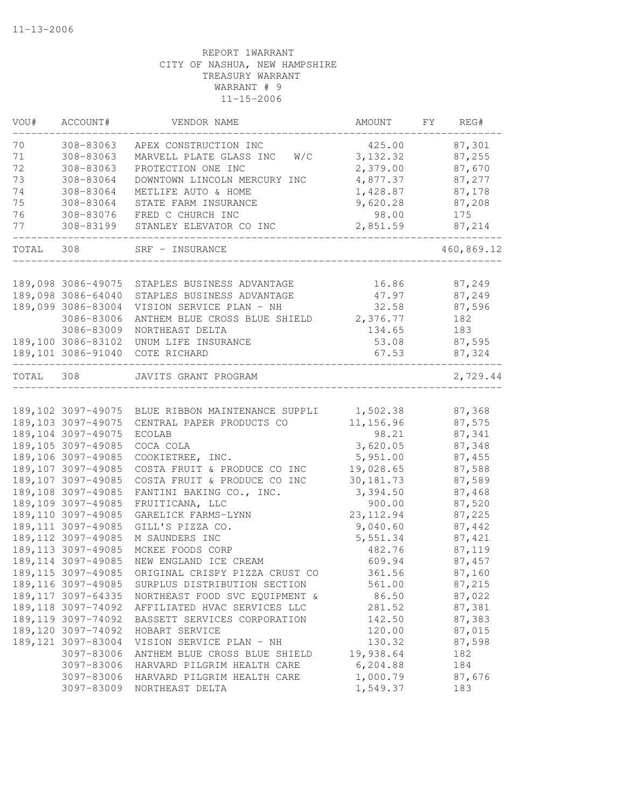| VOU#  | ACCOUNT#                                  | VENDOR NAME                                                  | AMOUNT                | FY | REG#             |
|-------|-------------------------------------------|--------------------------------------------------------------|-----------------------|----|------------------|
| 70    | 308-83063                                 | APEX CONSTRUCTION INC                                        | 425.00                |    | 87,301           |
| 71    | 308-83063                                 | W/C<br>MARVELL PLATE GLASS INC                               | 3, 132.32             |    | 87,255           |
| 72    | 308-83063                                 | PROTECTION ONE INC                                           | 2,379.00              |    | 87,670           |
| 73    | 308-83064                                 | DOWNTOWN LINCOLN MERCURY INC                                 | 4,877.37              |    | 87,277           |
| 74    | 308-83064                                 | METLIFE AUTO & HOME                                          | 1,428.87              |    | 87,178           |
| 75    | 308-83064                                 | STATE FARM INSURANCE                                         | 9,620.28              |    | 87,208           |
| 76    | 308-83076                                 | FRED C CHURCH INC                                            | 98.00                 |    | 175              |
| 77    | 308-83199                                 | STANLEY ELEVATOR CO INC                                      | 2,851.59              |    | 87,214           |
| TOTAL | 308                                       | SRF - INSURANCE                                              |                       |    | 460,869.12       |
|       |                                           |                                                              |                       |    |                  |
|       | 189,098 3086-49075                        | STAPLES BUSINESS ADVANTAGE                                   | 16.86                 |    | 87,249           |
|       | 189,098 3086-64040                        | STAPLES BUSINESS ADVANTAGE                                   | 47.97                 |    | 87,249           |
|       | 189,099 3086-83004                        | VISION SERVICE PLAN - NH                                     | 32.58                 |    | 87,596           |
|       | 3086-83006                                | ANTHEM BLUE CROSS BLUE SHIELD                                | 2,376.77              |    | 182              |
|       | 3086-83009                                | NORTHEAST DELTA                                              | 134.65                |    | 183              |
|       | 189,100 3086-83102<br>189,101 3086-91040  | UNUM LIFE INSURANCE<br>COTE RICHARD                          | 53.08<br>67.53        |    | 87,595<br>87,324 |
|       |                                           |                                                              |                       |    |                  |
| TOTAL | 308                                       | JAVITS GRANT PROGRAM                                         |                       |    | 2,729.44         |
|       |                                           |                                                              |                       |    |                  |
|       |                                           | 189,102 3097-49075 BLUE RIBBON MAINTENANCE SUPPLI            | 1,502.38              |    | 87,368           |
|       | 189,103 3097-49075                        | CENTRAL PAPER PRODUCTS CO                                    | 11,156.96             |    | 87,575           |
|       | 189,104 3097-49075                        | <b>ECOLAB</b>                                                | 98.21                 |    | 87,341           |
|       | 189,105 3097-49085                        | COCA COLA                                                    | 3,620.05              |    | 87,348           |
|       | 189,106 3097-49085                        | COOKIETREE, INC.                                             | 5,951.00              |    | 87,455           |
|       | 189,107 3097-49085                        | COSTA FRUIT & PRODUCE CO INC                                 | 19,028.65             |    | 87,588           |
|       | 189,107 3097-49085                        | COSTA FRUIT & PRODUCE CO INC                                 | 30, 181.73            |    | 87,589           |
|       | 189,108 3097-49085                        | FANTINI BAKING CO., INC.                                     | 3,394.50              |    | 87,468           |
|       | 189,109 3097-49085                        | FRUITICANA, LLC                                              | 900.00                |    | 87,520           |
|       | 189, 110 3097-49085                       | GARELICK FARMS-LYNN                                          | 23, 112.94            |    | 87,225           |
|       | 189, 111 3097-49085                       | GILL'S PIZZA CO.                                             | 9,040.60              |    | 87,442           |
|       | 189, 112 3097-49085                       | M SAUNDERS INC                                               | 5,551.34              |    | 87,421           |
|       | 189, 113 3097-49085                       | MCKEE FOODS CORP                                             | 482.76                |    | 87,119           |
|       | 189, 114 3097-49085                       | NEW ENGLAND ICE CREAM                                        | 609.94                |    | 87,457           |
|       | 189, 115 3097-49085                       | ORIGINAL CRISPY PIZZA CRUST CO                               | 361.56                |    | 87,160           |
|       | 189, 116 3097-49085                       | SURPLUS DISTRIBUTION SECTION                                 | 561.00                |    | 87,215           |
|       | 189, 117 3097-64335                       | NORTHEAST FOOD SVC EQUIPMENT &                               | 86.50                 |    | 87,022           |
|       | 189, 118 3097-74092                       | AFFILIATED HVAC SERVICES LLC                                 | 281.52                |    | 87,381           |
|       | 189, 119 3097-74092                       | BASSETT SERVICES CORPORATION                                 | 142.50                |    | 87,383           |
|       | 189, 120 3097-74092<br>189,121 3097-83004 | HOBART SERVICE                                               | 120.00                |    | 87,015           |
|       |                                           | VISION SERVICE PLAN - NH                                     | 130.32                |    | 87,598           |
|       | 3097-83006                                | ANTHEM BLUE CROSS BLUE SHIELD<br>HARVARD PILGRIM HEALTH CARE | 19,938.64<br>6,204.88 |    | 182              |
|       | 3097-83006                                |                                                              |                       |    | 184              |
|       | 3097-83006<br>3097-83009                  | HARVARD PILGRIM HEALTH CARE<br>NORTHEAST DELTA               | 1,000.79<br>1,549.37  |    | 87,676<br>183    |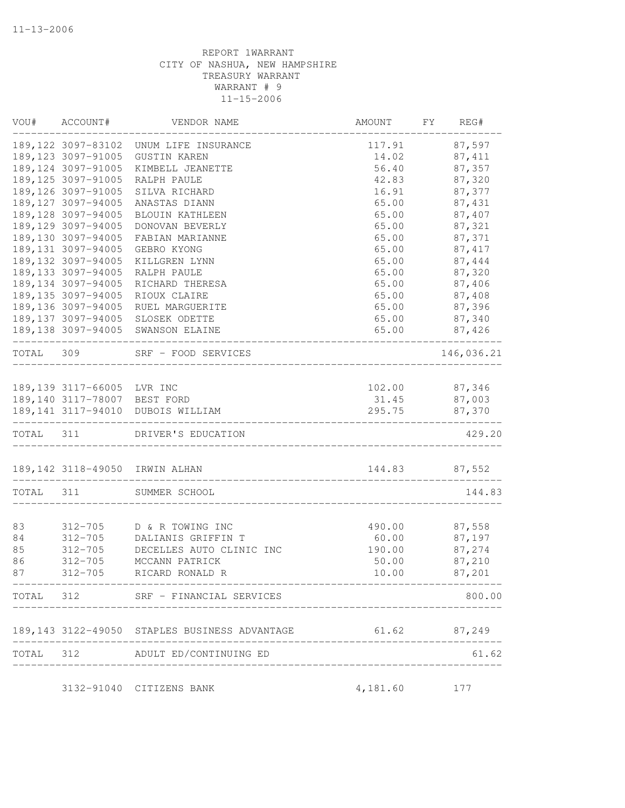| VOU#      | ACCOUNT#                            | VENDOR NAME                                                | AMOUNT                              | FY<br>REG#    |
|-----------|-------------------------------------|------------------------------------------------------------|-------------------------------------|---------------|
|           |                                     | 189,122 3097-83102 UNUM LIFE INSURANCE                     | 117.91                              | 87,597        |
|           | 189, 123 3097-91005                 | GUSTIN KAREN                                               | 14.02                               | 87, 411       |
|           | 189, 124 3097-91005                 | KIMBELL JEANETTE                                           | 56.40                               | 87,357        |
|           | 189, 125 3097-91005                 | RALPH PAULE                                                | 42.83                               | 87,320        |
|           | 189, 126 3097-91005                 | SILVA RICHARD                                              | 16.91                               | 87,377        |
|           | 189, 127 3097-94005                 | ANASTAS DIANN                                              | 65.00                               | 87,431        |
|           | 189, 128 3097-94005                 | BLOUIN KATHLEEN                                            | 65.00                               | 87,407        |
|           | 189, 129 3097-94005                 | DONOVAN BEVERLY                                            | 65.00                               | 87,321        |
|           | 189,130 3097-94005                  | FABIAN MARIANNE                                            | 65.00                               | 87,371        |
|           | 189, 131 3097-94005                 | GEBRO KYONG                                                | 65.00                               | 87, 417       |
|           | 189, 132 3097-94005                 | KILLGREN LYNN                                              | 65.00                               | 87,444        |
|           | 189, 133 3097-94005                 | RALPH PAULE                                                | 65.00                               | 87,320        |
|           | 189, 134 3097-94005                 | RICHARD THERESA                                            | 65.00                               | 87,406        |
|           | 189, 135 3097-94005                 | RIOUX CLAIRE                                               | 65.00                               | 87,408        |
|           | 189, 136 3097-94005                 | RUEL MARGUERITE                                            | 65.00                               | 87,396        |
|           | 189, 137 3097-94005                 | SLOSEK ODETTE                                              | 65.00                               | 87,340        |
|           |                                     | 189,138 3097-94005 SWANSON ELAINE                          | 65.00                               | 87,426        |
| TOTAL 309 |                                     | SRF - FOOD SERVICES                                        | -------------------------           | 146,036.21    |
|           | 189,139 3117-66005 LVR INC          |                                                            | 102.00                              | 87,346        |
|           | 189,140 3117-78007 BEST FORD        |                                                            | 31.45                               | 87,003        |
|           |                                     | 189,141 3117-94010 DUBOIS WILLIAM                          | 295.75                              | 87,370        |
|           | . <u>_____________________</u> ____ | _______________<br>TOTAL 311 DRIVER'S EDUCATION            | ____________________                | 429.20        |
|           |                                     | 189,142 3118-49050 IRWIN ALHAN                             |                                     | 144.83 87,552 |
| TOTAL 311 |                                     | SUMMER SCHOOL                                              |                                     | 144.83        |
|           |                                     |                                                            |                                     |               |
| 83        |                                     | 312-705 D & R TOWING INC                                   | 490.00                              | 87,558        |
| 84        | $312 - 705$                         | DALIANIS GRIFFIN T                                         | 60.00                               | 87,197        |
| 85        | $312 - 705$                         | DECELLES AUTO CLINIC INC                                   | 190.00                              | 87,274        |
| 86        | $312 - 705$                         | MCCANN PATRICK                                             | 50.00                               | 87,210        |
| 87        | $312 - 705$                         | RICARD RONALD R                                            | 10.00<br>____________________       | 87,201        |
|           |                                     | TOTAL 312 SRF - FINANCIAL SERVICES                         | ---------------------------------   | 800.00        |
|           |                                     | 189,143 3122-49050 STAPLES BUSINESS ADVANTAGE 61.62 87,249 |                                     |               |
|           |                                     | TOTAL 312 ADULT ED/CONTINUING ED                           |                                     | 61.62         |
|           |                                     |                                                            | ___________________________________ |               |
|           |                                     | 3132-91040 CITIZENS BANK                                   | 4,181.60                            | 177           |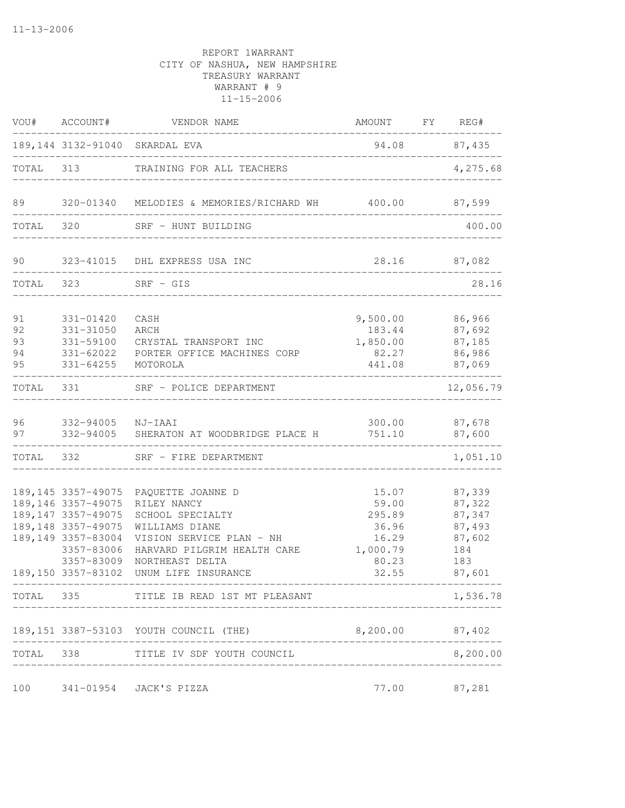|                            | VOU# ACCOUNT#                                                                                                                                                    | VENDOR NAME                                                                                                                                                                 | AMOUNT FY REG#                                                           |                                                                        |
|----------------------------|------------------------------------------------------------------------------------------------------------------------------------------------------------------|-----------------------------------------------------------------------------------------------------------------------------------------------------------------------------|--------------------------------------------------------------------------|------------------------------------------------------------------------|
|                            |                                                                                                                                                                  | 189,144 3132-91040 SKARDAL EVA<br>________________________________                                                                                                          |                                                                          | 94.08 87,435                                                           |
|                            |                                                                                                                                                                  | TOTAL 313 TRAINING FOR ALL TEACHERS<br>____________________________________                                                                                                 |                                                                          | 4,275.68                                                               |
| 89                         |                                                                                                                                                                  | 320-01340 MELODIES & MEMORIES/RICHARD WH 400.00                                                                                                                             |                                                                          | 87,599                                                                 |
| TOTAL 320                  |                                                                                                                                                                  | SRF - HUNT BUILDING                                                                                                                                                         |                                                                          | 400.00                                                                 |
| 90                         |                                                                                                                                                                  | 323-41015 DHL EXPRESS USA INC<br>________________________                                                                                                                   |                                                                          | 28.16 87,082                                                           |
| TOTAL                      | 323                                                                                                                                                              | $SRF - GIS$<br>____________________________                                                                                                                                 |                                                                          | 28.16                                                                  |
| 91<br>92<br>93<br>94<br>95 | 331-01420<br>331-31050<br>331-59100<br>331-64255                                                                                                                 | CASH<br>ARCH<br>CRYSTAL TRANSPORT INC<br>331-62022 PORTER OFFICE MACHINES CORP<br>MOTOROLA                                                                                  | 9,500.00<br>183.44<br>1,850.00<br>82.27<br>441.08                        | 86,966<br>87,692<br>87,185<br>86,986<br>87,069                         |
| TOTAL                      | 331                                                                                                                                                              | SRF - POLICE DEPARTMENT                                                                                                                                                     |                                                                          | -------<br>12,056.79                                                   |
| 96<br>97                   | 332-94005 NJ-IAAI                                                                                                                                                | 332-94005 SHERATON AT WOODBRIDGE PLACE H                                                                                                                                    | 300.00<br>751.10                                                         | 87,678<br>87,600                                                       |
|                            | TOTAL 332                                                                                                                                                        | SRF - FIRE DEPARTMENT                                                                                                                                                       |                                                                          | 1,051.10                                                               |
|                            | 189, 145 3357-49075<br>189, 146 3357-49075<br>189, 147 3357-49075<br>189, 148 3357-49075<br>189,149 3357-83004<br>3357-83006<br>3357-83009<br>189,150 3357-83102 | PAQUETTE JOANNE D<br>RILEY NANCY<br>SCHOOL SPECIALTY<br>WILLIAMS DIANE<br>VISION SERVICE PLAN - NH<br>HARVARD PILGRIM HEALTH CARE<br>NORTHEAST DELTA<br>UNUM LIFE INSURANCE | 15.07<br>59.00<br>295.89<br>36.96<br>16.29<br>1,000.79<br>80.23<br>32.55 | 87,339<br>87,322<br>87,347<br>87,493<br>87,602<br>184<br>183<br>87,601 |
|                            |                                                                                                                                                                  | TOTAL 335 TITLE IB READ 1ST MT PLEASANT                                                                                                                                     |                                                                          | 1,536.78                                                               |
|                            |                                                                                                                                                                  | 189,151 3387-53103 YOUTH COUNCIL (THE)                                                                                                                                      | 8,200.00 87,402                                                          |                                                                        |
|                            | --------------------                                                                                                                                             | TOTAL 338 TITLE IV SDF YOUTH COUNCIL                                                                                                                                        | _________________________________                                        | 8,200.00                                                               |
| 100                        |                                                                                                                                                                  | 341-01954 JACK'S PIZZA                                                                                                                                                      |                                                                          | 77.00 87,281                                                           |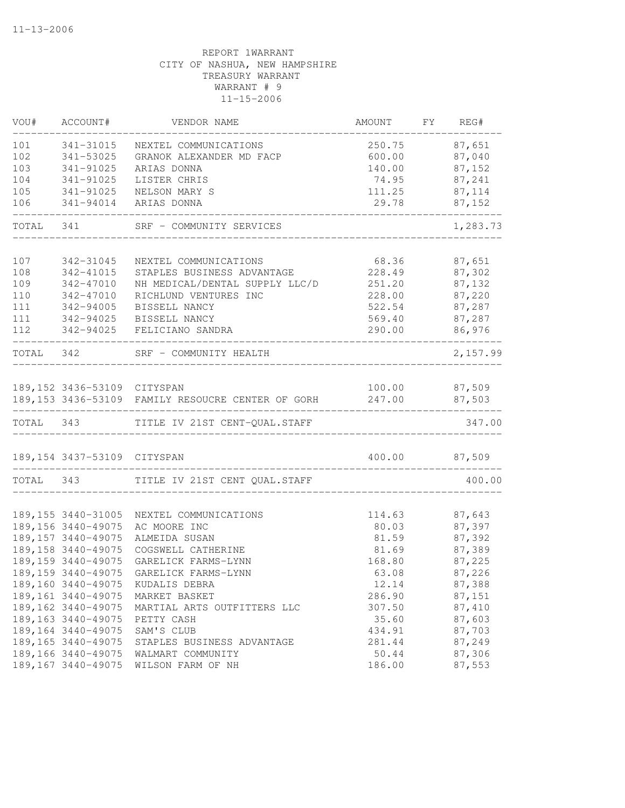| VOU#      | ACCOUNT#                    | VENDOR NAME                                       | AMOUNT          | FY REG#                 |
|-----------|-----------------------------|---------------------------------------------------|-----------------|-------------------------|
| 101       | 341-31015                   | NEXTEL COMMUNICATIONS                             | 250.75          | 87,651                  |
| 102       | 341-53025                   | GRANOK ALEXANDER MD FACP                          | 600.00          | 87,040                  |
| 103       | 341-91025                   | ARIAS DONNA                                       | 140.00          | 87,152                  |
| 104       | 341-91025                   | LISTER CHRIS                                      | 74.95           | 87,241                  |
| 105       | 341-91025                   | NELSON MARY S                                     | 111.25          | 87,114                  |
| 106       | 341-94014                   | ARIAS DONNA                                       | 29.78           | 87,152                  |
| TOTAL     | 341                         | SRF - COMMUNITY SERVICES                          |                 | 1,283.73                |
| 107       | 342-31045                   | NEXTEL COMMUNICATIONS                             | 68.36           | 87,651                  |
| 108       | 342-41015                   | STAPLES BUSINESS ADVANTAGE                        | 228.49          | 87,302                  |
| 109       | 342-47010                   | NH MEDICAL/DENTAL SUPPLY LLC/D                    | 251.20          | 87,132                  |
| 110       | 342-47010                   | RICHLUND VENTURES INC                             | 228.00          | 87,220                  |
| 111       | 342-94005                   | BISSELL NANCY                                     | 522.54          | 87,287                  |
| 111       | 342-94025                   | BISSELL NANCY                                     | 569.40          | 87,287                  |
| 112       | 342-94025                   | FELICIANO SANDRA                                  | 290.00          | 86,976                  |
| TOTAL 342 |                             | SRF - COMMUNITY HEALTH                            |                 | 2,157.99                |
|           |                             |                                                   |                 |                         |
|           | 189,152 3436-53109 CITYSPAN | 189,153 3436-53109 FAMILY RESOUCRE CENTER OF GORH | 247.00          | 100.00 87,509<br>87,503 |
|           |                             |                                                   |                 |                         |
| TOTAL 343 |                             | TITLE IV 21ST CENT-QUAL.STAFF                     |                 | 347.00                  |
|           | 189,154 3437-53109 CITYSPAN |                                                   |                 | 400.00 87,509           |
| TOTAL 343 |                             | TITLE IV 21ST CENT QUAL. STAFF                    |                 | 400.00                  |
|           | 189, 155 3440-31005         | NEXTEL COMMUNICATIONS                             | 114.63          | 87,643                  |
|           | 189, 156 3440-49075         | AC MOORE INC                                      | 80.03           | 87,397                  |
|           | 189, 157 3440-49075         | ALMEIDA SUSAN                                     | 81.59           | 87,392                  |
|           | 189, 158 3440-49075         | COGSWELL CATHERINE                                | 81.69           | 87,389                  |
|           | 189, 159 3440-49075         | GARELICK FARMS-LYNN                               | 168.80          | 87,225                  |
|           | 189, 159 3440-49075         | GARELICK FARMS-LYNN                               | 63.08           | 87,226                  |
|           |                             | 189,160 3440-49075 KUDALIS DEBRA                  | 12.14           | 87,388                  |
|           | 189,161 3440-49075          | MARKET BASKET                                     | 286.90          | 87,151                  |
|           | 189, 162 3440-49075         | MARTIAL ARTS OUTFITTERS LLC                       | 307.50          | 87,410                  |
|           | 189, 163 3440-49075         | PETTY CASH                                        | 35.60           | 87,603                  |
|           | 189, 164 3440-49075         | SAM'S CLUB                                        | 434.91          | 87,703                  |
|           | 189, 165 3440-49075         | STAPLES BUSINESS ADVANTAGE                        | 281.44          | 87,249                  |
|           | 189, 166 3440-49075         |                                                   |                 | 87,306                  |
|           | 189, 167 3440-49075         | WALMART COMMUNITY<br>WILSON FARM OF NH            | 50.44<br>186.00 | 87,553                  |
|           |                             |                                                   |                 |                         |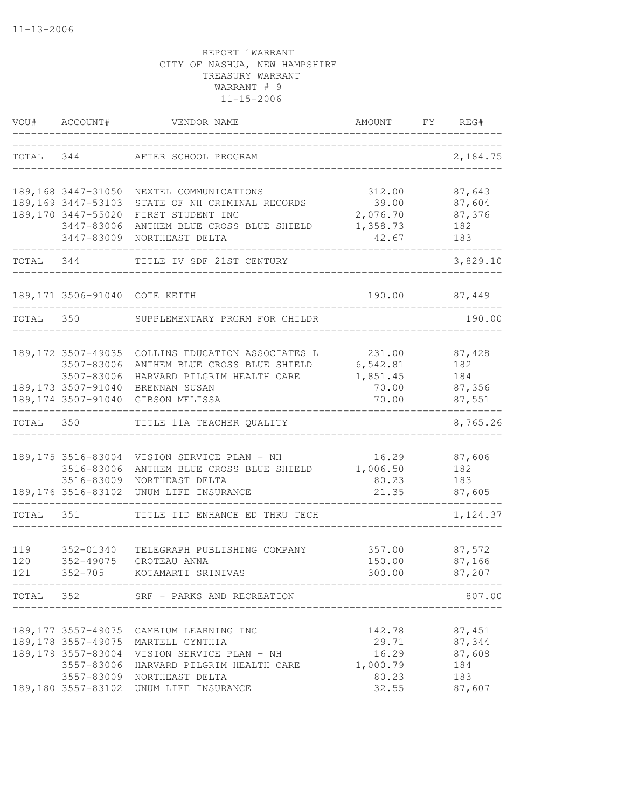| TOTAL<br>344<br>AFTER SCHOOL PROGRAM<br>87,643<br>189,168 3447-31050 NEXTEL COMMUNICATIONS<br>312.00<br>189,169 3447-53103<br>87,604<br>STATE OF NH CRIMINAL RECORDS<br>39.00<br>189,170 3447-55020<br>2,076.70<br>87,376<br>FIRST STUDENT INC<br>3447-83006<br>ANTHEM BLUE CROSS BLUE SHIELD<br>1,358.73<br>182<br>3447-83009<br>42.67<br>183<br>NORTHEAST DELTA<br>TOTAL 344<br>TITLE IV SDF 21ST CENTURY<br>189,171 3506-91040 COTE KEITH<br>190.00<br>87,449<br>TOTAL 350<br>SUPPLEMENTARY PRGRM FOR CHILDR<br>189,172 3507-49035<br>COLLINS EDUCATION ASSOCIATES L<br>231.00<br>87,428<br>ANTHEM BLUE CROSS BLUE SHIELD<br>6,542.81<br>3507-83006<br>182<br>3507-83006<br>HARVARD PILGRIM HEALTH CARE<br>1,851.45<br>184<br>189,173 3507-91040 BRENNAN SUSAN<br>70.00<br>87,356<br>70.00<br>189,174 3507-91040 GIBSON MELISSA<br>87,551<br>TOTAL 350<br>8,765.26<br>TITLE 11A TEACHER QUALITY<br>189, 175 3516-83004<br>VISION SERVICE PLAN - NH<br>16.29<br>87,606<br>3516-83006<br>ANTHEM BLUE CROSS BLUE SHIELD<br>1,006.50<br>182<br>3516-83009<br>NORTHEAST DELTA<br>80.23<br>183<br>21.35<br>189, 176 3516-83102<br>UNUM LIFE INSURANCE<br>87,605<br>TOTAL 351<br>TITLE IID ENHANCE ED THRU TECH<br>87,572<br>119<br>352-01340<br>TELEGRAPH PUBLISHING COMPANY<br>357.00<br>120<br>$352 - 49075$<br>CROTEAU ANNA<br>150.00<br>87,166<br>121<br>$352 - 705$<br>KOTAMARTI SRINIVAS<br>300.00<br>87,207<br>TOTAL 352 SRF - PARKS AND RECREATION<br>_________________________________<br>__________________________<br>87,451<br>189,177 3557-49075 CAMBIUM LEARNING INC<br>142.78<br>87,344<br>189, 178 3557-49075<br>29.71<br>MARTELL CYNTHIA<br>189, 179 3557-83004<br>16.29<br>87,608<br>VISION SERVICE PLAN - NH<br>3557-83006<br>1,000.79<br>184<br>HARVARD PILGRIM HEALTH CARE<br>3557-83009 NORTHEAST DELTA<br>80.23<br>183<br>189,180 3557-83102<br>32.55<br>UNUM LIFE INSURANCE<br>87,607 | VOU# | ACCOUNT# | VENDOR NAME | AMOUNT | FY FY | REG#     |
|------------------------------------------------------------------------------------------------------------------------------------------------------------------------------------------------------------------------------------------------------------------------------------------------------------------------------------------------------------------------------------------------------------------------------------------------------------------------------------------------------------------------------------------------------------------------------------------------------------------------------------------------------------------------------------------------------------------------------------------------------------------------------------------------------------------------------------------------------------------------------------------------------------------------------------------------------------------------------------------------------------------------------------------------------------------------------------------------------------------------------------------------------------------------------------------------------------------------------------------------------------------------------------------------------------------------------------------------------------------------------------------------------------------------------------------------------------------------------------------------------------------------------------------------------------------------------------------------------------------------------------------------------------------------------------------------------------------------------------------------------------------------------------------------------------------------------------------------------------------------------------------------------------|------|----------|-------------|--------|-------|----------|
|                                                                                                                                                                                                                                                                                                                                                                                                                                                                                                                                                                                                                                                                                                                                                                                                                                                                                                                                                                                                                                                                                                                                                                                                                                                                                                                                                                                                                                                                                                                                                                                                                                                                                                                                                                                                                                                                                                            |      |          |             |        |       | 2,184.75 |
|                                                                                                                                                                                                                                                                                                                                                                                                                                                                                                                                                                                                                                                                                                                                                                                                                                                                                                                                                                                                                                                                                                                                                                                                                                                                                                                                                                                                                                                                                                                                                                                                                                                                                                                                                                                                                                                                                                            |      |          |             |        |       |          |
|                                                                                                                                                                                                                                                                                                                                                                                                                                                                                                                                                                                                                                                                                                                                                                                                                                                                                                                                                                                                                                                                                                                                                                                                                                                                                                                                                                                                                                                                                                                                                                                                                                                                                                                                                                                                                                                                                                            |      |          |             |        |       |          |
|                                                                                                                                                                                                                                                                                                                                                                                                                                                                                                                                                                                                                                                                                                                                                                                                                                                                                                                                                                                                                                                                                                                                                                                                                                                                                                                                                                                                                                                                                                                                                                                                                                                                                                                                                                                                                                                                                                            |      |          |             |        |       |          |
|                                                                                                                                                                                                                                                                                                                                                                                                                                                                                                                                                                                                                                                                                                                                                                                                                                                                                                                                                                                                                                                                                                                                                                                                                                                                                                                                                                                                                                                                                                                                                                                                                                                                                                                                                                                                                                                                                                            |      |          |             |        |       |          |
|                                                                                                                                                                                                                                                                                                                                                                                                                                                                                                                                                                                                                                                                                                                                                                                                                                                                                                                                                                                                                                                                                                                                                                                                                                                                                                                                                                                                                                                                                                                                                                                                                                                                                                                                                                                                                                                                                                            |      |          |             |        |       |          |
|                                                                                                                                                                                                                                                                                                                                                                                                                                                                                                                                                                                                                                                                                                                                                                                                                                                                                                                                                                                                                                                                                                                                                                                                                                                                                                                                                                                                                                                                                                                                                                                                                                                                                                                                                                                                                                                                                                            |      |          |             |        |       | 3,829.10 |
|                                                                                                                                                                                                                                                                                                                                                                                                                                                                                                                                                                                                                                                                                                                                                                                                                                                                                                                                                                                                                                                                                                                                                                                                                                                                                                                                                                                                                                                                                                                                                                                                                                                                                                                                                                                                                                                                                                            |      |          |             |        |       |          |
|                                                                                                                                                                                                                                                                                                                                                                                                                                                                                                                                                                                                                                                                                                                                                                                                                                                                                                                                                                                                                                                                                                                                                                                                                                                                                                                                                                                                                                                                                                                                                                                                                                                                                                                                                                                                                                                                                                            |      |          |             |        |       | 190.00   |
|                                                                                                                                                                                                                                                                                                                                                                                                                                                                                                                                                                                                                                                                                                                                                                                                                                                                                                                                                                                                                                                                                                                                                                                                                                                                                                                                                                                                                                                                                                                                                                                                                                                                                                                                                                                                                                                                                                            |      |          |             |        |       |          |
|                                                                                                                                                                                                                                                                                                                                                                                                                                                                                                                                                                                                                                                                                                                                                                                                                                                                                                                                                                                                                                                                                                                                                                                                                                                                                                                                                                                                                                                                                                                                                                                                                                                                                                                                                                                                                                                                                                            |      |          |             |        |       |          |
|                                                                                                                                                                                                                                                                                                                                                                                                                                                                                                                                                                                                                                                                                                                                                                                                                                                                                                                                                                                                                                                                                                                                                                                                                                                                                                                                                                                                                                                                                                                                                                                                                                                                                                                                                                                                                                                                                                            |      |          |             |        |       |          |
|                                                                                                                                                                                                                                                                                                                                                                                                                                                                                                                                                                                                                                                                                                                                                                                                                                                                                                                                                                                                                                                                                                                                                                                                                                                                                                                                                                                                                                                                                                                                                                                                                                                                                                                                                                                                                                                                                                            |      |          |             |        |       |          |
|                                                                                                                                                                                                                                                                                                                                                                                                                                                                                                                                                                                                                                                                                                                                                                                                                                                                                                                                                                                                                                                                                                                                                                                                                                                                                                                                                                                                                                                                                                                                                                                                                                                                                                                                                                                                                                                                                                            |      |          |             |        |       |          |
|                                                                                                                                                                                                                                                                                                                                                                                                                                                                                                                                                                                                                                                                                                                                                                                                                                                                                                                                                                                                                                                                                                                                                                                                                                                                                                                                                                                                                                                                                                                                                                                                                                                                                                                                                                                                                                                                                                            |      |          |             |        |       |          |
|                                                                                                                                                                                                                                                                                                                                                                                                                                                                                                                                                                                                                                                                                                                                                                                                                                                                                                                                                                                                                                                                                                                                                                                                                                                                                                                                                                                                                                                                                                                                                                                                                                                                                                                                                                                                                                                                                                            |      |          |             |        |       |          |
|                                                                                                                                                                                                                                                                                                                                                                                                                                                                                                                                                                                                                                                                                                                                                                                                                                                                                                                                                                                                                                                                                                                                                                                                                                                                                                                                                                                                                                                                                                                                                                                                                                                                                                                                                                                                                                                                                                            |      |          |             |        |       |          |
|                                                                                                                                                                                                                                                                                                                                                                                                                                                                                                                                                                                                                                                                                                                                                                                                                                                                                                                                                                                                                                                                                                                                                                                                                                                                                                                                                                                                                                                                                                                                                                                                                                                                                                                                                                                                                                                                                                            |      |          |             |        |       |          |
|                                                                                                                                                                                                                                                                                                                                                                                                                                                                                                                                                                                                                                                                                                                                                                                                                                                                                                                                                                                                                                                                                                                                                                                                                                                                                                                                                                                                                                                                                                                                                                                                                                                                                                                                                                                                                                                                                                            |      |          |             |        |       |          |
|                                                                                                                                                                                                                                                                                                                                                                                                                                                                                                                                                                                                                                                                                                                                                                                                                                                                                                                                                                                                                                                                                                                                                                                                                                                                                                                                                                                                                                                                                                                                                                                                                                                                                                                                                                                                                                                                                                            |      |          |             |        |       |          |
|                                                                                                                                                                                                                                                                                                                                                                                                                                                                                                                                                                                                                                                                                                                                                                                                                                                                                                                                                                                                                                                                                                                                                                                                                                                                                                                                                                                                                                                                                                                                                                                                                                                                                                                                                                                                                                                                                                            |      |          |             |        |       | 1,124.37 |
|                                                                                                                                                                                                                                                                                                                                                                                                                                                                                                                                                                                                                                                                                                                                                                                                                                                                                                                                                                                                                                                                                                                                                                                                                                                                                                                                                                                                                                                                                                                                                                                                                                                                                                                                                                                                                                                                                                            |      |          |             |        |       |          |
|                                                                                                                                                                                                                                                                                                                                                                                                                                                                                                                                                                                                                                                                                                                                                                                                                                                                                                                                                                                                                                                                                                                                                                                                                                                                                                                                                                                                                                                                                                                                                                                                                                                                                                                                                                                                                                                                                                            |      |          |             |        |       |          |
|                                                                                                                                                                                                                                                                                                                                                                                                                                                                                                                                                                                                                                                                                                                                                                                                                                                                                                                                                                                                                                                                                                                                                                                                                                                                                                                                                                                                                                                                                                                                                                                                                                                                                                                                                                                                                                                                                                            |      |          |             |        |       |          |
|                                                                                                                                                                                                                                                                                                                                                                                                                                                                                                                                                                                                                                                                                                                                                                                                                                                                                                                                                                                                                                                                                                                                                                                                                                                                                                                                                                                                                                                                                                                                                                                                                                                                                                                                                                                                                                                                                                            |      |          |             |        |       |          |
|                                                                                                                                                                                                                                                                                                                                                                                                                                                                                                                                                                                                                                                                                                                                                                                                                                                                                                                                                                                                                                                                                                                                                                                                                                                                                                                                                                                                                                                                                                                                                                                                                                                                                                                                                                                                                                                                                                            |      |          |             |        |       | 807.00   |
|                                                                                                                                                                                                                                                                                                                                                                                                                                                                                                                                                                                                                                                                                                                                                                                                                                                                                                                                                                                                                                                                                                                                                                                                                                                                                                                                                                                                                                                                                                                                                                                                                                                                                                                                                                                                                                                                                                            |      |          |             |        |       |          |
|                                                                                                                                                                                                                                                                                                                                                                                                                                                                                                                                                                                                                                                                                                                                                                                                                                                                                                                                                                                                                                                                                                                                                                                                                                                                                                                                                                                                                                                                                                                                                                                                                                                                                                                                                                                                                                                                                                            |      |          |             |        |       |          |
|                                                                                                                                                                                                                                                                                                                                                                                                                                                                                                                                                                                                                                                                                                                                                                                                                                                                                                                                                                                                                                                                                                                                                                                                                                                                                                                                                                                                                                                                                                                                                                                                                                                                                                                                                                                                                                                                                                            |      |          |             |        |       |          |
|                                                                                                                                                                                                                                                                                                                                                                                                                                                                                                                                                                                                                                                                                                                                                                                                                                                                                                                                                                                                                                                                                                                                                                                                                                                                                                                                                                                                                                                                                                                                                                                                                                                                                                                                                                                                                                                                                                            |      |          |             |        |       |          |
|                                                                                                                                                                                                                                                                                                                                                                                                                                                                                                                                                                                                                                                                                                                                                                                                                                                                                                                                                                                                                                                                                                                                                                                                                                                                                                                                                                                                                                                                                                                                                                                                                                                                                                                                                                                                                                                                                                            |      |          |             |        |       |          |
|                                                                                                                                                                                                                                                                                                                                                                                                                                                                                                                                                                                                                                                                                                                                                                                                                                                                                                                                                                                                                                                                                                                                                                                                                                                                                                                                                                                                                                                                                                                                                                                                                                                                                                                                                                                                                                                                                                            |      |          |             |        |       |          |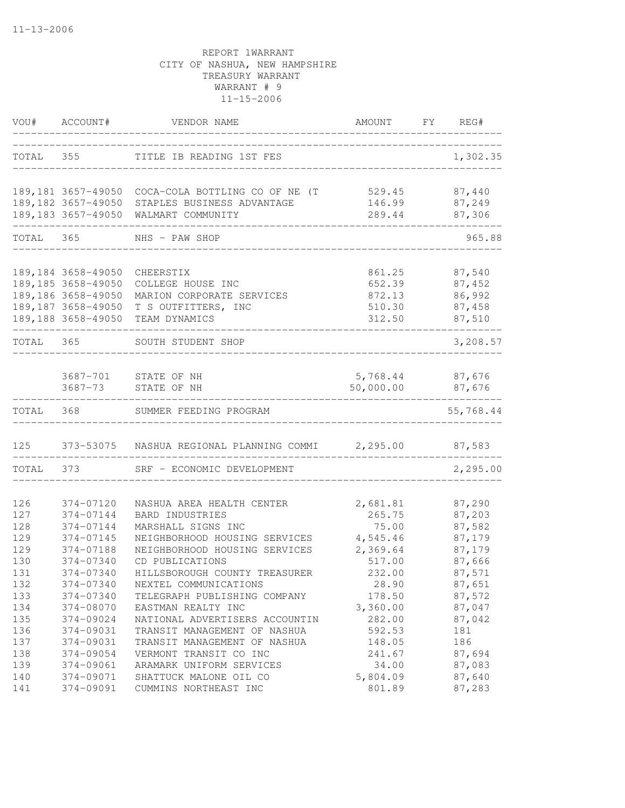| VOU#       | ACCOUNT#               | VENDOR NAME                                                    | AMOUNT FY REG#     |                  |
|------------|------------------------|----------------------------------------------------------------|--------------------|------------------|
|            | TOTAL 355              | TITLE IB READING 1ST FES                                       |                    | 1,302.35         |
|            |                        | 189,181 3657-49050 COCA-COLA BOTTLING CO OF NE (T              | 529.45             | 87,440           |
|            | 189,182 3657-49050     | STAPLES BUSINESS ADVANTAGE                                     | 146.99             | 87,249           |
|            | 189,183 3657-49050     | WALMART COMMUNITY                                              | 289.44             | 87,306           |
| TOTAL 365  |                        | NHS - PAW SHOP                                                 |                    | 965.88           |
|            | 189, 184 3658-49050    | CHEERSTIX                                                      | 861.25             | 87,540           |
|            | 189, 185 3658-49050    | COLLEGE HOUSE INC                                              | 652.39             | 87,452           |
|            | 189,186 3658-49050     | MARION CORPORATE SERVICES                                      | 872.13             | 86,992           |
|            | 189, 187 3658-49050    | T S OUTFITTERS, INC                                            | 510.30             | 87,458           |
|            | 189,188 3658-49050     | TEAM DYNAMICS                                                  | 312.50             | 87,510           |
| TOTAL 365  |                        | SOUTH STUDENT SHOP                                             |                    | 3,208.57         |
|            |                        |                                                                |                    |                  |
|            |                        | 3687-701 STATE OF NH                                           | 5,768.44 87,676    |                  |
|            |                        | 3687-73 STATE OF NH                                            | 50,000.00 87,676   |                  |
| TOTAL 368  |                        | SUMMER FEEDING PROGRAM                                         |                    | 55,768.44        |
| 125        |                        | 373-53075 NASHUA REGIONAL PLANNING COMMI 2,295.00 87,583       |                    |                  |
| TOTAL      | 373                    | SRF - ECONOMIC DEVELOPMENT                                     |                    | 2,295.00         |
|            |                        |                                                                |                    |                  |
| 126        | 374-07120              | NASHUA AREA HEALTH CENTER                                      | 2,681.81           | 87,290           |
| 127        | 374-07144<br>374-07144 | BARD INDUSTRIES                                                | 265.75             | 87,203           |
| 128<br>129 | 374-07145              | MARSHALL SIGNS INC                                             | 75.00<br>4,545.46  | 87,582<br>87,179 |
| 129        | 374-07188              | NEIGHBORHOOD HOUSING SERVICES<br>NEIGHBORHOOD HOUSING SERVICES | 2,369.64           | 87,179           |
| 130        | 374-07340              | CD PUBLICATIONS                                                | 517.00             | 87,666           |
| 131        | 374-07340              | HILLSBOROUGH COUNTY TREASURER                                  | 232.00             |                  |
|            | 374-07340              |                                                                |                    | 87,571           |
| 132        |                        | NEXTEL COMMUNICATIONS                                          | 28.90              | 87,651           |
| 133        | 374-07340              | TELEGRAPH PUBLISHING COMPANY                                   | 178.50             | 87,572           |
| 134<br>135 | 374-08070              | EASTMAN REALTY INC                                             | 3,360.00<br>282.00 | 87,047           |
| 136        | 374-09024<br>374-09031 | NATIONAL ADVERTISERS ACCOUNTIN                                 | 592.53             | 87,042<br>181    |
|            |                        | TRANSIT MANAGEMENT OF NASHUA<br>TRANSIT MANAGEMENT OF NASHUA   |                    | 186              |
| 137<br>138 | 374-09031<br>374-09054 |                                                                | 148.05<br>241.67   | 87,694           |
| 139        | 374-09061              | VERMONT TRANSIT CO INC<br>ARAMARK UNIFORM SERVICES             | 34.00              | 87,083           |
| 140        | 374-09071              | SHATTUCK MALONE OIL CO                                         | 5,804.09           | 87,640           |
| 141        | 374-09091              | CUMMINS NORTHEAST INC                                          | 801.89             | 87,283           |
|            |                        |                                                                |                    |                  |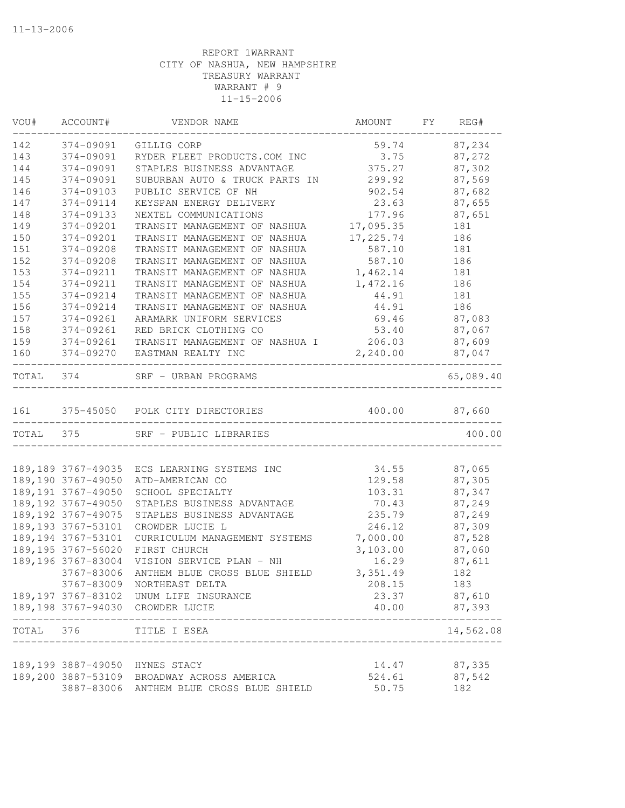| VOU#      | ACCOUNT#            | VENDOR NAME                                                                 | AMOUNT          | FY REG#       |
|-----------|---------------------|-----------------------------------------------------------------------------|-----------------|---------------|
| 142       | 374-09091           | GILLIG CORP                                                                 | 59.74           | 87,234        |
| 143       | 374-09091           | RYDER FLEET PRODUCTS.COM INC                                                | 3.75            | 87,272        |
| 144       | 374-09091           | STAPLES BUSINESS ADVANTAGE                                                  | 375.27          | 87,302        |
| 145       | 374-09091           | SUBURBAN AUTO & TRUCK PARTS IN                                              | 299.92          | 87,569        |
| 146       | 374-09103           | PUBLIC SERVICE OF NH                                                        | 902.54          | 87,682        |
| 147       | 374-09114           | KEYSPAN ENERGY DELIVERY                                                     | 23.63           | 87,655        |
| 148       | 374-09133           | NEXTEL COMMUNICATIONS                                                       | 177.96          | 87,651        |
| 149       | 374-09201           | TRANSIT MANAGEMENT OF NASHUA                                                | 17,095.35       | 181           |
| 150       | 374-09201           | TRANSIT MANAGEMENT OF NASHUA                                                | 17,225.74       | 186           |
| 151       | 374-09208           | TRANSIT MANAGEMENT OF NASHUA                                                | 587.10          | 181           |
| 152       | 374-09208           | TRANSIT MANAGEMENT OF NASHUA                                                | 587.10          | 186           |
| 153       | 374-09211           | TRANSIT MANAGEMENT OF NASHUA                                                | 1,462.14        | 181           |
| 154       | 374-09211           | TRANSIT MANAGEMENT OF NASHUA                                                | 1,472.16        | 186           |
| 155       | 374-09214           | TRANSIT MANAGEMENT OF NASHUA                                                | 44.91           | 181           |
| 156       | 374-09214           | TRANSIT MANAGEMENT OF NASHUA                                                | 44.91           | 186           |
| 157       | 374-09261           | ARAMARK UNIFORM SERVICES                                                    | 69.46           | 87,083        |
| 158       | 374-09261           | RED BRICK CLOTHING CO                                                       | 53.40           | 87,067        |
| 159       | 374-09261           | TRANSIT MANAGEMENT OF NASHUA I                                              | 206.03          | 87,609        |
| 160       | 374-09270           | EASTMAN REALTY INC                                                          | 2,240.00        | 87,047        |
| TOTAL 374 |                     | SRF - URBAN PROGRAMS                                                        |                 | 65,089.40     |
|           |                     | 161 375-45050 POLK CITY DIRECTORIES                                         | 400.00          | 87,660        |
|           |                     |                                                                             |                 |               |
| TOTAL 375 |                     | SRF - PUBLIC LIBRARIES                                                      |                 | 400.00        |
|           | 189, 189 3767-49035 | ECS LEARNING SYSTEMS INC                                                    | 34.55           | 87,065        |
|           | 189,190 3767-49050  | ATD-AMERICAN CO                                                             | 129.58          | 87,305        |
|           | 189, 191 3767-49050 | SCHOOL SPECIALTY                                                            | 103.31          | 87,347        |
|           | 189, 192 3767-49050 | STAPLES BUSINESS ADVANTAGE                                                  | 70.43           | 87,249        |
|           | 189, 192 3767-49075 | STAPLES BUSINESS ADVANTAGE                                                  | 235.79          | 87,249        |
|           | 189, 193 3767-53101 | CROWDER LUCIE L                                                             | 246.12          | 87,309        |
|           | 189, 194 3767-53101 | CURRICULUM MANAGEMENT SYSTEMS                                               | 7,000.00        | 87,528        |
|           | 189, 195 3767-56020 | FIRST CHURCH                                                                | 3,103.00        | 87,060        |
|           | 189,196 3767-83004  | VISION SERVICE PLAN - NH                                                    | 16.29           | 87,611        |
|           | 3767-83006          | ANTHEM BLUE CROSS BLUE SHIELD                                               | 3,351.49        | 182           |
|           |                     | 3767-83009 NORTHEAST DELTA                                                  | 208.15          | 183           |
|           |                     | 189,197 3767-83102 UNUM LIFE INSURANCE                                      | 23.37           | 87,610        |
|           |                     | 189,198 3767-94030 CROWDER LUCIE                                            | 40.00           | 87,393        |
| TOTAL     | 376                 | ______________<br>TITLE I ESEA                                              |                 | 14,562.08     |
|           |                     |                                                                             |                 |               |
|           |                     | 189,199 3887-49050 HYNES STACY                                              | 14.47           | 87,335        |
|           | 3887-83006          | 189,200 3887-53109 BROADWAY ACROSS AMERICA<br>ANTHEM BLUE CROSS BLUE SHIELD | 524.61<br>50.75 | 87,542<br>182 |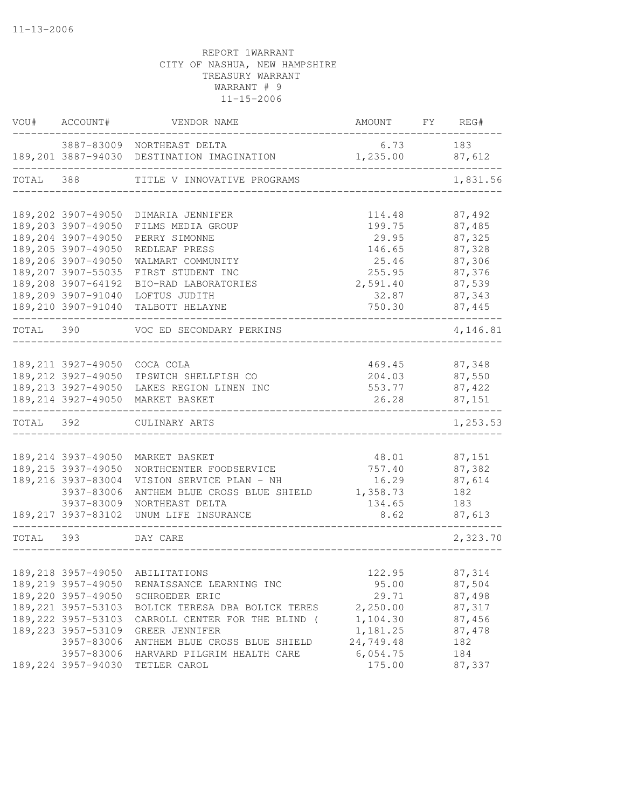|           | VOU# ACCOUNT#                | VENDOR NAME                                | AMOUNT    | FY REG#  |
|-----------|------------------------------|--------------------------------------------|-----------|----------|
|           |                              | 3887-83009 NORTHEAST DELTA                 | 6.73      | 183      |
|           |                              | 189,201 3887-94030 DESTINATION IMAGINATION | 1,235.00  | 87,612   |
| TOTAL 388 |                              | TITLE V INNOVATIVE PROGRAMS                |           | 1,831.56 |
|           |                              |                                            |           |          |
|           | 189,202 3907-49050           | DIMARIA JENNIFER                           | 114.48    | 87,492   |
|           | 189,203 3907-49050           | FILMS MEDIA GROUP                          | 199.75    | 87,485   |
|           | 189,204 3907-49050           | PERRY SIMONNE                              | 29.95     | 87,325   |
|           | 189,205 3907-49050           | REDLEAF PRESS                              | 146.65    | 87,328   |
|           | 189,206 3907-49050           | WALMART COMMUNITY                          | 25.46     | 87,306   |
|           | 189,207 3907-55035           | FIRST STUDENT INC                          | 255.95    | 87,376   |
|           | 189,208 3907-64192           | BIO-RAD LABORATORIES                       | 2,591.40  | 87,539   |
|           | 189,209 3907-91040           | LOFTUS JUDITH                              | 32.87     | 87,343   |
|           | 189,210 3907-91040           | TALBOTT HELAYNE                            | 750.30    | 87,445   |
|           |                              | TOTAL 390 VOC ED SECONDARY PERKINS         |           | 4,146.81 |
|           |                              |                                            |           |          |
|           | 189,211 3927-49050 COCA COLA |                                            | 469.45    | 87,348   |
|           |                              | 189, 212 3927-49050 IPSWICH SHELLFISH CO   | 204.03    | 87,550   |
|           |                              | 189, 213 3927-49050 LAKES REGION LINEN INC | 553.77    | 87,422   |
|           |                              | 189,214 3927-49050 MARKET BASKET           | 26.28     | 87,151   |
| TOTAL 392 |                              | CULINARY ARTS                              |           | 1,253.53 |
|           |                              |                                            |           |          |
|           | 189, 214 3937-49050          | MARKET BASKET                              | 48.01     | 87,151   |
|           | 189, 215 3937-49050          | NORTHCENTER FOODSERVICE                    | 757.40    | 87,382   |
|           | 189,216 3937-83004           | VISION SERVICE PLAN - NH                   | 16.29     | 87,614   |
|           | 3937-83006                   | ANTHEM BLUE CROSS BLUE SHIELD              | 1,358.73  | 182      |
|           | 3937-83009                   | NORTHEAST DELTA                            | 134.65    | 183      |
|           | 189, 217 3937-83102          | UNUM LIFE INSURANCE                        | 8.62      | 87,613   |
| TOTAL 393 |                              | DAY CARE                                   |           | 2,323.70 |
|           |                              |                                            |           |          |
|           |                              | 189, 218 3957-49050 ABILITATIONS           | 122.95    | 87,314   |
|           | 189,219 3957-49050           | RENAISSANCE LEARNING INC                   | 95.00     | 87,504   |
|           | 189,220 3957-49050           | SCHROEDER ERIC                             | 29.71     | 87,498   |
|           | 189, 221 3957-53103          | BOLICK TERESA DBA BOLICK TERES             | 2,250.00  | 87,317   |
|           | 189, 222 3957-53103          | CARROLL CENTER FOR THE BLIND (             | 1,104.30  | 87,456   |
|           | 189, 223 3957-53109          | GREER JENNIFER                             | 1,181.25  | 87,478   |
|           | 3957-83006                   | ANTHEM BLUE CROSS BLUE SHIELD              | 24,749.48 | 182      |
|           | 3957-83006                   | HARVARD PILGRIM HEALTH CARE                | 6,054.75  | 184      |
|           | 189, 224 3957-94030          | TETLER CAROL                               | 175.00    | 87,337   |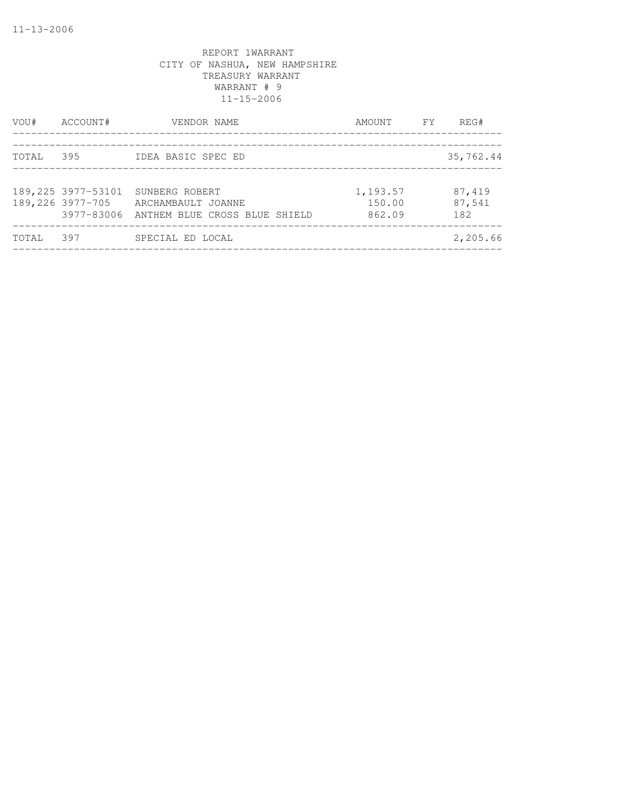| VOU#  | ACCOUNT#                                | VENDOR NAME                                                                      | AMOUNT FY                    | REG#                    |
|-------|-----------------------------------------|----------------------------------------------------------------------------------|------------------------------|-------------------------|
| TOTAL | 395                                     | IDEA BASIC SPEC ED                                                               |                              | 35,762.44               |
|       | 189, 225 3977-53101<br>189,226 3977-705 | SUNBERG ROBERT<br>ARCHAMBAULT JOANNE<br>3977-83006 ANTHEM BLUE CROSS BLUE SHIELD | 1,193.57<br>150.00<br>862.09 | 87,419<br>87,541<br>182 |
| TOTAL | 397                                     | SPECIAL ED LOCAL                                                                 |                              | 2,205.66                |
|       |                                         |                                                                                  |                              |                         |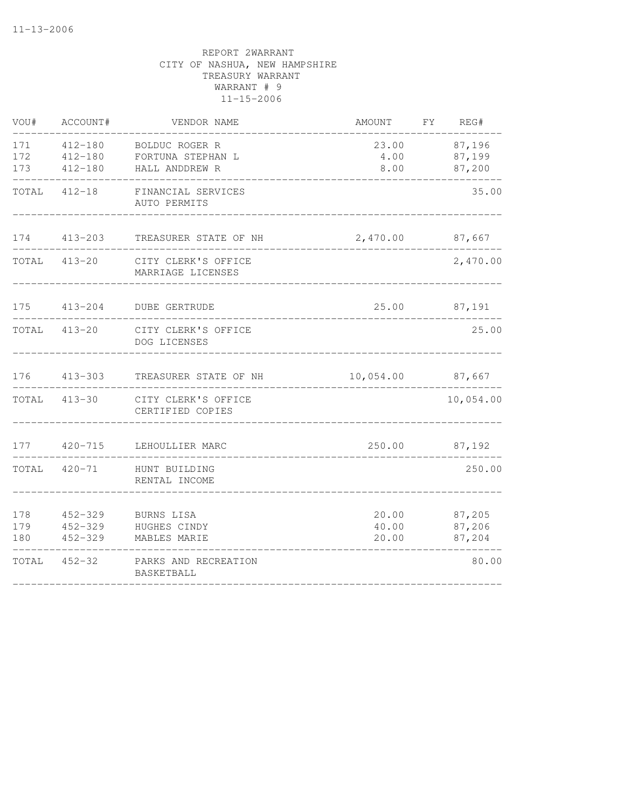| VOU#              | ACCOUNT#                                  | VENDOR NAME                                           | AMOUNT                  | FY REG#                    |
|-------------------|-------------------------------------------|-------------------------------------------------------|-------------------------|----------------------------|
| 171<br>172<br>173 | $412 - 180$<br>$412 - 180$<br>$412 - 180$ | BOLDUC ROGER R<br>FORTUNA STEPHAN L<br>HALL ANDDREW R | 23.00<br>4.00<br>8.00   | 87,196<br>87,199<br>87,200 |
| TOTAL             | $412 - 18$                                | FINANCIAL SERVICES<br>AUTO PERMITS                    |                         | 35.00                      |
| 174               | $413 - 203$                               | TREASURER STATE OF NH                                 | 2,470.00                | 87,667                     |
|                   | TOTAL 413-20                              | CITY CLERK'S OFFICE<br>MARRIAGE LICENSES              |                         | 2,470.00                   |
| 175               | $413 - 204$                               | <b>DUBE GERTRUDE</b>                                  | 25.00                   | 87,191                     |
| TOTAL             | $413 - 20$                                | CITY CLERK'S OFFICE<br>DOG LICENSES                   |                         | 25.00                      |
| 176               | $413 - 303$                               | TREASURER STATE OF NH                                 | 10,054.00 87,667        |                            |
| TOTAL             | $413 - 30$                                | CITY CLERK'S OFFICE<br>CERTIFIED COPIES               |                         | 10,054.00                  |
| 177               | $420 - 715$                               | LEHOULLIER MARC                                       | 250.00                  | 87,192                     |
| TOTAL             | $420 - 71$                                | HUNT BUILDING<br>RENTAL INCOME                        |                         | 250.00                     |
| 178<br>179<br>180 | $452 - 329$<br>$452 - 329$<br>$452 - 329$ | BURNS LISA<br>HUGHES CINDY<br>MABLES MARIE            | 20.00<br>40.00<br>20.00 | 87,205<br>87,206<br>87,204 |
| TOTAL             | $452 - 32$                                | PARKS AND RECREATION<br>BASKETBALL                    |                         | 80.00                      |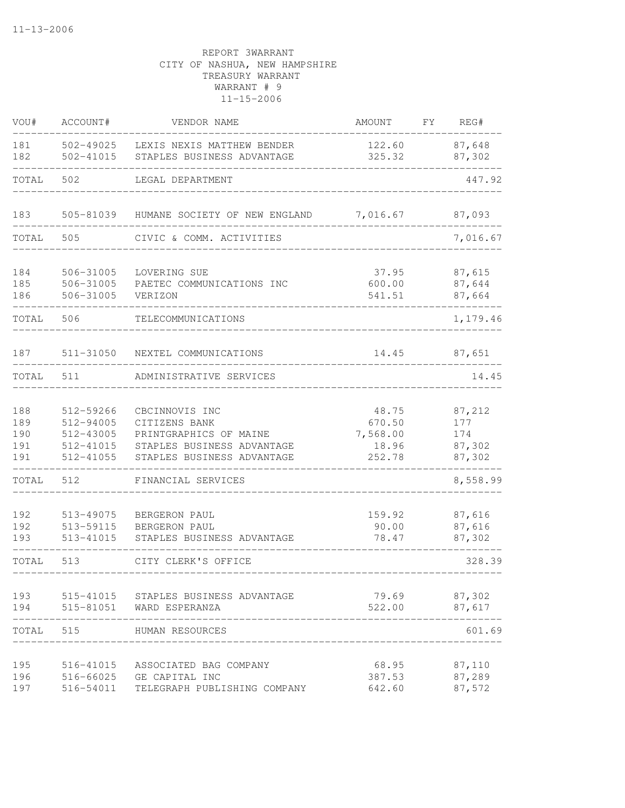| VOU#                            | ACCOUNT#                                                      | VENDOR NAME                                                                                                           | AMOUNT                                         | FΥ | REG#                                     |
|---------------------------------|---------------------------------------------------------------|-----------------------------------------------------------------------------------------------------------------------|------------------------------------------------|----|------------------------------------------|
| 181<br>182                      | 502-49025<br>502-41015                                        | LEXIS NEXIS MATTHEW BENDER<br>STAPLES BUSINESS ADVANTAGE                                                              | 122.60<br>325.32                               |    | 87,648<br>87,302                         |
| TOTAL                           | 502                                                           | LEGAL DEPARTMENT                                                                                                      |                                                |    | 447.92                                   |
| 183                             | 505-81039                                                     | HUMANE SOCIETY OF NEW ENGLAND                                                                                         | 7,016.67                                       |    | 87,093                                   |
| TOTAL                           | 505                                                           | CIVIC & COMM. ACTIVITIES                                                                                              |                                                |    | 7,016.67                                 |
| 184<br>185<br>186               | 506-31005<br>506-31005<br>506-31005                           | LOVERING SUE<br>PAETEC COMMUNICATIONS INC<br>VERIZON                                                                  | 37.95<br>600.00<br>541.51                      |    | 87,615<br>87,644<br>87,664               |
| TOTAL                           | 506                                                           | TELECOMMUNICATIONS                                                                                                    |                                                |    | 1,179.46                                 |
| 187                             | 511-31050                                                     | NEXTEL COMMUNICATIONS                                                                                                 | 14.45                                          |    | 87,651                                   |
| TOTAL                           | 511                                                           | ADMINISTRATIVE SERVICES                                                                                               |                                                |    | 14.45                                    |
| 188<br>189<br>190<br>191<br>191 | 512-59266<br>512-94005<br>512-43005<br>512-41015<br>512-41055 | CBCINNOVIS INC<br>CITIZENS BANK<br>PRINTGRAPHICS OF MAINE<br>STAPLES BUSINESS ADVANTAGE<br>STAPLES BUSINESS ADVANTAGE | 48.75<br>670.50<br>7,568.00<br>18.96<br>252.78 |    | 87,212<br>177<br>174<br>87,302<br>87,302 |
| TOTAL                           | 512                                                           | FINANCIAL SERVICES                                                                                                    |                                                |    | 8,558.99                                 |
| 192<br>192<br>193               | 513-49075<br>513-59115<br>513-41015                           | BERGERON PAUL<br>BERGERON PAUL<br>STAPLES BUSINESS ADVANTAGE                                                          | 159.92<br>90.00<br>78.47                       |    | 87,616<br>87,616<br>87,302               |
| TOTAL                           | 513                                                           | CITY CLERK'S OFFICE                                                                                                   |                                                |    | 328.39                                   |
| 193<br>194                      | 515-41015<br>515-81051                                        | STAPLES BUSINESS ADVANTAGE<br>WARD ESPERANZA                                                                          | 79.69<br>522.00                                |    | 87,302<br>87,617                         |
| TOTAL                           | 515                                                           | HUMAN RESOURCES                                                                                                       |                                                |    | 601.69                                   |
| 195<br>196<br>197               | 516-41015<br>516-66025<br>516-54011                           | ASSOCIATED BAG COMPANY<br>GE CAPITAL INC<br>TELEGRAPH PUBLISHING COMPANY                                              | 68.95<br>387.53<br>642.60                      |    | 87,110<br>87,289<br>87,572               |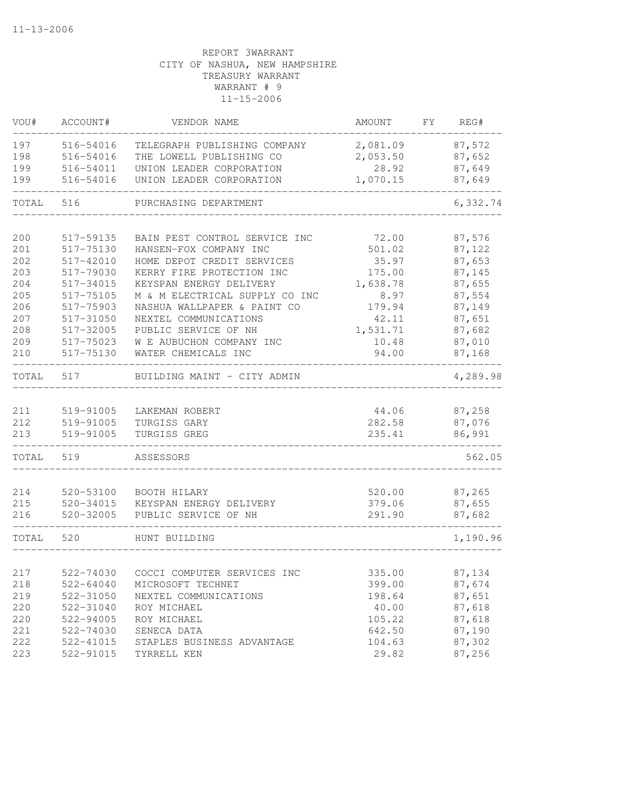| VOU#  | ACCOUNT#               | VENDOR NAME                    | AMOUNT           | FY | REG#             |
|-------|------------------------|--------------------------------|------------------|----|------------------|
| 197   | 516-54016              | TELEGRAPH PUBLISHING COMPANY   | 2,081.09         |    | 87,572           |
| 198   | 516-54016              | THE LOWELL PUBLISHING CO       | 2,053.50         |    | 87,652           |
| 199   | 516-54011              | UNION LEADER CORPORATION       | 28.92            |    | 87,649           |
| 199   | 516-54016              | UNION LEADER CORPORATION       | 1,070.15         |    | 87,649           |
| TOTAL | 516                    | PURCHASING DEPARTMENT          |                  |    | 6,332.74         |
| 200   | 517-59135              | BAIN PEST CONTROL SERVICE INC  | 72.00            |    | 87,576           |
| 201   | 517-75130              | HANSEN-FOX COMPANY INC         | 501.02           |    | 87,122           |
| 202   | 517-42010              | HOME DEPOT CREDIT SERVICES     | 35.97            |    | 87,653           |
| 203   | 517-79030              | KERRY FIRE PROTECTION INC      | 175.00           |    | 87,145           |
| 204   | 517-34015              | KEYSPAN ENERGY DELIVERY        | 1,638.78         |    | 87,655           |
| 205   | 517-75105              | M & M ELECTRICAL SUPPLY CO INC | 8.97             |    | 87,554           |
| 206   | 517-75903              | NASHUA WALLPAPER & PAINT CO    | 179.94           |    | 87,149           |
| 207   | 517-31050              | NEXTEL COMMUNICATIONS          | 42.11            |    | 87,651           |
| 208   | 517-32005              | PUBLIC SERVICE OF NH           | 1,531.71         |    | 87,682           |
| 209   | 517-75023              | W E AUBUCHON COMPANY INC       | 10.48            |    | 87,010           |
| 210   | 517-75130              | WATER CHEMICALS INC            | 94.00            |    | 87,168           |
|       |                        |                                |                  |    |                  |
| TOTAL | 517                    | BUILDING MAINT - CITY ADMIN    |                  |    | 4,289.98         |
| 211   | 519-91005              |                                |                  |    |                  |
| 212   |                        | LAKEMAN ROBERT                 | 44.06            |    | 87,258<br>87,076 |
| 213   | 519-91005<br>519-91005 | TURGISS GARY<br>TURGISS GREG   | 282.58<br>235.41 |    | 86,991           |
|       |                        |                                |                  |    |                  |
| TOTAL | 519                    | ASSESSORS                      |                  |    | 562.05           |
| 214   | 520-53100              | BOOTH HILARY                   |                  |    | 87,265           |
| 215   | 520-34015              | KEYSPAN ENERGY DELIVERY        | 520.00<br>379.06 |    | 87,655           |
| 216   | 520-32005              | PUBLIC SERVICE OF NH           | 291.90           |    | 87,682           |
|       |                        |                                |                  |    |                  |
| TOTAL | 520                    | HUNT BUILDING                  |                  |    | 1,190.96         |
|       |                        |                                |                  |    |                  |
| 217   | 522-74030              | COCCI COMPUTER SERVICES INC    | 335.00           |    | 87,134           |
| 218   | 522-64040              | MICROSOFT TECHNET              | 399.00           |    | 87,674           |
| 219   | 522-31050              | NEXTEL COMMUNICATIONS          | 198.64           |    | 87,651           |
| 220   | 522-31040              | ROY MICHAEL                    | 40.00            |    | 87,618           |
| 220   | 522-94005              | ROY MICHAEL                    | 105.22           |    | 87,618           |
| 221   | 522-74030              | SENECA DATA                    | 642.50           |    | 87,190           |
| 222   | 522-41015              | STAPLES BUSINESS ADVANTAGE     | 104.63           |    | 87,302           |
| 223   | 522-91015              | TYRRELL KEN                    | 29.82            |    | 87,256           |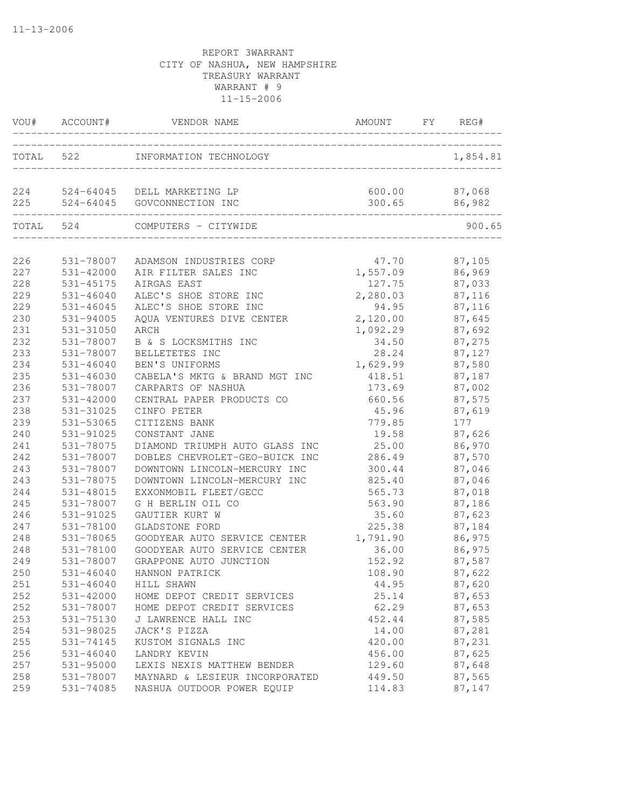|     |               | VOU# ACCOUNT# VENDOR NAME ANOUNT FY REC                            | AMOUNT FY REG#                 |          |
|-----|---------------|--------------------------------------------------------------------|--------------------------------|----------|
|     |               | TOTAL 522 INFORMATION TECHNOLOGY                                   |                                | 1,854.81 |
|     |               | 224 524-64045 DELL MARKETING LP<br>225 524-64045 GOVCONNECTION INC | 600.00 87,068<br>300.65 86,982 |          |
|     | TOTAL 524     | COMPUTERS - CITYWIDE                                               |                                | 900.65   |
| 226 |               | 531-78007 ADAMSON INDUSTRIES CORP                                  | 47.70 87,105                   |          |
| 227 | 531-42000     | AIR FILTER SALES INC                                               | 1,557.09 86,969                |          |
| 228 | 531-45175     | AIRGAS EAST                                                        | 127.75 87,033                  |          |
| 229 | 531-46040     | ALEC'S SHOE STORE INC                                              | 2,280.03 87,116                |          |
| 229 | 531-46045     | ALEC'S SHOE STORE INC                                              | 94.95 87,116                   |          |
| 230 | 531-94005     | AQUA VENTURES DIVE CENTER                                          | 2,120.00 87,645                |          |
| 231 | 531-31050     | ARCH                                                               | 1,092.29                       | 87,692   |
| 232 | 531-78007     | B & S LOCKSMITHS INC                                               | 34.50                          | 87,275   |
| 233 | 531-78007     | BELLETETES INC                                                     | 28.24                          | 87,127   |
| 234 | 531-46040     | BEN'S UNIFORMS                                                     | 1,629.99                       | 87,580   |
| 235 | 531-46030     | CABELA'S MKTG & BRAND MGT INC                                      | 418.51                         | 87,187   |
| 236 | 531-78007     | CARPARTS OF NASHUA                                                 | 173.69                         | 87,002   |
| 237 | 531-42000     | CENTRAL PAPER PRODUCTS CO                                          | 660.56                         | 87,575   |
| 238 | 531-31025     | CINFO PETER                                                        | 45.96                          | 87,619   |
| 239 | 531-53065     | CITIZENS BANK                                                      | 779.85                         | 177      |
| 240 | 531-91025     | CONSTANT JANE                                                      | 19.58                          | 87,626   |
| 241 | 531-78075     | DIAMOND TRIUMPH AUTO GLASS INC                                     | 25.00                          | 86,970   |
| 242 | 531-78007     | DOBLES CHEVROLET-GEO-BUICK INC                                     | 286.49                         | 87,570   |
| 243 | 531-78007     | DOWNTOWN LINCOLN-MERCURY INC                                       | 300.44                         | 87,046   |
| 243 | 531-78075     | DOWNTOWN LINCOLN-MERCURY INC                                       | 825.40                         | 87,046   |
| 244 | 531-48015     | EXXONMOBIL FLEET/GECC                                              | 565.73                         | 87,018   |
| 245 | 531-78007     | G H BERLIN OIL CO                                                  | 563.90                         | 87,186   |
| 246 | 531-91025     | GAUTIER KURT W                                                     | 35.60                          | 87,623   |
| 247 | 531-78100     | GLADSTONE FORD                                                     | 225.38 87,184                  |          |
| 248 | 531-78065     | GOODYEAR AUTO SERVICE CENTER                                       | 1,791.90                       | 86,975   |
| 248 | 531-78100     | GOODYEAR AUTO SERVICE CENTER                                       | 36.00                          | 86,975   |
| 249 | 531-78007     | GRAPPONE AUTO JUNCTION                                             | 152.92                         | 87,587   |
| 250 | 531-46040     | HANNON PATRICK                                                     | 108.90                         | 87,622   |
| 251 | 531-46040     | HILL SHAWN                                                         | 44.95                          | 87,620   |
| 252 | 531-42000     | HOME DEPOT CREDIT SERVICES                                         | 25.14                          | 87,653   |
| 252 | 531-78007     | HOME DEPOT CREDIT SERVICES                                         | 62.29                          | 87,653   |
| 253 | 531-75130     | J LAWRENCE HALL INC                                                | 452.44                         | 87,585   |
| 254 | 531-98025     | JACK'S PIZZA                                                       | 14.00                          | 87,281   |
| 255 | 531-74145     | KUSTOM SIGNALS INC                                                 | 420.00                         | 87,231   |
| 256 | $531 - 46040$ | LANDRY KEVIN                                                       | 456.00                         | 87,625   |
| 257 | 531-95000     | LEXIS NEXIS MATTHEW BENDER                                         | 129.60                         | 87,648   |
| 258 | 531-78007     | MAYNARD & LESIEUR INCORPORATED                                     | 449.50                         | 87,565   |
| 259 | 531-74085     | NASHUA OUTDOOR POWER EQUIP                                         | 114.83                         | 87,147   |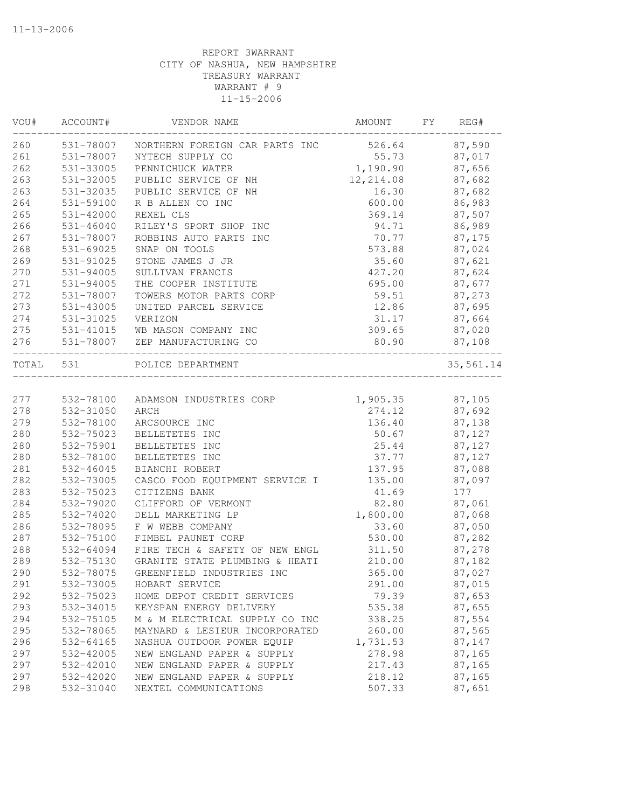| VOU#      | ACCOUNT#      | VENDOR NAME                           | AMOUNT    | FΥ | REG#      |
|-----------|---------------|---------------------------------------|-----------|----|-----------|
| 260       | 531-78007     | NORTHERN FOREIGN CAR PARTS INC 526.64 |           |    | 87,590    |
| 261       | 531-78007     | NYTECH SUPPLY CO                      | 55.73     |    | 87,017    |
| 262       | 531-33005     | PENNICHUCK WATER                      | 1,190.90  |    | 87,656    |
| 263       | 531-32005     | PUBLIC SERVICE OF NH                  | 12,214.08 |    | 87,682    |
| 263       | 531-32035     | PUBLIC SERVICE OF NH                  | 16.30     |    | 87,682    |
| 264       | 531-59100     | R B ALLEN CO INC                      | 600.00    |    | 86,983    |
| 265       | 531-42000     | REXEL CLS                             | 369.14    |    | 87,507    |
| 266       | $531 - 46040$ | RILEY'S SPORT SHOP INC                | 94.71     |    | 86,989    |
| 267       | 531-78007     | ROBBINS AUTO PARTS INC                | 70.77     |    | 87,175    |
| 268       | $531 - 69025$ | SNAP ON TOOLS                         | 573.88    |    | 87,024    |
| 269       | 531-91025     | STONE JAMES J JR                      | 35.60     |    | 87,621    |
| 270       | 531-94005     | SULLIVAN FRANCIS                      | 427.20    |    | 87,624    |
| 271       | $531 - 94005$ | THE COOPER INSTITUTE                  | 695.00    |    | 87,677    |
| 272       | 531-78007     | TOWERS MOTOR PARTS CORP               | 59.51     |    | 87,273    |
| 273       | 531-43005     | UNITED PARCEL SERVICE                 | 12.86     |    | 87,695    |
| 274       | 531-31025     | VERIZON                               | 31.17     |    | 87,664    |
| 275       |               | 531-41015 WB MASON COMPANY INC        | 309.65    |    | 87,020    |
| 276       |               | 531-78007 ZEP MANUFACTURING CO        | 80.90     |    | 87,108    |
| TOTAL 531 |               | POLICE DEPARTMENT                     |           |    | 35,561.14 |
| 277       | 532-78100     | ADAMSON INDUSTRIES CORP               | 1,905.35  |    | 87,105    |
| 278       | 532-31050     | ARCH                                  | 274.12    |    | 87,692    |
| 279       | 532-78100     | ARCSOURCE INC                         | 136.40    |    | 87,138    |
| 280       | 532-75023     | BELLETETES INC                        | 50.67     |    | 87,127    |
| 280       | 532-75901     | BELLETETES INC                        | 25.44     |    | 87,127    |
| 280       | 532-78100     | BELLETETES INC                        | 37.77     |    | 87,127    |
| 281       | 532-46045     | BIANCHI ROBERT                        | 137.95    |    | 87,088    |
| 282       | 532-73005     | CASCO FOOD EQUIPMENT SERVICE I        | 135.00    |    | 87,097    |
| 283       | 532-75023     | CITIZENS BANK                         | 41.69     |    | 177       |
| 284       | 532-79020     | CLIFFORD OF VERMONT                   | 82.80     |    | 87,061    |
| 285       | 532-74020     | DELL MARKETING LP                     | 1,800.00  |    | 87,068    |
| 286       | 532-78095     | F W WEBB COMPANY                      | 33.60     |    | 87,050    |
| 287       | 532-75100     | FIMBEL PAUNET CORP                    | 530.00    |    | 87,282    |
| 288       | 532-64094     | FIRE TECH & SAFETY OF NEW ENGL        | 311.50    |    | 87,278    |
| 289       | 532-75130     | GRANITE STATE PLUMBING & HEATI        | 210.00    |    | 87,182    |
| 290       | 532-78075     | GREENFIELD INDUSTRIES INC             | 365.00    |    | 87,027    |
| 291       | 532-73005     | HOBART SERVICE                        | 291.00    |    | 87,015    |
| 292       | 532-75023     | HOME DEPOT CREDIT SERVICES            | 79.39     |    | 87,653    |
| 293       | 532-34015     | KEYSPAN ENERGY DELIVERY               | 535.38    |    | 87,655    |
| 294       | 532-75105     | M & M ELECTRICAL SUPPLY CO INC        | 338.25    |    | 87,554    |
| 295       | 532-78065     | MAYNARD & LESIEUR INCORPORATED        | 260.00    |    | 87,565    |
| 296       | 532-64165     | NASHUA OUTDOOR POWER EQUIP            | 1,731.53  |    | 87,147    |
| 297       | 532-42005     | NEW ENGLAND PAPER & SUPPLY            | 278.98    |    | 87,165    |
| 297       | 532-42010     | NEW ENGLAND PAPER & SUPPLY            | 217.43    |    | 87,165    |
| 297       | 532-42020     | NEW ENGLAND PAPER & SUPPLY            | 218.12    |    | 87,165    |
| 298       | 532-31040     | NEXTEL COMMUNICATIONS                 | 507.33    |    | 87,651    |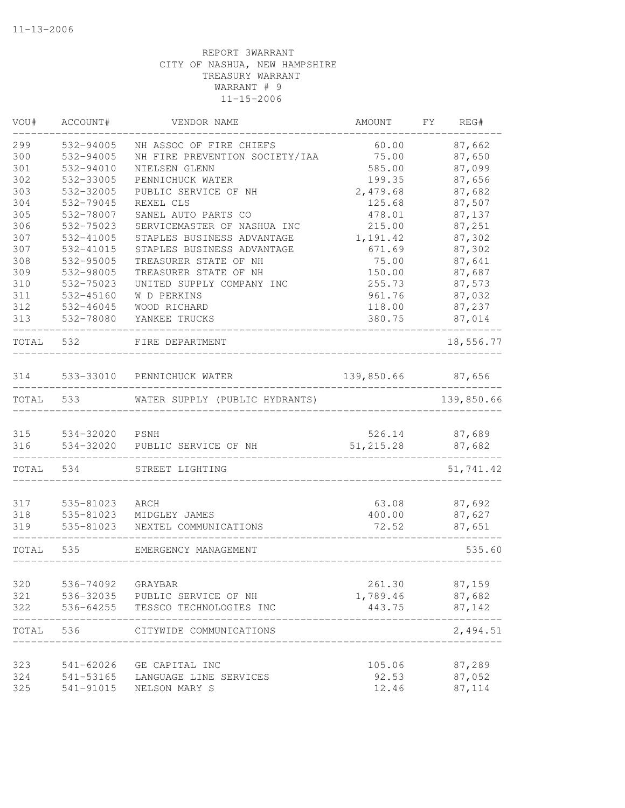| VOU#       | ACCOUNT#                    | VENDOR NAME                               | AMOUNT               | FY | REG#             |
|------------|-----------------------------|-------------------------------------------|----------------------|----|------------------|
| 299        | 532-94005                   | NH ASSOC OF FIRE CHIEFS                   | 60.00                |    | 87,662           |
| 300        | 532-94005                   | NH FIRE PREVENTION SOCIETY/IAA            | 75.00                |    | 87,650           |
| 301        | 532-94010                   | NIELSEN GLENN                             | 585.00               |    | 87,099           |
| 302        | 532-33005                   | PENNICHUCK WATER                          | 199.35               |    | 87,656           |
| 303        | 532-32005                   | PUBLIC SERVICE OF NH                      | 2,479.68             |    | 87,682           |
| 304        | 532-79045                   | REXEL CLS                                 | 125.68               |    | 87,507           |
| 305        | 532-78007                   | SANEL AUTO PARTS CO                       | 478.01               |    | 87,137           |
| 306        | 532-75023                   | SERVICEMASTER OF NASHUA INC               | 215.00               |    | 87,251           |
| 307        | 532-41005                   | STAPLES BUSINESS ADVANTAGE                | 1,191.42             |    | 87,302           |
| 307        | 532-41015                   | STAPLES BUSINESS ADVANTAGE                | 671.69               |    | 87,302           |
| 308        | 532-95005                   | TREASURER STATE OF NH                     | 75.00                |    | 87,641           |
| 309        | 532-98005                   | TREASURER STATE OF NH                     | 150.00               |    | 87,687           |
| 310        | 532-75023                   | UNITED SUPPLY COMPANY INC                 | 255.73               |    | 87,573           |
| 311        | 532-45160                   | W D PERKINS                               | 961.76               |    | 87,032           |
| 312        | 532-46045                   | WOOD RICHARD                              | 118.00               |    | 87,237           |
| 313        | 532-78080                   | YANKEE TRUCKS                             | 380.75               |    | 87,014           |
| TOTAL      | 532                         | FIRE DEPARTMENT                           |                      |    | 18,556.77        |
| 314        |                             | 533-33010 PENNICHUCK WATER                | 139,850.66           |    | 87,656           |
| TOTAL      | 533                         | WATER SUPPLY (PUBLIC HYDRANTS)            |                      |    | 139,850.66       |
|            |                             |                                           |                      |    |                  |
| 315<br>316 | 534-32020 PSNH<br>534-32020 | PUBLIC SERVICE OF NH                      | 526.14<br>51, 215.28 |    | 87,689<br>87,682 |
| TOTAL      | 534                         | STREET LIGHTING                           |                      |    | 51,741.42        |
|            |                             |                                           |                      |    |                  |
| 317        | 535-81023                   | ARCH                                      | 63.08                |    | 87,692           |
| 318        | 535-81023                   | MIDGLEY JAMES                             | 400.00               |    | 87,627           |
| 319        | 535-81023                   | NEXTEL COMMUNICATIONS                     | 72.52                |    | 87,651           |
| TOTAL      | 535                         | EMERGENCY MANAGEMENT                      |                      |    | 535.60           |
| 320        | 536-74092                   |                                           | 261.30               |    |                  |
| 321        |                             | GRAYBAR<br>536-32035 PUBLIC SERVICE OF NH | 1,789.46             |    | 87,159<br>87,682 |
| 322        |                             | 536-64255 TESSCO TECHNOLOGIES INC         | 443.75               |    | 87,142           |
| TOTAL      | 536                         | CITYWIDE COMMUNICATIONS                   |                      |    | 2,494.51         |
|            |                             |                                           |                      |    |                  |
| 323<br>324 | 541-62026<br>541-53165      | GE CAPITAL INC<br>LANGUAGE LINE SERVICES  | 105.06<br>92.53      |    | 87,289<br>87,052 |
| 325        | 541-91015                   | NELSON MARY S                             | 12.46                |    | 87,114           |
|            |                             |                                           |                      |    |                  |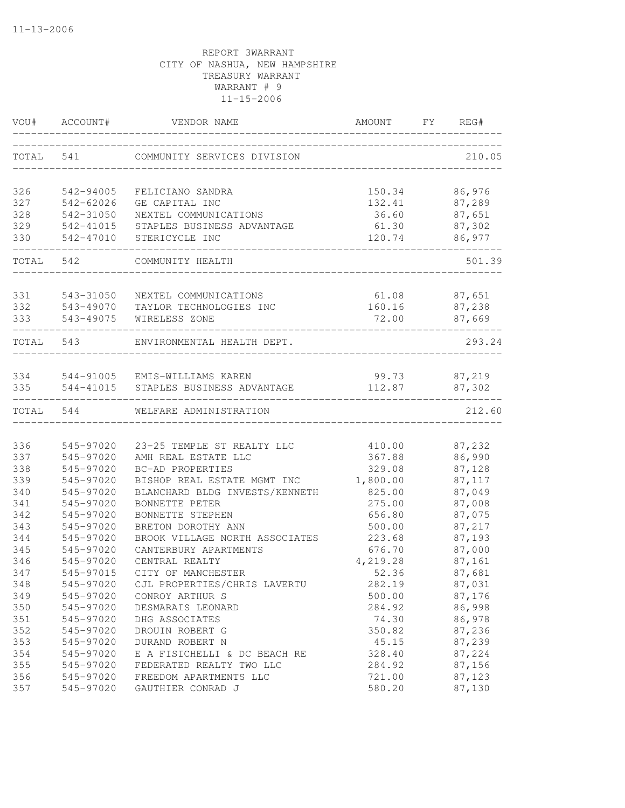| VOU#       | ACCOUNT#  | VENDOR NAME                                                 | AMOUNT          | FY | REG#             |
|------------|-----------|-------------------------------------------------------------|-----------------|----|------------------|
| TOTAL      | 541       | COMMUNITY SERVICES DIVISION                                 |                 |    | 210.05           |
| 326        | 542-94005 | FELICIANO SANDRA                                            | 150.34          |    | 86,976           |
| 327        | 542-62026 | GE CAPITAL INC                                              | 132.41          |    | 87,289           |
| 328        | 542-31050 | NEXTEL COMMUNICATIONS                                       | 36.60           |    | 87,651           |
| 329        | 542-41015 | STAPLES BUSINESS ADVANTAGE                                  | 61.30           |    | 87,302           |
| 330        | 542-47010 | STERICYCLE INC                                              | 120.74          |    | 86,977           |
| TOTAL      | 542       | COMMUNITY HEALTH                                            |                 |    | 501.39           |
| 331        | 543-31050 | NEXTEL COMMUNICATIONS                                       | 61.08           |    | 87,651           |
| 332        | 543-49070 | TAYLOR TECHNOLOGIES INC                                     | 160.16          |    | 87,238           |
| 333        | 543-49075 | WIRELESS ZONE                                               | 72.00           |    | 87,669           |
| TOTAL      | 543       | ENVIRONMENTAL HEALTH DEPT.                                  |                 |    | 293.24           |
|            |           |                                                             |                 |    |                  |
| 334<br>335 | 544-41015 | 544-91005 EMIS-WILLIAMS KAREN<br>STAPLES BUSINESS ADVANTAGE | 99.73<br>112.87 |    | 87,219<br>87,302 |
| TOTAL      | 544       | WELFARE ADMINISTRATION                                      |                 |    | 212.60           |
|            |           |                                                             |                 |    |                  |
| 336        | 545-97020 | 23-25 TEMPLE ST REALTY LLC                                  | 410.00          |    | 87,232           |
| 337        | 545-97020 | AMH REAL ESTATE LLC                                         | 367.88          |    | 86,990           |
| 338        | 545-97020 | BC-AD PROPERTIES                                            | 329.08          |    | 87,128           |
| 339        | 545-97020 | BISHOP REAL ESTATE MGMT INC                                 | 1,800.00        |    | 87,117           |
| 340        | 545-97020 | BLANCHARD BLDG INVESTS/KENNETH                              | 825.00          |    | 87,049           |
| 341        | 545-97020 | BONNETTE PETER                                              | 275.00          |    | 87,008           |
| 342        | 545-97020 | BONNETTE STEPHEN                                            | 656.80          |    | 87,075           |
| 343        | 545-97020 | BRETON DOROTHY ANN                                          | 500.00          |    | 87,217           |
| 344        | 545-97020 | BROOK VILLAGE NORTH ASSOCIATES                              | 223.68          |    | 87,193           |
| 345        | 545-97020 | CANTERBURY APARTMENTS                                       | 676.70          |    | 87,000           |
| 346        | 545-97020 | CENTRAL REALTY                                              | 4,219.28        |    | 87,161           |
| 347        | 545-97015 | CITY OF MANCHESTER                                          | 52.36           |    | 87,681           |
| 348        | 545-97020 | CJL PROPERTIES/CHRIS LAVERTU                                | 282.19          |    | 87,031           |
| 349        | 545-97020 | CONROY ARTHUR S                                             | 500.00          |    | 87,176           |
| 350        | 545-97020 | DESMARAIS LEONARD                                           | 284.92          |    | 86,998           |
| 351        | 545-97020 | DHG ASSOCIATES                                              | 74.30           |    | 86,978           |
| 352        | 545-97020 | DROUIN ROBERT G                                             | 350.82          |    | 87,236           |
| 353        | 545-97020 | DURAND ROBERT N                                             | 45.15           |    | 87,239           |
| 354        | 545-97020 | E A FISICHELLI & DC BEACH RE                                | 328.40          |    | 87,224           |
| 355        | 545-97020 | FEDERATED REALTY TWO LLC                                    | 284.92          |    | 87,156           |
| 356        | 545-97020 | FREEDOM APARTMENTS LLC                                      | 721.00          |    | 87,123           |
| 357        | 545-97020 | GAUTHIER CONRAD J                                           | 580.20          |    | 87,130           |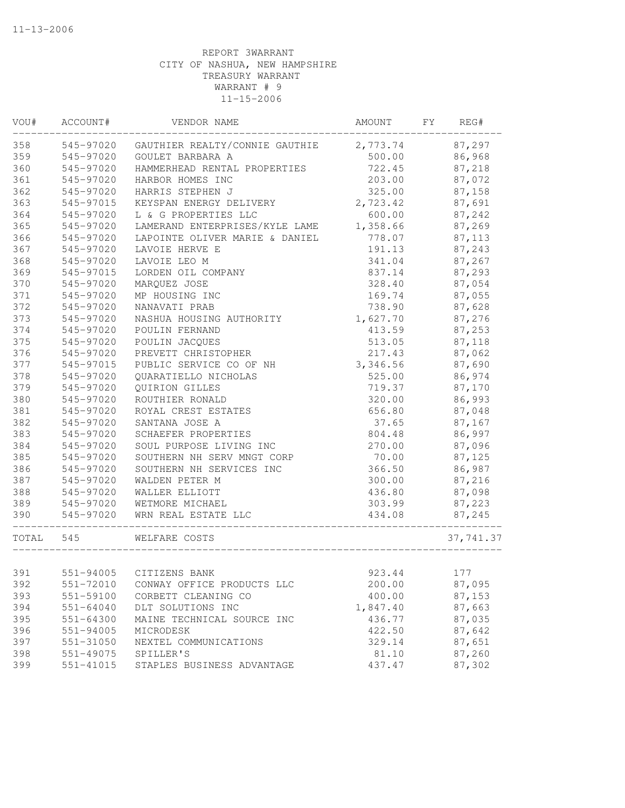| VOU#      | ACCOUNT#      | VENDOR NAME                             | AMOUNT   | FY | REG#      |
|-----------|---------------|-----------------------------------------|----------|----|-----------|
| 358       | 545-97020     | GAUTHIER REALTY/CONNIE GAUTHIE 2,773.74 |          |    | 87,297    |
| 359       | 545-97020     | GOULET BARBARA A                        | 500.00   |    | 86,968    |
| 360       | 545-97020     | HAMMERHEAD RENTAL PROPERTIES            | 722.45   |    | 87,218    |
| 361       | 545-97020     | HARBOR HOMES INC                        | 203.00   |    | 87,072    |
| 362       | 545-97020     | HARRIS STEPHEN J                        | 325.00   |    | 87,158    |
| 363       | 545-97015     | KEYSPAN ENERGY DELIVERY                 | 2,723.42 |    | 87,691    |
| 364       | 545-97020     | L & G PROPERTIES LLC                    | 600.00   |    | 87,242    |
| 365       | 545-97020     | LAMERAND ENTERPRISES/KYLE LAME          | 1,358.66 |    | 87,269    |
| 366       | 545-97020     | LAPOINTE OLIVER MARIE & DANIEL          | 778.07   |    | 87,113    |
| 367       | 545-97020     | LAVOIE HERVE E                          | 191.13   |    | 87,243    |
| 368       | 545-97020     | LAVOIE LEO M                            | 341.04   |    | 87,267    |
| 369       | 545-97015     | LORDEN OIL COMPANY                      | 837.14   |    | 87,293    |
| 370       | 545-97020     | MARQUEZ JOSE                            | 328.40   |    | 87,054    |
| 371       | 545-97020     | MP HOUSING INC                          | 169.74   |    | 87,055    |
| 372       | 545-97020     | NANAVATI PRAB                           | 738.90   |    | 87,628    |
| 373       | 545-97020     | NASHUA HOUSING AUTHORITY                | 1,627.70 |    | 87,276    |
| 374       | 545-97020     | POULIN FERNAND                          | 413.59   |    | 87,253    |
| 375       | 545-97020     | POULIN JACQUES                          | 513.05   |    | 87,118    |
| 376       | 545-97020     | PREVETT CHRISTOPHER                     | 217.43   |    | 87,062    |
| 377       | 545-97015     | PUBLIC SERVICE CO OF NH                 | 3,346.56 |    | 87,690    |
| 378       | 545-97020     | QUARATIELLO NICHOLAS                    | 525.00   |    | 86,974    |
| 379       | 545-97020     | QUIRION GILLES                          | 719.37   |    | 87,170    |
| 380       | 545-97020     | ROUTHIER RONALD                         | 320.00   |    | 86,993    |
| 381       | 545-97020     | ROYAL CREST ESTATES                     | 656.80   |    | 87,048    |
| 382       | 545-97020     | SANTANA JOSE A                          | 37.65    |    | 87,167    |
| 383       | 545-97020     | SCHAEFER PROPERTIES                     | 804.48   |    | 86,997    |
| 384       | 545-97020     | SOUL PURPOSE LIVING INC                 | 270.00   |    | 87,096    |
| 385       | 545-97020     | SOUTHERN NH SERV MNGT CORP              | 70.00    |    | 87,125    |
| 386       | 545-97020     | SOUTHERN NH SERVICES INC                | 366.50   |    | 86,987    |
| 387       | 545-97020     | WALDEN PETER M                          | 300.00   |    | 87,216    |
| 388       | 545-97020     | WALLER ELLIOTT                          | 436.80   |    | 87,098    |
| 389       | 545-97020     | WETMORE MICHAEL                         | 303.99   |    | 87,223    |
| 390       | 545-97020     | WRN REAL ESTATE LLC                     | 434.08   |    | 87,245    |
| TOTAL 545 |               | WELFARE COSTS                           |          |    | 37,741.37 |
|           |               |                                         |          |    |           |
| 391       | 551-94005     | CITIZENS BANK                           | 923.44   |    | 177       |
| 392       | 551-72010     | CONWAY OFFICE PRODUCTS LLC              | 200.00   |    | 87,095    |
| 393       | 551-59100     | CORBETT CLEANING CO                     | 400.00   |    | 87,153    |
| 394       | $551 - 64040$ | DLT SOLUTIONS INC                       | 1,847.40 |    | 87,663    |
| 395       | $551 - 64300$ | MAINE TECHNICAL SOURCE INC              | 436.77   |    | 87,035    |
| 396       | $551 - 94005$ | MICRODESK                               | 422.50   |    | 87,642    |
| 397       | 551-31050     | NEXTEL COMMUNICATIONS                   | 329.14   |    | 87,651    |
| 398       | 551-49075     | SPILLER'S                               | 81.10    |    | 87,260    |
| 399       | $551 - 41015$ | STAPLES BUSINESS ADVANTAGE              | 437.47   |    | 87,302    |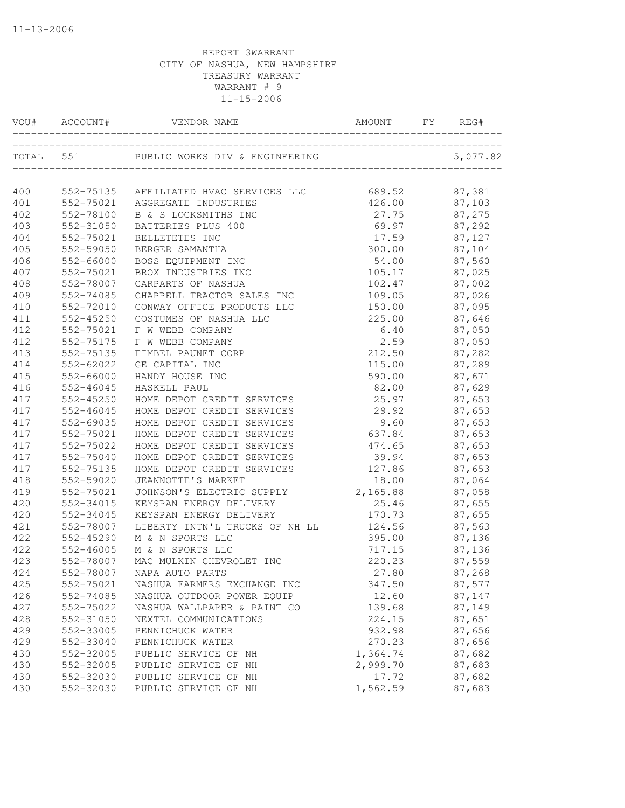|           | VOU# ACCOUNT# | VENDOR NAME                            | AMOUNT<br>______________ | FY | REG#         |
|-----------|---------------|----------------------------------------|--------------------------|----|--------------|
| TOTAL 551 |               | PUBLIC WORKS DIV & ENGINEERING         |                          |    | 5,077.82     |
| 400       |               | 552-75135 AFFILIATED HVAC SERVICES LLC | 689.52                   |    | 87,381       |
| 401       |               | 552-75021 AGGREGATE INDUSTRIES         | 426.00                   |    | 87,103       |
| 402       | 552-78100     | B & S LOCKSMITHS INC                   |                          |    | 87,275       |
| 403       | 552-31050     | BATTERIES PLUS 400                     | 27.75<br>69.97           |    | 87,292       |
| 404       | 552-75021     | BELLETETES INC                         | 17.59                    |    | 87,127       |
| 405       | 552-59050     | BERGER SAMANTHA                        | 300.00                   |    | 87,104       |
| 406       | 552-66000     | BOSS EQUIPMENT INC                     | 54.00                    |    | 87,560       |
| 407       | 552-75021     | BROX INDUSTRIES INC                    | 105.17 87,025            |    |              |
| 408       | 552-78007     | CARPARTS OF NASHUA                     | 102.47 87,002            |    |              |
| 409       | 552-74085     | CHAPPELL TRACTOR SALES INC             | 109.05                   |    | 87,026       |
| 410       | 552-72010     | CONWAY OFFICE PRODUCTS LLC             | 150.00                   |    | 87,095       |
| 411       | 552-45250     | COSTUMES OF NASHUA LLC                 | 225.00                   |    | 87,646       |
| 412       | 552-75021     | F W WEBB COMPANY                       | 6.40                     |    | 87,050       |
| 412       | 552-75175     | F W WEBB COMPANY                       | 2.59                     |    | 87,050       |
| 413       | 552-75135     | FIMBEL PAUNET CORP                     | 212.50                   |    | 87,282       |
| 414       | 552-62022     | GE CAPITAL INC                         | 115.00                   |    | 87,289       |
| 415       | 552-66000     | HANDY HOUSE INC                        | 590.00                   |    | 87,671       |
| 416       | $552 - 46045$ | HASKELL PAUL                           | 82.00                    |    | 87,629       |
| 417       | $552 - 45250$ | HOME DEPOT CREDIT SERVICES             | 25.97                    |    | 87,653       |
| 417       | 552-46045     | HOME DEPOT CREDIT SERVICES             | 29.92                    |    | 87,653       |
| 417       | 552-69035     | HOME DEPOT CREDIT SERVICES             | 9.60                     |    | 87,653       |
| 417       | 552-75021     | HOME DEPOT CREDIT SERVICES             | 637.84                   |    | 87,653       |
| 417       | 552-75022     | HOME DEPOT CREDIT SERVICES             | 474.65                   |    | 87,653       |
| 417       | 552-75040     | HOME DEPOT CREDIT SERVICES             | 39.94                    |    | 87,653       |
| 417       | 552-75135     | HOME DEPOT CREDIT SERVICES             | 127.86                   |    | 87,653       |
| 418       | 552-59020     | JEANNOTTE'S MARKET                     |                          |    | 18.00 87,064 |
| 419       | 552-75021     | JOHNSON'S ELECTRIC SUPPLY              | 2,165.88 87,058          |    |              |
| 420       | 552-34015     | KEYSPAN ENERGY DELIVERY                | 25.46                    |    | 87,655       |
| 420       | 552-34045     | KEYSPAN ENERGY DELIVERY                | 170.73                   |    | 87,655       |
| 421       | 552-78007     | LIBERTY INTN'L TRUCKS OF NH LL         | 124.56                   |    | 87,563       |
| 422       | 552-45290     | M & N SPORTS LLC                       | 395.00                   |    | 87,136       |
| 422       | 552-46005     | M & N SPORTS LLC                       | 717.15                   |    | 87,136       |
| 423       | 552-78007     | MAC MULKIN CHEVROLET INC               | 220.23                   |    | 87,559       |
| 424       | 552-78007     | NAPA AUTO PARTS                        | 27.80                    |    | 87,268       |
| 425       | 552-75021     | NASHUA FARMERS EXCHANGE INC            | 347.50                   |    | 87,577       |
| 426       | 552-74085     | NASHUA OUTDOOR POWER EQUIP             | 12.60                    |    | 87,147       |
| 427       | 552-75022     | NASHUA WALLPAPER & PAINT CO            | 139.68                   |    | 87,149       |
| 428       | 552-31050     | NEXTEL COMMUNICATIONS                  | 224.15                   |    | 87,651       |
| 429       | 552-33005     | PENNICHUCK WATER                       | 932.98                   |    | 87,656       |
| 429       | 552-33040     | PENNICHUCK WATER                       | 270.23                   |    | 87,656       |
| 430       | 552-32005     | PUBLIC SERVICE OF NH                   | 1,364.74                 |    | 87,682       |
| 430       | 552-32005     | PUBLIC SERVICE OF NH                   | 2,999.70                 |    | 87,683       |
| 430       | 552-32030     | PUBLIC SERVICE OF NH                   | 17.72                    |    | 87,682       |
| 430       | 552-32030     | PUBLIC SERVICE OF NH                   | 1,562.59                 |    | 87,683       |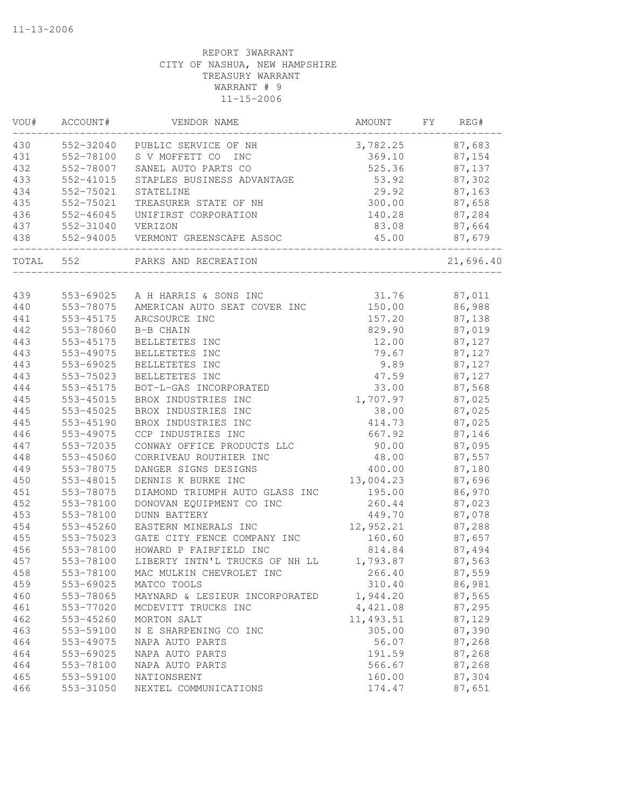| 430<br>552-32040 PUBLIC SERVICE OF NH<br>3,782.25 87,683<br>431<br>552-78100<br>S V MOFFETT CO<br>369.10<br>87,154<br><b>INC</b><br>432<br>552-78007<br>525.36<br>SANEL AUTO PARTS CO<br>87,137<br>433<br>552-41015<br>STAPLES BUSINESS ADVANTAGE<br>53.92<br>87,302<br>434<br>29.92<br>552-75021<br>87,163<br>STATELINE<br>435<br>552-75021<br>300.00<br>87,658<br>TREASURER STATE OF NH<br>436<br>552-46045<br>87,284<br>UNIFIRST CORPORATION<br>140.28<br>87,664<br>437<br>552-31040<br>VERIZON<br>83.08<br>438<br>552-94005<br>87,679<br>45.00<br>VERMONT GREENSCAPE ASSOC<br>552<br>21,696.40<br>TOTAL<br>PARKS AND RECREATION<br>31.76<br>87,011<br>439<br>553-69025 A H HARRIS & SONS INC<br>86,988<br>440<br>553-78075<br>AMERICAN AUTO SEAT COVER INC<br>150.00<br>157.20<br>87,138<br>441<br>553-45175<br>ARCSOURCE INC<br>442<br>829.90<br>87,019<br>553-78060<br>B-B CHAIN<br>443<br>553-45175<br>BELLETETES INC<br>12.00<br>87,127<br>443<br>553-49075<br>79.67<br>87,127<br>BELLETETES INC<br>443<br>553-69025<br>9.89<br>BELLETETES INC<br>87,127<br>443<br>553-75023<br>BELLETETES INC<br>47.59<br>87,127<br>444<br>553-45175<br>BOT-L-GAS INCORPORATED<br>33.00<br>87,568<br>445<br>1,707.97<br>553-45015<br>BROX INDUSTRIES INC<br>87,025<br>445<br>BROX INDUSTRIES INC<br>38.00<br>87,025<br>553-45025<br>445<br>87,025<br>553-45190<br>BROX INDUSTRIES INC<br>414.73<br>446<br>553-49075<br>CCP INDUSTRIES INC<br>667.92<br>87,146<br>447<br>87,095<br>553-72035<br>CONWAY OFFICE PRODUCTS LLC<br>90.00<br>448<br>553-45060<br>CORRIVEAU ROUTHIER INC<br>48.00<br>87,557<br>553-78075<br>DANGER SIGNS DESIGNS<br>400.00<br>449<br>87,180<br>450<br>553-48015<br>13,004.23<br>DENNIS K BURKE INC<br>87,696<br>86,970<br>451<br>553-78075<br>DIAMOND TRIUMPH AUTO GLASS INC<br>195.00<br>452<br>260.44<br>87,023<br>553-78100<br>DONOVAN EQUIPMENT CO INC<br>453<br>449.70<br>553-78100<br><b>DUNN BATTERY</b><br>87,078<br>454<br>553-45260<br>12,952.21<br>87,288<br>EASTERN MINERALS INC<br>455<br>160.60<br>87,657<br>553-75023<br>GATE CITY FENCE COMPANY INC<br>87,494<br>553-78100<br>HOWARD P FAIRFIELD INC<br>814.84<br>457<br>553-78100<br>LIBERTY INTN'L TRUCKS OF NH LL<br>1,793.87<br>87,563<br>458<br>553-78100<br>MAC MULKIN CHEVROLET INC<br>266.40<br>87,559<br>310.40<br>86,981<br>459<br>553-69025<br>MATCO TOOLS<br>460<br>553-78065<br>1,944.20<br>87,565<br>MAYNARD & LESIEUR INCORPORATED<br>4,421.08<br>461<br>553-77020<br>87,295<br>MCDEVITT TRUCKS INC<br>11,493.51<br>462<br>553-45260<br>MORTON SALT<br>87,129<br>305.00<br>87,390<br>463<br>553-59100<br>N E SHARPENING CO INC<br>464<br>553-49075<br>NAPA AUTO PARTS<br>56.07<br>87,268<br>464<br>553-69025<br>191.59<br>87,268<br>NAPA AUTO PARTS<br>464<br>553-78100<br>NAPA AUTO PARTS<br>566.67<br>87,268<br>465<br>553-59100<br>NATIONSRENT<br>87,304<br>160.00<br>466<br>553-31050<br>174.47<br>87,651<br>NEXTEL COMMUNICATIONS | VOU# | ACCOUNT# | VENDOR NAME | AMOUNT | FY | REG# |
|----------------------------------------------------------------------------------------------------------------------------------------------------------------------------------------------------------------------------------------------------------------------------------------------------------------------------------------------------------------------------------------------------------------------------------------------------------------------------------------------------------------------------------------------------------------------------------------------------------------------------------------------------------------------------------------------------------------------------------------------------------------------------------------------------------------------------------------------------------------------------------------------------------------------------------------------------------------------------------------------------------------------------------------------------------------------------------------------------------------------------------------------------------------------------------------------------------------------------------------------------------------------------------------------------------------------------------------------------------------------------------------------------------------------------------------------------------------------------------------------------------------------------------------------------------------------------------------------------------------------------------------------------------------------------------------------------------------------------------------------------------------------------------------------------------------------------------------------------------------------------------------------------------------------------------------------------------------------------------------------------------------------------------------------------------------------------------------------------------------------------------------------------------------------------------------------------------------------------------------------------------------------------------------------------------------------------------------------------------------------------------------------------------------------------------------------------------------------------------------------------------------------------------------------------------------------------------------------------------------------------------------------------------------------------------------------------------------------------------------------------------------------------------------------------------------------------------------------------------------------------------------------------------------------------------------|------|----------|-------------|--------|----|------|
|                                                                                                                                                                                                                                                                                                                                                                                                                                                                                                                                                                                                                                                                                                                                                                                                                                                                                                                                                                                                                                                                                                                                                                                                                                                                                                                                                                                                                                                                                                                                                                                                                                                                                                                                                                                                                                                                                                                                                                                                                                                                                                                                                                                                                                                                                                                                                                                                                                                                                                                                                                                                                                                                                                                                                                                                                                                                                                                                        |      |          |             |        |    |      |
|                                                                                                                                                                                                                                                                                                                                                                                                                                                                                                                                                                                                                                                                                                                                                                                                                                                                                                                                                                                                                                                                                                                                                                                                                                                                                                                                                                                                                                                                                                                                                                                                                                                                                                                                                                                                                                                                                                                                                                                                                                                                                                                                                                                                                                                                                                                                                                                                                                                                                                                                                                                                                                                                                                                                                                                                                                                                                                                                        |      |          |             |        |    |      |
|                                                                                                                                                                                                                                                                                                                                                                                                                                                                                                                                                                                                                                                                                                                                                                                                                                                                                                                                                                                                                                                                                                                                                                                                                                                                                                                                                                                                                                                                                                                                                                                                                                                                                                                                                                                                                                                                                                                                                                                                                                                                                                                                                                                                                                                                                                                                                                                                                                                                                                                                                                                                                                                                                                                                                                                                                                                                                                                                        |      |          |             |        |    |      |
|                                                                                                                                                                                                                                                                                                                                                                                                                                                                                                                                                                                                                                                                                                                                                                                                                                                                                                                                                                                                                                                                                                                                                                                                                                                                                                                                                                                                                                                                                                                                                                                                                                                                                                                                                                                                                                                                                                                                                                                                                                                                                                                                                                                                                                                                                                                                                                                                                                                                                                                                                                                                                                                                                                                                                                                                                                                                                                                                        |      |          |             |        |    |      |
|                                                                                                                                                                                                                                                                                                                                                                                                                                                                                                                                                                                                                                                                                                                                                                                                                                                                                                                                                                                                                                                                                                                                                                                                                                                                                                                                                                                                                                                                                                                                                                                                                                                                                                                                                                                                                                                                                                                                                                                                                                                                                                                                                                                                                                                                                                                                                                                                                                                                                                                                                                                                                                                                                                                                                                                                                                                                                                                                        |      |          |             |        |    |      |
|                                                                                                                                                                                                                                                                                                                                                                                                                                                                                                                                                                                                                                                                                                                                                                                                                                                                                                                                                                                                                                                                                                                                                                                                                                                                                                                                                                                                                                                                                                                                                                                                                                                                                                                                                                                                                                                                                                                                                                                                                                                                                                                                                                                                                                                                                                                                                                                                                                                                                                                                                                                                                                                                                                                                                                                                                                                                                                                                        |      |          |             |        |    |      |
|                                                                                                                                                                                                                                                                                                                                                                                                                                                                                                                                                                                                                                                                                                                                                                                                                                                                                                                                                                                                                                                                                                                                                                                                                                                                                                                                                                                                                                                                                                                                                                                                                                                                                                                                                                                                                                                                                                                                                                                                                                                                                                                                                                                                                                                                                                                                                                                                                                                                                                                                                                                                                                                                                                                                                                                                                                                                                                                                        |      |          |             |        |    |      |
|                                                                                                                                                                                                                                                                                                                                                                                                                                                                                                                                                                                                                                                                                                                                                                                                                                                                                                                                                                                                                                                                                                                                                                                                                                                                                                                                                                                                                                                                                                                                                                                                                                                                                                                                                                                                                                                                                                                                                                                                                                                                                                                                                                                                                                                                                                                                                                                                                                                                                                                                                                                                                                                                                                                                                                                                                                                                                                                                        |      |          |             |        |    |      |
|                                                                                                                                                                                                                                                                                                                                                                                                                                                                                                                                                                                                                                                                                                                                                                                                                                                                                                                                                                                                                                                                                                                                                                                                                                                                                                                                                                                                                                                                                                                                                                                                                                                                                                                                                                                                                                                                                                                                                                                                                                                                                                                                                                                                                                                                                                                                                                                                                                                                                                                                                                                                                                                                                                                                                                                                                                                                                                                                        |      |          |             |        |    |      |
|                                                                                                                                                                                                                                                                                                                                                                                                                                                                                                                                                                                                                                                                                                                                                                                                                                                                                                                                                                                                                                                                                                                                                                                                                                                                                                                                                                                                                                                                                                                                                                                                                                                                                                                                                                                                                                                                                                                                                                                                                                                                                                                                                                                                                                                                                                                                                                                                                                                                                                                                                                                                                                                                                                                                                                                                                                                                                                                                        |      |          |             |        |    |      |
|                                                                                                                                                                                                                                                                                                                                                                                                                                                                                                                                                                                                                                                                                                                                                                                                                                                                                                                                                                                                                                                                                                                                                                                                                                                                                                                                                                                                                                                                                                                                                                                                                                                                                                                                                                                                                                                                                                                                                                                                                                                                                                                                                                                                                                                                                                                                                                                                                                                                                                                                                                                                                                                                                                                                                                                                                                                                                                                                        |      |          |             |        |    |      |
|                                                                                                                                                                                                                                                                                                                                                                                                                                                                                                                                                                                                                                                                                                                                                                                                                                                                                                                                                                                                                                                                                                                                                                                                                                                                                                                                                                                                                                                                                                                                                                                                                                                                                                                                                                                                                                                                                                                                                                                                                                                                                                                                                                                                                                                                                                                                                                                                                                                                                                                                                                                                                                                                                                                                                                                                                                                                                                                                        |      |          |             |        |    |      |
|                                                                                                                                                                                                                                                                                                                                                                                                                                                                                                                                                                                                                                                                                                                                                                                                                                                                                                                                                                                                                                                                                                                                                                                                                                                                                                                                                                                                                                                                                                                                                                                                                                                                                                                                                                                                                                                                                                                                                                                                                                                                                                                                                                                                                                                                                                                                                                                                                                                                                                                                                                                                                                                                                                                                                                                                                                                                                                                                        |      |          |             |        |    |      |
|                                                                                                                                                                                                                                                                                                                                                                                                                                                                                                                                                                                                                                                                                                                                                                                                                                                                                                                                                                                                                                                                                                                                                                                                                                                                                                                                                                                                                                                                                                                                                                                                                                                                                                                                                                                                                                                                                                                                                                                                                                                                                                                                                                                                                                                                                                                                                                                                                                                                                                                                                                                                                                                                                                                                                                                                                                                                                                                                        |      |          |             |        |    |      |
|                                                                                                                                                                                                                                                                                                                                                                                                                                                                                                                                                                                                                                                                                                                                                                                                                                                                                                                                                                                                                                                                                                                                                                                                                                                                                                                                                                                                                                                                                                                                                                                                                                                                                                                                                                                                                                                                                                                                                                                                                                                                                                                                                                                                                                                                                                                                                                                                                                                                                                                                                                                                                                                                                                                                                                                                                                                                                                                                        |      |          |             |        |    |      |
|                                                                                                                                                                                                                                                                                                                                                                                                                                                                                                                                                                                                                                                                                                                                                                                                                                                                                                                                                                                                                                                                                                                                                                                                                                                                                                                                                                                                                                                                                                                                                                                                                                                                                                                                                                                                                                                                                                                                                                                                                                                                                                                                                                                                                                                                                                                                                                                                                                                                                                                                                                                                                                                                                                                                                                                                                                                                                                                                        |      |          |             |        |    |      |
|                                                                                                                                                                                                                                                                                                                                                                                                                                                                                                                                                                                                                                                                                                                                                                                                                                                                                                                                                                                                                                                                                                                                                                                                                                                                                                                                                                                                                                                                                                                                                                                                                                                                                                                                                                                                                                                                                                                                                                                                                                                                                                                                                                                                                                                                                                                                                                                                                                                                                                                                                                                                                                                                                                                                                                                                                                                                                                                                        |      |          |             |        |    |      |
|                                                                                                                                                                                                                                                                                                                                                                                                                                                                                                                                                                                                                                                                                                                                                                                                                                                                                                                                                                                                                                                                                                                                                                                                                                                                                                                                                                                                                                                                                                                                                                                                                                                                                                                                                                                                                                                                                                                                                                                                                                                                                                                                                                                                                                                                                                                                                                                                                                                                                                                                                                                                                                                                                                                                                                                                                                                                                                                                        |      |          |             |        |    |      |
|                                                                                                                                                                                                                                                                                                                                                                                                                                                                                                                                                                                                                                                                                                                                                                                                                                                                                                                                                                                                                                                                                                                                                                                                                                                                                                                                                                                                                                                                                                                                                                                                                                                                                                                                                                                                                                                                                                                                                                                                                                                                                                                                                                                                                                                                                                                                                                                                                                                                                                                                                                                                                                                                                                                                                                                                                                                                                                                                        |      |          |             |        |    |      |
|                                                                                                                                                                                                                                                                                                                                                                                                                                                                                                                                                                                                                                                                                                                                                                                                                                                                                                                                                                                                                                                                                                                                                                                                                                                                                                                                                                                                                                                                                                                                                                                                                                                                                                                                                                                                                                                                                                                                                                                                                                                                                                                                                                                                                                                                                                                                                                                                                                                                                                                                                                                                                                                                                                                                                                                                                                                                                                                                        |      |          |             |        |    |      |
|                                                                                                                                                                                                                                                                                                                                                                                                                                                                                                                                                                                                                                                                                                                                                                                                                                                                                                                                                                                                                                                                                                                                                                                                                                                                                                                                                                                                                                                                                                                                                                                                                                                                                                                                                                                                                                                                                                                                                                                                                                                                                                                                                                                                                                                                                                                                                                                                                                                                                                                                                                                                                                                                                                                                                                                                                                                                                                                                        |      |          |             |        |    |      |
|                                                                                                                                                                                                                                                                                                                                                                                                                                                                                                                                                                                                                                                                                                                                                                                                                                                                                                                                                                                                                                                                                                                                                                                                                                                                                                                                                                                                                                                                                                                                                                                                                                                                                                                                                                                                                                                                                                                                                                                                                                                                                                                                                                                                                                                                                                                                                                                                                                                                                                                                                                                                                                                                                                                                                                                                                                                                                                                                        |      |          |             |        |    |      |
|                                                                                                                                                                                                                                                                                                                                                                                                                                                                                                                                                                                                                                                                                                                                                                                                                                                                                                                                                                                                                                                                                                                                                                                                                                                                                                                                                                                                                                                                                                                                                                                                                                                                                                                                                                                                                                                                                                                                                                                                                                                                                                                                                                                                                                                                                                                                                                                                                                                                                                                                                                                                                                                                                                                                                                                                                                                                                                                                        |      |          |             |        |    |      |
|                                                                                                                                                                                                                                                                                                                                                                                                                                                                                                                                                                                                                                                                                                                                                                                                                                                                                                                                                                                                                                                                                                                                                                                                                                                                                                                                                                                                                                                                                                                                                                                                                                                                                                                                                                                                                                                                                                                                                                                                                                                                                                                                                                                                                                                                                                                                                                                                                                                                                                                                                                                                                                                                                                                                                                                                                                                                                                                                        |      |          |             |        |    |      |
|                                                                                                                                                                                                                                                                                                                                                                                                                                                                                                                                                                                                                                                                                                                                                                                                                                                                                                                                                                                                                                                                                                                                                                                                                                                                                                                                                                                                                                                                                                                                                                                                                                                                                                                                                                                                                                                                                                                                                                                                                                                                                                                                                                                                                                                                                                                                                                                                                                                                                                                                                                                                                                                                                                                                                                                                                                                                                                                                        |      |          |             |        |    |      |
|                                                                                                                                                                                                                                                                                                                                                                                                                                                                                                                                                                                                                                                                                                                                                                                                                                                                                                                                                                                                                                                                                                                                                                                                                                                                                                                                                                                                                                                                                                                                                                                                                                                                                                                                                                                                                                                                                                                                                                                                                                                                                                                                                                                                                                                                                                                                                                                                                                                                                                                                                                                                                                                                                                                                                                                                                                                                                                                                        |      |          |             |        |    |      |
|                                                                                                                                                                                                                                                                                                                                                                                                                                                                                                                                                                                                                                                                                                                                                                                                                                                                                                                                                                                                                                                                                                                                                                                                                                                                                                                                                                                                                                                                                                                                                                                                                                                                                                                                                                                                                                                                                                                                                                                                                                                                                                                                                                                                                                                                                                                                                                                                                                                                                                                                                                                                                                                                                                                                                                                                                                                                                                                                        |      |          |             |        |    |      |
|                                                                                                                                                                                                                                                                                                                                                                                                                                                                                                                                                                                                                                                                                                                                                                                                                                                                                                                                                                                                                                                                                                                                                                                                                                                                                                                                                                                                                                                                                                                                                                                                                                                                                                                                                                                                                                                                                                                                                                                                                                                                                                                                                                                                                                                                                                                                                                                                                                                                                                                                                                                                                                                                                                                                                                                                                                                                                                                                        |      |          |             |        |    |      |
|                                                                                                                                                                                                                                                                                                                                                                                                                                                                                                                                                                                                                                                                                                                                                                                                                                                                                                                                                                                                                                                                                                                                                                                                                                                                                                                                                                                                                                                                                                                                                                                                                                                                                                                                                                                                                                                                                                                                                                                                                                                                                                                                                                                                                                                                                                                                                                                                                                                                                                                                                                                                                                                                                                                                                                                                                                                                                                                                        |      |          |             |        |    |      |
|                                                                                                                                                                                                                                                                                                                                                                                                                                                                                                                                                                                                                                                                                                                                                                                                                                                                                                                                                                                                                                                                                                                                                                                                                                                                                                                                                                                                                                                                                                                                                                                                                                                                                                                                                                                                                                                                                                                                                                                                                                                                                                                                                                                                                                                                                                                                                                                                                                                                                                                                                                                                                                                                                                                                                                                                                                                                                                                                        |      |          |             |        |    |      |
|                                                                                                                                                                                                                                                                                                                                                                                                                                                                                                                                                                                                                                                                                                                                                                                                                                                                                                                                                                                                                                                                                                                                                                                                                                                                                                                                                                                                                                                                                                                                                                                                                                                                                                                                                                                                                                                                                                                                                                                                                                                                                                                                                                                                                                                                                                                                                                                                                                                                                                                                                                                                                                                                                                                                                                                                                                                                                                                                        |      |          |             |        |    |      |
|                                                                                                                                                                                                                                                                                                                                                                                                                                                                                                                                                                                                                                                                                                                                                                                                                                                                                                                                                                                                                                                                                                                                                                                                                                                                                                                                                                                                                                                                                                                                                                                                                                                                                                                                                                                                                                                                                                                                                                                                                                                                                                                                                                                                                                                                                                                                                                                                                                                                                                                                                                                                                                                                                                                                                                                                                                                                                                                                        |      |          |             |        |    |      |
|                                                                                                                                                                                                                                                                                                                                                                                                                                                                                                                                                                                                                                                                                                                                                                                                                                                                                                                                                                                                                                                                                                                                                                                                                                                                                                                                                                                                                                                                                                                                                                                                                                                                                                                                                                                                                                                                                                                                                                                                                                                                                                                                                                                                                                                                                                                                                                                                                                                                                                                                                                                                                                                                                                                                                                                                                                                                                                                                        |      |          |             |        |    |      |
|                                                                                                                                                                                                                                                                                                                                                                                                                                                                                                                                                                                                                                                                                                                                                                                                                                                                                                                                                                                                                                                                                                                                                                                                                                                                                                                                                                                                                                                                                                                                                                                                                                                                                                                                                                                                                                                                                                                                                                                                                                                                                                                                                                                                                                                                                                                                                                                                                                                                                                                                                                                                                                                                                                                                                                                                                                                                                                                                        | 456  |          |             |        |    |      |
|                                                                                                                                                                                                                                                                                                                                                                                                                                                                                                                                                                                                                                                                                                                                                                                                                                                                                                                                                                                                                                                                                                                                                                                                                                                                                                                                                                                                                                                                                                                                                                                                                                                                                                                                                                                                                                                                                                                                                                                                                                                                                                                                                                                                                                                                                                                                                                                                                                                                                                                                                                                                                                                                                                                                                                                                                                                                                                                                        |      |          |             |        |    |      |
|                                                                                                                                                                                                                                                                                                                                                                                                                                                                                                                                                                                                                                                                                                                                                                                                                                                                                                                                                                                                                                                                                                                                                                                                                                                                                                                                                                                                                                                                                                                                                                                                                                                                                                                                                                                                                                                                                                                                                                                                                                                                                                                                                                                                                                                                                                                                                                                                                                                                                                                                                                                                                                                                                                                                                                                                                                                                                                                                        |      |          |             |        |    |      |
|                                                                                                                                                                                                                                                                                                                                                                                                                                                                                                                                                                                                                                                                                                                                                                                                                                                                                                                                                                                                                                                                                                                                                                                                                                                                                                                                                                                                                                                                                                                                                                                                                                                                                                                                                                                                                                                                                                                                                                                                                                                                                                                                                                                                                                                                                                                                                                                                                                                                                                                                                                                                                                                                                                                                                                                                                                                                                                                                        |      |          |             |        |    |      |
|                                                                                                                                                                                                                                                                                                                                                                                                                                                                                                                                                                                                                                                                                                                                                                                                                                                                                                                                                                                                                                                                                                                                                                                                                                                                                                                                                                                                                                                                                                                                                                                                                                                                                                                                                                                                                                                                                                                                                                                                                                                                                                                                                                                                                                                                                                                                                                                                                                                                                                                                                                                                                                                                                                                                                                                                                                                                                                                                        |      |          |             |        |    |      |
|                                                                                                                                                                                                                                                                                                                                                                                                                                                                                                                                                                                                                                                                                                                                                                                                                                                                                                                                                                                                                                                                                                                                                                                                                                                                                                                                                                                                                                                                                                                                                                                                                                                                                                                                                                                                                                                                                                                                                                                                                                                                                                                                                                                                                                                                                                                                                                                                                                                                                                                                                                                                                                                                                                                                                                                                                                                                                                                                        |      |          |             |        |    |      |
|                                                                                                                                                                                                                                                                                                                                                                                                                                                                                                                                                                                                                                                                                                                                                                                                                                                                                                                                                                                                                                                                                                                                                                                                                                                                                                                                                                                                                                                                                                                                                                                                                                                                                                                                                                                                                                                                                                                                                                                                                                                                                                                                                                                                                                                                                                                                                                                                                                                                                                                                                                                                                                                                                                                                                                                                                                                                                                                                        |      |          |             |        |    |      |
|                                                                                                                                                                                                                                                                                                                                                                                                                                                                                                                                                                                                                                                                                                                                                                                                                                                                                                                                                                                                                                                                                                                                                                                                                                                                                                                                                                                                                                                                                                                                                                                                                                                                                                                                                                                                                                                                                                                                                                                                                                                                                                                                                                                                                                                                                                                                                                                                                                                                                                                                                                                                                                                                                                                                                                                                                                                                                                                                        |      |          |             |        |    |      |
|                                                                                                                                                                                                                                                                                                                                                                                                                                                                                                                                                                                                                                                                                                                                                                                                                                                                                                                                                                                                                                                                                                                                                                                                                                                                                                                                                                                                                                                                                                                                                                                                                                                                                                                                                                                                                                                                                                                                                                                                                                                                                                                                                                                                                                                                                                                                                                                                                                                                                                                                                                                                                                                                                                                                                                                                                                                                                                                                        |      |          |             |        |    |      |
|                                                                                                                                                                                                                                                                                                                                                                                                                                                                                                                                                                                                                                                                                                                                                                                                                                                                                                                                                                                                                                                                                                                                                                                                                                                                                                                                                                                                                                                                                                                                                                                                                                                                                                                                                                                                                                                                                                                                                                                                                                                                                                                                                                                                                                                                                                                                                                                                                                                                                                                                                                                                                                                                                                                                                                                                                                                                                                                                        |      |          |             |        |    |      |
|                                                                                                                                                                                                                                                                                                                                                                                                                                                                                                                                                                                                                                                                                                                                                                                                                                                                                                                                                                                                                                                                                                                                                                                                                                                                                                                                                                                                                                                                                                                                                                                                                                                                                                                                                                                                                                                                                                                                                                                                                                                                                                                                                                                                                                                                                                                                                                                                                                                                                                                                                                                                                                                                                                                                                                                                                                                                                                                                        |      |          |             |        |    |      |
|                                                                                                                                                                                                                                                                                                                                                                                                                                                                                                                                                                                                                                                                                                                                                                                                                                                                                                                                                                                                                                                                                                                                                                                                                                                                                                                                                                                                                                                                                                                                                                                                                                                                                                                                                                                                                                                                                                                                                                                                                                                                                                                                                                                                                                                                                                                                                                                                                                                                                                                                                                                                                                                                                                                                                                                                                                                                                                                                        |      |          |             |        |    |      |
|                                                                                                                                                                                                                                                                                                                                                                                                                                                                                                                                                                                                                                                                                                                                                                                                                                                                                                                                                                                                                                                                                                                                                                                                                                                                                                                                                                                                                                                                                                                                                                                                                                                                                                                                                                                                                                                                                                                                                                                                                                                                                                                                                                                                                                                                                                                                                                                                                                                                                                                                                                                                                                                                                                                                                                                                                                                                                                                                        |      |          |             |        |    |      |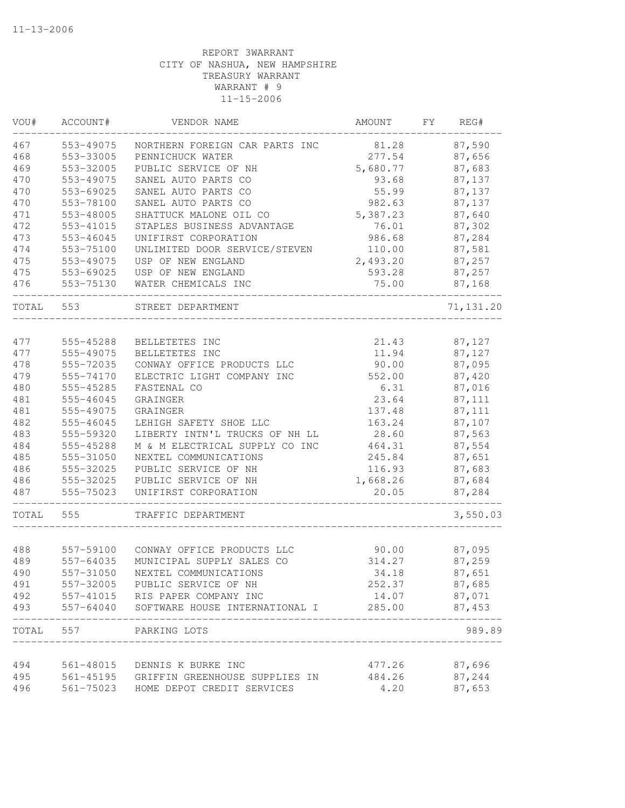| VOU#  | ACCOUNT#  | VENDOR NAME                              | AMOUNT   | FY | REG#       |
|-------|-----------|------------------------------------------|----------|----|------------|
| 467   | 553-49075 | NORTHERN FOREIGN CAR PARTS INC           | 81.28    |    | 87,590     |
| 468   | 553-33005 | PENNICHUCK WATER                         | 277.54   |    | 87,656     |
| 469   | 553-32005 | PUBLIC SERVICE OF NH                     | 5,680.77 |    | 87,683     |
| 470   | 553-49075 | SANEL AUTO PARTS CO                      | 93.68    |    | 87,137     |
| 470   | 553-69025 | SANEL AUTO PARTS CO                      | 55.99    |    | 87,137     |
| 470   | 553-78100 | SANEL AUTO PARTS CO                      | 982.63   |    | 87,137     |
| 471   | 553-48005 | SHATTUCK MALONE OIL CO                   | 5,387.23 |    | 87,640     |
| 472   | 553-41015 | STAPLES BUSINESS ADVANTAGE               | 76.01    |    | 87,302     |
| 473   | 553-46045 | UNIFIRST CORPORATION                     | 986.68   |    | 87,284     |
| 474   | 553-75100 | UNLIMITED DOOR SERVICE/STEVEN            | 110.00   |    | 87,581     |
| 475   | 553-49075 | USP OF NEW ENGLAND                       | 2,493.20 |    | 87,257     |
| 475   | 553-69025 | USP OF NEW ENGLAND                       | 593.28   |    | 87,257     |
| 476   | 553-75130 | WATER CHEMICALS INC                      | 75.00    |    | 87,168     |
| TOTAL | 553       | STREET DEPARTMENT                        |          |    | 71, 131.20 |
|       |           |                                          |          |    |            |
| 477   | 555-45288 | BELLETETES INC                           | 21.43    |    | 87,127     |
| 477   | 555-49075 | BELLETETES INC                           | 11.94    |    | 87,127     |
| 478   | 555-72035 | CONWAY OFFICE PRODUCTS LLC               | 90.00    |    | 87,095     |
| 479   | 555-74170 | ELECTRIC LIGHT COMPANY INC               | 552.00   |    | 87,420     |
| 480   | 555-45285 | FASTENAL CO                              | 6.31     |    | 87,016     |
| 481   | 555-46045 | GRAINGER                                 | 23.64    |    | 87,111     |
| 481   | 555-49075 | GRAINGER                                 | 137.48   |    | 87,111     |
| 482   | 555-46045 | LEHIGH SAFETY SHOE LLC                   | 163.24   |    | 87,107     |
| 483   | 555-59320 | LIBERTY INTN'L TRUCKS OF NH LL           | 28.60    |    | 87,563     |
| 484   | 555-45288 | M & M ELECTRICAL SUPPLY CO INC           | 464.31   |    | 87,554     |
| 485   | 555-31050 | NEXTEL COMMUNICATIONS                    | 245.84   |    | 87,651     |
| 486   | 555-32025 | PUBLIC SERVICE OF NH                     | 116.93   |    | 87,683     |
| 486   | 555-32025 | PUBLIC SERVICE OF NH                     | 1,668.26 |    | 87,684     |
| 487   | 555-75023 | UNIFIRST CORPORATION                     | 20.05    |    | 87,284     |
| TOTAL | 555       | TRAFFIC DEPARTMENT                       |          |    | 3,550.03   |
|       |           |                                          |          |    |            |
| 488   | 557-59100 | CONWAY OFFICE PRODUCTS LLC               | 90.00    |    | 87,095     |
| 489   | 557-64035 | MUNICIPAL SUPPLY SALES CO                | 314.27   |    | 87,259     |
| 490   | 557-31050 | NEXTEL COMMUNICATIONS                    | 34.18    |    | 87,651     |
| 491   |           | 557-32005 PUBLIC SERVICE OF NH           | 252.37   |    | 87,685     |
| 492   |           | 557-41015 RIS PAPER COMPANY INC          | 14.07    |    | 87,071     |
| 493   | 557-64040 | SOFTWARE HOUSE INTERNATIONAL I           | 285.00   |    | 87,453     |
| TOTAL | 557       | PARKING LOTS                             |          |    | 989.89     |
| 494   | 561-48015 | DENNIS K BURKE INC                       | 477.26   |    | 87,696     |
| 495   |           | 561-45195 GRIFFIN GREENHOUSE SUPPLIES IN | 484.26   |    | 87,244     |
| 496   | 561-75023 | HOME DEPOT CREDIT SERVICES               | 4.20     |    | 87,653     |
|       |           |                                          |          |    |            |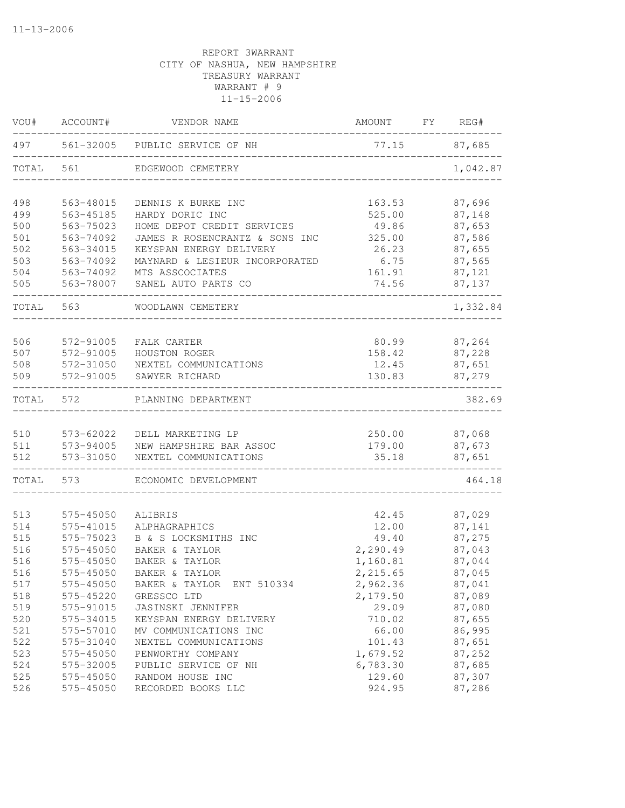| VOU#       | ACCOUNT#               | VENDOR NAME                                                          | AMOUNT             | FY | REG#             |
|------------|------------------------|----------------------------------------------------------------------|--------------------|----|------------------|
| 497        |                        | 561-32005 PUBLIC SERVICE OF NH                                       |                    |    | 77.15 87,685     |
| TOTAL      | 561                    | EDGEWOOD CEMETERY<br>______________________________________          |                    |    | 1,042.87         |
| 498        | 563-48015              | DENNIS K BURKE INC                                                   | 163.53             |    | 87,696           |
| 499        | 563-45185              | HARDY DORIC INC                                                      | 525.00             |    | 87,148           |
| 500        | 563-75023              | HOME DEPOT CREDIT SERVICES                                           | 49.86              |    | 87,653           |
| 501        | 563-74092              | JAMES R ROSENCRANTZ & SONS INC                                       | 325.00             |    | 87,586           |
| 502        | 563-34015              | KEYSPAN ENERGY DELIVERY                                              | 26.23              |    | 87,655           |
| 503        | 563-74092              | MAYNARD & LESIEUR INCORPORATED                                       | 6.75               |    | 87,565           |
| 504        | 563-74092              | MTS ASSCOCIATES                                                      | 161.91             |    | 87,121           |
| 505        | 563-78007              | SANEL AUTO PARTS CO                                                  | 74.56              |    | 87,137           |
| TOTAL      | 563                    | WOODLAWN CEMETERY                                                    |                    |    | 1,332.84         |
| 506        | 572-91005              | FALK CARTER                                                          | 80.99              |    | 87,264           |
| 507        | 572-91005              | HOUSTON ROGER                                                        | 158.42             |    | 87,228           |
| 508        | 572-31050              | NEXTEL COMMUNICATIONS                                                | 12.45              |    | 87,651           |
| 509        | 572-91005              | SAWYER RICHARD                                                       | 130.83             |    | 87,279           |
| TOTAL      | 572                    | PLANNING DEPARTMENT                                                  |                    |    | 382.69           |
|            |                        |                                                                      |                    |    |                  |
| 510        | 573-62022              | DELL MARKETING LP                                                    | 179.00             |    | 250.00 87,068    |
| 511<br>512 |                        | 573-94005 NEW HAMPSHIRE BAR ASSOC<br>573-31050 NEXTEL COMMUNICATIONS | 35.18              |    | 87,673<br>87,651 |
| TOTAL      | 573                    | ECONOMIC DEVELOPMENT                                                 |                    |    | 464.18           |
|            |                        |                                                                      |                    |    |                  |
| 513        | 575-45050              | ALIBRIS                                                              | 42.45              |    | 87,029           |
| 514        | 575-41015              | ALPHAGRAPHICS                                                        | 12.00              |    | 87,141           |
| 515        | 575-75023              | B & S LOCKSMITHS INC                                                 | 49.40              |    | 87,275           |
| 516        | 575-45050              | BAKER & TAYLOR                                                       | 2,290.49           |    | 87,043           |
| 516        | 575-45050              | BAKER & TAYLOR                                                       | 1,160.81           |    | 87,044           |
| 516        | 575-45050              | BAKER & TAYLOR                                                       | 2,215.65           |    | 87,045           |
| 517        | 575-45050              | ENT 510334<br>BAKER & TAYLOR                                         | 2,962.36           |    | 87,041           |
| 518        | 575-45220              | GRESSCO LTD                                                          | 2,179.50           |    | 87,089           |
| 519        | 575-91015              | JASINSKI JENNIFER                                                    | 29.09              |    | 87,080           |
| 520        | 575-34015              | KEYSPAN ENERGY DELIVERY                                              | 710.02             |    | 87,655           |
| 521        | 575-57010              | MV COMMUNICATIONS INC                                                | 66.00              |    | 86,995           |
| 522        | 575-31040              | NEXTEL COMMUNICATIONS<br>PENWORTHY COMPANY                           | 101.43<br>1,679.52 |    | 87,651           |
| 523<br>524 | 575-45050<br>575-32005 | PUBLIC SERVICE OF NH                                                 | 6,783.30           |    | 87,252<br>87,685 |
| 525        | 575-45050              | RANDOM HOUSE INC                                                     | 129.60             |    | 87,307           |
| 526        | 575-45050              | RECORDED BOOKS LLC                                                   | 924.95             |    | 87,286           |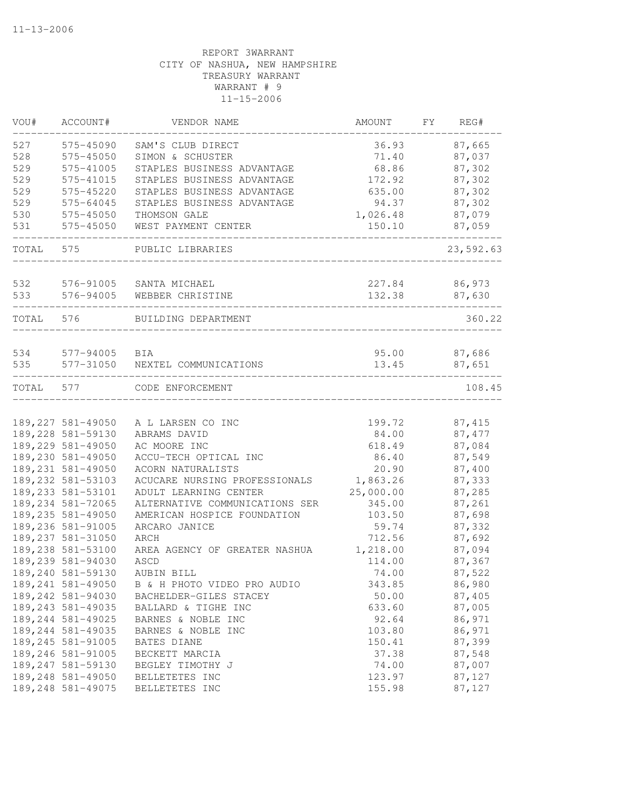| VOU#       | ACCOUNT#               | VENDOR NAME                    | AMOUNT         | FY | REG#      |
|------------|------------------------|--------------------------------|----------------|----|-----------|
| 527        | 575-45090              | SAM'S CLUB DIRECT              | 36.93          |    | 87,665    |
| 528        | 575-45050              | SIMON & SCHUSTER               | 71.40          |    | 87,037    |
| 529        | 575-41005              | STAPLES BUSINESS ADVANTAGE     | 68.86          |    | 87,302    |
| 529        | 575-41015              | STAPLES BUSINESS ADVANTAGE     | 172.92         |    | 87,302    |
| 529        | 575-45220              | STAPLES BUSINESS ADVANTAGE     | 635.00         |    | 87,302    |
| 529        | 575-64045              | STAPLES BUSINESS ADVANTAGE     | 94.37          |    | 87,302    |
| 530        | 575-45050              | THOMSON GALE                   | 1,026.48       |    | 87,079    |
| 531        | 575-45050              | WEST PAYMENT CENTER            | 150.10         |    | 87,059    |
| TOTAL      | 575                    | PUBLIC LIBRARIES               |                |    | 23,592.63 |
| 532        | 576-91005              | SANTA MICHAEL                  | 227.84         |    | 86,973    |
| 533        | 576-94005              | WEBBER CHRISTINE               | 132.38         |    | 87,630    |
| TOTAL      | 576                    | BUILDING DEPARTMENT            |                |    | 360.22    |
|            |                        |                                |                |    | 87,686    |
| 534<br>535 | 577-94005<br>577-31050 | BIA<br>NEXTEL COMMUNICATIONS   | 95.00<br>13.45 |    | 87,651    |
| TOTAL      | 577                    | CODE ENFORCEMENT               |                |    | 108.45    |
|            |                        |                                |                |    |           |
|            | 189, 227 581-49050     | A L LARSEN CO INC              | 199.72         |    | 87, 415   |
|            | 189,228 581-59130      | ABRAMS DAVID                   | 84.00          |    | 87,477    |
|            | 189,229 581-49050      | AC MOORE INC                   | 618.49         |    | 87,084    |
|            | 189,230 581-49050      | ACCU-TECH OPTICAL INC          | 86.40          |    | 87,549    |
|            | 189, 231 581-49050     | ACORN NATURALISTS              | 20.90          |    | 87,400    |
|            | 189, 232 581-53103     | ACUCARE NURSING PROFESSIONALS  | 1,863.26       |    | 87,333    |
|            | 189, 233 581-53101     | ADULT LEARNING CENTER          | 25,000.00      |    | 87,285    |
|            | 189, 234 581-72065     | ALTERNATIVE COMMUNICATIONS SER | 345.00         |    | 87,261    |
|            | 189, 235 581-49050     | AMERICAN HOSPICE FOUNDATION    | 103.50         |    | 87,698    |
|            | 189,236 581-91005      | ARCARO JANICE                  | 59.74          |    | 87,332    |
|            | 189, 237 581-31050     | ARCH                           | 712.56         |    | 87,692    |
|            | 189,238 581-53100      | AREA AGENCY OF GREATER NASHUA  | 1,218.00       |    | 87,094    |
|            | 189,239 581-94030      | ASCD                           | 114.00         |    | 87,367    |
|            | 189,240 581-59130      | AUBIN BILL                     | 74.00          |    | 87,522    |
|            | 189, 241 581-49050     | B & H PHOTO VIDEO PRO AUDIO    | 343.85         |    | 86,980    |
|            | 189,242 581-94030      | BACHELDER-GILES STACEY         | 50.00          |    | 87,405    |
|            | 189, 243 581-49035     | BALLARD & TIGHE INC            | 633.60         |    | 87,005    |
|            | 189, 244 581-49025     | BARNES & NOBLE INC             | 92.64          |    | 86,971    |
|            | 189, 244 581-49035     | BARNES & NOBLE INC             | 103.80         |    | 86,971    |
|            | 189, 245 581-91005     | BATES DIANE                    | 150.41         |    | 87,399    |
|            | 189,246 581-91005      | BECKETT MARCIA                 | 37.38          |    | 87,548    |
|            | 189, 247 581-59130     | BEGLEY TIMOTHY J               | 74.00          |    | 87,007    |
|            | 189,248 581-49050      | BELLETETES INC                 | 123.97         |    | 87,127    |
|            | 189,248 581-49075      | BELLETETES INC                 | 155.98         |    | 87,127    |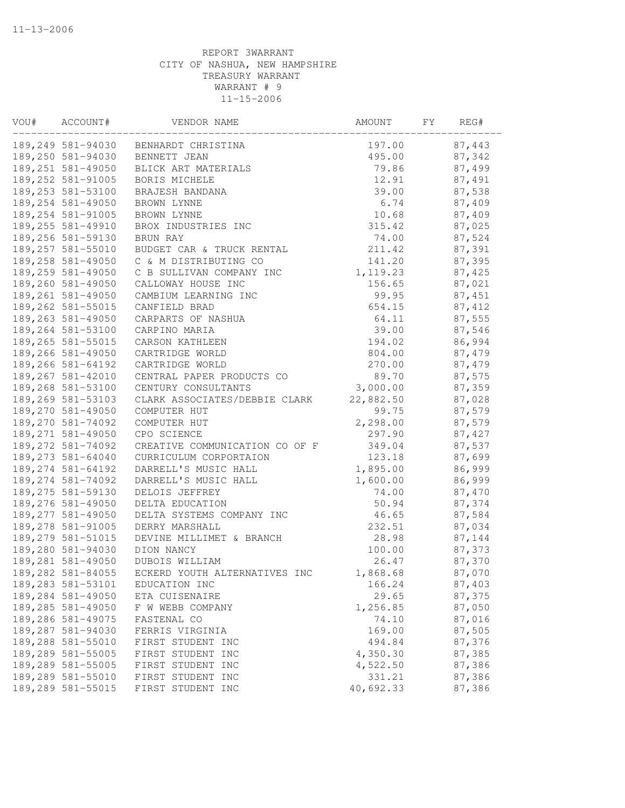| VOU# | ACCOUNT#           | VENDOR NAME                    | AMOUNT    | FΥ | REG#   |
|------|--------------------|--------------------------------|-----------|----|--------|
|      | 189,249 581-94030  | BENHARDT CHRISTINA             | 197.00    |    | 87,443 |
|      | 189,250 581-94030  | BENNETT JEAN                   | 495.00    |    | 87,342 |
|      | 189,251 581-49050  | BLICK ART MATERIALS            | 79.86     |    | 87,499 |
|      | 189,252 581-91005  | BORIS MICHELE                  | 12.91     |    | 87,491 |
|      | 189, 253 581-53100 | BRAJESH BANDANA                | 39.00     |    | 87,538 |
|      | 189,254 581-49050  | BROWN LYNNE                    | 6.74      |    | 87,409 |
|      | 189, 254 581-91005 | BROWN LYNNE                    | 10.68     |    | 87,409 |
|      | 189, 255 581-49910 | BROX INDUSTRIES INC            | 315.42    |    | 87,025 |
|      | 189,256 581-59130  | BRUN RAY                       | 74.00     |    | 87,524 |
|      | 189,257 581-55010  | BUDGET CAR & TRUCK RENTAL      | 211.42    |    | 87,391 |
|      | 189,258 581-49050  | C & M DISTRIBUTING CO          | 141.20    |    | 87,395 |
|      | 189,259 581-49050  | C B SULLIVAN COMPANY INC       | 1,119.23  |    | 87,425 |
|      | 189,260 581-49050  | CALLOWAY HOUSE INC             | 156.65    |    | 87,021 |
|      | 189, 261 581-49050 | CAMBIUM LEARNING INC           | 99.95     |    | 87,451 |
|      | 189,262 581-55015  | CANFIELD BRAD                  | 654.15    |    | 87,412 |
|      | 189, 263 581-49050 | CARPARTS OF NASHUA             | 64.11     |    | 87,555 |
|      | 189,264 581-53100  | CARPINO MARIA                  | 39.00     |    | 87,546 |
|      | 189,265 581-55015  | CARSON KATHLEEN                | 194.02    |    | 86,994 |
|      | 189,266 581-49050  | CARTRIDGE WORLD                | 804.00    |    | 87,479 |
|      | 189,266 581-64192  | CARTRIDGE WORLD                | 270.00    |    | 87,479 |
|      | 189, 267 581-42010 | CENTRAL PAPER PRODUCTS CO      | 89.70     |    | 87,575 |
|      | 189,268 581-53100  | CENTURY CONSULTANTS            | 3,000.00  |    | 87,359 |
|      | 189,269 581-53103  | CLARK ASSOCIATES/DEBBIE CLARK  | 22,882.50 |    | 87,028 |
|      | 189,270 581-49050  | COMPUTER HUT                   | 99.75     |    | 87,579 |
|      | 189,270 581-74092  | COMPUTER HUT                   | 2,298.00  |    | 87,579 |
|      | 189, 271 581-49050 | CPO SCIENCE                    | 297.90    |    | 87,427 |
|      | 189, 272 581-74092 | CREATIVE COMMUNICATION CO OF F | 349.04    |    | 87,537 |
|      | 189, 273 581-64040 | CURRICULUM CORPORTAION         | 123.18    |    | 87,699 |
|      | 189, 274 581-64192 | DARRELL'S MUSIC HALL           | 1,895.00  |    | 86,999 |
|      | 189, 274 581-74092 | DARRELL'S MUSIC HALL           | 1,600.00  |    | 86,999 |
|      | 189,275 581-59130  | DELOIS JEFFREY                 | 74.00     |    | 87,470 |
|      | 189,276 581-49050  | DELTA EDUCATION                | 50.94     |    | 87,374 |
|      | 189, 277 581-49050 | DELTA SYSTEMS COMPANY INC      | 46.65     |    | 87,584 |
|      | 189,278 581-91005  | DERRY MARSHALL                 | 232.51    |    | 87,034 |
|      | 189, 279 581-51015 | DEVINE MILLIMET & BRANCH       | 28.98     |    | 87,144 |
|      | 189,280 581-94030  | DION NANCY                     | 100.00    |    | 87,373 |
|      | 189,281 581-49050  | DUBOIS WILLIAM                 | 26.47     |    | 87,370 |
|      | 189,282 581-84055  | ECKERD YOUTH ALTERNATIVES INC  | 1,868.68  |    | 87,070 |
|      | 189, 283 581-53101 | EDUCATION INC                  | 166.24    |    | 87,403 |
|      | 189,284 581-49050  | ETA CUISENAIRE                 | 29.65     |    | 87,375 |
|      | 189,285 581-49050  | F W WEBB COMPANY               | 1,256.85  |    | 87,050 |
|      | 189,286 581-49075  | FASTENAL CO                    | 74.10     |    | 87,016 |
|      | 189,287 581-94030  | FERRIS VIRGINIA                | 169.00    |    | 87,505 |
|      | 189,288 581-55010  | FIRST STUDENT INC              | 494.84    |    | 87,376 |
|      | 189,289 581-55005  | FIRST STUDENT INC              | 4,350.30  |    | 87,385 |
|      | 189,289 581-55005  | FIRST STUDENT INC              | 4,522.50  |    | 87,386 |
|      | 189,289 581-55010  | FIRST STUDENT INC              | 331.21    |    | 87,386 |
|      | 189,289 581-55015  | FIRST STUDENT INC              | 40,692.33 |    | 87,386 |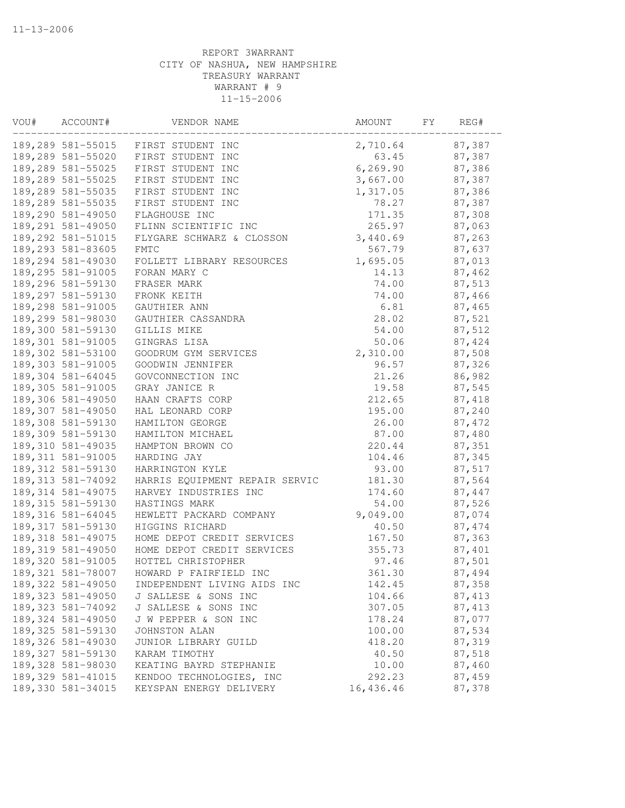| 87,387<br>189,289 581-55015 FIRST STUDENT INC<br>2,710.64<br>189,289 581-55020 FIRST STUDENT INC<br>63.45<br>87,387<br>6, 269.90<br>189,289 581-55025<br>FIRST STUDENT INC<br>87,386<br>189,289 581-55025<br>FIRST STUDENT INC<br>3,667.00<br>87,387<br>1,317.05<br>189,289 581-55035<br>FIRST STUDENT INC<br>87,386<br>189,289 581-55035<br>78.27<br>87,387<br>FIRST STUDENT INC<br>189,290 581-49050<br>171.35<br>87,308<br>FLAGHOUSE INC<br>189,291 581-49050<br>87,063<br>FLINN SCIENTIFIC INC<br>265.97<br>3,440.69<br>189, 292 581-51015<br>FLYGARE SCHWARZ & CLOSSON<br>87,263<br>189,293 581-83605<br><b>FMTC</b><br>567.79<br>87,637<br>189,294 581-49030<br>FOLLETT LIBRARY RESOURCES<br>1,695.05<br>87,013<br>189,295 581-91005<br>FORAN MARY C<br>87,462<br>14.13<br>189,296 581-59130<br>74.00<br>87,513<br>FRASER MARK<br>189,297 581-59130<br>74.00<br>87,466<br>FRONK KEITH<br>189,298 581-91005<br>6.81<br>87,465<br>GAUTHIER ANN<br>189,299 581-98030<br>28.02<br>87,521<br>GAUTHIER CASSANDRA<br>189,300 581-59130<br>87,512<br>GILLIS MIKE<br>54.00<br>87,424<br>189,301 581-91005<br>GINGRAS LISA<br>50.06<br>189,302 581-53100<br>2,310.00<br>87,508<br>GOODRUM GYM SERVICES<br>189,303 581-91005<br>GOODWIN JENNIFER<br>96.57<br>87,326<br>189,304 581-64045<br>GOVCONNECTION INC<br>21.26<br>86,982<br>189,305 581-91005<br>GRAY JANICE R<br>19.58<br>87,545<br>212.65<br>189,306 581-49050<br>HAAN CRAFTS CORP<br>87,418<br>189,307 581-49050<br>195.00<br>87,240<br>HAL LEONARD CORP<br>189,308 581-59130<br>87,472<br>HAMILTON GEORGE<br>26.00<br>189,309 581-59130<br>87,480<br>HAMILTON MICHAEL<br>87.00<br>189, 310 581-49035<br>220.44<br>87,351<br>HAMPTON BROWN CO<br>189, 311 581-91005<br>HARDING JAY<br>104.46<br>87,345<br>189, 312 581-59130<br>HARRINGTON KYLE<br>93.00<br>87,517<br>189, 313 581-74092<br>HARRIS EQUIPMENT REPAIR SERVIC<br>181.30<br>87,564<br>189, 314 581-49075<br>HARVEY INDUSTRIES INC<br>174.60<br>87,447<br>87,526<br>189, 315 581-59130<br>54.00<br>HASTINGS MARK<br>189, 316 581-64045<br>HEWLETT PACKARD COMPANY<br>9,049.00<br>87,074<br>189, 317 581-59130<br>87, 474<br>HIGGINS RICHARD<br>40.50<br>189,318 581-49075<br>87,363<br>HOME DEPOT CREDIT SERVICES<br>167.50<br>189,319 581-49050<br>87,401<br>HOME DEPOT CREDIT SERVICES<br>355.73<br>HOTTEL CHRISTOPHER<br>97.46<br>189,320 581-91005<br>87,501<br>189, 321 581-78007<br>HOWARD P FAIRFIELD INC<br>361.30<br>87,494<br>189, 322 581-49050<br>87,358<br>142.45<br>INDEPENDENT LIVING AIDS INC<br>189, 323 581-49050<br>104.66<br>87, 413<br>J SALLESE & SONS INC<br>189, 323 581-74092<br>307.05<br>87, 413<br>J SALLESE & SONS INC<br>189, 324 581-49050<br>178.24<br>87,077<br>J W PEPPER & SON INC<br>87,534<br>189, 325 581-59130<br>JOHNSTON ALAN<br>100.00<br>189,326 581-49030<br>418.20<br>87,319<br>JUNIOR LIBRARY GUILD<br>189, 327 581-59130<br>40.50<br>87,518<br>KARAM TIMOTHY<br>189,328 581-98030<br>10.00<br>87,460<br>KEATING BAYRD STEPHANIE<br>189, 329 581-41015<br>292.23<br>87,459<br>KENDOO TECHNOLOGIES, INC<br>189,330 581-34015<br>16,436.46<br>87,378<br>KEYSPAN ENERGY DELIVERY | VOU# | ACCOUNT# | VENDOR NAME | AMOUNT | FY | REG# |
|----------------------------------------------------------------------------------------------------------------------------------------------------------------------------------------------------------------------------------------------------------------------------------------------------------------------------------------------------------------------------------------------------------------------------------------------------------------------------------------------------------------------------------------------------------------------------------------------------------------------------------------------------------------------------------------------------------------------------------------------------------------------------------------------------------------------------------------------------------------------------------------------------------------------------------------------------------------------------------------------------------------------------------------------------------------------------------------------------------------------------------------------------------------------------------------------------------------------------------------------------------------------------------------------------------------------------------------------------------------------------------------------------------------------------------------------------------------------------------------------------------------------------------------------------------------------------------------------------------------------------------------------------------------------------------------------------------------------------------------------------------------------------------------------------------------------------------------------------------------------------------------------------------------------------------------------------------------------------------------------------------------------------------------------------------------------------------------------------------------------------------------------------------------------------------------------------------------------------------------------------------------------------------------------------------------------------------------------------------------------------------------------------------------------------------------------------------------------------------------------------------------------------------------------------------------------------------------------------------------------------------------------------------------------------------------------------------------------------------------------------------------------------------------------------------------------------------------------------------------------------------------------------------------------------------------------------------------------------------------------------------------------------------------------------------------------------------------------------------------------------------------------|------|----------|-------------|--------|----|------|
|                                                                                                                                                                                                                                                                                                                                                                                                                                                                                                                                                                                                                                                                                                                                                                                                                                                                                                                                                                                                                                                                                                                                                                                                                                                                                                                                                                                                                                                                                                                                                                                                                                                                                                                                                                                                                                                                                                                                                                                                                                                                                                                                                                                                                                                                                                                                                                                                                                                                                                                                                                                                                                                                                                                                                                                                                                                                                                                                                                                                                                                                                                                                              |      |          |             |        |    |      |
|                                                                                                                                                                                                                                                                                                                                                                                                                                                                                                                                                                                                                                                                                                                                                                                                                                                                                                                                                                                                                                                                                                                                                                                                                                                                                                                                                                                                                                                                                                                                                                                                                                                                                                                                                                                                                                                                                                                                                                                                                                                                                                                                                                                                                                                                                                                                                                                                                                                                                                                                                                                                                                                                                                                                                                                                                                                                                                                                                                                                                                                                                                                                              |      |          |             |        |    |      |
|                                                                                                                                                                                                                                                                                                                                                                                                                                                                                                                                                                                                                                                                                                                                                                                                                                                                                                                                                                                                                                                                                                                                                                                                                                                                                                                                                                                                                                                                                                                                                                                                                                                                                                                                                                                                                                                                                                                                                                                                                                                                                                                                                                                                                                                                                                                                                                                                                                                                                                                                                                                                                                                                                                                                                                                                                                                                                                                                                                                                                                                                                                                                              |      |          |             |        |    |      |
|                                                                                                                                                                                                                                                                                                                                                                                                                                                                                                                                                                                                                                                                                                                                                                                                                                                                                                                                                                                                                                                                                                                                                                                                                                                                                                                                                                                                                                                                                                                                                                                                                                                                                                                                                                                                                                                                                                                                                                                                                                                                                                                                                                                                                                                                                                                                                                                                                                                                                                                                                                                                                                                                                                                                                                                                                                                                                                                                                                                                                                                                                                                                              |      |          |             |        |    |      |
|                                                                                                                                                                                                                                                                                                                                                                                                                                                                                                                                                                                                                                                                                                                                                                                                                                                                                                                                                                                                                                                                                                                                                                                                                                                                                                                                                                                                                                                                                                                                                                                                                                                                                                                                                                                                                                                                                                                                                                                                                                                                                                                                                                                                                                                                                                                                                                                                                                                                                                                                                                                                                                                                                                                                                                                                                                                                                                                                                                                                                                                                                                                                              |      |          |             |        |    |      |
|                                                                                                                                                                                                                                                                                                                                                                                                                                                                                                                                                                                                                                                                                                                                                                                                                                                                                                                                                                                                                                                                                                                                                                                                                                                                                                                                                                                                                                                                                                                                                                                                                                                                                                                                                                                                                                                                                                                                                                                                                                                                                                                                                                                                                                                                                                                                                                                                                                                                                                                                                                                                                                                                                                                                                                                                                                                                                                                                                                                                                                                                                                                                              |      |          |             |        |    |      |
|                                                                                                                                                                                                                                                                                                                                                                                                                                                                                                                                                                                                                                                                                                                                                                                                                                                                                                                                                                                                                                                                                                                                                                                                                                                                                                                                                                                                                                                                                                                                                                                                                                                                                                                                                                                                                                                                                                                                                                                                                                                                                                                                                                                                                                                                                                                                                                                                                                                                                                                                                                                                                                                                                                                                                                                                                                                                                                                                                                                                                                                                                                                                              |      |          |             |        |    |      |
|                                                                                                                                                                                                                                                                                                                                                                                                                                                                                                                                                                                                                                                                                                                                                                                                                                                                                                                                                                                                                                                                                                                                                                                                                                                                                                                                                                                                                                                                                                                                                                                                                                                                                                                                                                                                                                                                                                                                                                                                                                                                                                                                                                                                                                                                                                                                                                                                                                                                                                                                                                                                                                                                                                                                                                                                                                                                                                                                                                                                                                                                                                                                              |      |          |             |        |    |      |
|                                                                                                                                                                                                                                                                                                                                                                                                                                                                                                                                                                                                                                                                                                                                                                                                                                                                                                                                                                                                                                                                                                                                                                                                                                                                                                                                                                                                                                                                                                                                                                                                                                                                                                                                                                                                                                                                                                                                                                                                                                                                                                                                                                                                                                                                                                                                                                                                                                                                                                                                                                                                                                                                                                                                                                                                                                                                                                                                                                                                                                                                                                                                              |      |          |             |        |    |      |
|                                                                                                                                                                                                                                                                                                                                                                                                                                                                                                                                                                                                                                                                                                                                                                                                                                                                                                                                                                                                                                                                                                                                                                                                                                                                                                                                                                                                                                                                                                                                                                                                                                                                                                                                                                                                                                                                                                                                                                                                                                                                                                                                                                                                                                                                                                                                                                                                                                                                                                                                                                                                                                                                                                                                                                                                                                                                                                                                                                                                                                                                                                                                              |      |          |             |        |    |      |
|                                                                                                                                                                                                                                                                                                                                                                                                                                                                                                                                                                                                                                                                                                                                                                                                                                                                                                                                                                                                                                                                                                                                                                                                                                                                                                                                                                                                                                                                                                                                                                                                                                                                                                                                                                                                                                                                                                                                                                                                                                                                                                                                                                                                                                                                                                                                                                                                                                                                                                                                                                                                                                                                                                                                                                                                                                                                                                                                                                                                                                                                                                                                              |      |          |             |        |    |      |
|                                                                                                                                                                                                                                                                                                                                                                                                                                                                                                                                                                                                                                                                                                                                                                                                                                                                                                                                                                                                                                                                                                                                                                                                                                                                                                                                                                                                                                                                                                                                                                                                                                                                                                                                                                                                                                                                                                                                                                                                                                                                                                                                                                                                                                                                                                                                                                                                                                                                                                                                                                                                                                                                                                                                                                                                                                                                                                                                                                                                                                                                                                                                              |      |          |             |        |    |      |
|                                                                                                                                                                                                                                                                                                                                                                                                                                                                                                                                                                                                                                                                                                                                                                                                                                                                                                                                                                                                                                                                                                                                                                                                                                                                                                                                                                                                                                                                                                                                                                                                                                                                                                                                                                                                                                                                                                                                                                                                                                                                                                                                                                                                                                                                                                                                                                                                                                                                                                                                                                                                                                                                                                                                                                                                                                                                                                                                                                                                                                                                                                                                              |      |          |             |        |    |      |
|                                                                                                                                                                                                                                                                                                                                                                                                                                                                                                                                                                                                                                                                                                                                                                                                                                                                                                                                                                                                                                                                                                                                                                                                                                                                                                                                                                                                                                                                                                                                                                                                                                                                                                                                                                                                                                                                                                                                                                                                                                                                                                                                                                                                                                                                                                                                                                                                                                                                                                                                                                                                                                                                                                                                                                                                                                                                                                                                                                                                                                                                                                                                              |      |          |             |        |    |      |
|                                                                                                                                                                                                                                                                                                                                                                                                                                                                                                                                                                                                                                                                                                                                                                                                                                                                                                                                                                                                                                                                                                                                                                                                                                                                                                                                                                                                                                                                                                                                                                                                                                                                                                                                                                                                                                                                                                                                                                                                                                                                                                                                                                                                                                                                                                                                                                                                                                                                                                                                                                                                                                                                                                                                                                                                                                                                                                                                                                                                                                                                                                                                              |      |          |             |        |    |      |
|                                                                                                                                                                                                                                                                                                                                                                                                                                                                                                                                                                                                                                                                                                                                                                                                                                                                                                                                                                                                                                                                                                                                                                                                                                                                                                                                                                                                                                                                                                                                                                                                                                                                                                                                                                                                                                                                                                                                                                                                                                                                                                                                                                                                                                                                                                                                                                                                                                                                                                                                                                                                                                                                                                                                                                                                                                                                                                                                                                                                                                                                                                                                              |      |          |             |        |    |      |
|                                                                                                                                                                                                                                                                                                                                                                                                                                                                                                                                                                                                                                                                                                                                                                                                                                                                                                                                                                                                                                                                                                                                                                                                                                                                                                                                                                                                                                                                                                                                                                                                                                                                                                                                                                                                                                                                                                                                                                                                                                                                                                                                                                                                                                                                                                                                                                                                                                                                                                                                                                                                                                                                                                                                                                                                                                                                                                                                                                                                                                                                                                                                              |      |          |             |        |    |      |
|                                                                                                                                                                                                                                                                                                                                                                                                                                                                                                                                                                                                                                                                                                                                                                                                                                                                                                                                                                                                                                                                                                                                                                                                                                                                                                                                                                                                                                                                                                                                                                                                                                                                                                                                                                                                                                                                                                                                                                                                                                                                                                                                                                                                                                                                                                                                                                                                                                                                                                                                                                                                                                                                                                                                                                                                                                                                                                                                                                                                                                                                                                                                              |      |          |             |        |    |      |
|                                                                                                                                                                                                                                                                                                                                                                                                                                                                                                                                                                                                                                                                                                                                                                                                                                                                                                                                                                                                                                                                                                                                                                                                                                                                                                                                                                                                                                                                                                                                                                                                                                                                                                                                                                                                                                                                                                                                                                                                                                                                                                                                                                                                                                                                                                                                                                                                                                                                                                                                                                                                                                                                                                                                                                                                                                                                                                                                                                                                                                                                                                                                              |      |          |             |        |    |      |
|                                                                                                                                                                                                                                                                                                                                                                                                                                                                                                                                                                                                                                                                                                                                                                                                                                                                                                                                                                                                                                                                                                                                                                                                                                                                                                                                                                                                                                                                                                                                                                                                                                                                                                                                                                                                                                                                                                                                                                                                                                                                                                                                                                                                                                                                                                                                                                                                                                                                                                                                                                                                                                                                                                                                                                                                                                                                                                                                                                                                                                                                                                                                              |      |          |             |        |    |      |
|                                                                                                                                                                                                                                                                                                                                                                                                                                                                                                                                                                                                                                                                                                                                                                                                                                                                                                                                                                                                                                                                                                                                                                                                                                                                                                                                                                                                                                                                                                                                                                                                                                                                                                                                                                                                                                                                                                                                                                                                                                                                                                                                                                                                                                                                                                                                                                                                                                                                                                                                                                                                                                                                                                                                                                                                                                                                                                                                                                                                                                                                                                                                              |      |          |             |        |    |      |
|                                                                                                                                                                                                                                                                                                                                                                                                                                                                                                                                                                                                                                                                                                                                                                                                                                                                                                                                                                                                                                                                                                                                                                                                                                                                                                                                                                                                                                                                                                                                                                                                                                                                                                                                                                                                                                                                                                                                                                                                                                                                                                                                                                                                                                                                                                                                                                                                                                                                                                                                                                                                                                                                                                                                                                                                                                                                                                                                                                                                                                                                                                                                              |      |          |             |        |    |      |
|                                                                                                                                                                                                                                                                                                                                                                                                                                                                                                                                                                                                                                                                                                                                                                                                                                                                                                                                                                                                                                                                                                                                                                                                                                                                                                                                                                                                                                                                                                                                                                                                                                                                                                                                                                                                                                                                                                                                                                                                                                                                                                                                                                                                                                                                                                                                                                                                                                                                                                                                                                                                                                                                                                                                                                                                                                                                                                                                                                                                                                                                                                                                              |      |          |             |        |    |      |
|                                                                                                                                                                                                                                                                                                                                                                                                                                                                                                                                                                                                                                                                                                                                                                                                                                                                                                                                                                                                                                                                                                                                                                                                                                                                                                                                                                                                                                                                                                                                                                                                                                                                                                                                                                                                                                                                                                                                                                                                                                                                                                                                                                                                                                                                                                                                                                                                                                                                                                                                                                                                                                                                                                                                                                                                                                                                                                                                                                                                                                                                                                                                              |      |          |             |        |    |      |
|                                                                                                                                                                                                                                                                                                                                                                                                                                                                                                                                                                                                                                                                                                                                                                                                                                                                                                                                                                                                                                                                                                                                                                                                                                                                                                                                                                                                                                                                                                                                                                                                                                                                                                                                                                                                                                                                                                                                                                                                                                                                                                                                                                                                                                                                                                                                                                                                                                                                                                                                                                                                                                                                                                                                                                                                                                                                                                                                                                                                                                                                                                                                              |      |          |             |        |    |      |
|                                                                                                                                                                                                                                                                                                                                                                                                                                                                                                                                                                                                                                                                                                                                                                                                                                                                                                                                                                                                                                                                                                                                                                                                                                                                                                                                                                                                                                                                                                                                                                                                                                                                                                                                                                                                                                                                                                                                                                                                                                                                                                                                                                                                                                                                                                                                                                                                                                                                                                                                                                                                                                                                                                                                                                                                                                                                                                                                                                                                                                                                                                                                              |      |          |             |        |    |      |
|                                                                                                                                                                                                                                                                                                                                                                                                                                                                                                                                                                                                                                                                                                                                                                                                                                                                                                                                                                                                                                                                                                                                                                                                                                                                                                                                                                                                                                                                                                                                                                                                                                                                                                                                                                                                                                                                                                                                                                                                                                                                                                                                                                                                                                                                                                                                                                                                                                                                                                                                                                                                                                                                                                                                                                                                                                                                                                                                                                                                                                                                                                                                              |      |          |             |        |    |      |
|                                                                                                                                                                                                                                                                                                                                                                                                                                                                                                                                                                                                                                                                                                                                                                                                                                                                                                                                                                                                                                                                                                                                                                                                                                                                                                                                                                                                                                                                                                                                                                                                                                                                                                                                                                                                                                                                                                                                                                                                                                                                                                                                                                                                                                                                                                                                                                                                                                                                                                                                                                                                                                                                                                                                                                                                                                                                                                                                                                                                                                                                                                                                              |      |          |             |        |    |      |
|                                                                                                                                                                                                                                                                                                                                                                                                                                                                                                                                                                                                                                                                                                                                                                                                                                                                                                                                                                                                                                                                                                                                                                                                                                                                                                                                                                                                                                                                                                                                                                                                                                                                                                                                                                                                                                                                                                                                                                                                                                                                                                                                                                                                                                                                                                                                                                                                                                                                                                                                                                                                                                                                                                                                                                                                                                                                                                                                                                                                                                                                                                                                              |      |          |             |        |    |      |
|                                                                                                                                                                                                                                                                                                                                                                                                                                                                                                                                                                                                                                                                                                                                                                                                                                                                                                                                                                                                                                                                                                                                                                                                                                                                                                                                                                                                                                                                                                                                                                                                                                                                                                                                                                                                                                                                                                                                                                                                                                                                                                                                                                                                                                                                                                                                                                                                                                                                                                                                                                                                                                                                                                                                                                                                                                                                                                                                                                                                                                                                                                                                              |      |          |             |        |    |      |
|                                                                                                                                                                                                                                                                                                                                                                                                                                                                                                                                                                                                                                                                                                                                                                                                                                                                                                                                                                                                                                                                                                                                                                                                                                                                                                                                                                                                                                                                                                                                                                                                                                                                                                                                                                                                                                                                                                                                                                                                                                                                                                                                                                                                                                                                                                                                                                                                                                                                                                                                                                                                                                                                                                                                                                                                                                                                                                                                                                                                                                                                                                                                              |      |          |             |        |    |      |
|                                                                                                                                                                                                                                                                                                                                                                                                                                                                                                                                                                                                                                                                                                                                                                                                                                                                                                                                                                                                                                                                                                                                                                                                                                                                                                                                                                                                                                                                                                                                                                                                                                                                                                                                                                                                                                                                                                                                                                                                                                                                                                                                                                                                                                                                                                                                                                                                                                                                                                                                                                                                                                                                                                                                                                                                                                                                                                                                                                                                                                                                                                                                              |      |          |             |        |    |      |
|                                                                                                                                                                                                                                                                                                                                                                                                                                                                                                                                                                                                                                                                                                                                                                                                                                                                                                                                                                                                                                                                                                                                                                                                                                                                                                                                                                                                                                                                                                                                                                                                                                                                                                                                                                                                                                                                                                                                                                                                                                                                                                                                                                                                                                                                                                                                                                                                                                                                                                                                                                                                                                                                                                                                                                                                                                                                                                                                                                                                                                                                                                                                              |      |          |             |        |    |      |
|                                                                                                                                                                                                                                                                                                                                                                                                                                                                                                                                                                                                                                                                                                                                                                                                                                                                                                                                                                                                                                                                                                                                                                                                                                                                                                                                                                                                                                                                                                                                                                                                                                                                                                                                                                                                                                                                                                                                                                                                                                                                                                                                                                                                                                                                                                                                                                                                                                                                                                                                                                                                                                                                                                                                                                                                                                                                                                                                                                                                                                                                                                                                              |      |          |             |        |    |      |
|                                                                                                                                                                                                                                                                                                                                                                                                                                                                                                                                                                                                                                                                                                                                                                                                                                                                                                                                                                                                                                                                                                                                                                                                                                                                                                                                                                                                                                                                                                                                                                                                                                                                                                                                                                                                                                                                                                                                                                                                                                                                                                                                                                                                                                                                                                                                                                                                                                                                                                                                                                                                                                                                                                                                                                                                                                                                                                                                                                                                                                                                                                                                              |      |          |             |        |    |      |
|                                                                                                                                                                                                                                                                                                                                                                                                                                                                                                                                                                                                                                                                                                                                                                                                                                                                                                                                                                                                                                                                                                                                                                                                                                                                                                                                                                                                                                                                                                                                                                                                                                                                                                                                                                                                                                                                                                                                                                                                                                                                                                                                                                                                                                                                                                                                                                                                                                                                                                                                                                                                                                                                                                                                                                                                                                                                                                                                                                                                                                                                                                                                              |      |          |             |        |    |      |
|                                                                                                                                                                                                                                                                                                                                                                                                                                                                                                                                                                                                                                                                                                                                                                                                                                                                                                                                                                                                                                                                                                                                                                                                                                                                                                                                                                                                                                                                                                                                                                                                                                                                                                                                                                                                                                                                                                                                                                                                                                                                                                                                                                                                                                                                                                                                                                                                                                                                                                                                                                                                                                                                                                                                                                                                                                                                                                                                                                                                                                                                                                                                              |      |          |             |        |    |      |
|                                                                                                                                                                                                                                                                                                                                                                                                                                                                                                                                                                                                                                                                                                                                                                                                                                                                                                                                                                                                                                                                                                                                                                                                                                                                                                                                                                                                                                                                                                                                                                                                                                                                                                                                                                                                                                                                                                                                                                                                                                                                                                                                                                                                                                                                                                                                                                                                                                                                                                                                                                                                                                                                                                                                                                                                                                                                                                                                                                                                                                                                                                                                              |      |          |             |        |    |      |
|                                                                                                                                                                                                                                                                                                                                                                                                                                                                                                                                                                                                                                                                                                                                                                                                                                                                                                                                                                                                                                                                                                                                                                                                                                                                                                                                                                                                                                                                                                                                                                                                                                                                                                                                                                                                                                                                                                                                                                                                                                                                                                                                                                                                                                                                                                                                                                                                                                                                                                                                                                                                                                                                                                                                                                                                                                                                                                                                                                                                                                                                                                                                              |      |          |             |        |    |      |
|                                                                                                                                                                                                                                                                                                                                                                                                                                                                                                                                                                                                                                                                                                                                                                                                                                                                                                                                                                                                                                                                                                                                                                                                                                                                                                                                                                                                                                                                                                                                                                                                                                                                                                                                                                                                                                                                                                                                                                                                                                                                                                                                                                                                                                                                                                                                                                                                                                                                                                                                                                                                                                                                                                                                                                                                                                                                                                                                                                                                                                                                                                                                              |      |          |             |        |    |      |
|                                                                                                                                                                                                                                                                                                                                                                                                                                                                                                                                                                                                                                                                                                                                                                                                                                                                                                                                                                                                                                                                                                                                                                                                                                                                                                                                                                                                                                                                                                                                                                                                                                                                                                                                                                                                                                                                                                                                                                                                                                                                                                                                                                                                                                                                                                                                                                                                                                                                                                                                                                                                                                                                                                                                                                                                                                                                                                                                                                                                                                                                                                                                              |      |          |             |        |    |      |
|                                                                                                                                                                                                                                                                                                                                                                                                                                                                                                                                                                                                                                                                                                                                                                                                                                                                                                                                                                                                                                                                                                                                                                                                                                                                                                                                                                                                                                                                                                                                                                                                                                                                                                                                                                                                                                                                                                                                                                                                                                                                                                                                                                                                                                                                                                                                                                                                                                                                                                                                                                                                                                                                                                                                                                                                                                                                                                                                                                                                                                                                                                                                              |      |          |             |        |    |      |
|                                                                                                                                                                                                                                                                                                                                                                                                                                                                                                                                                                                                                                                                                                                                                                                                                                                                                                                                                                                                                                                                                                                                                                                                                                                                                                                                                                                                                                                                                                                                                                                                                                                                                                                                                                                                                                                                                                                                                                                                                                                                                                                                                                                                                                                                                                                                                                                                                                                                                                                                                                                                                                                                                                                                                                                                                                                                                                                                                                                                                                                                                                                                              |      |          |             |        |    |      |
|                                                                                                                                                                                                                                                                                                                                                                                                                                                                                                                                                                                                                                                                                                                                                                                                                                                                                                                                                                                                                                                                                                                                                                                                                                                                                                                                                                                                                                                                                                                                                                                                                                                                                                                                                                                                                                                                                                                                                                                                                                                                                                                                                                                                                                                                                                                                                                                                                                                                                                                                                                                                                                                                                                                                                                                                                                                                                                                                                                                                                                                                                                                                              |      |          |             |        |    |      |
|                                                                                                                                                                                                                                                                                                                                                                                                                                                                                                                                                                                                                                                                                                                                                                                                                                                                                                                                                                                                                                                                                                                                                                                                                                                                                                                                                                                                                                                                                                                                                                                                                                                                                                                                                                                                                                                                                                                                                                                                                                                                                                                                                                                                                                                                                                                                                                                                                                                                                                                                                                                                                                                                                                                                                                                                                                                                                                                                                                                                                                                                                                                                              |      |          |             |        |    |      |
|                                                                                                                                                                                                                                                                                                                                                                                                                                                                                                                                                                                                                                                                                                                                                                                                                                                                                                                                                                                                                                                                                                                                                                                                                                                                                                                                                                                                                                                                                                                                                                                                                                                                                                                                                                                                                                                                                                                                                                                                                                                                                                                                                                                                                                                                                                                                                                                                                                                                                                                                                                                                                                                                                                                                                                                                                                                                                                                                                                                                                                                                                                                                              |      |          |             |        |    |      |
|                                                                                                                                                                                                                                                                                                                                                                                                                                                                                                                                                                                                                                                                                                                                                                                                                                                                                                                                                                                                                                                                                                                                                                                                                                                                                                                                                                                                                                                                                                                                                                                                                                                                                                                                                                                                                                                                                                                                                                                                                                                                                                                                                                                                                                                                                                                                                                                                                                                                                                                                                                                                                                                                                                                                                                                                                                                                                                                                                                                                                                                                                                                                              |      |          |             |        |    |      |
|                                                                                                                                                                                                                                                                                                                                                                                                                                                                                                                                                                                                                                                                                                                                                                                                                                                                                                                                                                                                                                                                                                                                                                                                                                                                                                                                                                                                                                                                                                                                                                                                                                                                                                                                                                                                                                                                                                                                                                                                                                                                                                                                                                                                                                                                                                                                                                                                                                                                                                                                                                                                                                                                                                                                                                                                                                                                                                                                                                                                                                                                                                                                              |      |          |             |        |    |      |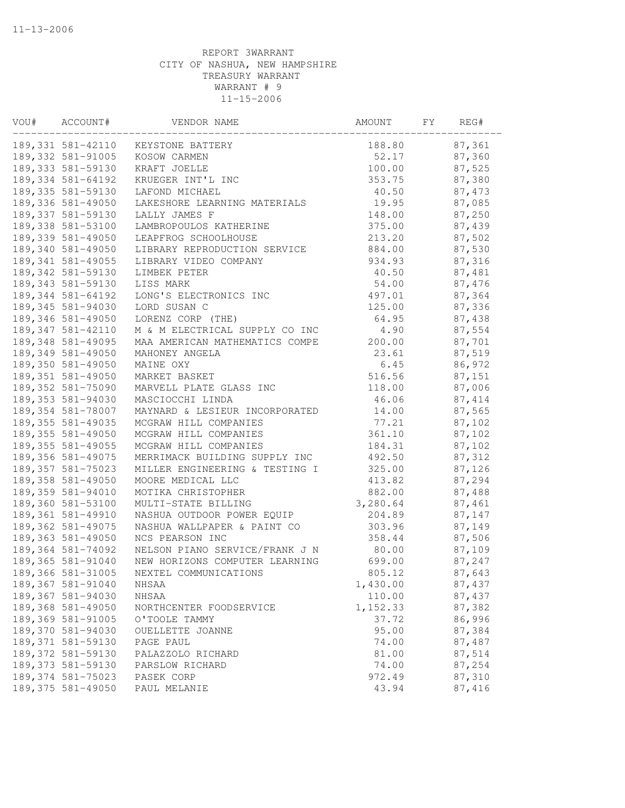| VOU# | ACCOUNT#           | VENDOR NAME                    | AMOUNT   | FΥ | REG#    |
|------|--------------------|--------------------------------|----------|----|---------|
|      | 189,331 581-42110  | KEYSTONE BATTERY               | 188.80   |    | 87,361  |
|      | 189, 332 581-91005 | KOSOW CARMEN                   | 52.17    |    | 87,360  |
|      | 189, 333 581-59130 | KRAFT JOELLE                   | 100.00   |    | 87,525  |
|      | 189, 334 581-64192 | KRUEGER INT'L INC              | 353.75   |    | 87,380  |
|      | 189, 335 581-59130 | LAFOND MICHAEL                 | 40.50    |    | 87, 473 |
|      | 189,336 581-49050  | LAKESHORE LEARNING MATERIALS   | 19.95    |    | 87,085  |
|      | 189, 337 581-59130 | LALLY JAMES F                  | 148.00   |    | 87,250  |
|      | 189,338 581-53100  | LAMBROPOULOS KATHERINE         | 375.00   |    | 87,439  |
|      | 189,339 581-49050  | LEAPFROG SCHOOLHOUSE           | 213.20   |    | 87,502  |
|      | 189,340 581-49050  | LIBRARY REPRODUCTION SERVICE   | 884.00   |    | 87,530  |
|      | 189, 341 581-49055 | LIBRARY VIDEO COMPANY          | 934.93   |    | 87,316  |
|      | 189, 342 581-59130 | LIMBEK PETER                   | 40.50    |    | 87,481  |
|      | 189, 343 581-59130 | LISS MARK                      | 54.00    |    | 87,476  |
|      | 189, 344 581-64192 | LONG'S ELECTRONICS INC         | 497.01   |    | 87,364  |
|      | 189, 345 581-94030 | LORD SUSAN C                   | 125.00   |    | 87,336  |
|      | 189,346 581-49050  | LORENZ CORP (THE)              | 64.95    |    | 87,438  |
|      | 189, 347 581-42110 | M & M ELECTRICAL SUPPLY CO INC | 4.90     |    | 87,554  |
|      | 189, 348 581-49095 | MAA AMERICAN MATHEMATICS COMPE | 200.00   |    | 87,701  |
|      | 189,349 581-49050  | MAHONEY ANGELA                 | 23.61    |    | 87,519  |
|      | 189,350 581-49050  | MAINE OXY                      | 6.45     |    | 86,972  |
|      | 189, 351 581-49050 | MARKET BASKET                  | 516.56   |    | 87,151  |
|      | 189, 352 581-75090 | MARVELL PLATE GLASS INC        | 118.00   |    | 87,006  |
|      | 189, 353 581-94030 | MASCIOCCHI LINDA               | 46.06    |    | 87, 414 |
|      | 189,354 581-78007  | MAYNARD & LESIEUR INCORPORATED | 14.00    |    | 87,565  |
|      | 189, 355 581-49035 | MCGRAW HILL COMPANIES          | 77.21    |    | 87,102  |
|      | 189, 355 581-49050 | MCGRAW HILL COMPANIES          | 361.10   |    | 87,102  |
|      | 189, 355 581-49055 | MCGRAW HILL COMPANIES          | 184.31   |    | 87,102  |
|      | 189, 356 581-49075 | MERRIMACK BUILDING SUPPLY INC  | 492.50   |    | 87,312  |
|      | 189, 357 581-75023 | MILLER ENGINEERING & TESTING I | 325.00   |    | 87,126  |
|      | 189,358 581-49050  | MOORE MEDICAL LLC              | 413.82   |    | 87,294  |
|      | 189,359 581-94010  | MOTIKA CHRISTOPHER             | 882.00   |    | 87,488  |
|      | 189,360 581-53100  | MULTI-STATE BILLING            | 3,280.64 |    | 87,461  |
|      | 189, 361 581-49910 | NASHUA OUTDOOR POWER EQUIP     | 204.89   |    | 87,147  |
|      | 189, 362 581-49075 | NASHUA WALLPAPER & PAINT CO    | 303.96   |    | 87,149  |
|      | 189,363 581-49050  | NCS PEARSON INC                | 358.44   |    | 87,506  |
|      | 189,364 581-74092  | NELSON PIANO SERVICE/FRANK J N | 80.00    |    | 87,109  |
|      | 189,365 581-91040  | NEW HORIZONS COMPUTER LEARNING | 699.00   |    | 87,247  |
|      | 189,366 581-31005  | NEXTEL COMMUNICATIONS          | 805.12   |    | 87,643  |
|      | 189, 367 581-91040 | NHSAA                          | 1,430.00 |    | 87,437  |
|      | 189,367 581-94030  | NHSAA                          | 110.00   |    | 87,437  |
|      | 189,368 581-49050  | NORTHCENTER FOODSERVICE        | 1,152.33 |    | 87,382  |
|      | 189,369 581-91005  | O'TOOLE TAMMY                  | 37.72    |    | 86,996  |
|      | 189,370 581-94030  | OUELLETTE JOANNE               | 95.00    |    | 87,384  |
|      | 189, 371 581-59130 | PAGE PAUL                      | 74.00    |    | 87,487  |
|      | 189,372 581-59130  | PALAZZOLO RICHARD              | 81.00    |    | 87,514  |
|      | 189,373 581-59130  | PARSLOW RICHARD                | 74.00    |    | 87,254  |
|      | 189, 374 581-75023 | PASEK CORP                     | 972.49   |    | 87,310  |
|      | 189, 375 581-49050 | PAUL MELANIE                   | 43.94    |    | 87,416  |
|      |                    |                                |          |    |         |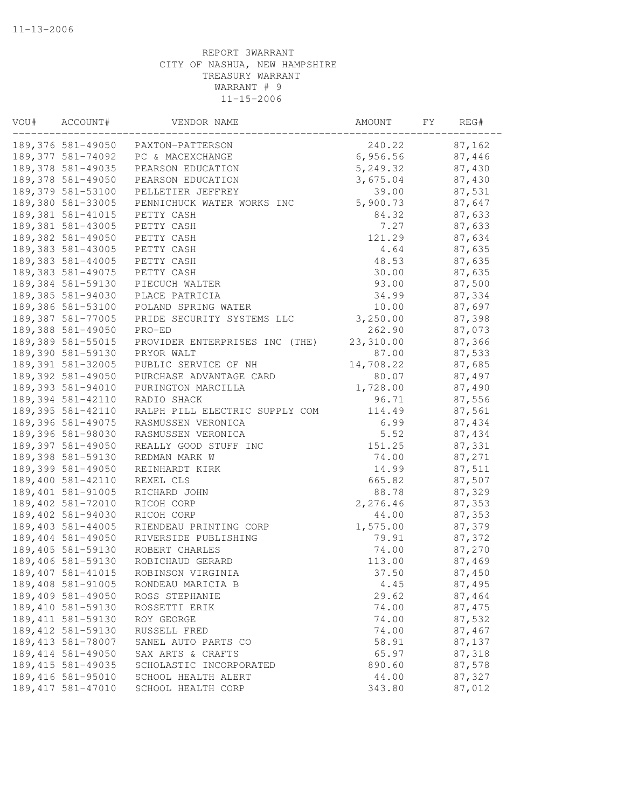| VOU# | ACCOUNT#           | VENDOR NAME                    | AMOUNT    | FΥ | REG#   |
|------|--------------------|--------------------------------|-----------|----|--------|
|      | 189,376 581-49050  | PAXTON-PATTERSON               | 240.22    |    | 87,162 |
|      | 189,377 581-74092  | PC & MACEXCHANGE               | 6,956.56  |    | 87,446 |
|      | 189,378 581-49035  | PEARSON EDUCATION              | 5,249.32  |    | 87,430 |
|      | 189,378 581-49050  | PEARSON EDUCATION              | 3,675.04  |    | 87,430 |
|      | 189,379 581-53100  | PELLETIER JEFFREY              | 39.00     |    | 87,531 |
|      | 189,380 581-33005  | PENNICHUCK WATER WORKS INC     | 5,900.73  |    | 87,647 |
|      | 189, 381 581-41015 | PETTY CASH                     | 84.32     |    | 87,633 |
|      | 189,381 581-43005  | PETTY CASH                     | 7.27      |    | 87,633 |
|      | 189,382 581-49050  | PETTY CASH                     | 121.29    |    | 87,634 |
|      | 189, 383 581-43005 | PETTY CASH                     | 4.64      |    | 87,635 |
|      | 189,383 581-44005  | PETTY CASH                     | 48.53     |    | 87,635 |
|      | 189, 383 581-49075 | PETTY CASH                     | 30.00     |    | 87,635 |
|      | 189,384 581-59130  | PIECUCH WALTER                 | 93.00     |    | 87,500 |
|      | 189,385 581-94030  | PLACE PATRICIA                 | 34.99     |    | 87,334 |
|      | 189,386 581-53100  | POLAND SPRING WATER            | 10.00     |    | 87,697 |
|      | 189,387 581-77005  | PRIDE SECURITY SYSTEMS LLC     | 3,250.00  |    | 87,398 |
|      | 189,388 581-49050  | PRO-ED                         | 262.90    |    | 87,073 |
|      | 189,389 581-55015  | PROVIDER ENTERPRISES INC (THE) | 23,310.00 |    | 87,366 |
|      | 189,390 581-59130  | PRYOR WALT                     | 87.00     |    | 87,533 |
|      | 189,391 581-32005  | PUBLIC SERVICE OF NH           | 14,708.22 |    | 87,685 |
|      | 189,392 581-49050  | PURCHASE ADVANTAGE CARD        | 80.07     |    | 87,497 |
|      | 189,393 581-94010  | PURINGTON MARCILLA             | 1,728.00  |    | 87,490 |
|      | 189, 394 581-42110 | RADIO SHACK                    | 96.71     |    | 87,556 |
|      | 189,395 581-42110  | RALPH PILL ELECTRIC SUPPLY COM | 114.49    |    | 87,561 |
|      | 189,396 581-49075  | RASMUSSEN VERONICA             | 6.99      |    | 87,434 |
|      | 189,396 581-98030  | RASMUSSEN VERONICA             | 5.52      |    | 87,434 |
|      | 189,397 581-49050  | REALLY GOOD STUFF INC          | 151.25    |    | 87,331 |
|      | 189,398 581-59130  | REDMAN MARK W                  | 74.00     |    | 87,271 |
|      | 189,399 581-49050  | REINHARDT KIRK                 | 14.99     |    | 87,511 |
|      | 189,400 581-42110  | REXEL CLS                      | 665.82    |    | 87,507 |
|      | 189,401 581-91005  | RICHARD JOHN                   | 88.78     |    | 87,329 |
|      | 189,402 581-72010  | RICOH CORP                     | 2,276.46  |    | 87,353 |
|      |                    |                                |           |    |        |
|      | 189,402 581-94030  | RICOH CORP                     | 44.00     |    | 87,353 |
|      | 189,403 581-44005  | RIENDEAU PRINTING CORP         | 1,575.00  |    | 87,379 |
|      | 189,404 581-49050  | RIVERSIDE PUBLISHING           | 79.91     |    | 87,372 |
|      | 189,405 581-59130  | ROBERT CHARLES                 | 74.00     |    | 87,270 |
|      | 189,406 581-59130  | ROBICHAUD GERARD               | 113.00    |    | 87,469 |
|      | 189, 407 581-41015 | ROBINSON VIRGINIA              | 37.50     |    | 87,450 |
|      | 189,408 581-91005  | RONDEAU MARICIA B              | 4.45      |    | 87,495 |
|      | 189,409 581-49050  | ROSS STEPHANIE                 | 29.62     |    | 87,464 |
|      | 189,410 581-59130  | ROSSETTI ERIK                  | 74.00     |    | 87,475 |
|      | 189, 411 581-59130 | ROY GEORGE                     | 74.00     |    | 87,532 |
|      | 189, 412 581-59130 | RUSSELL FRED                   | 74.00     |    | 87,467 |
|      | 189, 413 581-78007 | SANEL AUTO PARTS CO            | 58.91     |    | 87,137 |
|      | 189, 414 581-49050 | SAX ARTS & CRAFTS              | 65.97     |    | 87,318 |
|      | 189, 415 581-49035 | SCHOLASTIC INCORPORATED        | 890.60    |    | 87,578 |
|      | 189, 416 581-95010 | SCHOOL HEALTH ALERT            | 44.00     |    | 87,327 |
|      | 189, 417 581-47010 | SCHOOL HEALTH CORP             | 343.80    |    | 87,012 |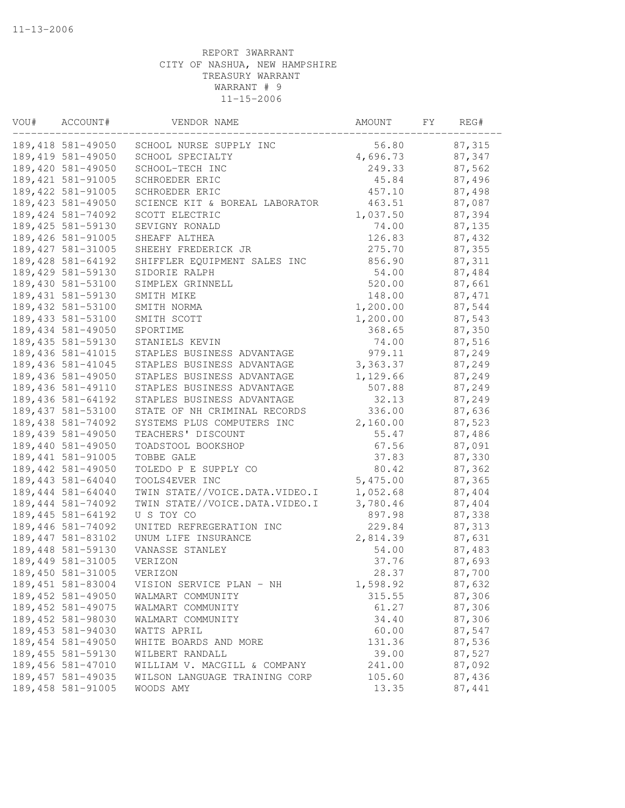| 189,418 581-49050<br>56.80<br>87,315<br>SCHOOL NURSE SUPPLY INC<br>189, 419 581-49050<br>4,696.73<br>87,347<br>SCHOOL SPECIALTY<br>189,420 581-49050<br>249.33<br>87,562<br>SCHOOL-TECH INC<br>189, 421 581-91005<br>45.84<br>87,496<br>SCHROEDER ERIC<br>189, 422 581-91005<br>457.10<br>87,498<br>SCHROEDER ERIC<br>189, 423 581-49050<br>463.51<br>87,087<br>SCIENCE KIT & BOREAL LABORATOR<br>189, 424 581-74092<br>1,037.50<br>87,394<br>SCOTT ELECTRIC<br>189, 425 581-59130<br>74.00<br>87,135<br>SEVIGNY RONALD<br>189,426 581-91005<br>87,432<br>126.83<br>SHEAFF ALTHEA<br>189, 427 581-31005<br>87,355<br>SHEEHY FREDERICK JR<br>275.70<br>189,428 581-64192<br>SHIFFLER EQUIPMENT SALES INC<br>856.90<br>87,311<br>189,429 581-59130<br>54.00<br>87,484<br>SIDORIE RALPH<br>189,430 581-53100<br>520.00<br>87,661<br>SIMPLEX GRINNELL<br>189, 431 581-59130<br>148.00<br>87, 471<br>SMITH MIKE<br>189, 432 581-53100<br>1,200.00<br>87,544<br>SMITH NORMA<br>189, 433 581-53100<br>1,200.00<br>87,543<br>SMITH SCOTT<br>189,434 581-49050<br>87,350<br>368.65<br>SPORTIME<br>189, 435 581-59130<br>87,516<br>STANIELS KEVIN<br>74.00<br>189,436 581-41015<br>87,249<br>STAPLES BUSINESS ADVANTAGE<br>979.11<br>189,436 581-41045<br>STAPLES BUSINESS ADVANTAGE<br>3, 363.37<br>87,249<br>189,436 581-49050<br>STAPLES BUSINESS ADVANTAGE<br>1,129.66<br>87,249<br>189,436 581-49110<br>STAPLES BUSINESS ADVANTAGE<br>507.88<br>87,249<br>189, 436 581-64192<br>STAPLES BUSINESS ADVANTAGE<br>32.13<br>87,249<br>189, 437 581-53100<br>336.00<br>STATE OF NH CRIMINAL RECORDS<br>87,636<br>189,438 581-74092<br>2,160.00<br>87,523<br>SYSTEMS PLUS COMPUTERS INC<br>189,439 581-49050<br>TEACHERS' DISCOUNT<br>55.47<br>87,486<br>87,091<br>189,440 581-49050<br>67.56<br>TOADSTOOL BOOKSHOP<br>189, 441 581-91005<br>37.83<br>87,330<br>TOBBE GALE<br>189,442 581-49050<br>TOLEDO P E SUPPLY CO<br>80.42<br>87,362<br>189, 443 581-64040<br>5,475.00<br>TOOLS4EVER INC<br>87,365<br>189,444 581-64040<br>1,052.68<br>TWIN STATE//VOICE.DATA.VIDEO.I<br>87,404<br>3,780.46<br>87,404<br>189, 444 581-74092<br>TWIN STATE//VOICE.DATA.VIDEO.I<br>897.98<br>189, 445 581-64192<br>U S TOY CO<br>87,338<br>189,446 581-74092<br>229.84<br>87,313<br>UNITED REFREGERATION INC<br>189, 447 581-83102<br>2,814.39<br>87,631<br>UNUM LIFE INSURANCE<br>87,483<br>189,448 581-59130<br>VANASSE STANLEY<br>54.00<br>189, 449 581-31005<br>VERIZON<br>37.76<br>87,693<br>189,450 581-31005<br>28.37<br>VERIZON<br>87,700<br>189,451 581-83004<br>87,632<br>1,598.92<br>VISION SERVICE PLAN - NH<br>189,452 581-49050<br>315.55<br>87,306<br>WALMART COMMUNITY<br>189, 452 581-49075<br>61.27<br>87,306<br>WALMART COMMUNITY<br>189,452 581-98030<br>34.40<br>87,306<br>WALMART COMMUNITY<br>87,547<br>189,453 581-94030<br>60.00<br>WATTS APRIL<br>189,454 581-49050<br>87,536<br>131.36<br>WHITE BOARDS AND MORE<br>189, 455 581-59130<br>39.00<br>87,527<br>WILBERT RANDALL<br>189,456 581-47010<br>87,092<br>WILLIAM V. MACGILL & COMPANY<br>241.00<br>189, 457 581-49035<br>105.60<br>87,436<br>WILSON LANGUAGE TRAINING CORP<br>189,458 581-91005<br>13.35<br>87,441<br>WOODS AMY | VOU# | ACCOUNT# | VENDOR NAME | AMOUNT | FY | REG# |
|-----------------------------------------------------------------------------------------------------------------------------------------------------------------------------------------------------------------------------------------------------------------------------------------------------------------------------------------------------------------------------------------------------------------------------------------------------------------------------------------------------------------------------------------------------------------------------------------------------------------------------------------------------------------------------------------------------------------------------------------------------------------------------------------------------------------------------------------------------------------------------------------------------------------------------------------------------------------------------------------------------------------------------------------------------------------------------------------------------------------------------------------------------------------------------------------------------------------------------------------------------------------------------------------------------------------------------------------------------------------------------------------------------------------------------------------------------------------------------------------------------------------------------------------------------------------------------------------------------------------------------------------------------------------------------------------------------------------------------------------------------------------------------------------------------------------------------------------------------------------------------------------------------------------------------------------------------------------------------------------------------------------------------------------------------------------------------------------------------------------------------------------------------------------------------------------------------------------------------------------------------------------------------------------------------------------------------------------------------------------------------------------------------------------------------------------------------------------------------------------------------------------------------------------------------------------------------------------------------------------------------------------------------------------------------------------------------------------------------------------------------------------------------------------------------------------------------------------------------------------------------------------------------------------------------------------------------------------------------------------------------------------------------------------------------------------------------------------------------------------------------------------------------------------------------------------|------|----------|-------------|--------|----|------|
|                                                                                                                                                                                                                                                                                                                                                                                                                                                                                                                                                                                                                                                                                                                                                                                                                                                                                                                                                                                                                                                                                                                                                                                                                                                                                                                                                                                                                                                                                                                                                                                                                                                                                                                                                                                                                                                                                                                                                                                                                                                                                                                                                                                                                                                                                                                                                                                                                                                                                                                                                                                                                                                                                                                                                                                                                                                                                                                                                                                                                                                                                                                                                                                         |      |          |             |        |    |      |
|                                                                                                                                                                                                                                                                                                                                                                                                                                                                                                                                                                                                                                                                                                                                                                                                                                                                                                                                                                                                                                                                                                                                                                                                                                                                                                                                                                                                                                                                                                                                                                                                                                                                                                                                                                                                                                                                                                                                                                                                                                                                                                                                                                                                                                                                                                                                                                                                                                                                                                                                                                                                                                                                                                                                                                                                                                                                                                                                                                                                                                                                                                                                                                                         |      |          |             |        |    |      |
|                                                                                                                                                                                                                                                                                                                                                                                                                                                                                                                                                                                                                                                                                                                                                                                                                                                                                                                                                                                                                                                                                                                                                                                                                                                                                                                                                                                                                                                                                                                                                                                                                                                                                                                                                                                                                                                                                                                                                                                                                                                                                                                                                                                                                                                                                                                                                                                                                                                                                                                                                                                                                                                                                                                                                                                                                                                                                                                                                                                                                                                                                                                                                                                         |      |          |             |        |    |      |
|                                                                                                                                                                                                                                                                                                                                                                                                                                                                                                                                                                                                                                                                                                                                                                                                                                                                                                                                                                                                                                                                                                                                                                                                                                                                                                                                                                                                                                                                                                                                                                                                                                                                                                                                                                                                                                                                                                                                                                                                                                                                                                                                                                                                                                                                                                                                                                                                                                                                                                                                                                                                                                                                                                                                                                                                                                                                                                                                                                                                                                                                                                                                                                                         |      |          |             |        |    |      |
|                                                                                                                                                                                                                                                                                                                                                                                                                                                                                                                                                                                                                                                                                                                                                                                                                                                                                                                                                                                                                                                                                                                                                                                                                                                                                                                                                                                                                                                                                                                                                                                                                                                                                                                                                                                                                                                                                                                                                                                                                                                                                                                                                                                                                                                                                                                                                                                                                                                                                                                                                                                                                                                                                                                                                                                                                                                                                                                                                                                                                                                                                                                                                                                         |      |          |             |        |    |      |
|                                                                                                                                                                                                                                                                                                                                                                                                                                                                                                                                                                                                                                                                                                                                                                                                                                                                                                                                                                                                                                                                                                                                                                                                                                                                                                                                                                                                                                                                                                                                                                                                                                                                                                                                                                                                                                                                                                                                                                                                                                                                                                                                                                                                                                                                                                                                                                                                                                                                                                                                                                                                                                                                                                                                                                                                                                                                                                                                                                                                                                                                                                                                                                                         |      |          |             |        |    |      |
|                                                                                                                                                                                                                                                                                                                                                                                                                                                                                                                                                                                                                                                                                                                                                                                                                                                                                                                                                                                                                                                                                                                                                                                                                                                                                                                                                                                                                                                                                                                                                                                                                                                                                                                                                                                                                                                                                                                                                                                                                                                                                                                                                                                                                                                                                                                                                                                                                                                                                                                                                                                                                                                                                                                                                                                                                                                                                                                                                                                                                                                                                                                                                                                         |      |          |             |        |    |      |
|                                                                                                                                                                                                                                                                                                                                                                                                                                                                                                                                                                                                                                                                                                                                                                                                                                                                                                                                                                                                                                                                                                                                                                                                                                                                                                                                                                                                                                                                                                                                                                                                                                                                                                                                                                                                                                                                                                                                                                                                                                                                                                                                                                                                                                                                                                                                                                                                                                                                                                                                                                                                                                                                                                                                                                                                                                                                                                                                                                                                                                                                                                                                                                                         |      |          |             |        |    |      |
|                                                                                                                                                                                                                                                                                                                                                                                                                                                                                                                                                                                                                                                                                                                                                                                                                                                                                                                                                                                                                                                                                                                                                                                                                                                                                                                                                                                                                                                                                                                                                                                                                                                                                                                                                                                                                                                                                                                                                                                                                                                                                                                                                                                                                                                                                                                                                                                                                                                                                                                                                                                                                                                                                                                                                                                                                                                                                                                                                                                                                                                                                                                                                                                         |      |          |             |        |    |      |
|                                                                                                                                                                                                                                                                                                                                                                                                                                                                                                                                                                                                                                                                                                                                                                                                                                                                                                                                                                                                                                                                                                                                                                                                                                                                                                                                                                                                                                                                                                                                                                                                                                                                                                                                                                                                                                                                                                                                                                                                                                                                                                                                                                                                                                                                                                                                                                                                                                                                                                                                                                                                                                                                                                                                                                                                                                                                                                                                                                                                                                                                                                                                                                                         |      |          |             |        |    |      |
|                                                                                                                                                                                                                                                                                                                                                                                                                                                                                                                                                                                                                                                                                                                                                                                                                                                                                                                                                                                                                                                                                                                                                                                                                                                                                                                                                                                                                                                                                                                                                                                                                                                                                                                                                                                                                                                                                                                                                                                                                                                                                                                                                                                                                                                                                                                                                                                                                                                                                                                                                                                                                                                                                                                                                                                                                                                                                                                                                                                                                                                                                                                                                                                         |      |          |             |        |    |      |
|                                                                                                                                                                                                                                                                                                                                                                                                                                                                                                                                                                                                                                                                                                                                                                                                                                                                                                                                                                                                                                                                                                                                                                                                                                                                                                                                                                                                                                                                                                                                                                                                                                                                                                                                                                                                                                                                                                                                                                                                                                                                                                                                                                                                                                                                                                                                                                                                                                                                                                                                                                                                                                                                                                                                                                                                                                                                                                                                                                                                                                                                                                                                                                                         |      |          |             |        |    |      |
|                                                                                                                                                                                                                                                                                                                                                                                                                                                                                                                                                                                                                                                                                                                                                                                                                                                                                                                                                                                                                                                                                                                                                                                                                                                                                                                                                                                                                                                                                                                                                                                                                                                                                                                                                                                                                                                                                                                                                                                                                                                                                                                                                                                                                                                                                                                                                                                                                                                                                                                                                                                                                                                                                                                                                                                                                                                                                                                                                                                                                                                                                                                                                                                         |      |          |             |        |    |      |
|                                                                                                                                                                                                                                                                                                                                                                                                                                                                                                                                                                                                                                                                                                                                                                                                                                                                                                                                                                                                                                                                                                                                                                                                                                                                                                                                                                                                                                                                                                                                                                                                                                                                                                                                                                                                                                                                                                                                                                                                                                                                                                                                                                                                                                                                                                                                                                                                                                                                                                                                                                                                                                                                                                                                                                                                                                                                                                                                                                                                                                                                                                                                                                                         |      |          |             |        |    |      |
|                                                                                                                                                                                                                                                                                                                                                                                                                                                                                                                                                                                                                                                                                                                                                                                                                                                                                                                                                                                                                                                                                                                                                                                                                                                                                                                                                                                                                                                                                                                                                                                                                                                                                                                                                                                                                                                                                                                                                                                                                                                                                                                                                                                                                                                                                                                                                                                                                                                                                                                                                                                                                                                                                                                                                                                                                                                                                                                                                                                                                                                                                                                                                                                         |      |          |             |        |    |      |
|                                                                                                                                                                                                                                                                                                                                                                                                                                                                                                                                                                                                                                                                                                                                                                                                                                                                                                                                                                                                                                                                                                                                                                                                                                                                                                                                                                                                                                                                                                                                                                                                                                                                                                                                                                                                                                                                                                                                                                                                                                                                                                                                                                                                                                                                                                                                                                                                                                                                                                                                                                                                                                                                                                                                                                                                                                                                                                                                                                                                                                                                                                                                                                                         |      |          |             |        |    |      |
|                                                                                                                                                                                                                                                                                                                                                                                                                                                                                                                                                                                                                                                                                                                                                                                                                                                                                                                                                                                                                                                                                                                                                                                                                                                                                                                                                                                                                                                                                                                                                                                                                                                                                                                                                                                                                                                                                                                                                                                                                                                                                                                                                                                                                                                                                                                                                                                                                                                                                                                                                                                                                                                                                                                                                                                                                                                                                                                                                                                                                                                                                                                                                                                         |      |          |             |        |    |      |
|                                                                                                                                                                                                                                                                                                                                                                                                                                                                                                                                                                                                                                                                                                                                                                                                                                                                                                                                                                                                                                                                                                                                                                                                                                                                                                                                                                                                                                                                                                                                                                                                                                                                                                                                                                                                                                                                                                                                                                                                                                                                                                                                                                                                                                                                                                                                                                                                                                                                                                                                                                                                                                                                                                                                                                                                                                                                                                                                                                                                                                                                                                                                                                                         |      |          |             |        |    |      |
|                                                                                                                                                                                                                                                                                                                                                                                                                                                                                                                                                                                                                                                                                                                                                                                                                                                                                                                                                                                                                                                                                                                                                                                                                                                                                                                                                                                                                                                                                                                                                                                                                                                                                                                                                                                                                                                                                                                                                                                                                                                                                                                                                                                                                                                                                                                                                                                                                                                                                                                                                                                                                                                                                                                                                                                                                                                                                                                                                                                                                                                                                                                                                                                         |      |          |             |        |    |      |
|                                                                                                                                                                                                                                                                                                                                                                                                                                                                                                                                                                                                                                                                                                                                                                                                                                                                                                                                                                                                                                                                                                                                                                                                                                                                                                                                                                                                                                                                                                                                                                                                                                                                                                                                                                                                                                                                                                                                                                                                                                                                                                                                                                                                                                                                                                                                                                                                                                                                                                                                                                                                                                                                                                                                                                                                                                                                                                                                                                                                                                                                                                                                                                                         |      |          |             |        |    |      |
|                                                                                                                                                                                                                                                                                                                                                                                                                                                                                                                                                                                                                                                                                                                                                                                                                                                                                                                                                                                                                                                                                                                                                                                                                                                                                                                                                                                                                                                                                                                                                                                                                                                                                                                                                                                                                                                                                                                                                                                                                                                                                                                                                                                                                                                                                                                                                                                                                                                                                                                                                                                                                                                                                                                                                                                                                                                                                                                                                                                                                                                                                                                                                                                         |      |          |             |        |    |      |
|                                                                                                                                                                                                                                                                                                                                                                                                                                                                                                                                                                                                                                                                                                                                                                                                                                                                                                                                                                                                                                                                                                                                                                                                                                                                                                                                                                                                                                                                                                                                                                                                                                                                                                                                                                                                                                                                                                                                                                                                                                                                                                                                                                                                                                                                                                                                                                                                                                                                                                                                                                                                                                                                                                                                                                                                                                                                                                                                                                                                                                                                                                                                                                                         |      |          |             |        |    |      |
|                                                                                                                                                                                                                                                                                                                                                                                                                                                                                                                                                                                                                                                                                                                                                                                                                                                                                                                                                                                                                                                                                                                                                                                                                                                                                                                                                                                                                                                                                                                                                                                                                                                                                                                                                                                                                                                                                                                                                                                                                                                                                                                                                                                                                                                                                                                                                                                                                                                                                                                                                                                                                                                                                                                                                                                                                                                                                                                                                                                                                                                                                                                                                                                         |      |          |             |        |    |      |
|                                                                                                                                                                                                                                                                                                                                                                                                                                                                                                                                                                                                                                                                                                                                                                                                                                                                                                                                                                                                                                                                                                                                                                                                                                                                                                                                                                                                                                                                                                                                                                                                                                                                                                                                                                                                                                                                                                                                                                                                                                                                                                                                                                                                                                                                                                                                                                                                                                                                                                                                                                                                                                                                                                                                                                                                                                                                                                                                                                                                                                                                                                                                                                                         |      |          |             |        |    |      |
|                                                                                                                                                                                                                                                                                                                                                                                                                                                                                                                                                                                                                                                                                                                                                                                                                                                                                                                                                                                                                                                                                                                                                                                                                                                                                                                                                                                                                                                                                                                                                                                                                                                                                                                                                                                                                                                                                                                                                                                                                                                                                                                                                                                                                                                                                                                                                                                                                                                                                                                                                                                                                                                                                                                                                                                                                                                                                                                                                                                                                                                                                                                                                                                         |      |          |             |        |    |      |
|                                                                                                                                                                                                                                                                                                                                                                                                                                                                                                                                                                                                                                                                                                                                                                                                                                                                                                                                                                                                                                                                                                                                                                                                                                                                                                                                                                                                                                                                                                                                                                                                                                                                                                                                                                                                                                                                                                                                                                                                                                                                                                                                                                                                                                                                                                                                                                                                                                                                                                                                                                                                                                                                                                                                                                                                                                                                                                                                                                                                                                                                                                                                                                                         |      |          |             |        |    |      |
|                                                                                                                                                                                                                                                                                                                                                                                                                                                                                                                                                                                                                                                                                                                                                                                                                                                                                                                                                                                                                                                                                                                                                                                                                                                                                                                                                                                                                                                                                                                                                                                                                                                                                                                                                                                                                                                                                                                                                                                                                                                                                                                                                                                                                                                                                                                                                                                                                                                                                                                                                                                                                                                                                                                                                                                                                                                                                                                                                                                                                                                                                                                                                                                         |      |          |             |        |    |      |
|                                                                                                                                                                                                                                                                                                                                                                                                                                                                                                                                                                                                                                                                                                                                                                                                                                                                                                                                                                                                                                                                                                                                                                                                                                                                                                                                                                                                                                                                                                                                                                                                                                                                                                                                                                                                                                                                                                                                                                                                                                                                                                                                                                                                                                                                                                                                                                                                                                                                                                                                                                                                                                                                                                                                                                                                                                                                                                                                                                                                                                                                                                                                                                                         |      |          |             |        |    |      |
|                                                                                                                                                                                                                                                                                                                                                                                                                                                                                                                                                                                                                                                                                                                                                                                                                                                                                                                                                                                                                                                                                                                                                                                                                                                                                                                                                                                                                                                                                                                                                                                                                                                                                                                                                                                                                                                                                                                                                                                                                                                                                                                                                                                                                                                                                                                                                                                                                                                                                                                                                                                                                                                                                                                                                                                                                                                                                                                                                                                                                                                                                                                                                                                         |      |          |             |        |    |      |
|                                                                                                                                                                                                                                                                                                                                                                                                                                                                                                                                                                                                                                                                                                                                                                                                                                                                                                                                                                                                                                                                                                                                                                                                                                                                                                                                                                                                                                                                                                                                                                                                                                                                                                                                                                                                                                                                                                                                                                                                                                                                                                                                                                                                                                                                                                                                                                                                                                                                                                                                                                                                                                                                                                                                                                                                                                                                                                                                                                                                                                                                                                                                                                                         |      |          |             |        |    |      |
|                                                                                                                                                                                                                                                                                                                                                                                                                                                                                                                                                                                                                                                                                                                                                                                                                                                                                                                                                                                                                                                                                                                                                                                                                                                                                                                                                                                                                                                                                                                                                                                                                                                                                                                                                                                                                                                                                                                                                                                                                                                                                                                                                                                                                                                                                                                                                                                                                                                                                                                                                                                                                                                                                                                                                                                                                                                                                                                                                                                                                                                                                                                                                                                         |      |          |             |        |    |      |
|                                                                                                                                                                                                                                                                                                                                                                                                                                                                                                                                                                                                                                                                                                                                                                                                                                                                                                                                                                                                                                                                                                                                                                                                                                                                                                                                                                                                                                                                                                                                                                                                                                                                                                                                                                                                                                                                                                                                                                                                                                                                                                                                                                                                                                                                                                                                                                                                                                                                                                                                                                                                                                                                                                                                                                                                                                                                                                                                                                                                                                                                                                                                                                                         |      |          |             |        |    |      |
|                                                                                                                                                                                                                                                                                                                                                                                                                                                                                                                                                                                                                                                                                                                                                                                                                                                                                                                                                                                                                                                                                                                                                                                                                                                                                                                                                                                                                                                                                                                                                                                                                                                                                                                                                                                                                                                                                                                                                                                                                                                                                                                                                                                                                                                                                                                                                                                                                                                                                                                                                                                                                                                                                                                                                                                                                                                                                                                                                                                                                                                                                                                                                                                         |      |          |             |        |    |      |
|                                                                                                                                                                                                                                                                                                                                                                                                                                                                                                                                                                                                                                                                                                                                                                                                                                                                                                                                                                                                                                                                                                                                                                                                                                                                                                                                                                                                                                                                                                                                                                                                                                                                                                                                                                                                                                                                                                                                                                                                                                                                                                                                                                                                                                                                                                                                                                                                                                                                                                                                                                                                                                                                                                                                                                                                                                                                                                                                                                                                                                                                                                                                                                                         |      |          |             |        |    |      |
|                                                                                                                                                                                                                                                                                                                                                                                                                                                                                                                                                                                                                                                                                                                                                                                                                                                                                                                                                                                                                                                                                                                                                                                                                                                                                                                                                                                                                                                                                                                                                                                                                                                                                                                                                                                                                                                                                                                                                                                                                                                                                                                                                                                                                                                                                                                                                                                                                                                                                                                                                                                                                                                                                                                                                                                                                                                                                                                                                                                                                                                                                                                                                                                         |      |          |             |        |    |      |
|                                                                                                                                                                                                                                                                                                                                                                                                                                                                                                                                                                                                                                                                                                                                                                                                                                                                                                                                                                                                                                                                                                                                                                                                                                                                                                                                                                                                                                                                                                                                                                                                                                                                                                                                                                                                                                                                                                                                                                                                                                                                                                                                                                                                                                                                                                                                                                                                                                                                                                                                                                                                                                                                                                                                                                                                                                                                                                                                                                                                                                                                                                                                                                                         |      |          |             |        |    |      |
|                                                                                                                                                                                                                                                                                                                                                                                                                                                                                                                                                                                                                                                                                                                                                                                                                                                                                                                                                                                                                                                                                                                                                                                                                                                                                                                                                                                                                                                                                                                                                                                                                                                                                                                                                                                                                                                                                                                                                                                                                                                                                                                                                                                                                                                                                                                                                                                                                                                                                                                                                                                                                                                                                                                                                                                                                                                                                                                                                                                                                                                                                                                                                                                         |      |          |             |        |    |      |
|                                                                                                                                                                                                                                                                                                                                                                                                                                                                                                                                                                                                                                                                                                                                                                                                                                                                                                                                                                                                                                                                                                                                                                                                                                                                                                                                                                                                                                                                                                                                                                                                                                                                                                                                                                                                                                                                                                                                                                                                                                                                                                                                                                                                                                                                                                                                                                                                                                                                                                                                                                                                                                                                                                                                                                                                                                                                                                                                                                                                                                                                                                                                                                                         |      |          |             |        |    |      |
|                                                                                                                                                                                                                                                                                                                                                                                                                                                                                                                                                                                                                                                                                                                                                                                                                                                                                                                                                                                                                                                                                                                                                                                                                                                                                                                                                                                                                                                                                                                                                                                                                                                                                                                                                                                                                                                                                                                                                                                                                                                                                                                                                                                                                                                                                                                                                                                                                                                                                                                                                                                                                                                                                                                                                                                                                                                                                                                                                                                                                                                                                                                                                                                         |      |          |             |        |    |      |
|                                                                                                                                                                                                                                                                                                                                                                                                                                                                                                                                                                                                                                                                                                                                                                                                                                                                                                                                                                                                                                                                                                                                                                                                                                                                                                                                                                                                                                                                                                                                                                                                                                                                                                                                                                                                                                                                                                                                                                                                                                                                                                                                                                                                                                                                                                                                                                                                                                                                                                                                                                                                                                                                                                                                                                                                                                                                                                                                                                                                                                                                                                                                                                                         |      |          |             |        |    |      |
|                                                                                                                                                                                                                                                                                                                                                                                                                                                                                                                                                                                                                                                                                                                                                                                                                                                                                                                                                                                                                                                                                                                                                                                                                                                                                                                                                                                                                                                                                                                                                                                                                                                                                                                                                                                                                                                                                                                                                                                                                                                                                                                                                                                                                                                                                                                                                                                                                                                                                                                                                                                                                                                                                                                                                                                                                                                                                                                                                                                                                                                                                                                                                                                         |      |          |             |        |    |      |
|                                                                                                                                                                                                                                                                                                                                                                                                                                                                                                                                                                                                                                                                                                                                                                                                                                                                                                                                                                                                                                                                                                                                                                                                                                                                                                                                                                                                                                                                                                                                                                                                                                                                                                                                                                                                                                                                                                                                                                                                                                                                                                                                                                                                                                                                                                                                                                                                                                                                                                                                                                                                                                                                                                                                                                                                                                                                                                                                                                                                                                                                                                                                                                                         |      |          |             |        |    |      |
|                                                                                                                                                                                                                                                                                                                                                                                                                                                                                                                                                                                                                                                                                                                                                                                                                                                                                                                                                                                                                                                                                                                                                                                                                                                                                                                                                                                                                                                                                                                                                                                                                                                                                                                                                                                                                                                                                                                                                                                                                                                                                                                                                                                                                                                                                                                                                                                                                                                                                                                                                                                                                                                                                                                                                                                                                                                                                                                                                                                                                                                                                                                                                                                         |      |          |             |        |    |      |
|                                                                                                                                                                                                                                                                                                                                                                                                                                                                                                                                                                                                                                                                                                                                                                                                                                                                                                                                                                                                                                                                                                                                                                                                                                                                                                                                                                                                                                                                                                                                                                                                                                                                                                                                                                                                                                                                                                                                                                                                                                                                                                                                                                                                                                                                                                                                                                                                                                                                                                                                                                                                                                                                                                                                                                                                                                                                                                                                                                                                                                                                                                                                                                                         |      |          |             |        |    |      |
|                                                                                                                                                                                                                                                                                                                                                                                                                                                                                                                                                                                                                                                                                                                                                                                                                                                                                                                                                                                                                                                                                                                                                                                                                                                                                                                                                                                                                                                                                                                                                                                                                                                                                                                                                                                                                                                                                                                                                                                                                                                                                                                                                                                                                                                                                                                                                                                                                                                                                                                                                                                                                                                                                                                                                                                                                                                                                                                                                                                                                                                                                                                                                                                         |      |          |             |        |    |      |
|                                                                                                                                                                                                                                                                                                                                                                                                                                                                                                                                                                                                                                                                                                                                                                                                                                                                                                                                                                                                                                                                                                                                                                                                                                                                                                                                                                                                                                                                                                                                                                                                                                                                                                                                                                                                                                                                                                                                                                                                                                                                                                                                                                                                                                                                                                                                                                                                                                                                                                                                                                                                                                                                                                                                                                                                                                                                                                                                                                                                                                                                                                                                                                                         |      |          |             |        |    |      |
|                                                                                                                                                                                                                                                                                                                                                                                                                                                                                                                                                                                                                                                                                                                                                                                                                                                                                                                                                                                                                                                                                                                                                                                                                                                                                                                                                                                                                                                                                                                                                                                                                                                                                                                                                                                                                                                                                                                                                                                                                                                                                                                                                                                                                                                                                                                                                                                                                                                                                                                                                                                                                                                                                                                                                                                                                                                                                                                                                                                                                                                                                                                                                                                         |      |          |             |        |    |      |
|                                                                                                                                                                                                                                                                                                                                                                                                                                                                                                                                                                                                                                                                                                                                                                                                                                                                                                                                                                                                                                                                                                                                                                                                                                                                                                                                                                                                                                                                                                                                                                                                                                                                                                                                                                                                                                                                                                                                                                                                                                                                                                                                                                                                                                                                                                                                                                                                                                                                                                                                                                                                                                                                                                                                                                                                                                                                                                                                                                                                                                                                                                                                                                                         |      |          |             |        |    |      |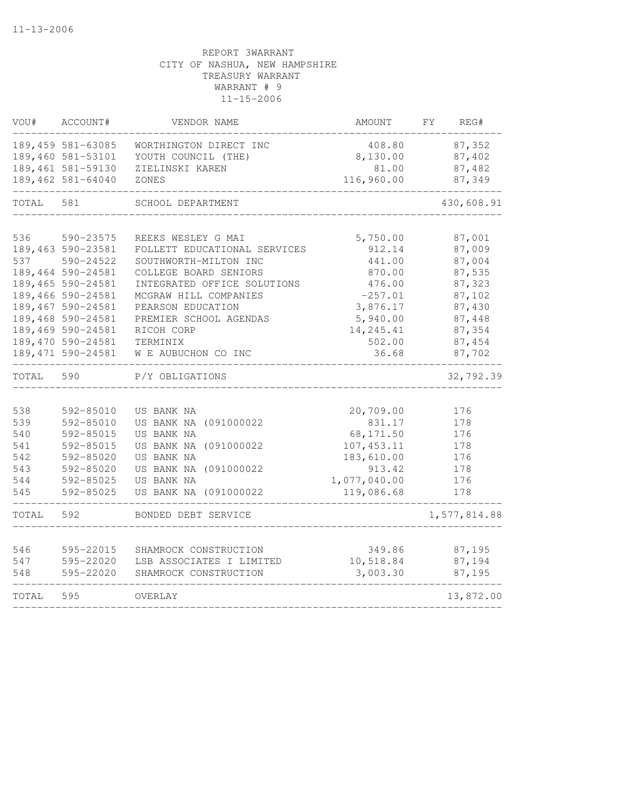| VOU#  | ACCOUNT#           | VENDOR NAME                  | AMOUNT       | REG#<br>FY.  |
|-------|--------------------|------------------------------|--------------|--------------|
|       | 189,459 581-63085  | WORTHINGTON DIRECT INC       | 408.80       | 87,352       |
|       | 189,460 581-53101  | YOUTH COUNCIL (THE)          | 8,130.00     | 87,402       |
|       | 189,461 581-59130  | ZIELINSKI KAREN              | 81.00        | 87,482       |
|       | 189,462 581-64040  | ZONES                        | 116,960.00   | 87,349       |
| TOTAL | 581                | SCHOOL DEPARTMENT            |              | 430,608.91   |
| 536   | 590-23575          | REEKS WESLEY G MAI           | 5,750.00     | 87,001       |
|       | 189,463 590-23581  | FOLLETT EDUCATIONAL SERVICES | 912.14       | 87,009       |
| 537   | 590-24522          | SOUTHWORTH-MILTON INC        | 441.00       | 87,004       |
|       | 189,464 590-24581  | COLLEGE BOARD SENIORS        | 870.00       | 87,535       |
|       | 189,465 590-24581  | INTEGRATED OFFICE SOLUTIONS  | 476.00       | 87,323       |
|       | 189,466 590-24581  | MCGRAW HILL COMPANIES        | $-257.01$    | 87,102       |
|       | 189,467 590-24581  | PEARSON EDUCATION            | 3,876.17     | 87,430       |
|       | 189,468 590-24581  | PREMIER SCHOOL AGENDAS       | 5,940.00     | 87,448       |
|       | 189,469 590-24581  | RICOH CORP                   | 14,245.41    | 87,354       |
|       | 189,470 590-24581  | TERMINIX                     | 502.00       | 87,454       |
|       | 189, 471 590-24581 | W E AUBUCHON CO INC          | 36.68        | 87,702       |
| TOTAL | 590                | P/Y OBLIGATIONS              |              | 32,792.39    |
|       |                    |                              |              |              |
| 538   | 592-85010          | US BANK NA                   | 20,709.00    | 176          |
| 539   | 592-85010          | US BANK NA (091000022        | 831.17       | 178          |
| 540   | 592-85015          | US BANK NA                   | 68, 171.50   | 176          |
| 541   | 592-85015          | US BANK NA (091000022        | 107, 453.11  | 178          |
| 542   | 592-85020          | US BANK NA                   | 183,610.00   | 176          |
| 543   | 592-85020          | US BANK NA (091000022        | 913.42       | 178          |
| 544   | 592-85025          | US BANK NA                   | 1,077,040.00 | 176          |
| 545   | 592-85025          | US BANK NA (091000022        | 119,086.68   | 178          |
| TOTAL | 592                | BONDED DEBT SERVICE          |              | 1,577,814.88 |
| 546   | 595-22015          | SHAMROCK CONSTRUCTION        | 349.86       | 87,195       |
| 547   | 595-22020          | LSB ASSOCIATES I LIMITED     | 10,518.84    | 87,194       |
| 548   | 595-22020          | SHAMROCK CONSTRUCTION        | 3,003.30     | 87,195       |
| TOTAL | 595                | OVERLAY                      |              | 13,872.00    |
|       |                    |                              |              |              |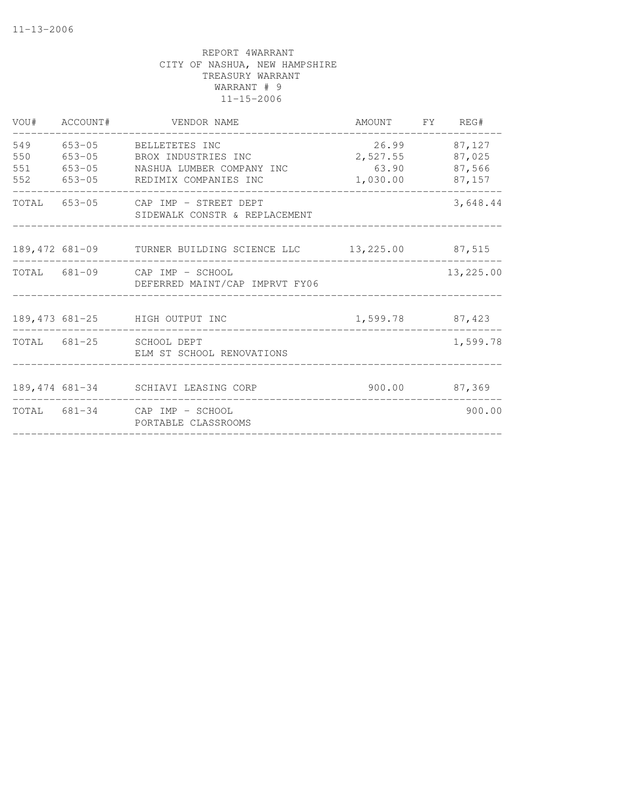|                   | VOU# ACCOUNT# | VENDOR NAME                                                                                                                 | AMOUNT FY REG#                         |                                      |
|-------------------|---------------|-----------------------------------------------------------------------------------------------------------------------------|----------------------------------------|--------------------------------------|
| 549<br>550<br>551 |               | 653-05 BELLETETES INC<br>653-05 BROX INDUSTRIES INC<br>653-05 NASHUA LUMBER COMPANY INC<br>552 653-05 REDIMIX COMPANIES INC | 26.99<br>2,527.55<br>63.90<br>1,030.00 | 87,127<br>87,025<br>87,566<br>87,157 |
|                   |               | TOTAL 653-05 CAP IMP - STREET DEPT<br>SIDEWALK CONSTR & REPLACEMENT                                                         |                                        | 3,648.44                             |
|                   |               | 189,472 681-09 TURNER BUILDING SCIENCE LLC 13,225.00 87,515                                                                 |                                        |                                      |
|                   |               | TOTAL 681-09 CAP IMP - SCHOOL<br>DEFERRED MAINT/CAP IMPRVT FY06                                                             |                                        | 13,225.00                            |
|                   |               | 189,473 681-25 HIGH OUTPUT INC                                                                                              | 1,599.78 87,423                        |                                      |
|                   |               | TOTAL 681-25 SCHOOL DEPT<br>ELM ST SCHOOL RENOVATIONS                                                                       |                                        | 1,599.78                             |
|                   |               | 189,474 681-34 SCHIAVI LEASING CORP                                                                                         | $900.00$ 87,369                        |                                      |
|                   |               | TOTAL 681-34 CAP IMP - SCHOOL<br>PORTABLE CLASSROOMS                                                                        |                                        | 900.00                               |
|                   |               |                                                                                                                             |                                        |                                      |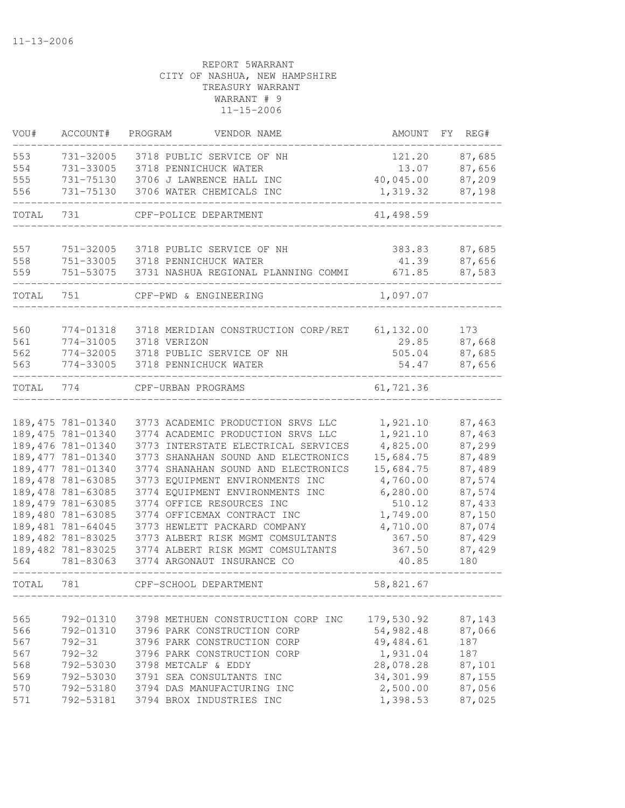| VOU#  | ACCOUNT#                       | PROGRAM<br>VENDOR NAME                                          | AMOUNT     | FY<br>REG# |
|-------|--------------------------------|-----------------------------------------------------------------|------------|------------|
| 553   | 731-32005                      | 3718 PUBLIC SERVICE OF NH                                       | 121.20     | 87,685     |
| 554   | 731-33005                      | 3718 PENNICHUCK WATER                                           | 13.07      | 87,656     |
| 555   | 731-75130                      | 3706 J LAWRENCE HALL INC                                        | 40,045.00  | 87,209     |
| 556   | 731-75130                      | 3706 WATER CHEMICALS INC                                        | 1,319.32   | 87,198     |
| TOTAL | 731                            | CPF-POLICE DEPARTMENT                                           | 41,498.59  |            |
| 557   | 751-32005                      | 3718 PUBLIC SERVICE OF NH                                       | 383.83     | 87,685     |
| 558   | 751-33005                      | 3718 PENNICHUCK WATER                                           | 41.39      | 87,656     |
| 559   | 751-53075                      | 3731 NASHUA REGIONAL PLANNING COMMI                             | 671.85     | 87,583     |
| TOTAL | 751                            | CPF-PWD & ENGINEERING                                           | 1,097.07   |            |
| 560   | 774-01318                      | 3718 MERIDIAN CONSTRUCTION CORP/RET                             | 61, 132.00 | 173        |
| 561   | 774-31005                      | 3718 VERIZON                                                    | 29.85      | 87,668     |
| 562   | 774-32005                      | 3718 PUBLIC SERVICE OF NH                                       | 505.04     | 87,685     |
| 563   | 774-33005                      | 3718 PENNICHUCK WATER                                           | 54.47      | 87,656     |
| TOTAL | 774                            | CPF-URBAN PROGRAMS                                              | 61,721.36  |            |
|       |                                |                                                                 |            |            |
|       | 189, 475 781-01340             | 3773 ACADEMIC PRODUCTION SRVS LLC                               | 1,921.10   | 87,463     |
|       | 189,475 781-01340              | 3774 ACADEMIC PRODUCTION SRVS LLC                               | 1,921.10   | 87,463     |
|       | 189,476 781-01340              | 3773 INTERSTATE ELECTRICAL SERVICES                             | 4,825.00   | 87,299     |
|       | 189, 477 781-01340             | 3773 SHANAHAN SOUND AND ELECTRONICS                             | 15,684.75  | 87,489     |
|       | 189,477 781-01340              | 3774 SHANAHAN SOUND AND ELECTRONICS                             | 15,684.75  | 87,489     |
|       | 189,478 781-63085              | 3773 EQUIPMENT ENVIRONMENTS INC                                 | 4,760.00   | 87,574     |
|       | 189,478 781-63085              | 3774 EQUIPMENT ENVIRONMENTS INC                                 | 6, 280.00  | 87,574     |
|       | 189,479 781-63085              | 3774 OFFICE RESOURCES INC                                       | 510.12     | 87,433     |
|       | 189,480 781-63085              | 3774 OFFICEMAX CONTRACT INC                                     | 1,749.00   | 87,150     |
|       | 189,481 781-64045              | 3773 HEWLETT PACKARD COMPANY                                    | 4,710.00   | 87,074     |
|       | 189,482 781-83025              | 3773 ALBERT RISK MGMT COMSULTANTS                               | 367.50     | 87,429     |
| 564   | 189,482 781-83025<br>781-83063 | 3774 ALBERT RISK MGMT COMSULTANTS<br>3774 ARGONAUT INSURANCE CO | 367.50     | 87,429     |
|       |                                |                                                                 | 40.85      | 180        |
| TOTAL | 781                            | CPF-SCHOOL DEPARTMENT                                           | 58,821.67  |            |
|       |                                |                                                                 |            |            |
| 565   | 792-01310                      | 3798 METHUEN CONSTRUCTION CORP INC                              | 179,530.92 | 87,143     |
| 566   | 792-01310                      | 3796 PARK CONSTRUCTION CORP                                     | 54,982.48  | 87,066     |
| 567   | $792 - 31$                     | 3796 PARK CONSTRUCTION CORP                                     | 49,484.61  | 187        |
| 567   | $792 - 32$                     | 3796 PARK CONSTRUCTION CORP                                     | 1,931.04   | 187        |
| 568   |                                | 792-53030 3798 METCALF & EDDY                                   | 28,078.28  | 87,101     |
| 569   |                                | 792-53030 3791 SEA CONSULTANTS INC                              | 34,301.99  | 87,155     |
| 570   |                                | 792-53180 3794 DAS MANUFACTURING INC                            | 2,500.00   | 87,056     |
| 571   |                                | 792-53181 3794 BROX INDUSTRIES INC                              | 1,398.53   | 87,025     |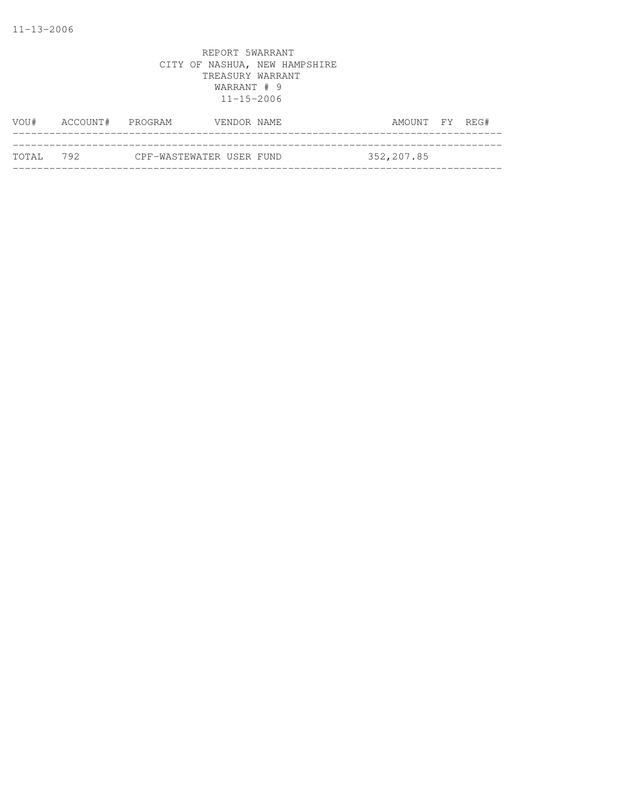| VOU#       | ACCOUNT# PROGRAM |                          | VENDOR NAME | AMOUNT FY REG# |  |
|------------|------------------|--------------------------|-------------|----------------|--|
|            |                  |                          |             |                |  |
| тотат. 792 |                  | CPF-WASTEWATER USER FUND |             | 352,207.85     |  |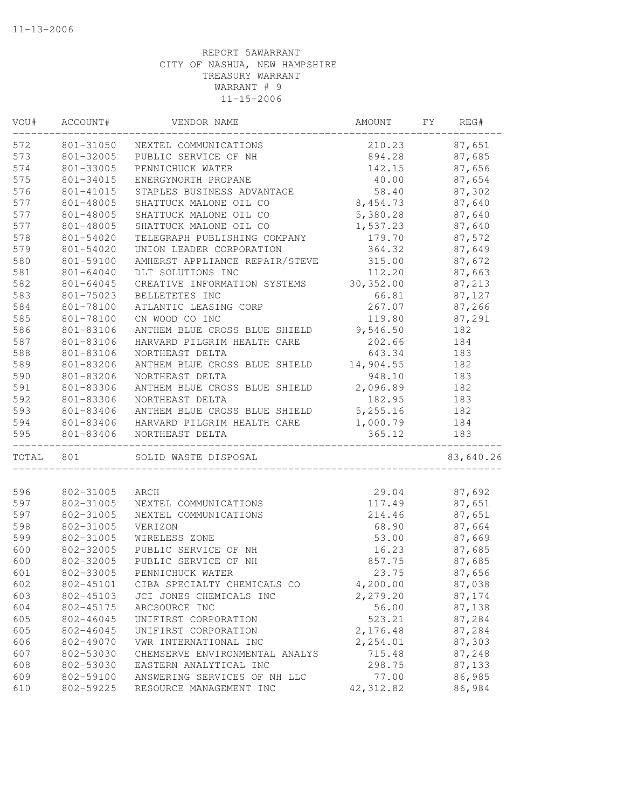| VOU#  | ACCOUNT#  | VENDOR NAME                     | AMOUNT     | FY | REG#      |
|-------|-----------|---------------------------------|------------|----|-----------|
| 572   |           | 801-31050 NEXTEL COMMUNICATIONS | 210.23     |    | 87,651    |
| 573   | 801-32005 | PUBLIC SERVICE OF NH            | 894.28     |    | 87,685    |
| 574   | 801-33005 | PENNICHUCK WATER                | 142.15     |    | 87,656    |
| 575   | 801-34015 | ENERGYNORTH PROPANE             | 40.00      |    | 87,654    |
| 576   | 801-41015 | STAPLES BUSINESS ADVANTAGE      | 58.40      |    | 87,302    |
| 577   | 801-48005 | SHATTUCK MALONE OIL CO          | 8,454.73   |    | 87,640    |
| 577   | 801-48005 | SHATTUCK MALONE OIL CO          | 5,380.28   |    | 87,640    |
| 577   | 801-48005 | SHATTUCK MALONE OIL CO          | 1,537.23   |    | 87,640    |
| 578   | 801-54020 | TELEGRAPH PUBLISHING COMPANY    | 179.70     |    | 87,572    |
| 579   | 801-54020 | UNION LEADER CORPORATION        | 364.32     |    | 87,649    |
| 580   | 801-59100 | AMHERST APPLIANCE REPAIR/STEVE  | 315.00     |    | 87,672    |
| 581   | 801-64040 | DLT SOLUTIONS INC               | 112.20     |    | 87,663    |
| 582   | 801-64045 | CREATIVE INFORMATION SYSTEMS    | 30, 352.00 |    | 87,213    |
| 583   | 801-75023 | BELLETETES INC                  | 66.81      |    | 87,127    |
| 584   | 801-78100 | ATLANTIC LEASING CORP           | 267.07     |    | 87,266    |
| 585   | 801-78100 | CN WOOD CO INC                  | 119.80     |    | 87,291    |
| 586   | 801-83106 | ANTHEM BLUE CROSS BLUE SHIELD   | 9,546.50   |    | 182       |
| 587   | 801-83106 | HARVARD PILGRIM HEALTH CARE     | 202.66     |    | 184       |
| 588   | 801-83106 | NORTHEAST DELTA                 | 643.34     |    | 183       |
| 589   | 801-83206 | ANTHEM BLUE CROSS BLUE SHIELD   | 14,904.55  |    | 182       |
| 590   | 801-83206 | NORTHEAST DELTA                 | 948.10     |    | 183       |
| 591   | 801-83306 | ANTHEM BLUE CROSS BLUE SHIELD   | 2,096.89   |    | 182       |
| 592   | 801-83306 | NORTHEAST DELTA                 | 182.95     |    | 183       |
| 593   | 801-83406 | ANTHEM BLUE CROSS BLUE SHIELD   | 5,255.16   |    | 182       |
| 594   | 801-83406 | HARVARD PILGRIM HEALTH CARE     | 1,000.79   |    | 184       |
| 595   | 801-83406 | NORTHEAST DELTA                 | 365.12     |    | 183       |
| TOTAL | 801       | SOLID WASTE DISPOSAL            |            |    | 83,640.26 |
|       |           |                                 |            |    |           |
| 596   | 802-31005 | ARCH                            | 29.04      |    | 87,692    |
| 597   | 802-31005 | NEXTEL COMMUNICATIONS           | 117.49     |    | 87,651    |
| 597   | 802-31005 | NEXTEL COMMUNICATIONS           | 214.46     |    | 87,651    |
| 598   | 802-31005 | VERIZON                         | 68.90      |    | 87,664    |
| 599   | 802-31005 | WIRELESS ZONE                   | 53.00      |    | 87,669    |
| 600   | 802-32005 | PUBLIC SERVICE OF NH            | 16.23      |    | 87,685    |
| 600   | 802-32005 | PUBLIC SERVICE OF NH            | 857.75     |    | 87,685    |
| 601   | 802-33005 | PENNICHUCK WATER                | 23.75      |    | 87,656    |
| 602   | 802-45101 | CIBA SPECIALTY CHEMICALS CO     | 4,200.00   |    | 87,038    |
| 603   | 802-45103 | JCI JONES CHEMICALS INC         | 2,279.20   |    | 87,174    |
| 604   | 802-45175 | ARCSOURCE INC                   | 56.00      |    | 87,138    |
| 605   | 802-46045 | UNIFIRST CORPORATION            | 523.21     |    | 87,284    |
| 605   | 802-46045 | UNIFIRST CORPORATION            | 2,176.48   |    | 87,284    |
| 606   | 802-49070 | VWR INTERNATIONAL INC           | 2,254.01   |    | 87,303    |
| 607   | 802-53030 | CHEMSERVE ENVIRONMENTAL ANALYS  | 715.48     |    | 87,248    |
| 608   | 802-53030 | EASTERN ANALYTICAL INC          | 298.75     |    | 87,133    |
| 609   | 802-59100 | ANSWERING SERVICES OF NH LLC    | 77.00      |    | 86,985    |
| 610   | 802-59225 | RESOURCE MANAGEMENT INC         | 42, 312.82 |    | 86,984    |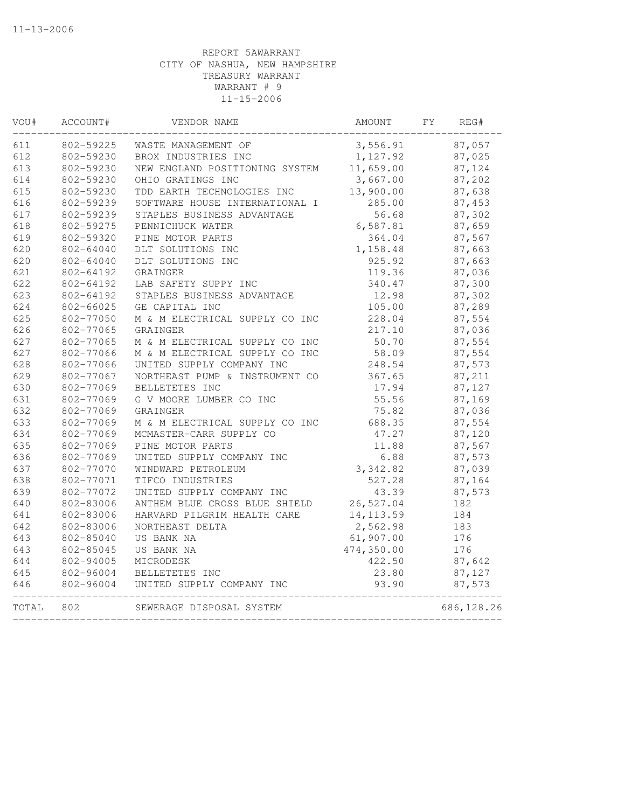| 3,556.91<br>1,127.92<br>11,659.00<br>3,667.00<br>13,900.00<br>285.00<br>56.68<br>6,587.81<br>364.04<br>1,158.48<br>925.92<br>119.36<br>340.47<br>12.98<br>105.00 |                                                                                                                                                     | 87,057<br>87,025<br>87,124<br>87,202<br>87,638<br>87,453<br>87,302<br>87,659<br>87,567<br>87,663<br>87,663<br>87,036<br>87,300 |
|------------------------------------------------------------------------------------------------------------------------------------------------------------------|-----------------------------------------------------------------------------------------------------------------------------------------------------|--------------------------------------------------------------------------------------------------------------------------------|
|                                                                                                                                                                  |                                                                                                                                                     |                                                                                                                                |
|                                                                                                                                                                  |                                                                                                                                                     |                                                                                                                                |
|                                                                                                                                                                  |                                                                                                                                                     |                                                                                                                                |
|                                                                                                                                                                  |                                                                                                                                                     |                                                                                                                                |
|                                                                                                                                                                  |                                                                                                                                                     |                                                                                                                                |
|                                                                                                                                                                  |                                                                                                                                                     |                                                                                                                                |
|                                                                                                                                                                  |                                                                                                                                                     |                                                                                                                                |
|                                                                                                                                                                  |                                                                                                                                                     |                                                                                                                                |
|                                                                                                                                                                  |                                                                                                                                                     |                                                                                                                                |
|                                                                                                                                                                  |                                                                                                                                                     |                                                                                                                                |
|                                                                                                                                                                  |                                                                                                                                                     |                                                                                                                                |
|                                                                                                                                                                  |                                                                                                                                                     |                                                                                                                                |
|                                                                                                                                                                  |                                                                                                                                                     |                                                                                                                                |
|                                                                                                                                                                  |                                                                                                                                                     | 87,302                                                                                                                         |
|                                                                                                                                                                  |                                                                                                                                                     | 87,289                                                                                                                         |
|                                                                                                                                                                  |                                                                                                                                                     | 87,554                                                                                                                         |
| 217.10                                                                                                                                                           |                                                                                                                                                     | 87,036                                                                                                                         |
| 50.70                                                                                                                                                            |                                                                                                                                                     | 87,554                                                                                                                         |
|                                                                                                                                                                  |                                                                                                                                                     | 87,554                                                                                                                         |
| 248.54                                                                                                                                                           |                                                                                                                                                     | 87,573                                                                                                                         |
| 367.65                                                                                                                                                           |                                                                                                                                                     | 87,211                                                                                                                         |
| 17.94                                                                                                                                                            |                                                                                                                                                     | 87,127                                                                                                                         |
| 55.56                                                                                                                                                            |                                                                                                                                                     | 87,169                                                                                                                         |
|                                                                                                                                                                  |                                                                                                                                                     | 87,036                                                                                                                         |
|                                                                                                                                                                  |                                                                                                                                                     | 87,554                                                                                                                         |
|                                                                                                                                                                  |                                                                                                                                                     | 87,120                                                                                                                         |
| 11.88                                                                                                                                                            |                                                                                                                                                     | 87,567                                                                                                                         |
|                                                                                                                                                                  |                                                                                                                                                     | 87,573                                                                                                                         |
|                                                                                                                                                                  |                                                                                                                                                     | 87,039                                                                                                                         |
|                                                                                                                                                                  |                                                                                                                                                     | 87,164                                                                                                                         |
|                                                                                                                                                                  |                                                                                                                                                     | 87,573                                                                                                                         |
|                                                                                                                                                                  |                                                                                                                                                     | 182                                                                                                                            |
|                                                                                                                                                                  |                                                                                                                                                     | 184                                                                                                                            |
|                                                                                                                                                                  |                                                                                                                                                     | 183                                                                                                                            |
|                                                                                                                                                                  |                                                                                                                                                     | 176                                                                                                                            |
|                                                                                                                                                                  |                                                                                                                                                     | 176                                                                                                                            |
|                                                                                                                                                                  |                                                                                                                                                     | 87,642                                                                                                                         |
|                                                                                                                                                                  |                                                                                                                                                     | 87,127                                                                                                                         |
| 93.90                                                                                                                                                            |                                                                                                                                                     | 87,573                                                                                                                         |
|                                                                                                                                                                  |                                                                                                                                                     | 686, 128.26                                                                                                                    |
|                                                                                                                                                                  | 228.04<br>58.09<br>75.82<br>688.35<br>47.27<br>527.28<br>43.39<br>26,527.04<br>14, 113.59<br>2,562.98<br>61,907.00<br>474,350.00<br>422.50<br>23.80 | 6.88<br>3,342.82                                                                                                               |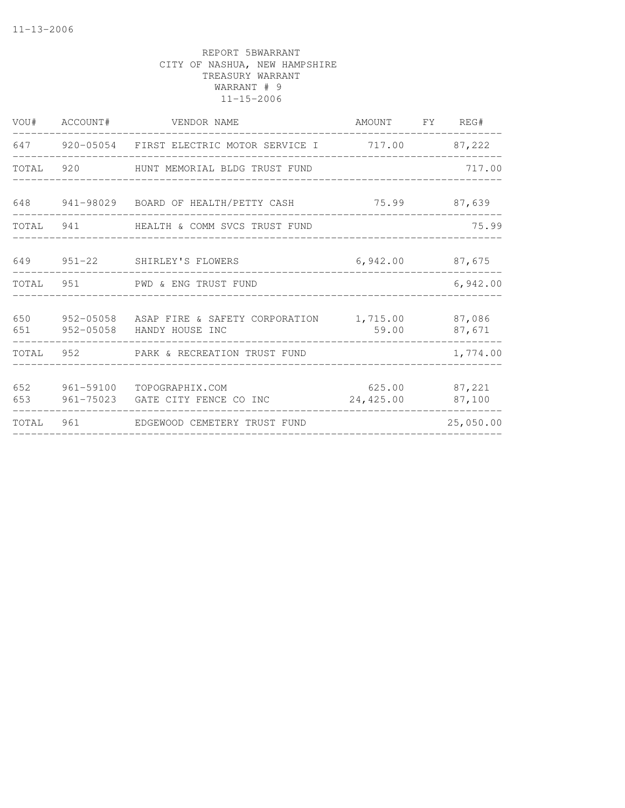|            | VOU# ACCOUNT# | VENDOR NAME                                                                           | AMOUNT FY REG#                    |           |
|------------|---------------|---------------------------------------------------------------------------------------|-----------------------------------|-----------|
|            |               | 647 920-05054 FIRST ELECTRIC MOTOR SERVICE I 717.00 87,222                            |                                   |           |
| TOTAL      | 920           | HUNT MEMORIAL BLDG TRUST FUND                                                         |                                   | 717.00    |
| 648        |               | 941-98029 BOARD OF HEALTH/PETTY CASH 75.99 87,639                                     |                                   |           |
|            |               | TOTAL 941 TOTAL BEALTH & COMM SVCS TRUST FUND                                         |                                   | 75.99     |
|            |               | 649 951-22 SHIRLEY'S FLOWERS<br>---------------------                                 | 6,942.00 87,675                   |           |
|            |               | TOTAL 951 PWD & ENG TRUST FUND                                                        |                                   | 6,942.00  |
| 650<br>651 |               | 952-05058 ASAP FIRE & SAFETY CORPORATION 1,715.00 87,086<br>952-05058 HANDY HOUSE INC | 59.00                             | 87,671    |
|            |               | TOTAL 952 PARK & RECREATION TRUST FUND                                                |                                   | 1,774.00  |
| 652<br>653 |               | 961-59100 TOPOGRAPHIX.COM<br>961-75023 GATE CITY FENCE CO INC                         | 625.00 87,221<br>24,425.00 87,100 |           |
| TOTAL      |               |                                                                                       |                                   | 25,050.00 |
|            |               |                                                                                       |                                   |           |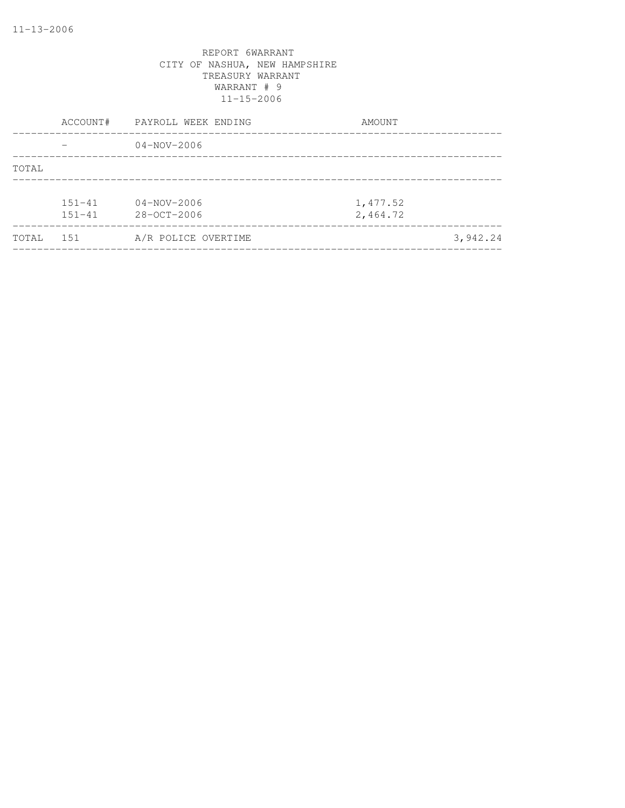|       | ACCOUNT#   | PAYROLL WEEK ENDING | AMOUNT   |
|-------|------------|---------------------|----------|
|       |            | $04 - NOV - 2006$   |          |
| TOTAL |            |                     |          |
|       |            |                     |          |
|       | $151 - 41$ | $04 - NOV - 2006$   | 1,477.52 |
|       | $151 - 41$ | 28-OCT-2006         | 2,464.72 |
| TOTAL | 151        | A/R POLICE OVERTIME | 3,942.24 |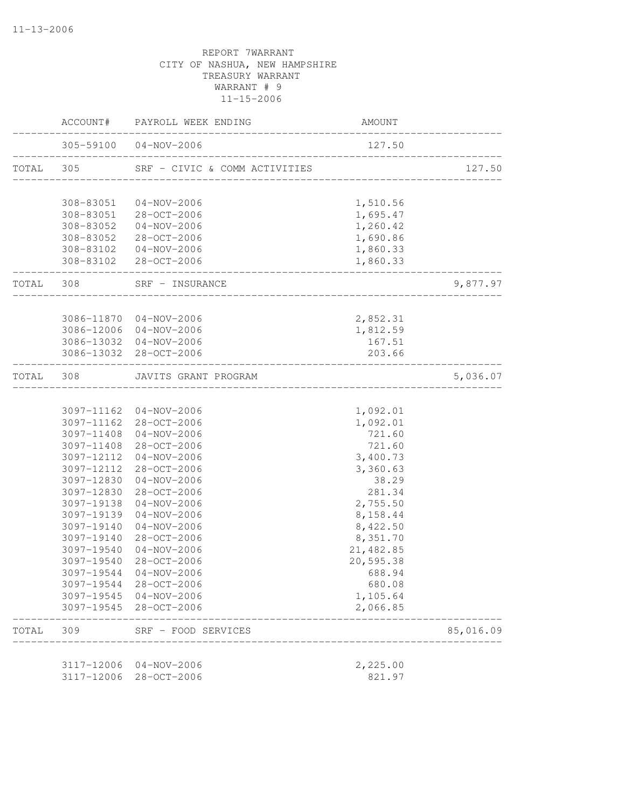|           |            | ACCOUNT# PAYROLL WEEK ENDING                              | AMOUNT                              |           |
|-----------|------------|-----------------------------------------------------------|-------------------------------------|-----------|
|           |            | 305-59100 04-NOV-2006                                     | 127.50                              |           |
| TOTAL 305 |            | SRF - CIVIC & COMM ACTIVITIES                             | ___________________________________ | 127.50    |
|           | 308-83051  | $04 - NOV - 2006$                                         | 1,510.56                            |           |
|           |            | 308-83051 28-OCT-2006                                     | 1,695.47                            |           |
|           |            | 308-83052 04-NOV-2006                                     | 1,260.42                            |           |
|           |            | 308-83052 28-OCT-2006                                     | 1,690.86                            |           |
|           |            | 308-83102  04-NOV-2006                                    | 1,860.33                            |           |
|           |            | 308-83102 28-OCT-2006<br>__________________________       | 1,860.33                            |           |
|           |            | TOTAL 308 SRF - INSURANCE<br>____________________________ |                                     | 9,877.97  |
|           |            |                                                           |                                     |           |
|           |            | 3086-11870 04-NOV-2006                                    | 2,852.31                            |           |
|           |            | 3086-12006 04-NOV-2006<br>3086-13032 04-NOV-2006          | 1,812.59<br>167.51                  |           |
|           |            | 3086-13032 28-OCT-2006                                    | 203.66                              |           |
|           |            |                                                           |                                     |           |
| TOTAL 308 |            | JAVITS GRANT PROGRAM                                      |                                     | 5,036.07  |
|           |            |                                                           |                                     |           |
|           |            | 3097-11162 04-NOV-2006                                    | 1,092.01                            |           |
|           |            | 3097-11162 28-OCT-2006                                    | 1,092.01                            |           |
|           |            | 3097-11408 04-NOV-2006                                    | 721.60                              |           |
|           |            | 3097-11408 28-OCT-2006                                    | 721.60                              |           |
|           |            | 3097-12112 04-NOV-2006                                    | 3,400.73                            |           |
|           | 3097-12112 | 28-OCT-2006                                               | 3,360.63                            |           |
|           | 3097-12830 | 04-NOV-2006                                               | 38.29                               |           |
|           | 3097-12830 | 28-OCT-2006                                               | 281.34                              |           |
|           | 3097-19138 | $04 - NOV - 2006$                                         | 2,755.50                            |           |
|           | 3097-19139 | 04-NOV-2006                                               | 8,158.44                            |           |
|           | 3097-19140 | $04 - NOV - 2006$                                         | 8,422.50                            |           |
|           | 3097-19140 | 28-OCT-2006                                               | 8,351.70                            |           |
|           | 3097-19540 | $04 - NOV - 2006$                                         | 21,482.85                           |           |
|           | 3097-19540 | 28-OCT-2006                                               | 20,595.38                           |           |
|           |            | 3097-19544 04-NOV-2006                                    | 688.94                              |           |
|           |            | 3097-19544 28-OCT-2006                                    | 680.08                              |           |
|           |            | 3097-19545 04-NOV-2006<br>3097-19545 28-OCT-2006          | 1,105.64<br>2,066.85                |           |
| TOTAL     | 309        | SRF - FOOD SERVICES                                       |                                     | 85,016.09 |
|           |            |                                                           |                                     |           |
|           |            | 3117-12006 04-NOV-2006                                    | 2,225.00                            |           |
|           | 3117-12006 | 28-OCT-2006                                               | 821.97                              |           |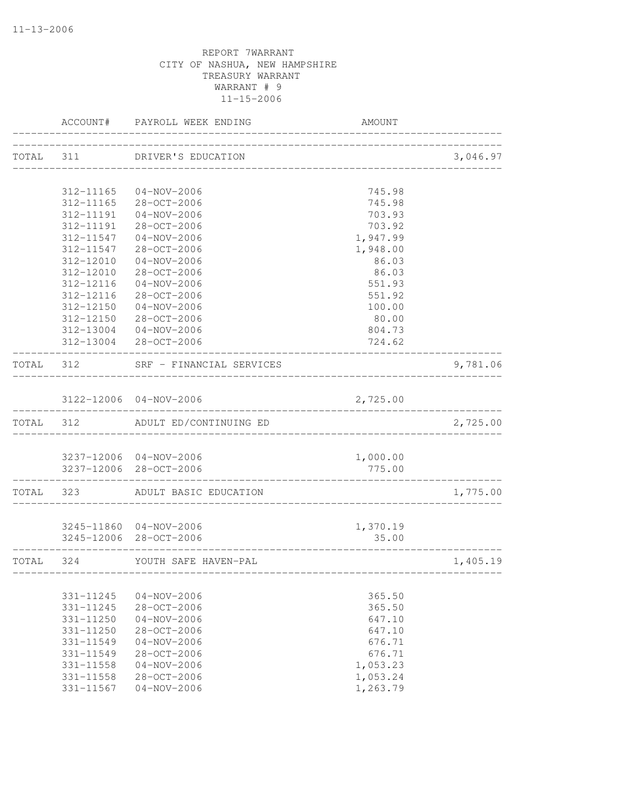|           |               | ACCOUNT# PAYROLL WEEK ENDING    | AMOUNT                |          |
|-----------|---------------|---------------------------------|-----------------------|----------|
|           |               | TOTAL 311 DRIVER'S EDUCATION    | _____________________ | 3,046.97 |
|           |               |                                 |                       |          |
|           |               | 312-11165 04-NOV-2006           | 745.98                |          |
|           |               | 312-11165 28-OCT-2006           | 745.98                |          |
|           |               | 312-11191  04-NOV-2006          | 703.93                |          |
|           | 312-11191     | $28 - OCT - 2006$               | 703.92                |          |
|           | 312-11547     | $04 - NOV - 2006$               | 1,947.99              |          |
|           | 312-11547     | 28-OCT-2006                     | 1,948.00              |          |
|           | 312-12010     | $04 - NOV - 2006$               | 86.03                 |          |
|           | 312-12010     | 28-OCT-2006                     | 86.03                 |          |
|           | 312-12116     | $04 - NOV - 2006$               | 551.93                |          |
|           | 312-12116     | 28-OCT-2006                     | 551.92                |          |
|           | 312-12150     | $04 - NOV - 2006$               | 100.00                |          |
|           |               | 312-12150 28-OCT-2006           | 80.00                 |          |
|           |               | 312-13004 04-NOV-2006           | 804.73                |          |
|           |               | 312-13004 28-OCT-2006           | 724.62                |          |
| TOTAL 312 |               | SRF - FINANCIAL SERVICES        |                       | 9,781.06 |
|           |               | 3122-12006 04-NOV-2006          | 2,725.00              |          |
| TOTAL 312 |               | ADULT ED/CONTINUING ED          |                       | 2,725.00 |
|           |               |                                 |                       |          |
|           |               | 3237-12006 04-NOV-2006          | 1,000.00              |          |
|           |               | 3237-12006 28-OCT-2006          | 775.00                |          |
|           |               | TOTAL 323 ADULT BASIC EDUCATION |                       | 1,775.00 |
|           |               |                                 |                       |          |
|           |               | 3245-11860 04-NOV-2006          | 1,370.19              |          |
|           |               | 3245-12006 28-OCT-2006          | 35.00                 |          |
| TOTAL     | 324           | YOUTH SAFE HAVEN-PAL            | --------------------- | 1,405.19 |
|           |               |                                 |                       |          |
|           | 331-11245     | $04 - NOV - 2006$               | 365.50                |          |
|           | 331-11245     | 28-OCT-2006                     | 365.50                |          |
|           | 331-11250     | $04 - NOV - 2006$               | 647.10                |          |
|           | 331-11250     | 28-OCT-2006                     | 647.10                |          |
|           | 331-11549     | $04 - NOV - 2006$               | 676.71                |          |
|           | $331 - 11549$ | 28-OCT-2006                     | 676.71                |          |
|           | 331-11558     | $04 - NOV - 2006$               | 1,053.23              |          |
|           | 331-11558     | 28-OCT-2006                     | 1,053.24              |          |
|           | 331-11567     | $04 - NOV - 2006$               | 1,263.79              |          |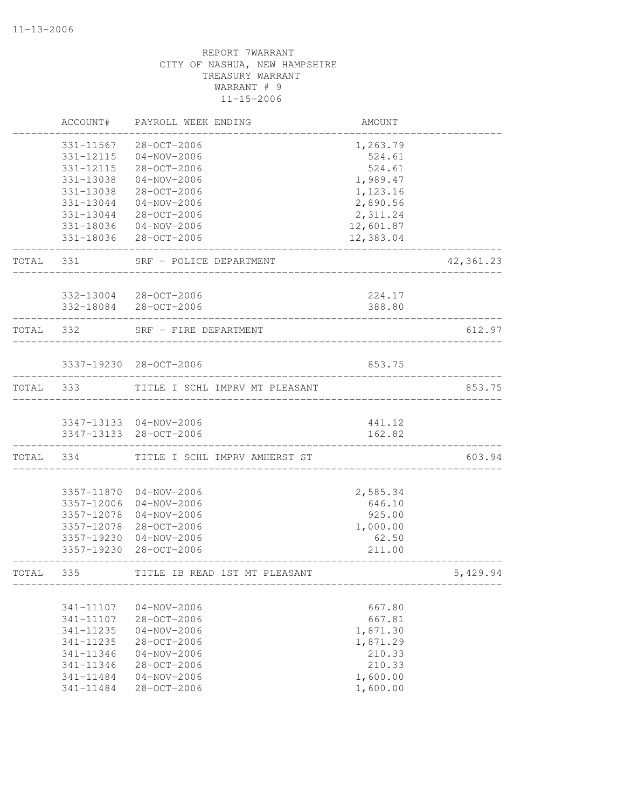|           | ACCOUNT#   | PAYROLL WEEK ENDING            | AMOUNT                      |            |
|-----------|------------|--------------------------------|-----------------------------|------------|
|           | 331-11567  | 28-OCT-2006                    | 1,263.79                    |            |
|           | 331-12115  | $04 - NOV - 2006$              | 524.61                      |            |
|           | 331-12115  | 28-OCT-2006                    | 524.61                      |            |
|           | 331-13038  | $04 - NOV - 2006$              | 1,989.47                    |            |
|           | 331-13038  | 28-OCT-2006                    | 1,123.16                    |            |
|           | 331-13044  | $04 - NOV - 2006$              | 2,890.56                    |            |
|           | 331-13044  | 28-OCT-2006                    | 2,311.24                    |            |
|           |            | 331-18036 04-NOV-2006          | 12,601.87                   |            |
|           |            | 331-18036 28-OCT-2006          | 12,383.04                   |            |
| TOTAL     | 331        | SRF - POLICE DEPARTMENT        |                             | 42, 361.23 |
|           |            | 332-13004 28-OCT-2006          | 224.17                      |            |
|           |            | 332-18084 28-OCT-2006          | 388.80                      |            |
| TOTAL     | 332        | SRF - FIRE DEPARTMENT          | ___________________________ | 612.97     |
|           |            | 3337-19230 28-OCT-2006         | 853.75                      |            |
| TOTAL 333 |            | TITLE I SCHL IMPRV MT PLEASANT |                             | 853.75     |
|           |            |                                |                             |            |
|           |            | 3347-13133 04-NOV-2006         | 441.12                      |            |
|           |            | 3347-13133 28-OCT-2006         | 162.82                      |            |
| TOTAL     | 334        | TITLE I SCHL IMPRV AMHERST ST  |                             | 603.94     |
|           | 3357-11870 | $04 - NOV - 2006$              | 2,585.34                    |            |
|           | 3357-12006 | $04 - NOV - 2006$              | 646.10                      |            |
|           | 3357-12078 | $04 - NOV - 2006$              | 925.00                      |            |
|           | 3357-12078 | 28-OCT-2006                    | 1,000.00                    |            |
|           | 3357-19230 | $04 - NOV - 2006$              | 62.50                       |            |
|           | 3357-19230 | $28 - OCT - 2006$              | 211.00                      |            |
| TOTAL     | 335        | TITLE IB READ 1ST MT PLEASANT  |                             | 5,429.94   |
|           |            |                                |                             |            |
|           | 341-11107  | $04 - NOV - 2006$              | 667.80                      |            |
|           | 341-11107  | 28-OCT-2006                    | 667.81                      |            |
|           | 341-11235  | $04 - NOV - 2006$              | 1,871.30                    |            |
|           | 341-11235  | $28 - OCT - 2006$              | 1,871.29                    |            |
|           | 341-11346  | $04 - NOV - 2006$              | 210.33                      |            |
|           | 341-11346  | 28-OCT-2006                    | 210.33                      |            |
|           | 341-11484  | $04 - NOV - 2006$              | 1,600.00                    |            |
|           | 341-11484  | $28 - OCT - 2006$              | 1,600.00                    |            |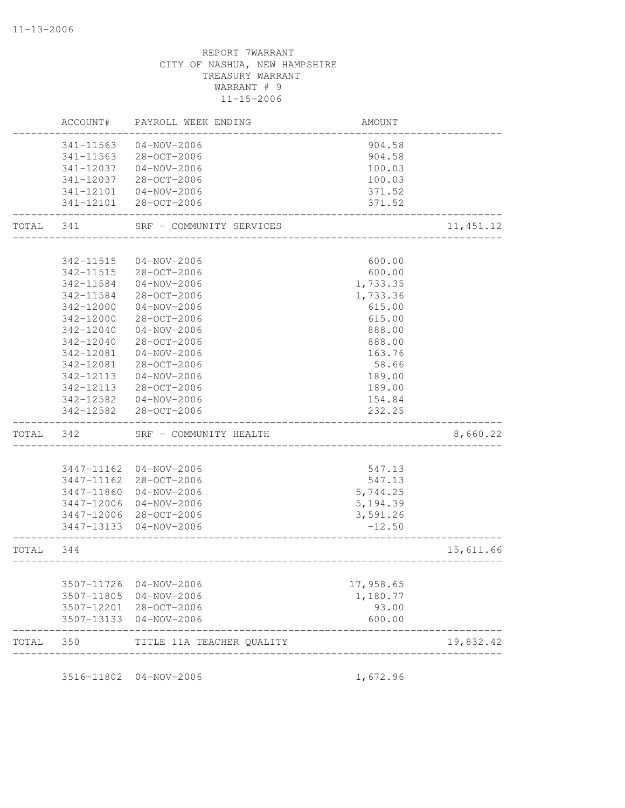|       | ACCOUNT#      | PAYROLL WEEK ENDING       | AMOUNT    |            |
|-------|---------------|---------------------------|-----------|------------|
|       | 341-11563     | $04 - NOV - 2006$         | 904.58    |            |
|       | $341 - 11563$ | 28-OCT-2006               | 904.58    |            |
|       | 341-12037     | $04 - NOV - 2006$         | 100.03    |            |
|       | 341-12037     | 28-OCT-2006               | 100.03    |            |
|       | 341-12101     | 04-NOV-2006               | 371.52    |            |
|       | 341-12101     | 28-OCT-2006               | 371.52    |            |
| TOTAL | 341           | SRF - COMMUNITY SERVICES  |           | 11, 451.12 |
|       |               |                           |           |            |
|       | 342-11515     | $04 - NOV - 2006$         | 600.00    |            |
|       | 342-11515     | 28-OCT-2006               | 600.00    |            |
|       | 342-11584     | $04 - NOV - 2006$         | 1,733.35  |            |
|       | 342-11584     | 28-OCT-2006               | 1,733.36  |            |
|       | 342-12000     | $04 - NOV - 2006$         | 615.00    |            |
|       | 342-12000     | 28-OCT-2006               | 615.00    |            |
|       | 342-12040     | $04 - NOV - 2006$         | 888.00    |            |
|       | 342-12040     | 28-OCT-2006               | 888.00    |            |
|       | 342-12081     | $04 - NOV - 2006$         | 163.76    |            |
|       | 342-12081     | 28-OCT-2006               | 58.66     |            |
|       | 342-12113     | $04 - NOV - 2006$         | 189.00    |            |
|       | 342-12113     | 28-OCT-2006               | 189.00    |            |
|       | 342-12582     | 04-NOV-2006               | 154.84    |            |
|       | 342-12582     | 28-OCT-2006               | 232.25    |            |
| TOTAL | 342           | SRF - COMMUNITY HEALTH    |           | 8,660.22   |
|       |               |                           |           |            |
|       | 3447-11162    | 04-NOV-2006               | 547.13    |            |
|       | 3447-11162    | 28-OCT-2006               | 547.13    |            |
|       | 3447-11860    | 04-NOV-2006               | 5,744.25  |            |
|       | 3447-12006    | 04-NOV-2006               | 5, 194.39 |            |
|       | 3447-12006    | 28-OCT-2006               | 3,591.26  |            |
|       | 3447-13133    | 04-NOV-2006               | $-12.50$  |            |
| TOTAL | 344           |                           |           | 15,611.66  |
|       | 3507-11726    | $04 - NOV - 2006$         | 17,958.65 |            |
|       | 3507-11805    | 04-NOV-2006               | 1,180.77  |            |
|       | 3507-12201    | 28-OCT-2006               | 93.00     |            |
|       | 3507-13133    | 04-NOV-2006               | 600.00    |            |
| TOTAL | 350           | TITLE 11A TEACHER QUALITY |           | 19,832.42  |

3516-11802 04-NOV-2006 1,672.96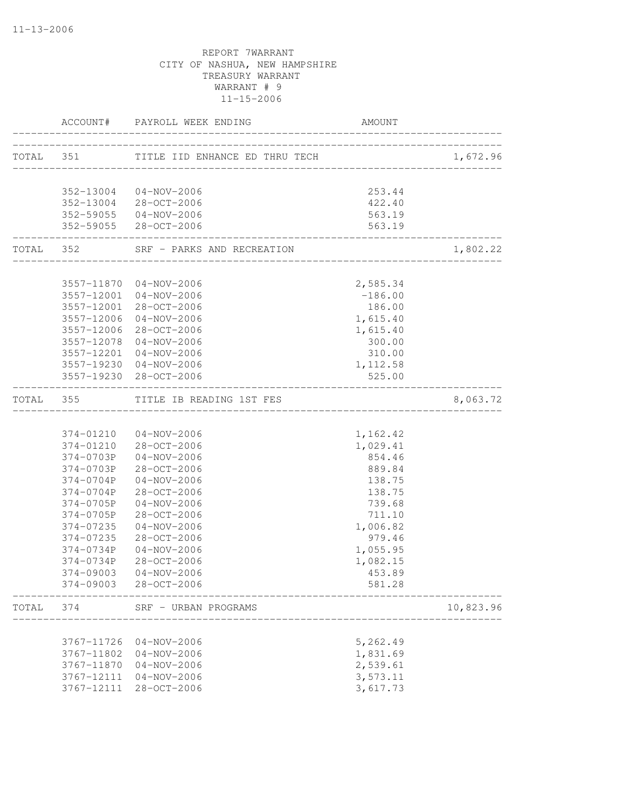|           |                          | ACCOUNT# PAYROLL WEEK ENDING                     | AMOUNT                |           |
|-----------|--------------------------|--------------------------------------------------|-----------------------|-----------|
|           |                          | TOTAL 351 TITLE IID ENHANCE ED THRU TECH [10]    |                       | 1,672.96  |
|           |                          |                                                  |                       |           |
|           |                          | 352-13004 04-NOV-2006                            | 253.44                |           |
|           |                          | 352-13004 28-OCT-2006                            | 422.40                |           |
|           |                          | 352-59055 04-NOV-2006<br>352-59055 28-OCT-2006   | 563.19<br>563.19      |           |
|           |                          | TOTAL 352 SRF - PARKS AND RECREATION             |                       | 1,802.22  |
|           |                          |                                                  |                       |           |
|           |                          | 3557-11870 04-NOV-2006<br>3557-12001 04-NOV-2006 | 2,585.34<br>$-186.00$ |           |
|           |                          | 3557-12001 28-OCT-2006                           | 186.00                |           |
|           | 3557-12006               | 04-NOV-2006                                      | 1,615.40              |           |
|           |                          | 3557-12006 28-OCT-2006                           | 1,615.40              |           |
|           | 3557-12078               | 04-NOV-2006                                      | 300.00                |           |
|           |                          | 3557-12201 04-NOV-2006                           | 310.00                |           |
|           |                          | 3557-19230 04-NOV-2006                           | 1,112.58              |           |
|           |                          | 3557-19230 28-OCT-2006                           | 525.00                |           |
| TOTAL 355 |                          | TITLE IB READING 1ST FES                         |                       | 8,063.72  |
|           |                          |                                                  |                       |           |
|           |                          | 374-01210 04-NOV-2006                            | 1,162.42              |           |
|           |                          | 374-01210 28-OCT-2006                            | 1,029.41              |           |
|           |                          | 374-0703P 04-NOV-2006                            | 854.46                |           |
|           |                          | 374-0703P 28-OCT-2006                            | 889.84                |           |
|           | 374-0704P                | 04-NOV-2006                                      | 138.75                |           |
|           | 374-0704P                | 28-OCT-2006                                      | 138.75                |           |
|           | 374-0705P                | $04 - NOV - 2006$                                | 739.68                |           |
|           | 374-0705P                | 28-OCT-2006                                      | 711.10                |           |
|           | 374-07235<br>374-07235   | $04 - NOV - 2006$<br>28-OCT-2006                 | 1,006.82<br>979.46    |           |
|           | 374-0734P                | $04 - NOV - 2006$                                | 1,055.95              |           |
|           | 374-0734P                | 28-OCT-2006                                      | 1,082.15              |           |
|           |                          | 374-09003 04-NOV-2006                            | 453.89                |           |
|           |                          | 374-09003 28-OCT-2006                            | 581.28                |           |
| TOTAL     | 374                      | SRF - URBAN PROGRAMS                             |                       | 10,823.96 |
|           |                          |                                                  |                       |           |
|           | 3767-11726               | $04 - NOV - 2006$                                | 5,262.49              |           |
|           | 3767-11802<br>3767-11870 | $04 - NOV - 2006$<br>$04 - NOV - 2006$           | 1,831.69<br>2,539.61  |           |
|           | 3767-12111               | $04 - NOV - 2006$                                | 3,573.11              |           |
|           | 3767-12111               | $28 - OCT - 2006$                                | 3,617.73              |           |
|           |                          |                                                  |                       |           |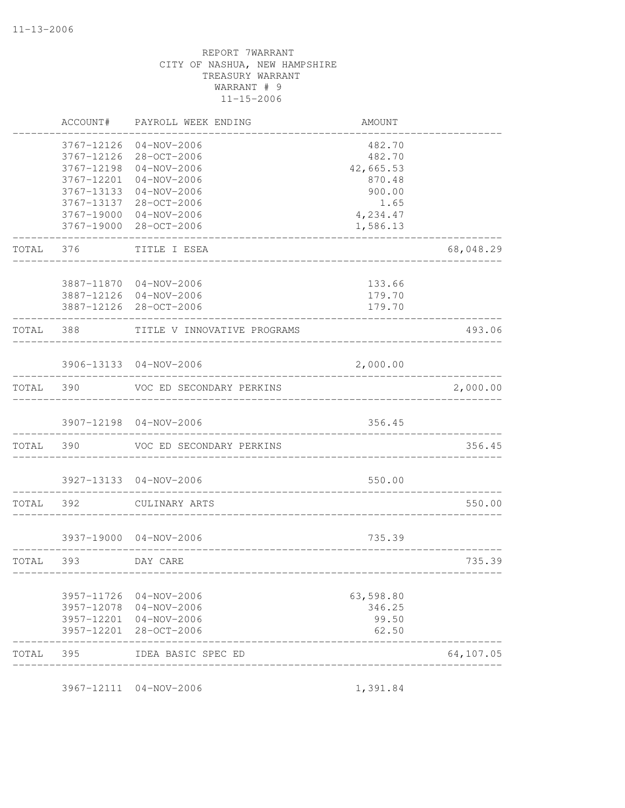|           | ACCOUNT#                 | PAYROLL WEEK ENDING              | AMOUNT               |           |
|-----------|--------------------------|----------------------------------|----------------------|-----------|
|           | 3767-12126<br>3767-12126 | $04 - NOV - 2006$<br>28-OCT-2006 | 482.70<br>482.70     |           |
|           | 3767-12198               | $04 - NOV - 2006$                | 42,665.53            |           |
|           | 3767-12201               | $04 - NOV - 2006$                | 870.48               |           |
|           | 3767-13133               | $04 - NOV - 2006$                | 900.00               |           |
|           | 3767-13137               | 28-OCT-2006                      | 1.65                 |           |
|           | 3767-19000<br>3767-19000 | 04-NOV-2006<br>28-OCT-2006       | 4,234.47<br>1,586.13 |           |
| TOTAL     | 376                      | TITLE I ESEA                     |                      | 68,048.29 |
|           |                          | 3887-11870 04-NOV-2006           | 133.66               |           |
|           |                          | 3887-12126 04-NOV-2006           | 179.70               |           |
|           |                          | 3887-12126 28-OCT-2006           | 179.70               |           |
| TOTAL     | 388                      | TITLE V INNOVATIVE PROGRAMS      |                      | 493.06    |
|           |                          | 3906-13133 04-NOV-2006           | 2,000.00             |           |
| TOTAL     | 390                      | VOC ED SECONDARY PERKINS         |                      | 2,000.00  |
|           |                          | ---------------                  |                      |           |
|           |                          | 3907-12198 04-NOV-2006           | 356.45               |           |
| TOTAL     | 390                      | VOC ED SECONDARY PERKINS         |                      | 356.45    |
|           |                          | 3927-13133 04-NOV-2006           | 550.00               |           |
| TOTAL     | 392                      | CULINARY ARTS                    |                      | 550.00    |
|           |                          | 3937-19000 04-NOV-2006           | 735.39               |           |
| TOTAL 393 |                          | DAY CARE                         |                      | 735.39    |
|           |                          |                                  |                      |           |
|           |                          | 3957-11726 04-NOV-2006           | 63,598.80            |           |
|           | 3957-12078               | $04 - NOV - 2006$                | 346.25               |           |
|           | 3957-12201               | 04-NOV-2006                      | 99.50                |           |
|           | 3957-12201               | 28-OCT-2006                      | 62.50                |           |
| TOTAL     | 395                      | IDEA BASIC SPEC ED               |                      | 64,107.05 |
|           |                          |                                  |                      |           |

3967-12111 04-NOV-2006 1,391.84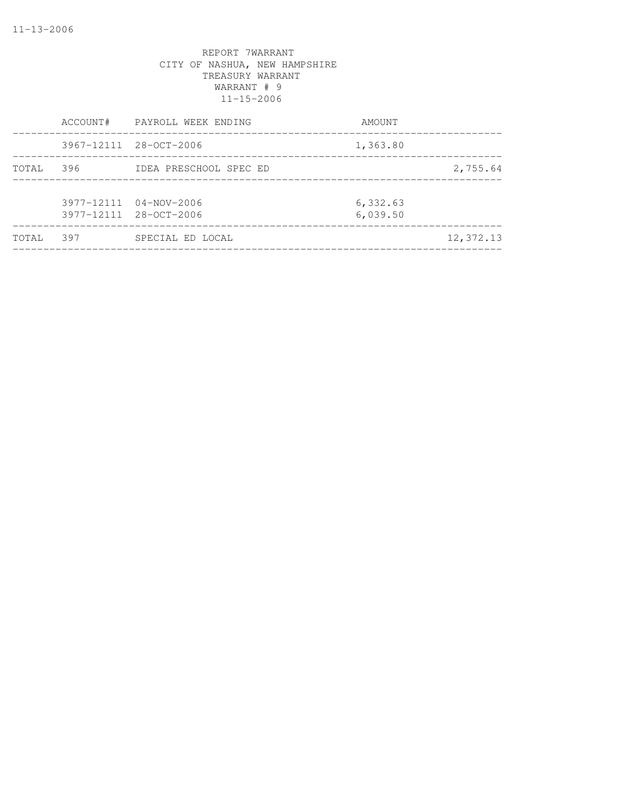|        | ACCOUNT# | PAYROLL WEEK ENDING                              | AMOUNT               |           |
|--------|----------|--------------------------------------------------|----------------------|-----------|
|        |          | 3967-12111 28-OCT-2006                           | 1,363.80             |           |
| TOTAL  | 396      | IDEA PRESCHOOL SPEC ED                           |                      | 2,755.64  |
|        |          | 3977-12111 04-NOV-2006<br>3977-12111 28-OCT-2006 | 6,332.63<br>6,039.50 |           |
| TOTAL. | 397      | SPECIAL ED LOCAL                                 |                      | 12,372.13 |
|        |          |                                                  |                      |           |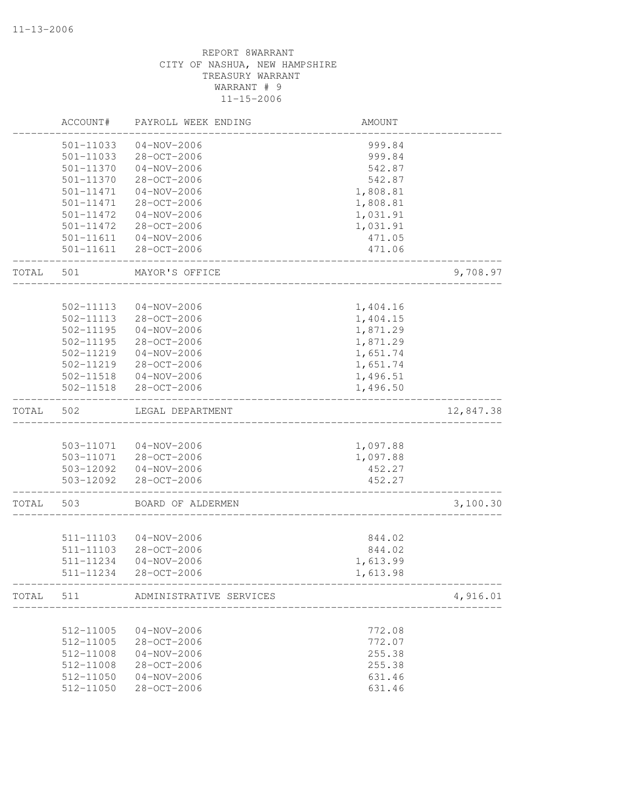|       | ACCOUNT#  | PAYROLL WEEK ENDING              | AMOUNT   |           |
|-------|-----------|----------------------------------|----------|-----------|
|       | 501-11033 | $04 - NOV - 2006$                | 999.84   |           |
|       | 501-11033 | 28-OCT-2006                      | 999.84   |           |
|       | 501-11370 | $04 - NOV - 2006$                | 542.87   |           |
|       | 501-11370 | 28-OCT-2006                      | 542.87   |           |
|       | 501-11471 | $04 - NOV - 2006$                | 1,808.81 |           |
|       | 501-11471 | 28-OCT-2006                      | 1,808.81 |           |
|       | 501-11472 | $04 - NOV - 2006$                | 1,031.91 |           |
|       | 501-11472 | $28 - OCT - 2006$                | 1,031.91 |           |
|       | 501-11611 | $04 - NOV - 2006$                | 471.05   |           |
|       | 501-11611 | 28-OCT-2006                      | 471.06   |           |
| TOTAL | 501       | MAYOR'S OFFICE                   |          | 9,708.97  |
|       |           |                                  |          |           |
|       | 502-11113 | $04 - NOV - 2006$                | 1,404.16 |           |
|       | 502-11113 | 28-OCT-2006                      | 1,404.15 |           |
|       | 502-11195 | $04 - NOV - 2006$                | 1,871.29 |           |
|       | 502-11195 | $28 - OCT - 2006$                | 1,871.29 |           |
|       | 502-11219 | $04 - NOV - 2006$                | 1,651.74 |           |
|       | 502-11219 | 28-OCT-2006                      | 1,651.74 |           |
|       | 502-11518 | $04 - NOV - 2006$                | 1,496.51 |           |
|       | 502-11518 | 28-OCT-2006                      | 1,496.50 |           |
| TOTAL | 502       | LEGAL DEPARTMENT                 |          | 12,847.38 |
|       |           |                                  |          |           |
|       | 503-11071 | $04 - NOV - 2006$                | 1,097.88 |           |
|       | 503-11071 | 28-OCT-2006                      | 1,097.88 |           |
|       | 503-12092 | 04-NOV-2006                      | 452.27   |           |
|       | 503-12092 | 28-OCT-2006                      | 452.27   |           |
| TOTAL | 503       | BOARD OF ALDERMEN                |          | 3,100.30  |
|       | 511-11103 |                                  |          |           |
|       | 511-11103 | $04 - NOV - 2006$<br>28-OCT-2006 | 844.02   |           |
|       | 511-11234 | $04 - NOV - 2006$                | 844.02   |           |
|       |           |                                  | 1,613.99 |           |
|       | 511-11234 | $28 - OCT - 2006$                | 1,613.98 |           |
| TOTAL | 511       | ADMINISTRATIVE SERVICES          |          | 4,916.01  |
|       |           |                                  |          |           |
|       | 512-11005 | $04 - NOV - 2006$                | 772.08   |           |
|       | 512-11005 | 28-OCT-2006                      | 772.07   |           |
|       | 512-11008 | $04 - NOV - 2006$                | 255.38   |           |
|       | 512-11008 | 28-OCT-2006                      | 255.38   |           |
|       | 512-11050 | $04 - NOV - 2006$                | 631.46   |           |
|       | 512-11050 | 28-OCT-2006                      | 631.46   |           |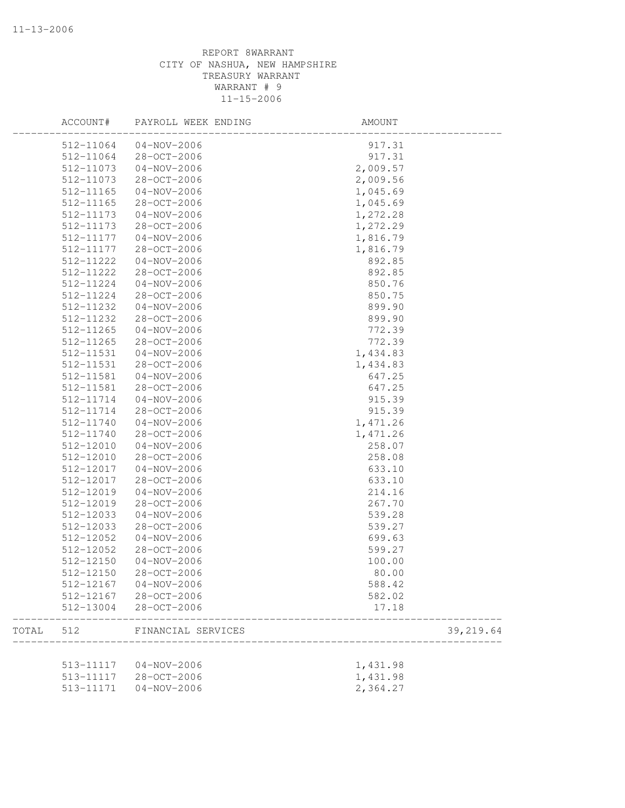|       | ACCOUNT#  | PAYROLL WEEK ENDING              | AMOUNT         |           |
|-------|-----------|----------------------------------|----------------|-----------|
|       | 512-11064 | 04-NOV-2006                      | 917.31         |           |
|       | 512-11064 | 28-OCT-2006                      | 917.31         |           |
|       | 512-11073 | $04 - NOV - 2006$                | 2,009.57       |           |
|       | 512-11073 | 28-OCT-2006                      | 2,009.56       |           |
|       | 512-11165 | $04 - NOV - 2006$                | 1,045.69       |           |
|       | 512-11165 | 28-OCT-2006                      | 1,045.69       |           |
|       | 512-11173 | $04 - NOV - 2006$                | 1,272.28       |           |
|       | 512-11173 | 28-OCT-2006                      | 1,272.29       |           |
|       | 512-11177 | $04 - NOV - 2006$                | 1,816.79       |           |
|       | 512-11177 | 28-OCT-2006                      | 1,816.79       |           |
|       | 512-11222 | $04 - NOV - 2006$                | 892.85         |           |
|       | 512-11222 | 28-OCT-2006                      | 892.85         |           |
|       | 512-11224 | $04 - NOV - 2006$                | 850.76         |           |
|       | 512-11224 | 28-OCT-2006                      | 850.75         |           |
|       | 512-11232 | $04 - NOV - 2006$                | 899.90         |           |
|       | 512-11232 | 28-OCT-2006                      | 899.90         |           |
|       | 512-11265 | $04 - NOV - 2006$                | 772.39         |           |
|       | 512-11265 | 28-OCT-2006                      | 772.39         |           |
|       | 512-11531 | $04 - NOV - 2006$                | 1,434.83       |           |
|       | 512-11531 | 28-OCT-2006                      | 1,434.83       |           |
|       | 512-11581 | $04 - NOV - 2006$                | 647.25         |           |
|       | 512-11581 | 28-OCT-2006                      | 647.25         |           |
|       | 512-11714 | $04 - NOV - 2006$                | 915.39         |           |
|       | 512-11714 | 28-OCT-2006                      | 915.39         |           |
|       | 512-11740 | $04 - NOV - 2006$                | 1,471.26       |           |
|       | 512-11740 | 28-OCT-2006                      | 1,471.26       |           |
|       | 512-12010 | $04 - NOV - 2006$                | 258.07         |           |
|       | 512-12010 | 28-OCT-2006                      | 258.08         |           |
|       | 512-12017 | $04 - NOV - 2006$                | 633.10         |           |
|       | 512-12017 | 28-OCT-2006                      | 633.10         |           |
|       | 512-12019 | $04 - NOV - 2006$                | 214.16         |           |
|       | 512-12019 | 28-OCT-2006                      | 267.70         |           |
|       | 512-12033 | $04 - NOV - 2006$                | 539.28         |           |
|       | 512-12033 | 28-OCT-2006                      | 539.27         |           |
|       | 512-12052 | $04 - NOV - 2006$                | 699.63         |           |
|       | 512-12052 | 28-OCT-2006                      | 599.27         |           |
|       | 512-12150 | $04 - NOV - 2006$                | 100.00         |           |
|       | 512-12150 | 28-OCT-2006                      | 80.00          |           |
|       | 512-12167 |                                  |                |           |
|       |           | $04 - NOV - 2006$<br>28-OCT-2006 | 588.42         |           |
|       | 512-12167 |                                  | 582.02         |           |
|       | 512-13004 | 28-OCT-2006                      | 17.18          |           |
| TOTAL | 512       | FINANCIAL SERVICES               | ______________ | 39,219.64 |
|       | 513-11117 | 04-NOV-2006                      |                |           |
|       |           |                                  | 1,431.98       |           |
|       | 513-11117 | 28-OCT-2006                      | 1,431.98       |           |
|       | 513-11171 | $04 - NOV - 2006$                | 2,364.27       |           |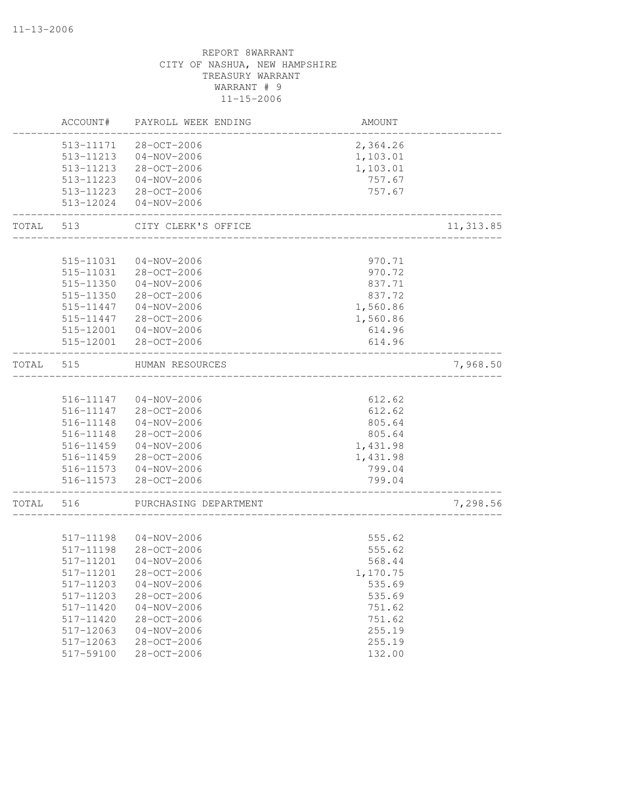|       | ACCOUNT#  | PAYROLL WEEK ENDING   | <b>AMOUNT</b>    |            |
|-------|-----------|-----------------------|------------------|------------|
|       | 513-11171 | 28-OCT-2006           | 2,364.26         |            |
|       | 513-11213 | $04 - NOV - 2006$     | 1,103.01         |            |
|       | 513-11213 | 28-OCT-2006           | 1,103.01         |            |
|       | 513-11223 | $04 - NOV - 2006$     | 757.67           |            |
|       |           | 513-11223 28-OCT-2006 | 757.67           |            |
|       | 513-12024 | $04 - NOV - 2006$     | ________________ |            |
| TOTAL | 513       | CITY CLERK'S OFFICE   |                  | 11, 313.85 |
|       | 515-11031 | $04 - NOV - 2006$     |                  |            |
|       |           | 515-11031 28-OCT-2006 | 970.71<br>970.72 |            |
|       |           | 515-11350 04-NOV-2006 |                  |            |
|       |           |                       | 837.71<br>837.72 |            |
|       | 515-11350 | 28-OCT-2006           |                  |            |
|       | 515-11447 | $04 - NOV - 2006$     | 1,560.86         |            |
|       | 515-11447 | 28-OCT-2006           | 1,560.86         |            |
|       | 515-12001 | 04-NOV-2006           | 614.96           |            |
|       | 515-12001 | 28-OCT-2006           | 614.96           |            |
| TOTAL | 515       | HUMAN RESOURCES       |                  | 7,968.50   |
|       |           |                       |                  |            |
|       | 516-11147 | 04-NOV-2006           | 612.62           |            |
|       | 516-11147 | 28-OCT-2006           | 612.62           |            |
|       | 516-11148 | $04 - NOV - 2006$     | 805.64           |            |
|       | 516-11148 | 28-OCT-2006           | 805.64           |            |
|       | 516-11459 | $04 - NOV - 2006$     | 1,431.98         |            |
|       | 516-11459 | 28-OCT-2006           | 1,431.98         |            |
|       |           | 516-11573 04-NOV-2006 | 799.04           |            |
|       | 516-11573 | 28-OCT-2006           | 799.04           |            |
| TOTAL | 516       | PURCHASING DEPARTMENT |                  | 7,298.56   |
|       |           |                       |                  |            |
|       | 517-11198 | $04 - NOV - 2006$     | 555.62           |            |
|       | 517-11198 | 28-OCT-2006           | 555.62           |            |
|       | 517-11201 | $04 - NOV - 2006$     | 568.44           |            |
|       | 517-11201 | 28-OCT-2006           | 1,170.75         |            |
|       | 517-11203 | $04 - NOV - 2006$     | 535.69           |            |
|       | 517-11203 | 28-OCT-2006           | 535.69           |            |
|       | 517-11420 | $04 - NOV - 2006$     | 751.62           |            |
|       | 517-11420 | 28-OCT-2006           | 751.62           |            |
|       | 517-12063 | $04 - NOV - 2006$     | 255.19           |            |
|       | 517-12063 | $28 - OCT - 2006$     | 255.19           |            |
|       | 517-59100 | $28 - OCT - 2006$     | 132.00           |            |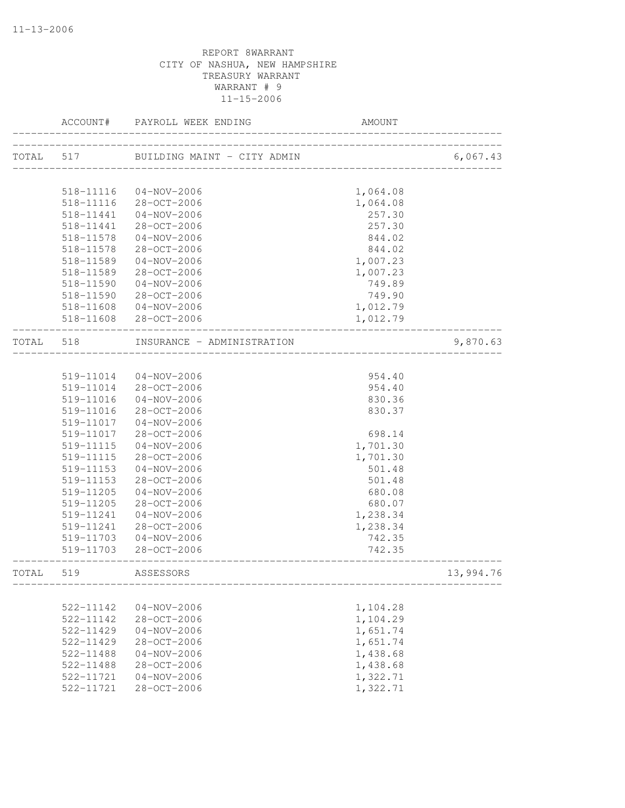|           | ACCOUNT#               | PAYROLL WEEK ENDING                           | AMOUNT           |           |
|-----------|------------------------|-----------------------------------------------|------------------|-----------|
| TOTAL 517 |                        | -------------<br>BUILDING MAINT - CITY ADMIN  |                  | 6,067.43  |
|           |                        |                                               |                  |           |
|           | 518-11116              | $04 - NOV - 2006$                             | 1,064.08         |           |
|           | 518-11116              | 28-OCT-2006                                   | 1,064.08         |           |
|           | 518-11441              | 04-NOV-2006                                   | 257.30           |           |
|           | 518-11441              | 28-OCT-2006                                   | 257.30           |           |
|           | 518-11578              | $04 - NOV - 2006$                             | 844.02           |           |
|           | 518-11578              | 28-OCT-2006                                   | 844.02           |           |
|           | 518-11589              | $04 - NOV - 2006$                             | 1,007.23         |           |
|           | 518-11589              | 28-OCT-2006                                   | 1,007.23         |           |
|           | 518-11590              | $04 - NOV - 2006$                             | 749.89           |           |
|           | 518-11590              | 28-OCT-2006                                   | 749.90           |           |
|           | 518-11608              | 04-NOV-2006                                   | 1,012.79         |           |
|           |                        | 518-11608 28-OCT-2006                         | 1,012.79         |           |
| TOTAL     | 518                    | INSURANCE - ADMINISTRATION<br>_______________ |                  | 9,870.63  |
|           |                        |                                               |                  |           |
|           |                        | 519-11014 04-NOV-2006                         | 954.40           |           |
|           |                        | 519-11014 28-OCT-2006                         | 954.40           |           |
|           | 519-11016              | $04 - NOV - 2006$                             | 830.36           |           |
|           | 519-11016              | 28-OCT-2006                                   | 830.37           |           |
|           | 519-11017              | $04 - NOV - 2006$                             |                  |           |
|           | 519-11017              | 28-OCT-2006                                   | 698.14           |           |
|           | 519-11115              | $04 - NOV - 2006$                             | 1,701.30         |           |
|           | 519-11115              | 28-OCT-2006                                   | 1,701.30         |           |
|           | 519-11153              | $04 - NOV - 2006$                             | 501.48           |           |
|           | 519-11153              | 28-OCT-2006                                   | 501.48           |           |
|           | 519-11205              | $04 - NOV - 2006$                             | 680.08           |           |
|           | 519-11205              | 28-OCT-2006                                   | 680.07           |           |
|           | 519-11241              | $04 - NOV - 2006$                             | 1,238.34         |           |
|           | 519-11241              | 28-OCT-2006                                   | 1,238.34         |           |
|           | 519-11703<br>519-11703 | $04 - NOV - 2006$<br>28-OCT-2006              | 742.35<br>742.35 |           |
| TOTAL     | 519                    | ASSESSORS                                     |                  | 13,994.76 |
|           |                        |                                               |                  |           |
|           | 522-11142              | $04 - NOV - 2006$                             | 1,104.28         |           |
|           | 522-11142              | 28-OCT-2006                                   | 1,104.29         |           |
|           | 522-11429              | $04 - NOV - 2006$                             | 1,651.74         |           |
|           | 522-11429              | 28-OCT-2006                                   | 1,651.74         |           |
|           | 522-11488              | $04 - NOV - 2006$                             | 1,438.68         |           |
|           | 522-11488              | 28-OCT-2006                                   | 1,438.68         |           |
|           | 522-11721              | $04 - NOV - 2006$                             | 1,322.71         |           |
|           | 522-11721              | 28-OCT-2006                                   | 1,322.71         |           |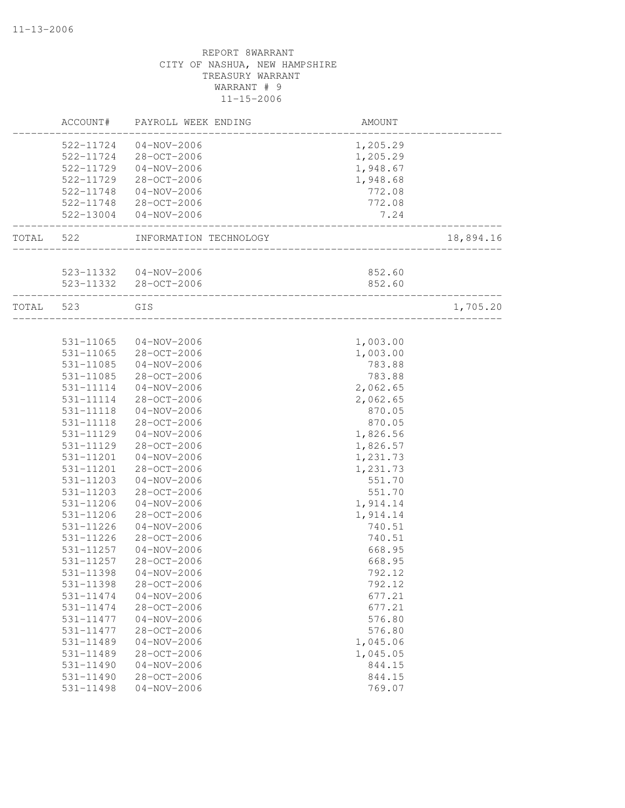|           | ACCOUNT#      | PAYROLL WEEK ENDING                     | AMOUNT   |           |
|-----------|---------------|-----------------------------------------|----------|-----------|
|           | 522-11724     | $04 - NOV - 2006$                       | 1,205.29 |           |
|           | 522-11724     | 28-OCT-2006                             | 1,205.29 |           |
|           | 522-11729     | $04 - NOV - 2006$                       | 1,948.67 |           |
|           | 522-11729     | $28 - OCT - 2006$                       | 1,948.68 |           |
|           | 522-11748     | 04-NOV-2006                             | 772.08   |           |
|           |               | 522-11748 28-OCT-2006                   | 772.08   |           |
|           |               | 522-13004 04-NOV-2006                   | 7.24     |           |
| TOTAL 522 |               | INFORMATION TECHNOLOGY                  |          | 18,894.16 |
|           |               |                                         |          |           |
|           |               | 523-11332  04-NOV-2006                  | 852.60   |           |
|           |               | 523-11332 28-OCT-2006                   | 852.60   |           |
| TOTAL     | 523           | GIS<br>________________________________ |          | 1,705.20  |
|           |               |                                         |          |           |
|           | 531-11065     | $04 - NOV - 2006$                       | 1,003.00 |           |
|           | 531-11065     | 28-OCT-2006                             | 1,003.00 |           |
|           | 531-11085     | $04 - NOV - 2006$                       | 783.88   |           |
|           | 531-11085     | 28-OCT-2006                             | 783.88   |           |
|           | 531-11114     | $04 - NOV - 2006$                       | 2,062.65 |           |
|           | 531-11114     | 28-OCT-2006                             | 2,062.65 |           |
|           | $531 - 11118$ | $04 - NOV - 2006$                       | 870.05   |           |
|           | 531-11118     | 28-OCT-2006                             | 870.05   |           |
|           | 531-11129     | $04 - NOV - 2006$                       | 1,826.56 |           |
|           | 531-11129     | 28-OCT-2006                             | 1,826.57 |           |
|           | 531-11201     | $04 - NOV - 2006$                       | 1,231.73 |           |
|           | 531-11201     | 28-OCT-2006                             | 1,231.73 |           |
|           | 531-11203     | $04 - NOV - 2006$                       | 551.70   |           |
|           | 531-11203     | 28-OCT-2006                             | 551.70   |           |
|           | 531-11206     | $04 - NOV - 2006$                       | 1,914.14 |           |
|           | 531-11206     | 28-OCT-2006                             | 1,914.14 |           |
|           | 531-11226     | $04 - NOV - 2006$                       | 740.51   |           |
|           | 531-11226     | 28-OCT-2006                             | 740.51   |           |
|           | 531-11257     | $04 - NOV - 2006$                       | 668.95   |           |
|           | 531-11257     | 28-OCT-2006                             | 668.95   |           |
|           | 531-11398     | $04 - NOV - 2006$                       | 792.12   |           |
|           | 531-11398     | 28-OCT-2006                             | 792.12   |           |
|           | 531-11474     | $04 - NOV - 2006$                       | 677.21   |           |
|           | 531-11474     | 28-OCT-2006                             | 677.21   |           |
|           | 531-11477     | $04 - NOV - 2006$                       | 576.80   |           |
|           | 531-11477     | 28-OCT-2006                             | 576.80   |           |
|           | 531-11489     | $04 - NOV - 2006$                       | 1,045.06 |           |
|           | 531-11489     | 28-OCT-2006                             | 1,045.05 |           |
|           | 531-11490     | $04 - NOV - 2006$                       | 844.15   |           |
|           | 531-11490     | 28-OCT-2006                             | 844.15   |           |
|           | 531-11498     | $04 - NOV - 2006$                       | 769.07   |           |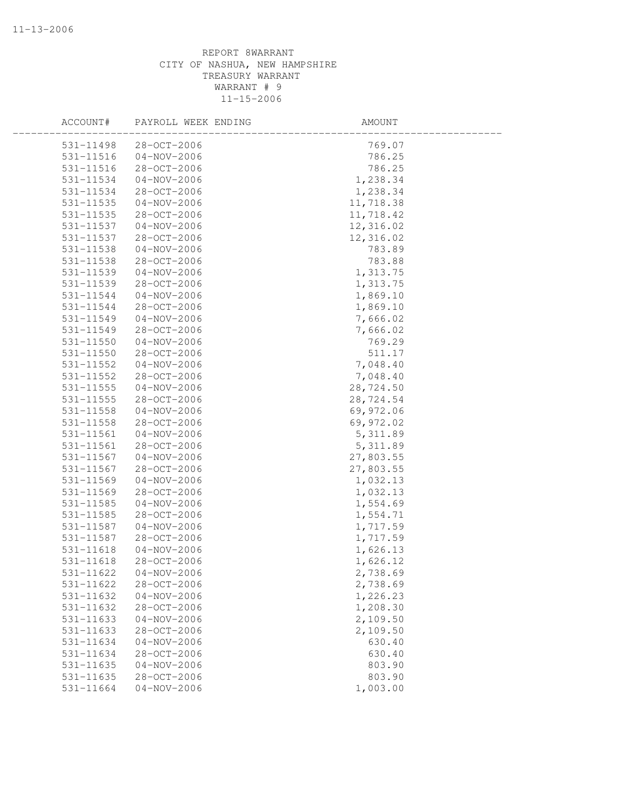| 531-11498<br>28-OCT-2006       | 769.07    |
|--------------------------------|-----------|
| 531-11516<br>$04 - NOV - 2006$ | 786.25    |
| 531-11516<br>28-OCT-2006       | 786.25    |
| 531-11534<br>$04 - NOV - 2006$ | 1,238.34  |
| 531-11534<br>28-OCT-2006       | 1,238.34  |
| 531-11535<br>$04 - NOV - 2006$ | 11,718.38 |
| 531-11535<br>28-OCT-2006       | 11,718.42 |
| $04 - NOV - 2006$<br>531-11537 | 12,316.02 |
| 531-11537<br>28-OCT-2006       | 12,316.02 |
| 531-11538<br>$04 - NOV - 2006$ | 783.89    |
| 531-11538<br>28-OCT-2006       | 783.88    |
| 531-11539<br>$04 - NOV - 2006$ | 1,313.75  |
| 531-11539<br>28-OCT-2006       | 1,313.75  |
| 531-11544<br>$04 - NOV - 2006$ | 1,869.10  |
| 531-11544<br>28-OCT-2006       | 1,869.10  |
| 531-11549<br>$04 - NOV - 2006$ | 7,666.02  |
| 28-OCT-2006<br>531-11549       | 7,666.02  |
| 531-11550<br>$04 - NOV - 2006$ | 769.29    |
| 531-11550<br>28-OCT-2006       | 511.17    |
| 531-11552<br>$04 - NOV - 2006$ | 7,048.40  |
| 531-11552<br>28-OCT-2006       | 7,048.40  |
| 531-11555<br>$04 - NOV - 2006$ | 28,724.50 |
| 531-11555<br>28-OCT-2006       | 28,724.54 |
| 531-11558<br>$04 - NOV - 2006$ | 69,972.06 |
| 531-11558<br>28-OCT-2006       | 69,972.02 |
| $04 - NOV - 2006$<br>531-11561 | 5, 311.89 |
| 531-11561<br>28-OCT-2006       | 5, 311.89 |
| 531-11567<br>$04 - NOV - 2006$ | 27,803.55 |
| 531-11567<br>28-OCT-2006       | 27,803.55 |
| 531-11569<br>$04 - NOV - 2006$ | 1,032.13  |
| 531-11569<br>28-OCT-2006       | 1,032.13  |
| 531-11585<br>$04 - NOV - 2006$ | 1,554.69  |
| 531-11585<br>28-OCT-2006       | 1,554.71  |
| 531-11587<br>$04 - NOV - 2006$ | 1,717.59  |
| 28-OCT-2006<br>531-11587       | 1,717.59  |
| 531-11618<br>$04 - NOV - 2006$ | 1,626.13  |
| 531-11618<br>$28 - OCT - 2006$ | 1,626.12  |
| 531-11622<br>$04 - NOV - 2006$ | 2,738.69  |
| 531-11622<br>28-OCT-2006       | 2,738.69  |
| 531-11632<br>$04 - NOV - 2006$ | 1,226.23  |
| 531-11632<br>28-OCT-2006       | 1,208.30  |
| 531-11633<br>$04 - NOV - 2006$ | 2,109.50  |
| 28-OCT-2006<br>531-11633       | 2,109.50  |
| 531-11634<br>$04 - NOV - 2006$ | 630.40    |
| 28-OCT-2006<br>531-11634       | 630.40    |
| 531-11635<br>$04 - NOV - 2006$ | 803.90    |
| 28-OCT-2006<br>531-11635       | 803.90    |
| 531-11664<br>$04 - NOV - 2006$ | 1,003.00  |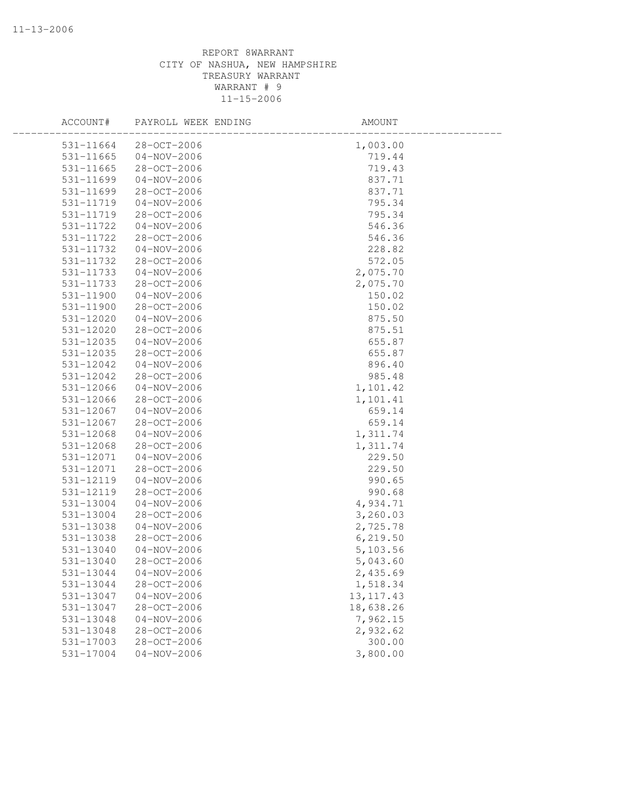| ACCOUNT#      | PAYROLL WEEK ENDING | AMOUNT      |  |
|---------------|---------------------|-------------|--|
| 531-11664     | $28 - OCT - 2006$   | 1,003.00    |  |
| $531 - 11665$ | 04-NOV-2006         | 719.44      |  |
| 531-11665     | 28-OCT-2006         | 719.43      |  |
| 531-11699     | $04 - NOV - 2006$   | 837.71      |  |
| 531-11699     | 28-OCT-2006         | 837.71      |  |
| 531-11719     | $04 - NOV - 2006$   | 795.34      |  |
| 531-11719     | 28-OCT-2006         | 795.34      |  |
| 531-11722     | $04 - NOV - 2006$   | 546.36      |  |
| 531-11722     | 28-OCT-2006         | 546.36      |  |
| 531-11732     | $04 - NOV - 2006$   | 228.82      |  |
| 531-11732     | 28-OCT-2006         | 572.05      |  |
| 531-11733     | $04 - NOV - 2006$   | 2,075.70    |  |
| 531-11733     | 28-OCT-2006         | 2,075.70    |  |
| 531-11900     | $04 - NOV - 2006$   | 150.02      |  |
| 531-11900     | 28-OCT-2006         | 150.02      |  |
| 531-12020     | $04 - NOV - 2006$   | 875.50      |  |
| 531-12020     | 28-OCT-2006         | 875.51      |  |
| 531-12035     | $04 - NOV - 2006$   | 655.87      |  |
| 531-12035     | 28-OCT-2006         | 655.87      |  |
| 531-12042     | $04 - NOV - 2006$   | 896.40      |  |
| 531-12042     | 28-OCT-2006         | 985.48      |  |
| 531-12066     | $04 - NOV - 2006$   | 1,101.42    |  |
| 531-12066     | 28-OCT-2006         | 1,101.41    |  |
| 531-12067     | $04 - NOV - 2006$   | 659.14      |  |
| 531-12067     | 28-OCT-2006         | 659.14      |  |
| 531-12068     | $04 - NOV - 2006$   | 1,311.74    |  |
| 531-12068     | 28-OCT-2006         | 1,311.74    |  |
| 531-12071     | $04 - NOV - 2006$   | 229.50      |  |
| 531-12071     | 28-OCT-2006         | 229.50      |  |
| 531-12119     | $04 - NOV - 2006$   | 990.65      |  |
| 531-12119     | 28-OCT-2006         | 990.68      |  |
| 531-13004     | $04 - NOV - 2006$   | 4,934.71    |  |
| 531-13004     | 28-OCT-2006         | 3,260.03    |  |
| 531-13038     | $04 - NOV - 2006$   | 2,725.78    |  |
| 531-13038     | 28-OCT-2006         | 6, 219.50   |  |
| 531-13040     | $04 - NOV - 2006$   | 5,103.56    |  |
| 531-13040     | 28-OCT-2006         | 5,043.60    |  |
| 531-13044     | $04 - NOV - 2006$   | 2,435.69    |  |
| 531-13044     | 28-OCT-2006         | 1,518.34    |  |
| 531-13047     | $04 - NOV - 2006$   | 13, 117. 43 |  |
| 531-13047     | 28-OCT-2006         | 18,638.26   |  |
| 531-13048     | $04 - NOV - 2006$   | 7,962.15    |  |
| 531-13048     | 28-OCT-2006         | 2,932.62    |  |
| 531-17003     | 28-OCT-2006         | 300.00      |  |
| 531-17004     | $04 - NOV - 2006$   | 3,800.00    |  |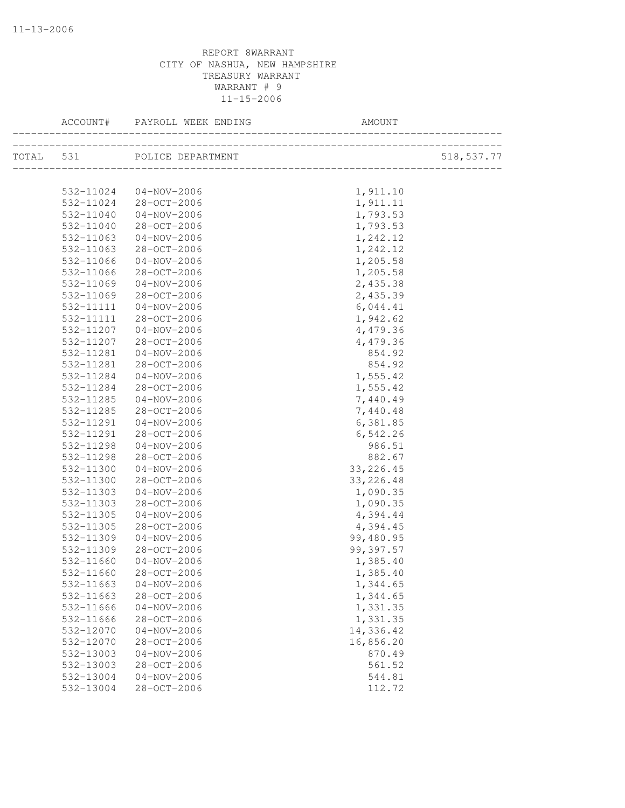| TOTAL 531 POLICE DEPARTMENT<br>518, 537.77<br>532-11024 04-NOV-2006<br>1,911.10<br>532-11024 28-OCT-2006<br>1,911.11<br>$04 - NOV - 2006$<br>1,793.53<br>532-11040<br>28-OCT-2006<br>1,793.53<br>532-11040<br>$04 - NOV - 2006$<br>532-11063<br>1,242.12<br>1,242.12<br>532-11063<br>28-OCT-2006<br>1,205.58<br>532-11066<br>$04 - NOV - 2006$<br>532-11066<br>28-OCT-2006<br>1,205.58<br>2,435.38<br>532-11069<br>04-NOV-2006<br>532-11069<br>28-OCT-2006<br>2,435.39<br>6,044.41<br>532-11111<br>04-NOV-2006<br>1,942.62<br>532-11111<br>28-OCT-2006<br>4,479.36<br>532-11207<br>$04 - NOV - 2006$<br>28-OCT-2006<br>4,479.36<br>532-11207<br>854.92<br>532-11281<br>$04 - NOV - 2006$<br>532-11281<br>28-OCT-2006<br>854.92<br>$04 - NOV - 2006$<br>1,555.42<br>532-11284<br>28-OCT-2006<br>1,555.42<br>532-11284<br>532-11285<br>$04 - NOV - 2006$<br>7,440.49<br>28-OCT-2006<br>7,440.48<br>532-11285<br>6,381.85<br>532-11291<br>$04 - NOV - 2006$<br>28-OCT-2006<br>532-11291<br>6,542.26<br>$04 - NOV - 2006$<br>986.51<br>532-11298<br>882.67<br>532-11298<br>28-OCT-2006<br>33, 226.45<br>532-11300<br>$04 - NOV - 2006$<br>532-11300<br>28-OCT-2006<br>33, 226.48<br>532-11303<br>04-NOV-2006<br>1,090.35<br>532-11303<br>28-OCT-2006<br>1,090.35<br>4,394.44<br>532-11305<br>04-NOV-2006<br>4,394.45<br>532-11305<br>28-OCT-2006<br>99,480.95<br>532-11309<br>04-NOV-2006<br>99,397.57<br>28-OCT-2006<br>532-11309<br>532-11660<br>$04 - NOV - 2006$<br>1,385.40<br>$28 - OCT - 2006$<br>532-11660<br>1,385.40<br>532-11663<br>$04 - NOV - 2006$<br>1,344.65<br>532-11663<br>28-OCT-2006<br>1,344.65<br>1,331.35<br>532-11666<br>$04 - NOV - 2006$<br>1,331.35<br>532-11666<br>$28 - OCT - 2006$<br>14,336.42<br>532-12070<br>$04 - NOV - 2006$<br>28-OCT-2006<br>16,856.20<br>532-12070<br>870.49<br>532-13003<br>$04 - NOV - 2006$<br>532-13003<br>28-OCT-2006<br>561.52<br>532-13004<br>$04 - NOV - 2006$<br>544.81<br>$28 - OCT - 2006$<br>532-13004<br>112.72 | ACCOUNT# | PAYROLL WEEK ENDING | AMOUNT |  |
|--------------------------------------------------------------------------------------------------------------------------------------------------------------------------------------------------------------------------------------------------------------------------------------------------------------------------------------------------------------------------------------------------------------------------------------------------------------------------------------------------------------------------------------------------------------------------------------------------------------------------------------------------------------------------------------------------------------------------------------------------------------------------------------------------------------------------------------------------------------------------------------------------------------------------------------------------------------------------------------------------------------------------------------------------------------------------------------------------------------------------------------------------------------------------------------------------------------------------------------------------------------------------------------------------------------------------------------------------------------------------------------------------------------------------------------------------------------------------------------------------------------------------------------------------------------------------------------------------------------------------------------------------------------------------------------------------------------------------------------------------------------------------------------------------------------------------------------------------------------------------------------------------------------------------------------------------------------------------------|----------|---------------------|--------|--|
|                                                                                                                                                                                                                                                                                                                                                                                                                                                                                                                                                                                                                                                                                                                                                                                                                                                                                                                                                                                                                                                                                                                                                                                                                                                                                                                                                                                                                                                                                                                                                                                                                                                                                                                                                                                                                                                                                                                                                                                |          |                     |        |  |
|                                                                                                                                                                                                                                                                                                                                                                                                                                                                                                                                                                                                                                                                                                                                                                                                                                                                                                                                                                                                                                                                                                                                                                                                                                                                                                                                                                                                                                                                                                                                                                                                                                                                                                                                                                                                                                                                                                                                                                                |          |                     |        |  |
|                                                                                                                                                                                                                                                                                                                                                                                                                                                                                                                                                                                                                                                                                                                                                                                                                                                                                                                                                                                                                                                                                                                                                                                                                                                                                                                                                                                                                                                                                                                                                                                                                                                                                                                                                                                                                                                                                                                                                                                |          |                     |        |  |
|                                                                                                                                                                                                                                                                                                                                                                                                                                                                                                                                                                                                                                                                                                                                                                                                                                                                                                                                                                                                                                                                                                                                                                                                                                                                                                                                                                                                                                                                                                                                                                                                                                                                                                                                                                                                                                                                                                                                                                                |          |                     |        |  |
|                                                                                                                                                                                                                                                                                                                                                                                                                                                                                                                                                                                                                                                                                                                                                                                                                                                                                                                                                                                                                                                                                                                                                                                                                                                                                                                                                                                                                                                                                                                                                                                                                                                                                                                                                                                                                                                                                                                                                                                |          |                     |        |  |
|                                                                                                                                                                                                                                                                                                                                                                                                                                                                                                                                                                                                                                                                                                                                                                                                                                                                                                                                                                                                                                                                                                                                                                                                                                                                                                                                                                                                                                                                                                                                                                                                                                                                                                                                                                                                                                                                                                                                                                                |          |                     |        |  |
|                                                                                                                                                                                                                                                                                                                                                                                                                                                                                                                                                                                                                                                                                                                                                                                                                                                                                                                                                                                                                                                                                                                                                                                                                                                                                                                                                                                                                                                                                                                                                                                                                                                                                                                                                                                                                                                                                                                                                                                |          |                     |        |  |
|                                                                                                                                                                                                                                                                                                                                                                                                                                                                                                                                                                                                                                                                                                                                                                                                                                                                                                                                                                                                                                                                                                                                                                                                                                                                                                                                                                                                                                                                                                                                                                                                                                                                                                                                                                                                                                                                                                                                                                                |          |                     |        |  |
|                                                                                                                                                                                                                                                                                                                                                                                                                                                                                                                                                                                                                                                                                                                                                                                                                                                                                                                                                                                                                                                                                                                                                                                                                                                                                                                                                                                                                                                                                                                                                                                                                                                                                                                                                                                                                                                                                                                                                                                |          |                     |        |  |
|                                                                                                                                                                                                                                                                                                                                                                                                                                                                                                                                                                                                                                                                                                                                                                                                                                                                                                                                                                                                                                                                                                                                                                                                                                                                                                                                                                                                                                                                                                                                                                                                                                                                                                                                                                                                                                                                                                                                                                                |          |                     |        |  |
|                                                                                                                                                                                                                                                                                                                                                                                                                                                                                                                                                                                                                                                                                                                                                                                                                                                                                                                                                                                                                                                                                                                                                                                                                                                                                                                                                                                                                                                                                                                                                                                                                                                                                                                                                                                                                                                                                                                                                                                |          |                     |        |  |
|                                                                                                                                                                                                                                                                                                                                                                                                                                                                                                                                                                                                                                                                                                                                                                                                                                                                                                                                                                                                                                                                                                                                                                                                                                                                                                                                                                                                                                                                                                                                                                                                                                                                                                                                                                                                                                                                                                                                                                                |          |                     |        |  |
|                                                                                                                                                                                                                                                                                                                                                                                                                                                                                                                                                                                                                                                                                                                                                                                                                                                                                                                                                                                                                                                                                                                                                                                                                                                                                                                                                                                                                                                                                                                                                                                                                                                                                                                                                                                                                                                                                                                                                                                |          |                     |        |  |
|                                                                                                                                                                                                                                                                                                                                                                                                                                                                                                                                                                                                                                                                                                                                                                                                                                                                                                                                                                                                                                                                                                                                                                                                                                                                                                                                                                                                                                                                                                                                                                                                                                                                                                                                                                                                                                                                                                                                                                                |          |                     |        |  |
|                                                                                                                                                                                                                                                                                                                                                                                                                                                                                                                                                                                                                                                                                                                                                                                                                                                                                                                                                                                                                                                                                                                                                                                                                                                                                                                                                                                                                                                                                                                                                                                                                                                                                                                                                                                                                                                                                                                                                                                |          |                     |        |  |
|                                                                                                                                                                                                                                                                                                                                                                                                                                                                                                                                                                                                                                                                                                                                                                                                                                                                                                                                                                                                                                                                                                                                                                                                                                                                                                                                                                                                                                                                                                                                                                                                                                                                                                                                                                                                                                                                                                                                                                                |          |                     |        |  |
|                                                                                                                                                                                                                                                                                                                                                                                                                                                                                                                                                                                                                                                                                                                                                                                                                                                                                                                                                                                                                                                                                                                                                                                                                                                                                                                                                                                                                                                                                                                                                                                                                                                                                                                                                                                                                                                                                                                                                                                |          |                     |        |  |
|                                                                                                                                                                                                                                                                                                                                                                                                                                                                                                                                                                                                                                                                                                                                                                                                                                                                                                                                                                                                                                                                                                                                                                                                                                                                                                                                                                                                                                                                                                                                                                                                                                                                                                                                                                                                                                                                                                                                                                                |          |                     |        |  |
|                                                                                                                                                                                                                                                                                                                                                                                                                                                                                                                                                                                                                                                                                                                                                                                                                                                                                                                                                                                                                                                                                                                                                                                                                                                                                                                                                                                                                                                                                                                                                                                                                                                                                                                                                                                                                                                                                                                                                                                |          |                     |        |  |
|                                                                                                                                                                                                                                                                                                                                                                                                                                                                                                                                                                                                                                                                                                                                                                                                                                                                                                                                                                                                                                                                                                                                                                                                                                                                                                                                                                                                                                                                                                                                                                                                                                                                                                                                                                                                                                                                                                                                                                                |          |                     |        |  |
|                                                                                                                                                                                                                                                                                                                                                                                                                                                                                                                                                                                                                                                                                                                                                                                                                                                                                                                                                                                                                                                                                                                                                                                                                                                                                                                                                                                                                                                                                                                                                                                                                                                                                                                                                                                                                                                                                                                                                                                |          |                     |        |  |
|                                                                                                                                                                                                                                                                                                                                                                                                                                                                                                                                                                                                                                                                                                                                                                                                                                                                                                                                                                                                                                                                                                                                                                                                                                                                                                                                                                                                                                                                                                                                                                                                                                                                                                                                                                                                                                                                                                                                                                                |          |                     |        |  |
|                                                                                                                                                                                                                                                                                                                                                                                                                                                                                                                                                                                                                                                                                                                                                                                                                                                                                                                                                                                                                                                                                                                                                                                                                                                                                                                                                                                                                                                                                                                                                                                                                                                                                                                                                                                                                                                                                                                                                                                |          |                     |        |  |
|                                                                                                                                                                                                                                                                                                                                                                                                                                                                                                                                                                                                                                                                                                                                                                                                                                                                                                                                                                                                                                                                                                                                                                                                                                                                                                                                                                                                                                                                                                                                                                                                                                                                                                                                                                                                                                                                                                                                                                                |          |                     |        |  |
|                                                                                                                                                                                                                                                                                                                                                                                                                                                                                                                                                                                                                                                                                                                                                                                                                                                                                                                                                                                                                                                                                                                                                                                                                                                                                                                                                                                                                                                                                                                                                                                                                                                                                                                                                                                                                                                                                                                                                                                |          |                     |        |  |
|                                                                                                                                                                                                                                                                                                                                                                                                                                                                                                                                                                                                                                                                                                                                                                                                                                                                                                                                                                                                                                                                                                                                                                                                                                                                                                                                                                                                                                                                                                                                                                                                                                                                                                                                                                                                                                                                                                                                                                                |          |                     |        |  |
|                                                                                                                                                                                                                                                                                                                                                                                                                                                                                                                                                                                                                                                                                                                                                                                                                                                                                                                                                                                                                                                                                                                                                                                                                                                                                                                                                                                                                                                                                                                                                                                                                                                                                                                                                                                                                                                                                                                                                                                |          |                     |        |  |
|                                                                                                                                                                                                                                                                                                                                                                                                                                                                                                                                                                                                                                                                                                                                                                                                                                                                                                                                                                                                                                                                                                                                                                                                                                                                                                                                                                                                                                                                                                                                                                                                                                                                                                                                                                                                                                                                                                                                                                                |          |                     |        |  |
|                                                                                                                                                                                                                                                                                                                                                                                                                                                                                                                                                                                                                                                                                                                                                                                                                                                                                                                                                                                                                                                                                                                                                                                                                                                                                                                                                                                                                                                                                                                                                                                                                                                                                                                                                                                                                                                                                                                                                                                |          |                     |        |  |
|                                                                                                                                                                                                                                                                                                                                                                                                                                                                                                                                                                                                                                                                                                                                                                                                                                                                                                                                                                                                                                                                                                                                                                                                                                                                                                                                                                                                                                                                                                                                                                                                                                                                                                                                                                                                                                                                                                                                                                                |          |                     |        |  |
|                                                                                                                                                                                                                                                                                                                                                                                                                                                                                                                                                                                                                                                                                                                                                                                                                                                                                                                                                                                                                                                                                                                                                                                                                                                                                                                                                                                                                                                                                                                                                                                                                                                                                                                                                                                                                                                                                                                                                                                |          |                     |        |  |
|                                                                                                                                                                                                                                                                                                                                                                                                                                                                                                                                                                                                                                                                                                                                                                                                                                                                                                                                                                                                                                                                                                                                                                                                                                                                                                                                                                                                                                                                                                                                                                                                                                                                                                                                                                                                                                                                                                                                                                                |          |                     |        |  |
|                                                                                                                                                                                                                                                                                                                                                                                                                                                                                                                                                                                                                                                                                                                                                                                                                                                                                                                                                                                                                                                                                                                                                                                                                                                                                                                                                                                                                                                                                                                                                                                                                                                                                                                                                                                                                                                                                                                                                                                |          |                     |        |  |
|                                                                                                                                                                                                                                                                                                                                                                                                                                                                                                                                                                                                                                                                                                                                                                                                                                                                                                                                                                                                                                                                                                                                                                                                                                                                                                                                                                                                                                                                                                                                                                                                                                                                                                                                                                                                                                                                                                                                                                                |          |                     |        |  |
|                                                                                                                                                                                                                                                                                                                                                                                                                                                                                                                                                                                                                                                                                                                                                                                                                                                                                                                                                                                                                                                                                                                                                                                                                                                                                                                                                                                                                                                                                                                                                                                                                                                                                                                                                                                                                                                                                                                                                                                |          |                     |        |  |
|                                                                                                                                                                                                                                                                                                                                                                                                                                                                                                                                                                                                                                                                                                                                                                                                                                                                                                                                                                                                                                                                                                                                                                                                                                                                                                                                                                                                                                                                                                                                                                                                                                                                                                                                                                                                                                                                                                                                                                                |          |                     |        |  |
|                                                                                                                                                                                                                                                                                                                                                                                                                                                                                                                                                                                                                                                                                                                                                                                                                                                                                                                                                                                                                                                                                                                                                                                                                                                                                                                                                                                                                                                                                                                                                                                                                                                                                                                                                                                                                                                                                                                                                                                |          |                     |        |  |
|                                                                                                                                                                                                                                                                                                                                                                                                                                                                                                                                                                                                                                                                                                                                                                                                                                                                                                                                                                                                                                                                                                                                                                                                                                                                                                                                                                                                                                                                                                                                                                                                                                                                                                                                                                                                                                                                                                                                                                                |          |                     |        |  |
|                                                                                                                                                                                                                                                                                                                                                                                                                                                                                                                                                                                                                                                                                                                                                                                                                                                                                                                                                                                                                                                                                                                                                                                                                                                                                                                                                                                                                                                                                                                                                                                                                                                                                                                                                                                                                                                                                                                                                                                |          |                     |        |  |
|                                                                                                                                                                                                                                                                                                                                                                                                                                                                                                                                                                                                                                                                                                                                                                                                                                                                                                                                                                                                                                                                                                                                                                                                                                                                                                                                                                                                                                                                                                                                                                                                                                                                                                                                                                                                                                                                                                                                                                                |          |                     |        |  |
|                                                                                                                                                                                                                                                                                                                                                                                                                                                                                                                                                                                                                                                                                                                                                                                                                                                                                                                                                                                                                                                                                                                                                                                                                                                                                                                                                                                                                                                                                                                                                                                                                                                                                                                                                                                                                                                                                                                                                                                |          |                     |        |  |
|                                                                                                                                                                                                                                                                                                                                                                                                                                                                                                                                                                                                                                                                                                                                                                                                                                                                                                                                                                                                                                                                                                                                                                                                                                                                                                                                                                                                                                                                                                                                                                                                                                                                                                                                                                                                                                                                                                                                                                                |          |                     |        |  |
|                                                                                                                                                                                                                                                                                                                                                                                                                                                                                                                                                                                                                                                                                                                                                                                                                                                                                                                                                                                                                                                                                                                                                                                                                                                                                                                                                                                                                                                                                                                                                                                                                                                                                                                                                                                                                                                                                                                                                                                |          |                     |        |  |
|                                                                                                                                                                                                                                                                                                                                                                                                                                                                                                                                                                                                                                                                                                                                                                                                                                                                                                                                                                                                                                                                                                                                                                                                                                                                                                                                                                                                                                                                                                                                                                                                                                                                                                                                                                                                                                                                                                                                                                                |          |                     |        |  |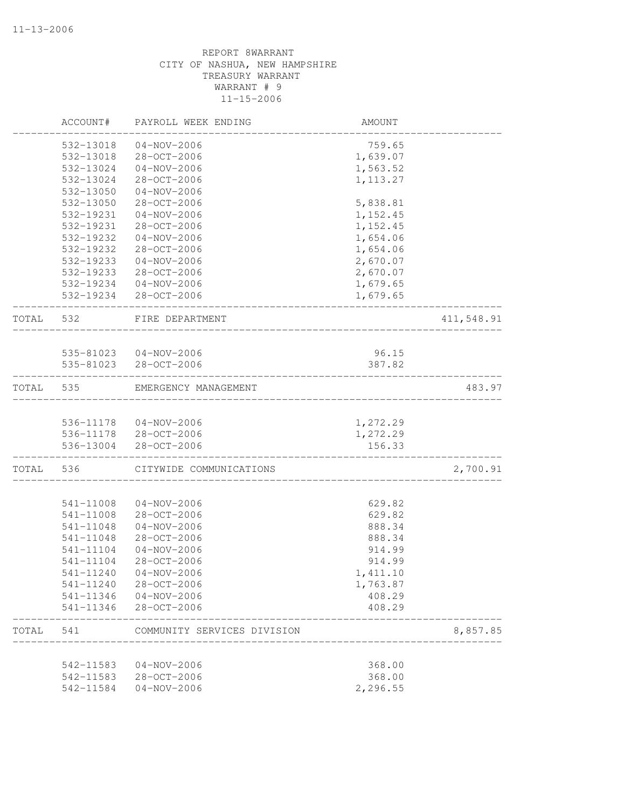|           | ACCOUNT#  | PAYROLL WEEK ENDING         | AMOUNT           |            |
|-----------|-----------|-----------------------------|------------------|------------|
|           | 532-13018 | $04 - NOV - 2006$           | 759.65           |            |
|           | 532-13018 | 28-OCT-2006                 | 1,639.07         |            |
|           | 532-13024 | $04 - NOV - 2006$           | 1,563.52         |            |
|           | 532-13024 | $28 - OCT - 2006$           | 1, 113.27        |            |
|           | 532-13050 | $04 - NOV - 2006$           |                  |            |
|           | 532-13050 | 28-OCT-2006                 | 5,838.81         |            |
|           | 532-19231 | $04 - NOV - 2006$           | 1,152.45         |            |
|           | 532-19231 | 28-OCT-2006                 | 1,152.45         |            |
|           | 532-19232 | $04 - NOV - 2006$           | 1,654.06         |            |
|           | 532-19232 | 28-OCT-2006                 | 1,654.06         |            |
|           | 532-19233 | $04 - NOV - 2006$           | 2,670.07         |            |
|           | 532-19233 | 28-OCT-2006                 | 2,670.07         |            |
|           |           | 532-19234 04-NOV-2006       | 1,679.65         |            |
|           |           | 532-19234 28-OCT-2006       | 1,679.65         |            |
| TOTAL     | 532       | FIRE DEPARTMENT             |                  | 411,548.91 |
|           |           |                             |                  |            |
|           |           | 535-81023  04-NOV-2006      | 96.15            |            |
|           |           | 535-81023 28-OCT-2006       | 387.82           |            |
| TOTAL     | 535       | EMERGENCY MANAGEMENT        |                  | 483.97     |
|           |           | 536-11178  04-NOV-2006      | 1,272.29         |            |
|           |           | 536-11178 28-OCT-2006       | 1,272.29         |            |
|           | 536-13004 | 28-OCT-2006                 | 156.33           |            |
| TOTAL 536 |           | CITYWIDE COMMUNICATIONS     | ________________ | 2,700.91   |
|           | 541-11008 | $04 - NOV - 2006$           | 629.82           |            |
|           | 541-11008 | 28-OCT-2006                 | 629.82           |            |
|           | 541-11048 | $04 - NOV - 2006$           | 888.34           |            |
|           | 541-11048 | 28-OCT-2006                 | 888.34           |            |
|           | 541-11104 | $04 - NOV - 2006$           | 914.99           |            |
|           | 541-11104 | $28 - OCT - 2006$           | 914.99           |            |
|           | 541-11240 | $04 - NOV - 2006$           | 1,411.10         |            |
|           |           | 541-11240 28-OCT-2006       | 1,763.87         |            |
|           |           | 541-11346  04-NOV-2006      | 408.29           |            |
|           |           | 541-11346 28-OCT-2006       | 408.29           |            |
| TOTAL     | 541       | COMMUNITY SERVICES DIVISION |                  | 8,857.85   |
|           |           |                             |                  |            |
|           | 542-11583 | 04-NOV-2006                 | 368.00           |            |
|           |           | 542-11583 28-OCT-2006       | 368.00           |            |
|           | 542-11584 | $04 - NOV - 2006$           | 2,296.55         |            |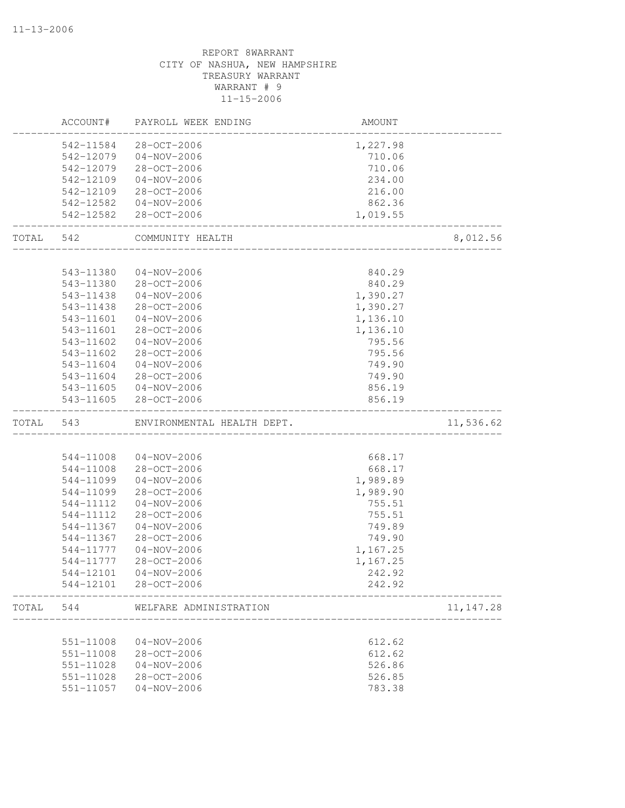# CITY OF NASHUA, NEW HAMPSHIRE TREASURY WARRANT WARRANT # 9 11-15-2006 ACCOUNT# PAYROLL WEEK ENDING AND AMOUNT -------------------------------------------------------------------------------- 542-11584 28-OCT-2006 1,227.98 542-12079 04-NOV-2006 710.06 542-12079 28-OCT-2006 710.06 542-12109 04-NOV-2006 234.00 542-12109 28-OCT-2006 216.00 542-12582 04-NOV-2006 862.36 542-12582 28-OCT-2006 1,019.55 -------------------------------------------------------------------------------- TOTAL 542 COMMUNITY HEALTH 8,012.56 -------------------------------------------------------------------------------- 543-11380 04-NOV-2006 840.29 543-11380 28-OCT-2006 840.29 543-11438 04-NOV-2006 1,390.27 543-11438 28-OCT-2006 1,390.27 543-11601 04-NOV-2006 1,136.10 543-11601 28-OCT-2006 1,136.10 543-11602 04-NOV-2006 795.56 543-11602 28-OCT-2006 795.56 543-11604 04-NOV-2006 749.90 543-11604 28-OCT-2006 749.90 543-11605 04-NOV-2006 856.19 543-11605 28-OCT-2006 856.19 -------------------------------------------------------------------------------- TOTAL 543 ENVIRONMENTAL HEALTH DEPT. 11,536.62 -------------------------------------------------------------------------------- 544-11008 04-NOV-2006 668.17 544-11008 28-OCT-2006 668.17 544-11099 04-NOV-2006 1,989.89 544-11099 28-OCT-2006 1,989.90 544-11112 04-NOV-2006 755.51 544-11112 28-OCT-2006 755.51 544-11367 04-NOV-2006 749.89<br>544-11367 28-OCT-2006 749.90 544-11367 28-OCT-2006 544-11777 04-NOV-2006 1,167.25 544-11777 28-OCT-2006 1,167.25 544-12101 04-NOV-2006 242.92 544-12101 28-OCT-2006 242.92 -------------------------------------------------------------------------------- TOTAL 544 WELFARE ADMINISTRATION 11,147.28 -------------------------------------------------------------------------------- 551-11008 04-NOV-2006 612.62 551-11008 28-OCT-2006 612.62 551-11028 04-NOV-2006 526.86 551-11028 28-OCT-2006 526.85 551-11057 04-NOV-2006 783.38

REPORT 8WARRANT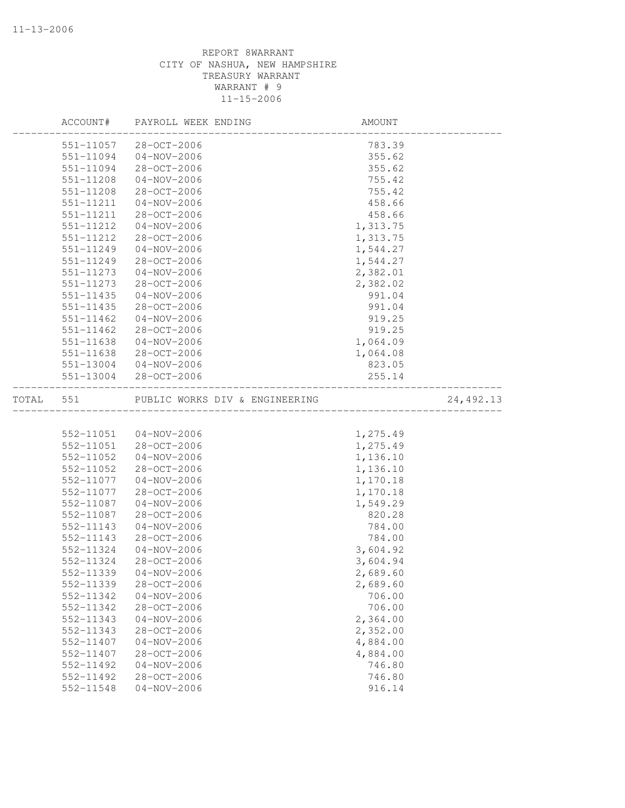|       | ACCOUNT#      | PAYROLL WEEK ENDING            | AMOUNT   |           |
|-------|---------------|--------------------------------|----------|-----------|
|       | 551-11057     | 28-OCT-2006                    | 783.39   |           |
|       | 551-11094     | $04 - NOV - 2006$              | 355.62   |           |
|       | 551-11094     | 28-OCT-2006                    | 355.62   |           |
|       | 551-11208     | $04 - NOV - 2006$              | 755.42   |           |
|       | 551-11208     | 28-OCT-2006                    | 755.42   |           |
|       | 551-11211     | $04 - NOV - 2006$              | 458.66   |           |
|       | 551-11211     | 28-OCT-2006                    | 458.66   |           |
|       | 551-11212     | $04 - NOV - 2006$              | 1,313.75 |           |
|       | 551-11212     | 28-OCT-2006                    | 1,313.75 |           |
|       | 551-11249     | $04 - NOV - 2006$              | 1,544.27 |           |
|       | 551-11249     | 28-OCT-2006                    | 1,544.27 |           |
|       | 551-11273     | $04 - NOV - 2006$              | 2,382.01 |           |
|       | 551-11273     | 28-OCT-2006                    | 2,382.02 |           |
|       | $551 - 11435$ | $04 - NOV - 2006$              | 991.04   |           |
|       | 551-11435     | 28-OCT-2006                    | 991.04   |           |
|       | 551-11462     | $04 - NOV - 2006$              | 919.25   |           |
|       | 551-11462     | 28-OCT-2006                    | 919.25   |           |
|       | 551-11638     | $04 - NOV - 2006$              | 1,064.09 |           |
|       | 551-11638     | 28-OCT-2006                    | 1,064.08 |           |
|       | 551-13004     | $04 - NOV - 2006$              | 823.05   |           |
|       | 551-13004     | 28-OCT-2006                    | 255.14   |           |
| TOTAL | 551           | PUBLIC WORKS DIV & ENGINEERING |          | 24,492.13 |
|       |               |                                |          |           |
|       | 552-11051     | 04-NOV-2006                    | 1,275.49 |           |
|       | 552-11051     | 28-OCT-2006                    | 1,275.49 |           |
|       | 552-11052     | $04 - NOV - 2006$              | 1,136.10 |           |
|       | 552-11052     | 28-OCT-2006                    | 1,136.10 |           |
|       | 552-11077     | $04 - NOV - 2006$              | 1,170.18 |           |
|       | 552-11077     | 28-OCT-2006                    | 1,170.18 |           |
|       | 552-11087     | $04 - NOV - 2006$              | 1,549.29 |           |
|       | 552-11087     | 28-OCT-2006                    | 820.28   |           |
|       | 552-11143     | $04 - NOV - 2006$              | 784.00   |           |
|       | 552-11143     | 28-OCT-2006                    | 784.00   |           |
|       | 552-11324     | $04 - NOV - 2006$              | 3,604.92 |           |
|       | 552-11324     | 28-OCT-2006                    | 3,604.94 |           |
|       | 552-11339     | 04-NOV-2006                    | 2,689.60 |           |
|       | 552-11339     | 28-OCT-2006                    | 2,689.60 |           |
|       | 552-11342     | $04 - NOV - 2006$              | 706.00   |           |
|       | 552-11342     | 28-OCT-2006                    | 706.00   |           |
|       | 552-11343     | $04 - NOV - 2006$              | 2,364.00 |           |
|       | 552-11343     | 28-OCT-2006                    | 2,352.00 |           |
|       | 552-11407     | $04 - NOV - 2006$              | 4,884.00 |           |
|       | 552-11407     | $28 - OCT - 2006$              | 4,884.00 |           |
|       | 552-11492     | $04 - NOV - 2006$              | 746.80   |           |
|       | 552-11492     | 28-OCT-2006                    | 746.80   |           |
|       | 552-11548     | $04 - NOV - 2006$              | 916.14   |           |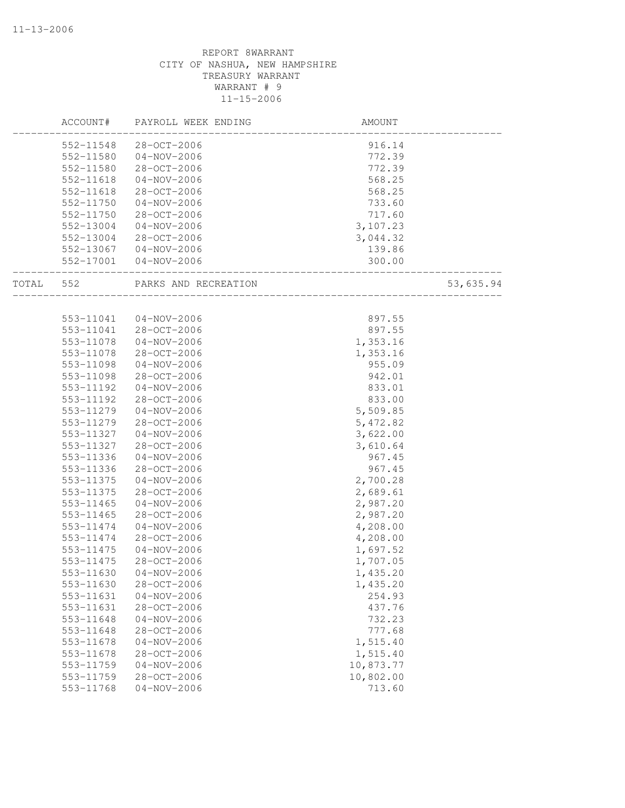|       | ACCOUNT#  | PAYROLL WEEK ENDING   | AMOUNT                          |           |
|-------|-----------|-----------------------|---------------------------------|-----------|
|       | 552-11548 | 28-OCT-2006           | 916.14                          |           |
|       | 552-11580 | 04-NOV-2006           | 772.39                          |           |
|       | 552-11580 | 28-OCT-2006           | 772.39                          |           |
|       | 552-11618 | $04 - NOV - 2006$     | 568.25                          |           |
|       | 552-11618 | 28-OCT-2006           | 568.25                          |           |
|       | 552-11750 | $04 - NOV - 2006$     | 733.60                          |           |
|       | 552-11750 | 28-OCT-2006           | 717.60                          |           |
|       | 552-13004 | $04 - NOV - 2006$     | 3,107.23                        |           |
|       | 552-13004 | 28-OCT-2006           | 3,044.32                        |           |
|       |           | 552-13067 04-NOV-2006 | 139.86                          |           |
|       |           | 552-17001 04-NOV-2006 | 300.00<br>_____________________ |           |
| TOTAL | 552       | PARKS AND RECREATION  | ___________________             | 53,635.94 |
|       |           |                       |                                 |           |
|       | 553-11041 | 04-NOV-2006           | 897.55                          |           |
|       | 553-11041 | 28-OCT-2006           | 897.55                          |           |
|       | 553-11078 | $04 - NOV - 2006$     | 1,353.16                        |           |
|       | 553-11078 | 28-OCT-2006           | 1,353.16                        |           |
|       | 553-11098 | 04-NOV-2006           | 955.09                          |           |
|       | 553-11098 | 28-OCT-2006           | 942.01                          |           |
|       | 553-11192 | 04-NOV-2006           | 833.01                          |           |
|       | 553-11192 | 28-OCT-2006           | 833.00                          |           |
|       | 553-11279 | $04 - NOV - 2006$     | 5,509.85                        |           |
|       | 553-11279 | 28-OCT-2006           | 5,472.82                        |           |
|       | 553-11327 | $04 - NOV - 2006$     | 3,622.00                        |           |
|       | 553-11327 | 28-OCT-2006           | 3,610.64                        |           |
|       | 553-11336 | $04 - NOV - 2006$     | 967.45                          |           |
|       | 553-11336 | 28-OCT-2006           | 967.45                          |           |
|       | 553-11375 | $04 - NOV - 2006$     | 2,700.28                        |           |
|       | 553-11375 | 28-OCT-2006           | 2,689.61                        |           |
|       | 553-11465 | $04 - NOV - 2006$     | 2,987.20                        |           |
|       | 553-11465 | 28-OCT-2006           | 2,987.20                        |           |
|       | 553-11474 | $04 - NOV - 2006$     | 4,208.00                        |           |
|       | 553-11474 | 28-OCT-2006           | 4,208.00                        |           |
|       | 553-11475 | $04 - NOV - 2006$     | 1,697.52                        |           |
|       | 553-11475 | 28-OCT-2006           | 1,707.05                        |           |
|       | 553-11630 | $04 - NOV - 2006$     | 1,435.20                        |           |
|       | 553-11630 | 28-OCT-2006           | 1,435.20                        |           |
|       | 553-11631 | $04 - NOV - 2006$     | 254.93                          |           |
|       | 553-11631 | 28-OCT-2006           | 437.76                          |           |
|       | 553-11648 | $04 - NOV - 2006$     | 732.23                          |           |
|       | 553-11648 | $28 - OCT - 2006$     | 777.68                          |           |
|       | 553-11678 | $04 - NOV - 2006$     | 1,515.40                        |           |
|       | 553-11678 | 28-OCT-2006           | 1,515.40                        |           |
|       | 553-11759 | $04 - NOV - 2006$     | 10,873.77                       |           |
|       | 553-11759 | 28-OCT-2006           | 10,802.00                       |           |
|       | 553-11768 | $04 - NOV - 2006$     | 713.60                          |           |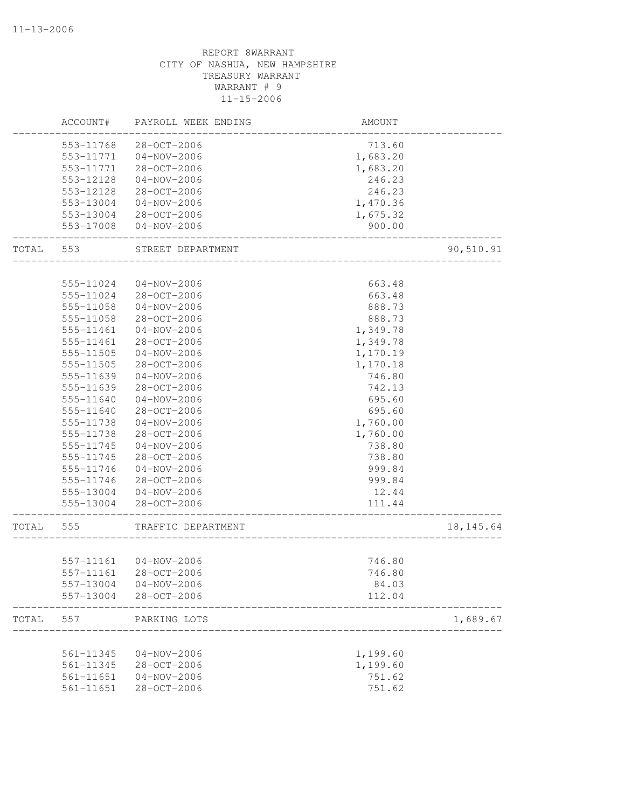# REPORT 8WARRANT CITY OF NASHUA, NEW HAMPSHIRE TREASURY WARRANT WARRANT # 9 11-15-2006 ACCOUNT# PAYROLL WEEK ENDING AMOUNT -------------------------------------------------------------------------------- 553-11768 28-OCT-2006 553-11771 04-NOV-2006 1,683.20 553-11771 28-OCT-2006 1,683.20 553-12128 04-NOV-2006 246.23 553-12128 28-OCT-2006 246.23 553-13004 04-NOV-2006 1,470.36 553-13004 28-OCT-2006 1,675.32 553-17008 04-NOV-2006 900.00 -------------------------------------------------------------------------------- TOTAL 553 STREET DEPARTMENT 90,510.91 -------------------------------------------------------------------------------- 555-11024 04-NOV-2006 663.48 555-11024 28-OCT-2006 663.48 555-11058 04-NOV-2006 888.73 555-11058 28-OCT-2006 888.73 555-11461 04-NOV-2006 1,349.78 555-11461 28-OCT-2006 1,349.78 555-11505 04-NOV-2006 1,170.19 555-11505 28-OCT-2006 1,170.18 555-11639 04-NOV-2006 746.80 555-11639 28-OCT-2006 742.13 555-11640 04-NOV-2006 695.60 555-11640 28-OCT-2006 695.60 555-11738 04-NOV-2006 1,760.00 555-11738 28-OCT-2006 1,760.00 555-11745 04-NOV-2006 738.80 555-11745 28-OCT-2006 738.80 555-11746 04-NOV-2006 999.84 555-11746 28-OCT-2006 999.84 555-13004 04-NOV-2006 12.44 555-13004 28-OCT-2006 111.44 -------------------------------------------------------------------------------- TRAFFIC DEPARTMENT 18,145.64 -------------------------------------------------------------------------------- 557-11161 04-NOV-2006 746.80 557-11161 28-OCT-2006 746.80 557-13004 04-NOV-2006 84.03 557-13004 28-OCT-2006 112.04 -------------------------------------------------------------------------------- TOTAL 557 PARKING LOTS 1,689.67 -------------------------------------------------------------------------------- 561-11345 04-NOV-2006 1,199.60 561-11345 28-OCT-2006 1,199.60 561-11651 04-NOV-2006 751.62 561-11651 28-OCT-2006 751.62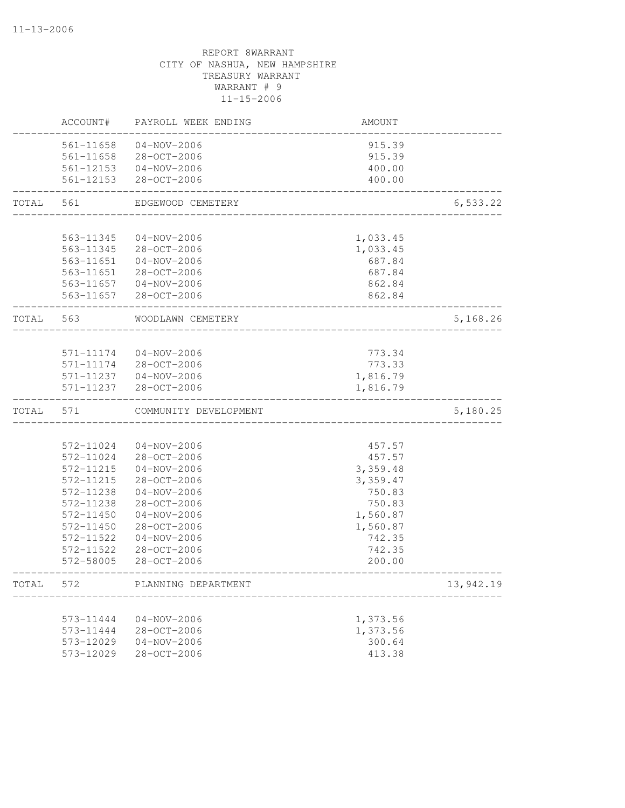|       | ACCOUNT#               | PAYROLL WEEK ENDING        | AMOUNT           |           |
|-------|------------------------|----------------------------|------------------|-----------|
|       | 561-11658              | $04 - NOV - 2006$          | 915.39           |           |
|       | 561-11658              | 28-OCT-2006                | 915.39           |           |
|       | 561-12153              | $04 - NOV - 2006$          | 400.00           |           |
|       | 561-12153              | $28 - OCT - 2006$          | 400.00           |           |
| TOTAL | 561                    | EDGEWOOD CEMETERY          |                  | 6,533.22  |
|       |                        |                            |                  |           |
|       | 563-11345              | $04 - NOV - 2006$          | 1,033.45         |           |
|       | 563-11345              | $28 - OCT - 2006$          | 1,033.45         |           |
|       | 563-11651              | $04 - NOV - 2006$          | 687.84           |           |
|       | 563-11651              | 28-OCT-2006                | 687.84           |           |
|       | 563-11657<br>563-11657 | 04-NOV-2006<br>28-OCT-2006 | 862.84<br>862.84 |           |
|       |                        |                            |                  |           |
| TOTAL | 563                    | WOODLAWN CEMETERY          |                  | 5,168.26  |
|       |                        |                            |                  |           |
|       | 571-11174              | $04 - NOV - 2006$          | 773.34           |           |
|       | 571-11174              | 28-OCT-2006                | 773.33           |           |
|       |                        | 571-11237 04-NOV-2006      | 1,816.79         |           |
|       | 571-11237              | $28 - OCT - 2006$          | 1,816.79         |           |
| TOTAL | 571                    | COMMUNITY DEVELOPMENT      |                  | 5,180.25  |
|       |                        |                            |                  |           |
|       | 572-11024              | $04 - NOV - 2006$          | 457.57           |           |
|       | 572-11024              | 28-OCT-2006                | 457.57           |           |
|       | 572-11215              | $04 - NOV - 2006$          | 3,359.48         |           |
|       | 572-11215              | 28-OCT-2006                | 3,359.47         |           |
|       | 572-11238              | $04 - NOV - 2006$          | 750.83           |           |
|       | 572-11238              | 28-OCT-2006                | 750.83           |           |
|       | 572-11450              | $04 - NOV - 2006$          | 1,560.87         |           |
|       | 572-11450              | 28-OCT-2006                | 1,560.87         |           |
|       | 572-11522              | $04 - NOV - 2006$          | 742.35           |           |
|       | 572-11522<br>572-58005 | 28-OCT-2006<br>28-OCT-2006 | 742.35<br>200.00 |           |
|       |                        |                            |                  |           |
| TOTAL | 572                    | PLANNING DEPARTMENT        |                  | 13,942.19 |
|       | 573-11444              | $04 - NOV - 2006$          | 1,373.56         |           |
|       | 573-11444              | 28-OCT-2006                | 1,373.56         |           |
|       | 573-12029              | $04 - NOV - 2006$          | 300.64           |           |
|       | 573-12029              | 28-OCT-2006                | 413.38           |           |
|       |                        |                            |                  |           |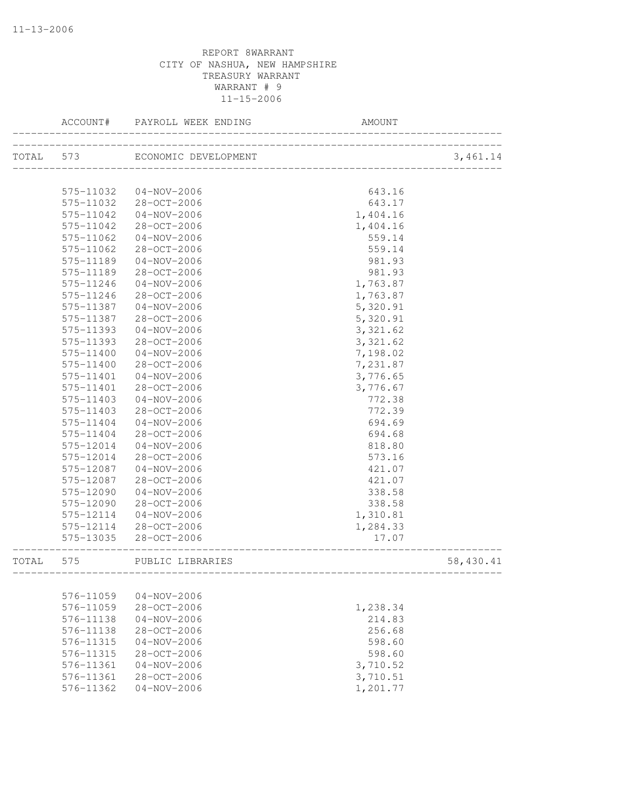| TOTAL 573<br>3,461.14<br>ECONOMIC DEVELOPMENT<br>____________________________<br>575-11032<br>$04 - NOV - 2006$<br>643.16<br>28-OCT-2006<br>575-11032<br>643.17<br>575-11042<br>$04 - NOV - 2006$<br>1,404.16<br>575-11042<br>28-OCT-2006<br>1,404.16<br>575-11062<br>$04 - NOV - 2006$<br>559.14<br>28-OCT-2006<br>559.14<br>575-11062<br>575-11189<br>$04 - NOV - 2006$<br>981.93<br>981.93<br>575-11189<br>28-OCT-2006<br>575-11246<br>$04 - NOV - 2006$<br>1,763.87<br>575-11246<br>28-OCT-2006<br>1,763.87<br>575-11387<br>04-NOV-2006<br>5,320.91<br>28-OCT-2006<br>575-11387<br>5,320.91<br>3,321.62<br>575-11393<br>$04 - NOV - 2006$<br>3,321.62<br>575-11393<br>28-OCT-2006<br>7,198.02<br>$04 - NOV - 2006$<br>575-11400<br>28-OCT-2006<br>7,231.87<br>575-11400<br>3,776.65<br>575-11401<br>$04 - NOV - 2006$<br>28-OCT-2006<br>3,776.67<br>575-11401<br>575-11403<br>$04 - NOV - 2006$<br>772.38<br>28-OCT-2006<br>772.39<br>575-11403<br>694.69<br>575-11404<br>$04 - NOV - 2006$<br>575-11404<br>28-OCT-2006<br>694.68<br>575-12014<br>$04 - NOV - 2006$<br>818.80<br>28-OCT-2006<br>573.16<br>575-12014<br>421.07<br>575-12087<br>$04 - NOV - 2006$<br>575-12087<br>28-OCT-2006<br>421.07<br>575-12090<br>$04 - NOV - 2006$<br>338.58<br>575-12090<br>28-OCT-2006<br>338.58<br>575-12114<br>$04 - NOV - 2006$<br>1,310.81<br>28-OCT-2006<br>575-12114<br>1,284.33<br>28-OCT-2006<br>575-13035<br>17.07<br>58,430.41<br>TOTAL<br>575<br>PUBLIC LIBRARIES<br>----------------------<br>576-11059<br>$04 - NOV - 2006$<br>576-11059<br>28-OCT-2006<br>1,238.34<br>576-11138<br>$04 - NOV - 2006$<br>214.83<br>256.68<br>576-11138<br>28-OCT-2006<br>$04 - NOV - 2006$<br>598.60<br>576-11315<br>576-11315<br>28-OCT-2006<br>598.60<br>$04 - NOV - 2006$<br>3,710.52<br>576-11361<br>28-OCT-2006<br>3,710.51<br>576-11361<br>$04 - NOV - 2006$<br>1,201.77<br>576-11362 | ACCOUNT# | PAYROLL WEEK ENDING | AMOUNT |  |
|-------------------------------------------------------------------------------------------------------------------------------------------------------------------------------------------------------------------------------------------------------------------------------------------------------------------------------------------------------------------------------------------------------------------------------------------------------------------------------------------------------------------------------------------------------------------------------------------------------------------------------------------------------------------------------------------------------------------------------------------------------------------------------------------------------------------------------------------------------------------------------------------------------------------------------------------------------------------------------------------------------------------------------------------------------------------------------------------------------------------------------------------------------------------------------------------------------------------------------------------------------------------------------------------------------------------------------------------------------------------------------------------------------------------------------------------------------------------------------------------------------------------------------------------------------------------------------------------------------------------------------------------------------------------------------------------------------------------------------------------------------------------------------------------------------------------------------------------------------------------------------------|----------|---------------------|--------|--|
|                                                                                                                                                                                                                                                                                                                                                                                                                                                                                                                                                                                                                                                                                                                                                                                                                                                                                                                                                                                                                                                                                                                                                                                                                                                                                                                                                                                                                                                                                                                                                                                                                                                                                                                                                                                                                                                                                     |          |                     |        |  |
|                                                                                                                                                                                                                                                                                                                                                                                                                                                                                                                                                                                                                                                                                                                                                                                                                                                                                                                                                                                                                                                                                                                                                                                                                                                                                                                                                                                                                                                                                                                                                                                                                                                                                                                                                                                                                                                                                     |          |                     |        |  |
|                                                                                                                                                                                                                                                                                                                                                                                                                                                                                                                                                                                                                                                                                                                                                                                                                                                                                                                                                                                                                                                                                                                                                                                                                                                                                                                                                                                                                                                                                                                                                                                                                                                                                                                                                                                                                                                                                     |          |                     |        |  |
|                                                                                                                                                                                                                                                                                                                                                                                                                                                                                                                                                                                                                                                                                                                                                                                                                                                                                                                                                                                                                                                                                                                                                                                                                                                                                                                                                                                                                                                                                                                                                                                                                                                                                                                                                                                                                                                                                     |          |                     |        |  |
|                                                                                                                                                                                                                                                                                                                                                                                                                                                                                                                                                                                                                                                                                                                                                                                                                                                                                                                                                                                                                                                                                                                                                                                                                                                                                                                                                                                                                                                                                                                                                                                                                                                                                                                                                                                                                                                                                     |          |                     |        |  |
|                                                                                                                                                                                                                                                                                                                                                                                                                                                                                                                                                                                                                                                                                                                                                                                                                                                                                                                                                                                                                                                                                                                                                                                                                                                                                                                                                                                                                                                                                                                                                                                                                                                                                                                                                                                                                                                                                     |          |                     |        |  |
|                                                                                                                                                                                                                                                                                                                                                                                                                                                                                                                                                                                                                                                                                                                                                                                                                                                                                                                                                                                                                                                                                                                                                                                                                                                                                                                                                                                                                                                                                                                                                                                                                                                                                                                                                                                                                                                                                     |          |                     |        |  |
|                                                                                                                                                                                                                                                                                                                                                                                                                                                                                                                                                                                                                                                                                                                                                                                                                                                                                                                                                                                                                                                                                                                                                                                                                                                                                                                                                                                                                                                                                                                                                                                                                                                                                                                                                                                                                                                                                     |          |                     |        |  |
|                                                                                                                                                                                                                                                                                                                                                                                                                                                                                                                                                                                                                                                                                                                                                                                                                                                                                                                                                                                                                                                                                                                                                                                                                                                                                                                                                                                                                                                                                                                                                                                                                                                                                                                                                                                                                                                                                     |          |                     |        |  |
|                                                                                                                                                                                                                                                                                                                                                                                                                                                                                                                                                                                                                                                                                                                                                                                                                                                                                                                                                                                                                                                                                                                                                                                                                                                                                                                                                                                                                                                                                                                                                                                                                                                                                                                                                                                                                                                                                     |          |                     |        |  |
|                                                                                                                                                                                                                                                                                                                                                                                                                                                                                                                                                                                                                                                                                                                                                                                                                                                                                                                                                                                                                                                                                                                                                                                                                                                                                                                                                                                                                                                                                                                                                                                                                                                                                                                                                                                                                                                                                     |          |                     |        |  |
|                                                                                                                                                                                                                                                                                                                                                                                                                                                                                                                                                                                                                                                                                                                                                                                                                                                                                                                                                                                                                                                                                                                                                                                                                                                                                                                                                                                                                                                                                                                                                                                                                                                                                                                                                                                                                                                                                     |          |                     |        |  |
|                                                                                                                                                                                                                                                                                                                                                                                                                                                                                                                                                                                                                                                                                                                                                                                                                                                                                                                                                                                                                                                                                                                                                                                                                                                                                                                                                                                                                                                                                                                                                                                                                                                                                                                                                                                                                                                                                     |          |                     |        |  |
|                                                                                                                                                                                                                                                                                                                                                                                                                                                                                                                                                                                                                                                                                                                                                                                                                                                                                                                                                                                                                                                                                                                                                                                                                                                                                                                                                                                                                                                                                                                                                                                                                                                                                                                                                                                                                                                                                     |          |                     |        |  |
|                                                                                                                                                                                                                                                                                                                                                                                                                                                                                                                                                                                                                                                                                                                                                                                                                                                                                                                                                                                                                                                                                                                                                                                                                                                                                                                                                                                                                                                                                                                                                                                                                                                                                                                                                                                                                                                                                     |          |                     |        |  |
|                                                                                                                                                                                                                                                                                                                                                                                                                                                                                                                                                                                                                                                                                                                                                                                                                                                                                                                                                                                                                                                                                                                                                                                                                                                                                                                                                                                                                                                                                                                                                                                                                                                                                                                                                                                                                                                                                     |          |                     |        |  |
|                                                                                                                                                                                                                                                                                                                                                                                                                                                                                                                                                                                                                                                                                                                                                                                                                                                                                                                                                                                                                                                                                                                                                                                                                                                                                                                                                                                                                                                                                                                                                                                                                                                                                                                                                                                                                                                                                     |          |                     |        |  |
|                                                                                                                                                                                                                                                                                                                                                                                                                                                                                                                                                                                                                                                                                                                                                                                                                                                                                                                                                                                                                                                                                                                                                                                                                                                                                                                                                                                                                                                                                                                                                                                                                                                                                                                                                                                                                                                                                     |          |                     |        |  |
|                                                                                                                                                                                                                                                                                                                                                                                                                                                                                                                                                                                                                                                                                                                                                                                                                                                                                                                                                                                                                                                                                                                                                                                                                                                                                                                                                                                                                                                                                                                                                                                                                                                                                                                                                                                                                                                                                     |          |                     |        |  |
|                                                                                                                                                                                                                                                                                                                                                                                                                                                                                                                                                                                                                                                                                                                                                                                                                                                                                                                                                                                                                                                                                                                                                                                                                                                                                                                                                                                                                                                                                                                                                                                                                                                                                                                                                                                                                                                                                     |          |                     |        |  |
|                                                                                                                                                                                                                                                                                                                                                                                                                                                                                                                                                                                                                                                                                                                                                                                                                                                                                                                                                                                                                                                                                                                                                                                                                                                                                                                                                                                                                                                                                                                                                                                                                                                                                                                                                                                                                                                                                     |          |                     |        |  |
|                                                                                                                                                                                                                                                                                                                                                                                                                                                                                                                                                                                                                                                                                                                                                                                                                                                                                                                                                                                                                                                                                                                                                                                                                                                                                                                                                                                                                                                                                                                                                                                                                                                                                                                                                                                                                                                                                     |          |                     |        |  |
|                                                                                                                                                                                                                                                                                                                                                                                                                                                                                                                                                                                                                                                                                                                                                                                                                                                                                                                                                                                                                                                                                                                                                                                                                                                                                                                                                                                                                                                                                                                                                                                                                                                                                                                                                                                                                                                                                     |          |                     |        |  |
|                                                                                                                                                                                                                                                                                                                                                                                                                                                                                                                                                                                                                                                                                                                                                                                                                                                                                                                                                                                                                                                                                                                                                                                                                                                                                                                                                                                                                                                                                                                                                                                                                                                                                                                                                                                                                                                                                     |          |                     |        |  |
|                                                                                                                                                                                                                                                                                                                                                                                                                                                                                                                                                                                                                                                                                                                                                                                                                                                                                                                                                                                                                                                                                                                                                                                                                                                                                                                                                                                                                                                                                                                                                                                                                                                                                                                                                                                                                                                                                     |          |                     |        |  |
|                                                                                                                                                                                                                                                                                                                                                                                                                                                                                                                                                                                                                                                                                                                                                                                                                                                                                                                                                                                                                                                                                                                                                                                                                                                                                                                                                                                                                                                                                                                                                                                                                                                                                                                                                                                                                                                                                     |          |                     |        |  |
|                                                                                                                                                                                                                                                                                                                                                                                                                                                                                                                                                                                                                                                                                                                                                                                                                                                                                                                                                                                                                                                                                                                                                                                                                                                                                                                                                                                                                                                                                                                                                                                                                                                                                                                                                                                                                                                                                     |          |                     |        |  |
|                                                                                                                                                                                                                                                                                                                                                                                                                                                                                                                                                                                                                                                                                                                                                                                                                                                                                                                                                                                                                                                                                                                                                                                                                                                                                                                                                                                                                                                                                                                                                                                                                                                                                                                                                                                                                                                                                     |          |                     |        |  |
|                                                                                                                                                                                                                                                                                                                                                                                                                                                                                                                                                                                                                                                                                                                                                                                                                                                                                                                                                                                                                                                                                                                                                                                                                                                                                                                                                                                                                                                                                                                                                                                                                                                                                                                                                                                                                                                                                     |          |                     |        |  |
|                                                                                                                                                                                                                                                                                                                                                                                                                                                                                                                                                                                                                                                                                                                                                                                                                                                                                                                                                                                                                                                                                                                                                                                                                                                                                                                                                                                                                                                                                                                                                                                                                                                                                                                                                                                                                                                                                     |          |                     |        |  |
|                                                                                                                                                                                                                                                                                                                                                                                                                                                                                                                                                                                                                                                                                                                                                                                                                                                                                                                                                                                                                                                                                                                                                                                                                                                                                                                                                                                                                                                                                                                                                                                                                                                                                                                                                                                                                                                                                     |          |                     |        |  |
|                                                                                                                                                                                                                                                                                                                                                                                                                                                                                                                                                                                                                                                                                                                                                                                                                                                                                                                                                                                                                                                                                                                                                                                                                                                                                                                                                                                                                                                                                                                                                                                                                                                                                                                                                                                                                                                                                     |          |                     |        |  |
|                                                                                                                                                                                                                                                                                                                                                                                                                                                                                                                                                                                                                                                                                                                                                                                                                                                                                                                                                                                                                                                                                                                                                                                                                                                                                                                                                                                                                                                                                                                                                                                                                                                                                                                                                                                                                                                                                     |          |                     |        |  |
|                                                                                                                                                                                                                                                                                                                                                                                                                                                                                                                                                                                                                                                                                                                                                                                                                                                                                                                                                                                                                                                                                                                                                                                                                                                                                                                                                                                                                                                                                                                                                                                                                                                                                                                                                                                                                                                                                     |          |                     |        |  |
|                                                                                                                                                                                                                                                                                                                                                                                                                                                                                                                                                                                                                                                                                                                                                                                                                                                                                                                                                                                                                                                                                                                                                                                                                                                                                                                                                                                                                                                                                                                                                                                                                                                                                                                                                                                                                                                                                     |          |                     |        |  |
|                                                                                                                                                                                                                                                                                                                                                                                                                                                                                                                                                                                                                                                                                                                                                                                                                                                                                                                                                                                                                                                                                                                                                                                                                                                                                                                                                                                                                                                                                                                                                                                                                                                                                                                                                                                                                                                                                     |          |                     |        |  |
|                                                                                                                                                                                                                                                                                                                                                                                                                                                                                                                                                                                                                                                                                                                                                                                                                                                                                                                                                                                                                                                                                                                                                                                                                                                                                                                                                                                                                                                                                                                                                                                                                                                                                                                                                                                                                                                                                     |          |                     |        |  |
|                                                                                                                                                                                                                                                                                                                                                                                                                                                                                                                                                                                                                                                                                                                                                                                                                                                                                                                                                                                                                                                                                                                                                                                                                                                                                                                                                                                                                                                                                                                                                                                                                                                                                                                                                                                                                                                                                     |          |                     |        |  |
|                                                                                                                                                                                                                                                                                                                                                                                                                                                                                                                                                                                                                                                                                                                                                                                                                                                                                                                                                                                                                                                                                                                                                                                                                                                                                                                                                                                                                                                                                                                                                                                                                                                                                                                                                                                                                                                                                     |          |                     |        |  |
|                                                                                                                                                                                                                                                                                                                                                                                                                                                                                                                                                                                                                                                                                                                                                                                                                                                                                                                                                                                                                                                                                                                                                                                                                                                                                                                                                                                                                                                                                                                                                                                                                                                                                                                                                                                                                                                                                     |          |                     |        |  |
|                                                                                                                                                                                                                                                                                                                                                                                                                                                                                                                                                                                                                                                                                                                                                                                                                                                                                                                                                                                                                                                                                                                                                                                                                                                                                                                                                                                                                                                                                                                                                                                                                                                                                                                                                                                                                                                                                     |          |                     |        |  |
|                                                                                                                                                                                                                                                                                                                                                                                                                                                                                                                                                                                                                                                                                                                                                                                                                                                                                                                                                                                                                                                                                                                                                                                                                                                                                                                                                                                                                                                                                                                                                                                                                                                                                                                                                                                                                                                                                     |          |                     |        |  |
|                                                                                                                                                                                                                                                                                                                                                                                                                                                                                                                                                                                                                                                                                                                                                                                                                                                                                                                                                                                                                                                                                                                                                                                                                                                                                                                                                                                                                                                                                                                                                                                                                                                                                                                                                                                                                                                                                     |          |                     |        |  |
|                                                                                                                                                                                                                                                                                                                                                                                                                                                                                                                                                                                                                                                                                                                                                                                                                                                                                                                                                                                                                                                                                                                                                                                                                                                                                                                                                                                                                                                                                                                                                                                                                                                                                                                                                                                                                                                                                     |          |                     |        |  |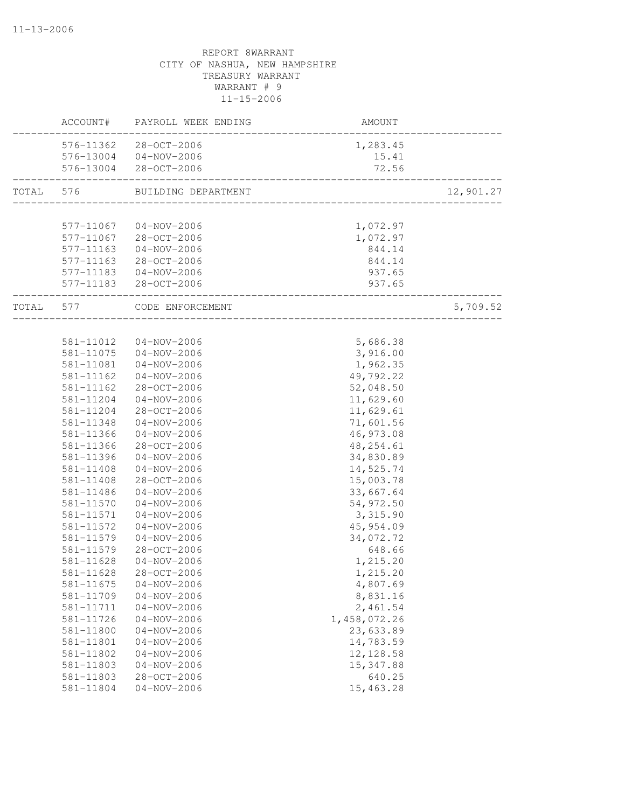|                    | ACCOUNT#  | PAYROLL WEEK ENDING    | AMOUNT                            |           |
|--------------------|-----------|------------------------|-----------------------------------|-----------|
|                    |           | 576-11362 28-OCT-2006  | 1,283.45                          |           |
|                    |           | 576-13004 04-NOV-2006  | 15.41                             |           |
|                    |           | 576-13004 28-OCT-2006  | 72.56                             |           |
| TOTAL<br>TOTAL 577 | 576       | BUILDING DEPARTMENT    | ____________________________      | 12,901.27 |
|                    |           |                        |                                   |           |
|                    | 577-11067 | 04-NOV-2006            | 1,072.97                          |           |
|                    |           | 577-11067 28-OCT-2006  | 1,072.97                          |           |
|                    |           | 577-11163 04-NOV-2006  | 844.14                            |           |
|                    |           | 577-11163 28-OCT-2006  | 844.14                            |           |
|                    |           | 577-11183  04-NOV-2006 | 937.65                            |           |
|                    |           | 577-11183 28-OCT-2006  | 937.65<br>_______________________ |           |
|                    |           | CODE ENFORCEMENT       | ----------------                  | 5,709.52  |
|                    |           |                        |                                   |           |
|                    | 581-11012 | 04-NOV-2006            | 5,686.38                          |           |
|                    |           | 581-11075 04-NOV-2006  | 3,916.00                          |           |
|                    | 581-11081 | $04 - NOV - 2006$      | 1,962.35                          |           |
|                    | 581-11162 | $04 - NOV - 2006$      | 49,792.22                         |           |
|                    | 581-11162 | 28-OCT-2006            | 52,048.50                         |           |
|                    | 581-11204 | $04 - NOV - 2006$      | 11,629.60                         |           |
|                    | 581-11204 | 28-OCT-2006            | 11,629.61                         |           |
|                    | 581-11348 | $04 - NOV - 2006$      | 71,601.56                         |           |
|                    | 581-11366 | $04 - NOV - 2006$      | 46,973.08                         |           |
|                    | 581-11366 | 28-OCT-2006            | 48, 254.61                        |           |
|                    | 581-11396 | 04-NOV-2006            | 34,830.89                         |           |
|                    | 581-11408 | $04 - NOV - 2006$      | 14,525.74                         |           |
|                    | 581-11408 | $28 - OCT - 2006$      | 15,003.78                         |           |
|                    | 581-11486 | $04 - NOV - 2006$      | 33,667.64                         |           |
|                    | 581-11570 | $04 - NOV - 2006$      | 54,972.50                         |           |
|                    | 581-11571 | $04 - NOV - 2006$      | 3,315.90                          |           |
|                    | 581-11572 | $04 - NOV - 2006$      | 45, 954.09                        |           |
|                    | 581-11579 | $04 - NOV - 2006$      | 34,072.72                         |           |
|                    | 581-11579 | 28-OCT-2006            | 648.66                            |           |
|                    | 581-11628 | $04 - NOV - 2006$      | 1,215.20                          |           |
|                    | 581-11628 | 28-OCT-2006            | 1,215.20                          |           |
|                    | 581-11675 | $04 - NOV - 2006$      | 4,807.69                          |           |
|                    | 581-11709 | $04 - NOV - 2006$      | 8,831.16                          |           |
|                    | 581-11711 | $04 - NOV - 2006$      | 2,461.54                          |           |
|                    | 581-11726 | $04 - NOV - 2006$      | 1,458,072.26                      |           |
|                    | 581-11800 | $04 - NOV - 2006$      | 23,633.89                         |           |
|                    | 581-11801 | $04 - NOV - 2006$      | 14,783.59                         |           |
|                    | 581-11802 | $04 - NOV - 2006$      | 12, 128.58                        |           |
|                    | 581-11803 | $04 - NOV - 2006$      | 15, 347.88                        |           |
|                    | 581-11803 | 28-OCT-2006            | 640.25                            |           |
|                    | 581-11804 | $04 - NOV - 2006$      | 15,463.28                         |           |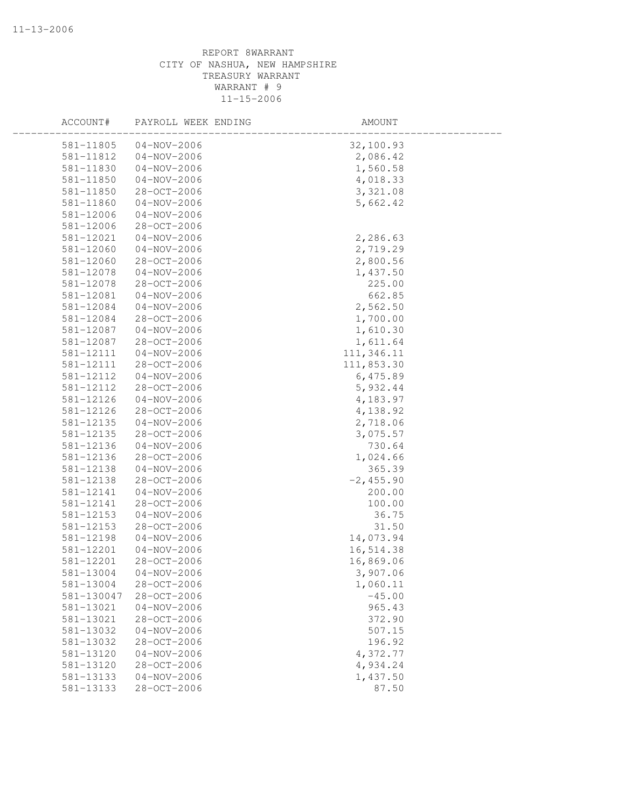| ACCOUNT#   | PAYROLL WEEK ENDING | AMOUNT       |  |
|------------|---------------------|--------------|--|
| 581-11805  | $04 - NOV - 2006$   | 32,100.93    |  |
| 581-11812  | $04 - NOV - 2006$   | 2,086.42     |  |
| 581-11830  | $04 - NOV - 2006$   | 1,560.58     |  |
| 581-11850  | $04 - NOV - 2006$   | 4,018.33     |  |
| 581-11850  | 28-OCT-2006         | 3,321.08     |  |
| 581-11860  | $04 - NOV - 2006$   | 5,662.42     |  |
| 581-12006  | $04 - NOV - 2006$   |              |  |
| 581-12006  | 28-OCT-2006         |              |  |
| 581-12021  | $04 - NOV - 2006$   | 2,286.63     |  |
| 581-12060  | $04 - NOV - 2006$   | 2,719.29     |  |
| 581-12060  | 28-OCT-2006         | 2,800.56     |  |
| 581-12078  | $04 - NOV - 2006$   | 1,437.50     |  |
| 581-12078  | 28-OCT-2006         | 225.00       |  |
| 581-12081  | $04 - NOV - 2006$   | 662.85       |  |
| 581-12084  | $04 - NOV - 2006$   | 2,562.50     |  |
| 581-12084  | 28-OCT-2006         | 1,700.00     |  |
| 581-12087  | $04 - NOV - 2006$   | 1,610.30     |  |
| 581-12087  | 28-OCT-2006         | 1,611.64     |  |
| 581-12111  | $04 - NOV - 2006$   | 111,346.11   |  |
| 581-12111  | 28-OCT-2006         | 111,853.30   |  |
| 581-12112  | $04 - NOV - 2006$   | 6,475.89     |  |
| 581-12112  | 28-OCT-2006         | 5,932.44     |  |
| 581-12126  | $04 - NOV - 2006$   | 4,183.97     |  |
| 581-12126  | 28-OCT-2006         | 4,138.92     |  |
| 581-12135  | $04 - NOV - 2006$   | 2,718.06     |  |
| 581-12135  | 28-OCT-2006         | 3,075.57     |  |
| 581-12136  | $04 - NOV - 2006$   | 730.64       |  |
| 581-12136  | 28-OCT-2006         | 1,024.66     |  |
| 581-12138  | $04 - NOV - 2006$   | 365.39       |  |
| 581-12138  | 28-OCT-2006         | $-2, 455.90$ |  |
| 581-12141  | $04 - NOV - 2006$   | 200.00       |  |
| 581-12141  | 28-OCT-2006         | 100.00       |  |
| 581-12153  | $04 - NOV - 2006$   | 36.75        |  |
| 581-12153  | 28-OCT-2006         | 31.50        |  |
| 581-12198  | $04 - NOV - 2006$   | 14,073.94    |  |
| 581-12201  | $04 - NOV - 2006$   | 16,514.38    |  |
| 581-12201  | 28-OCT-2006         | 16,869.06    |  |
| 581-13004  | $04 - NOV - 2006$   | 3,907.06     |  |
| 581-13004  | 28-OCT-2006         | 1,060.11     |  |
| 581-130047 | 28-OCT-2006         | $-45.00$     |  |
| 581-13021  | $04 - NOV - 2006$   | 965.43       |  |
| 581-13021  | 28-OCT-2006         | 372.90       |  |
| 581-13032  | $04 - NOV - 2006$   | 507.15       |  |
| 581-13032  | $28 - OCT - 2006$   | 196.92       |  |
| 581-13120  | $04 - NOV - 2006$   | 4,372.77     |  |
| 581-13120  | $28 - OCT - 2006$   | 4,934.24     |  |
| 581-13133  | $04 - NOV - 2006$   | 1,437.50     |  |
| 581-13133  | 28-OCT-2006         | 87.50        |  |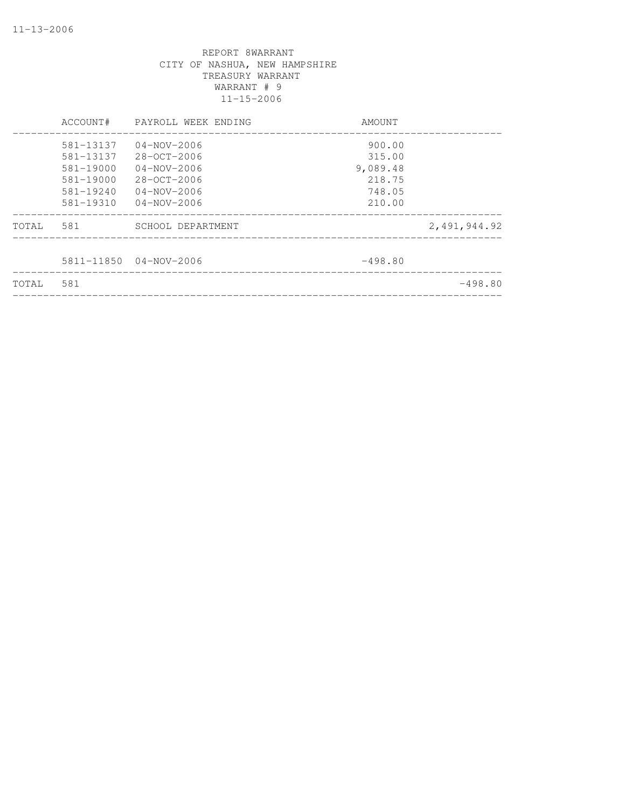|       | ACCOUNT#                                                                       | PAYROLL WEEK ENDING                                                                          | AMOUNT                                                     |              |
|-------|--------------------------------------------------------------------------------|----------------------------------------------------------------------------------------------|------------------------------------------------------------|--------------|
|       | 581-13137<br>581-13137<br>581-19000<br>581-19000<br>$581 - 19240$<br>581-19310 | 04-NOV-2006<br>28-OCT-2006<br>04-NOV-2006<br>28-OCT-2006<br>$04 - NOV - 2006$<br>04-NOV-2006 | 900.00<br>315.00<br>9,089.48<br>218.75<br>748.05<br>210.00 |              |
| TOTAL | 581                                                                            | SCHOOL DEPARTMENT                                                                            |                                                            | 2,491,944.92 |
|       |                                                                                | 5811-11850 04-NOV-2006                                                                       | $-498.80$                                                  |              |
| TOTAL | 581                                                                            |                                                                                              |                                                            | $-498.80$    |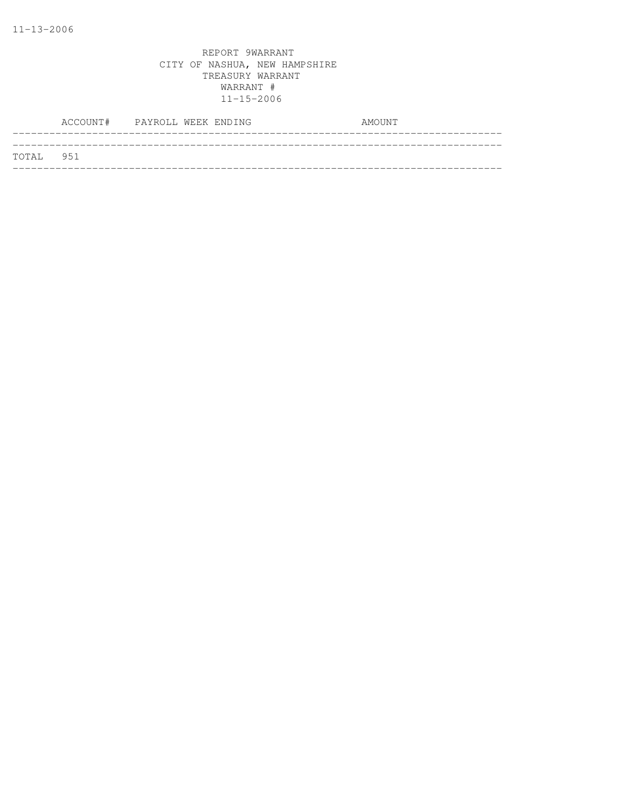|           | ACCOUNT# PAYROLL WEEK ENDING |  | AMOUNT |
|-----------|------------------------------|--|--------|
|           |                              |  |        |
| TOTAL 951 |                              |  |        |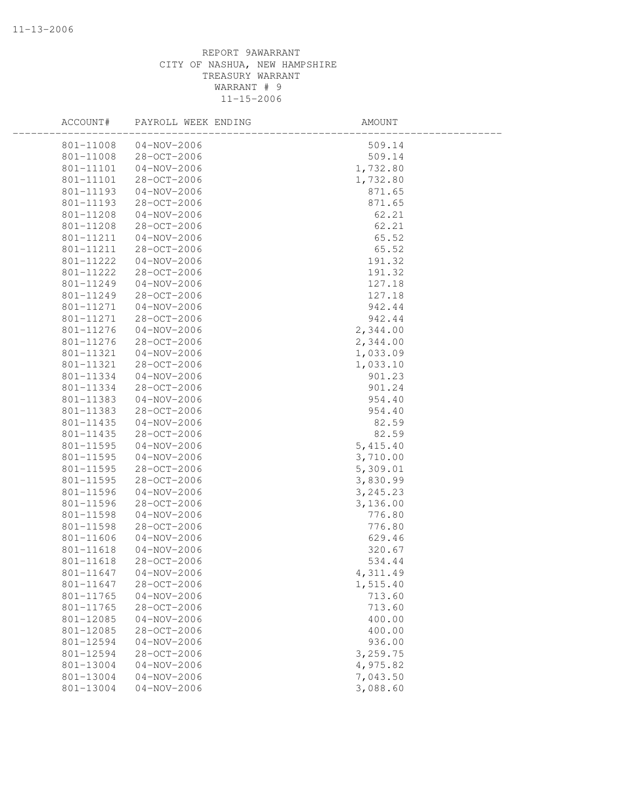| ACCOUNT#  | PAYROLL WEEK ENDING | AMOUNT    |  |
|-----------|---------------------|-----------|--|
| 801-11008 | $04 - NOV - 2006$   | 509.14    |  |
| 801-11008 | 28-OCT-2006         | 509.14    |  |
| 801-11101 | $04 - NOV - 2006$   | 1,732.80  |  |
| 801-11101 | 28-OCT-2006         | 1,732.80  |  |
| 801-11193 | $04 - NOV - 2006$   | 871.65    |  |
| 801-11193 | 28-OCT-2006         | 871.65    |  |
| 801-11208 | $04 - NOV - 2006$   | 62.21     |  |
| 801-11208 | 28-OCT-2006         | 62.21     |  |
| 801-11211 | $04 - NOV - 2006$   | 65.52     |  |
| 801-11211 | 28-OCT-2006         | 65.52     |  |
| 801-11222 | $04 - NOV - 2006$   | 191.32    |  |
| 801-11222 | 28-OCT-2006         | 191.32    |  |
| 801-11249 | $04 - NOV - 2006$   | 127.18    |  |
| 801-11249 | 28-OCT-2006         | 127.18    |  |
| 801-11271 | $04 - NOV - 2006$   | 942.44    |  |
| 801-11271 | 28-OCT-2006         | 942.44    |  |
| 801-11276 | $04 - NOV - 2006$   | 2,344.00  |  |
| 801-11276 | 28-OCT-2006         | 2,344.00  |  |
| 801-11321 | $04 - NOV - 2006$   | 1,033.09  |  |
| 801-11321 | 28-OCT-2006         | 1,033.10  |  |
| 801-11334 | $04 - NOV - 2006$   | 901.23    |  |
| 801-11334 | 28-OCT-2006         | 901.24    |  |
| 801-11383 | $04 - NOV - 2006$   | 954.40    |  |
| 801-11383 | 28-OCT-2006         | 954.40    |  |
| 801-11435 | $04 - NOV - 2006$   | 82.59     |  |
| 801-11435 | 28-OCT-2006         | 82.59     |  |
| 801-11595 | $04 - NOV - 2006$   | 5,415.40  |  |
| 801-11595 | $04 - NOV - 2006$   | 3,710.00  |  |
| 801-11595 | 28-OCT-2006         | 5,309.01  |  |
| 801-11595 | 28-OCT-2006         | 3,830.99  |  |
| 801-11596 | $04 - NOV - 2006$   | 3, 245.23 |  |
| 801-11596 | 28-OCT-2006         | 3,136.00  |  |
| 801-11598 | $04 - NOV - 2006$   | 776.80    |  |
| 801-11598 | 28-OCT-2006         | 776.80    |  |
| 801-11606 | $04 - NOV - 2006$   | 629.46    |  |
| 801-11618 | $04 - NOV - 2006$   | 320.67    |  |
| 801-11618 | 28-OCT-2006         | 534.44    |  |
| 801-11647 | $04 - NOV - 2006$   | 4,311.49  |  |
| 801-11647 | 28-OCT-2006         | 1,515.40  |  |
| 801-11765 | $04 - NOV - 2006$   | 713.60    |  |
| 801-11765 | 28-OCT-2006         | 713.60    |  |
| 801-12085 | $04 - NOV - 2006$   | 400.00    |  |
| 801-12085 | 28-OCT-2006         | 400.00    |  |
| 801-12594 | $04 - NOV - 2006$   | 936.00    |  |
| 801-12594 | 28-OCT-2006         | 3,259.75  |  |
| 801-13004 | $04 - NOV - 2006$   | 4,975.82  |  |
| 801-13004 | $04 - NOV - 2006$   | 7,043.50  |  |
| 801-13004 |                     | 3,088.60  |  |
|           | $04 - NOV - 2006$   |           |  |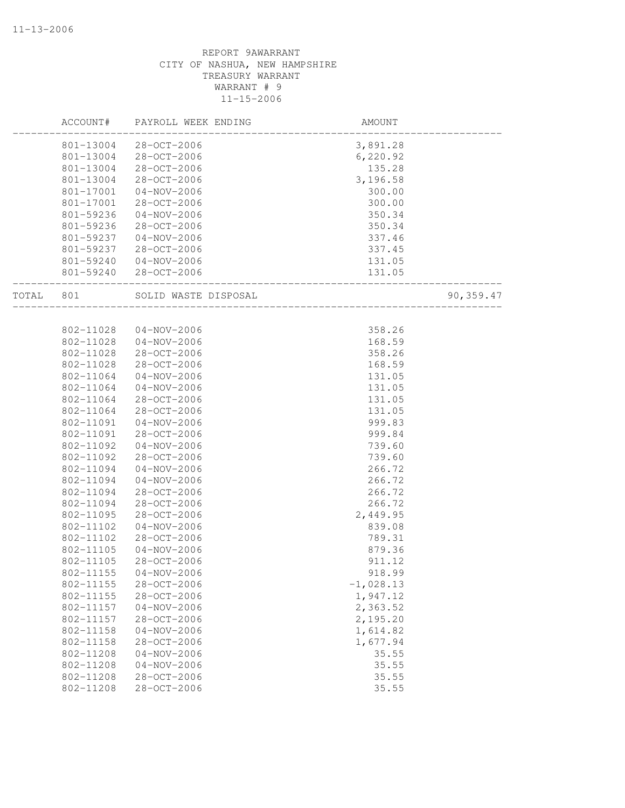|           | ACCOUNT#  | PAYROLL WEEK ENDING   | AMOUNT      |            |
|-----------|-----------|-----------------------|-------------|------------|
|           | 801-13004 | 28-OCT-2006           | 3,891.28    |            |
|           | 801-13004 | 28-OCT-2006           | 6, 220.92   |            |
|           | 801-13004 | 28-OCT-2006           | 135.28      |            |
|           | 801-13004 | 28-OCT-2006           | 3,196.58    |            |
|           | 801-17001 | $04 - NOV - 2006$     | 300.00      |            |
|           | 801-17001 | 28-OCT-2006           | 300.00      |            |
|           | 801-59236 | 04-NOV-2006           | 350.34      |            |
|           | 801-59236 | 28-OCT-2006           | 350.34      |            |
|           | 801-59237 | $04 - NOV - 2006$     | 337.46      |            |
|           | 801-59237 | 28-OCT-2006           | 337.45      |            |
|           | 801-59240 | $04 - NOV - 2006$     | 131.05      |            |
|           |           | 801-59240 28-OCT-2006 | 131.05      |            |
| TOTAL 801 |           | SOLID WASTE DISPOSAL  |             | 90, 359.47 |
|           |           |                       |             |            |
|           | 802-11028 | $04 - NOV - 2006$     | 358.26      |            |
|           | 802-11028 | 04-NOV-2006           | 168.59      |            |
|           | 802-11028 | 28-OCT-2006           | 358.26      |            |
|           | 802-11028 | 28-OCT-2006           | 168.59      |            |
|           | 802-11064 | $04 - NOV - 2006$     | 131.05      |            |
|           | 802-11064 | $04 - NOV - 2006$     | 131.05      |            |
|           | 802-11064 | 28-OCT-2006           | 131.05      |            |
|           | 802-11064 | 28-OCT-2006           | 131.05      |            |
|           | 802-11091 | $04 - NOV - 2006$     | 999.83      |            |
|           | 802-11091 | 28-OCT-2006           | 999.84      |            |
|           | 802-11092 | $04 - NOV - 2006$     | 739.60      |            |
|           | 802-11092 | 28-OCT-2006           | 739.60      |            |
|           | 802-11094 | $04 - NOV - 2006$     | 266.72      |            |
|           | 802-11094 | $04 - NOV - 2006$     | 266.72      |            |
|           | 802-11094 | 28-OCT-2006           | 266.72      |            |
|           | 802-11094 | 28-OCT-2006           | 266.72      |            |
|           | 802-11095 | 28-OCT-2006           | 2,449.95    |            |
|           | 802-11102 | $04 - NOV - 2006$     | 839.08      |            |
|           | 802-11102 | 28-OCT-2006           | 789.31      |            |
|           | 802-11105 | $04 - NOV - 2006$     | 879.36      |            |
|           | 802-11105 | $28 - OCT - 2006$     | 911.12      |            |
|           | 802-11155 | $04 - NOV - 2006$     | 918.99      |            |
|           | 802-11155 | 28-OCT-2006           | $-1,028.13$ |            |
|           | 802-11155 | $28 - OCT - 2006$     | 1,947.12    |            |
|           | 802-11157 | $04 - NOV - 2006$     | 2,363.52    |            |
|           | 802-11157 | $28 - OCT - 2006$     | 2,195.20    |            |
|           | 802-11158 | $04 - NOV - 2006$     | 1,614.82    |            |
|           | 802-11158 | 28-OCT-2006           | 1,677.94    |            |
|           | 802-11208 | $04 - NOV - 2006$     | 35.55       |            |
|           | 802-11208 | $04 - NOV - 2006$     | 35.55       |            |
|           | 802-11208 | 28-OCT-2006           | 35.55       |            |
|           | 802-11208 | $28 - OCT - 2006$     | 35.55       |            |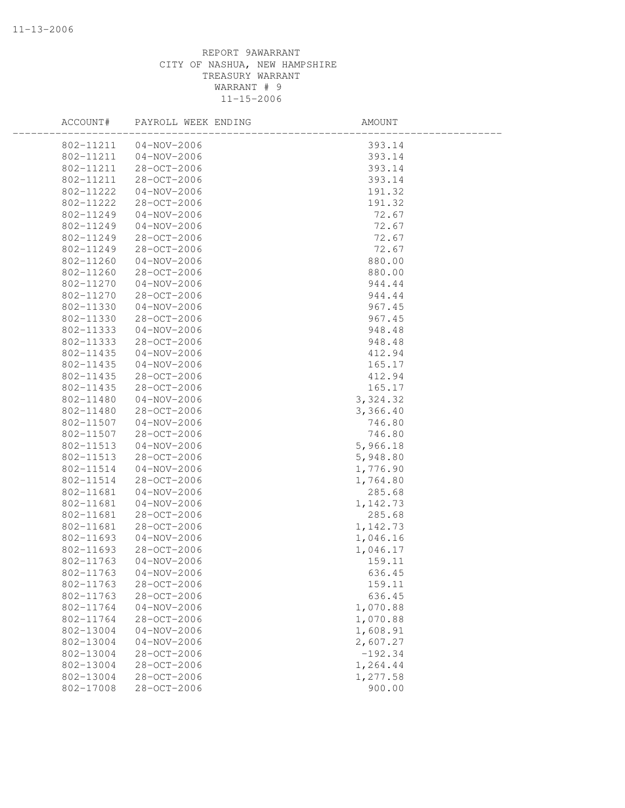| ACCOUNT#  | PAYROLL WEEK ENDING | AMOUNT    |  |
|-----------|---------------------|-----------|--|
| 802-11211 | 04-NOV-2006         | 393.14    |  |
| 802-11211 | $04 - NOV - 2006$   | 393.14    |  |
| 802-11211 | 28-OCT-2006         | 393.14    |  |
| 802-11211 | 28-OCT-2006         | 393.14    |  |
| 802-11222 | $04 - NOV - 2006$   | 191.32    |  |
| 802-11222 | 28-OCT-2006         | 191.32    |  |
| 802-11249 | $04 - NOV - 2006$   | 72.67     |  |
| 802-11249 | $04 - NOV - 2006$   | 72.67     |  |
| 802-11249 | 28-OCT-2006         | 72.67     |  |
| 802-11249 | 28-OCT-2006         | 72.67     |  |
| 802-11260 | $04 - NOV - 2006$   | 880.00    |  |
| 802-11260 | 28-OCT-2006         | 880.00    |  |
| 802-11270 | $04 - NOV - 2006$   | 944.44    |  |
| 802-11270 | 28-OCT-2006         | 944.44    |  |
| 802-11330 | $04 - NOV - 2006$   | 967.45    |  |
| 802-11330 | 28-OCT-2006         | 967.45    |  |
| 802-11333 | $04 - NOV - 2006$   | 948.48    |  |
| 802-11333 | 28-OCT-2006         | 948.48    |  |
| 802-11435 | $04 - NOV - 2006$   | 412.94    |  |
| 802-11435 | $04 - NOV - 2006$   | 165.17    |  |
| 802-11435 | 28-OCT-2006         | 412.94    |  |
| 802-11435 | 28-OCT-2006         | 165.17    |  |
| 802-11480 | $04 - NOV - 2006$   | 3, 324.32 |  |
| 802-11480 | 28-OCT-2006         | 3,366.40  |  |
| 802-11507 | $04 - NOV - 2006$   | 746.80    |  |
| 802-11507 | 28-OCT-2006         | 746.80    |  |
| 802-11513 | $04 - NOV - 2006$   | 5,966.18  |  |
| 802-11513 | 28-OCT-2006         | 5,948.80  |  |
| 802-11514 | $04 - NOV - 2006$   | 1,776.90  |  |
| 802-11514 | 28-OCT-2006         | 1,764.80  |  |
| 802-11681 | $04 - NOV - 2006$   | 285.68    |  |
| 802-11681 | $04 - NOV - 2006$   | 1,142.73  |  |
| 802-11681 | 28-OCT-2006         | 285.68    |  |
| 802-11681 | 28-OCT-2006         | 1,142.73  |  |
| 802-11693 | $04 - NOV - 2006$   | 1,046.16  |  |
| 802-11693 | 28-OCT-2006         | 1,046.17  |  |
| 802-11763 | $04 - NOV - 2006$   | 159.11    |  |
| 802-11763 | $04 - NOV - 2006$   | 636.45    |  |
| 802-11763 | 28-OCT-2006         | 159.11    |  |
| 802-11763 | 28-OCT-2006         | 636.45    |  |
| 802-11764 | $04 - NOV - 2006$   | 1,070.88  |  |
| 802-11764 | $28 - OCT - 2006$   | 1,070.88  |  |
| 802-13004 | $04 - NOV - 2006$   | 1,608.91  |  |
| 802-13004 | $04 - NOV - 2006$   | 2,607.27  |  |
| 802-13004 | 28-OCT-2006         | $-192.34$ |  |
| 802-13004 | 28-OCT-2006         | 1,264.44  |  |
| 802-13004 | 28-OCT-2006         | 1,277.58  |  |
| 802-17008 | 28-OCT-2006         | 900.00    |  |
|           |                     |           |  |